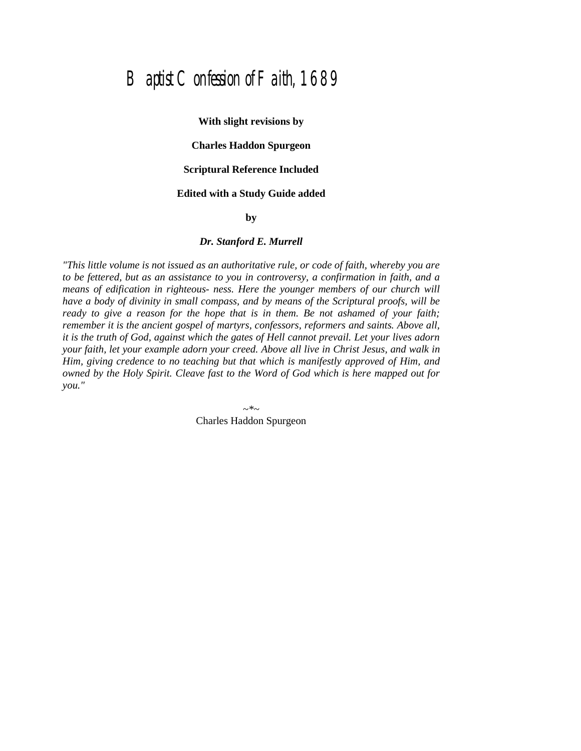# Baptist Confession of Faith, 1689

**With slight revisions by Charles Haddon Spurgeon Scriptural Reference Included Edited with a Study Guide added by**

#### *Dr. Stanford E. Murrell*

*"This little volume is not issued as an authoritative rule, or code of faith, whereby you are to be fettered, but as an assistance to you in controversy, a confirmation in faith, and a means of edification in righteous- ness. Here the younger members of our church will have a body of divinity in small compass, and by means of the Scriptural proofs, will be ready to give a reason for the hope that is in them. Be not ashamed of your faith; remember it is the ancient gospel of martyrs, confessors, reformers and saints. Above all, it is the truth of God, against which the gates of Hell cannot prevail. Let your lives adorn your faith, let your example adorn your creed. Above all live in Christ Jesus, and walk in Him, giving credence to no teaching but that which is manifestly approved of Him, and owned by the Holy Spirit. Cleave fast to the Word of God which is here mapped out for you."*

> *~\*~* Charles Haddon Spurgeon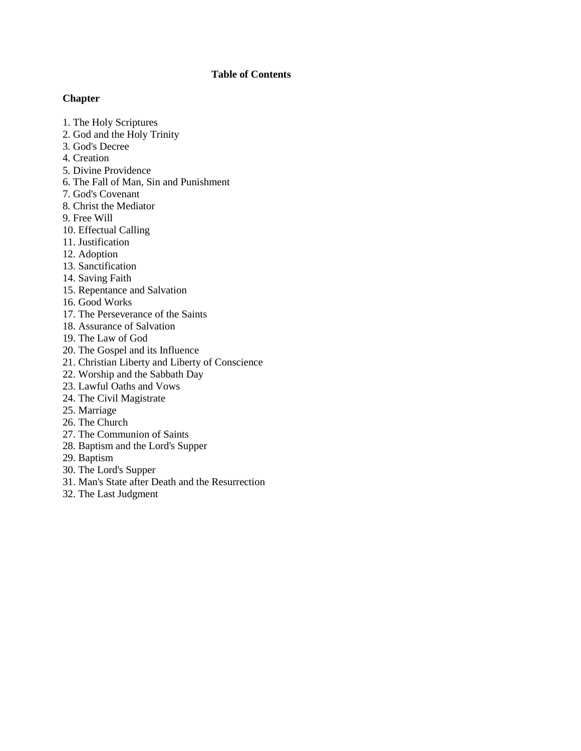# **Table of Contents**

## **Chapter**

- 1. The Holy Scriptures
- 2. God and the Holy Trinity
- 3. God's Decree
- 4. Creation
- 5. Divine Providence
- 6. The Fall of Man, Sin and Punishment
- 7. God's Covenant
- 8. Christ the Mediator
- 9. Free Will
- 10. Effectual Calling
- 11. Justification
- 12. Adoption
- 13. Sanctification
- 14. Saving Faith
- 15. Repentance and Salvation
- 16. Good Works
- 17. The Perseverance of the Saints
- 18. Assurance of Salvation
- 19. The Law of God
- 20. The Gospel and its Influence
- 21. Christian Liberty and Liberty of Conscience
- 22. Worship and the Sabbath Day
- 23. Lawful Oaths and Vows
- 24. The Civil Magistrate
- 25. Marriage
- 26. The Church
- 27. The Communion of Saints
- 28. Baptism and the Lord's Supper
- 29. Baptism
- 30. The Lord's Supper
- 31. Man's State after Death and the Resurrection
- 32. The Last Judgment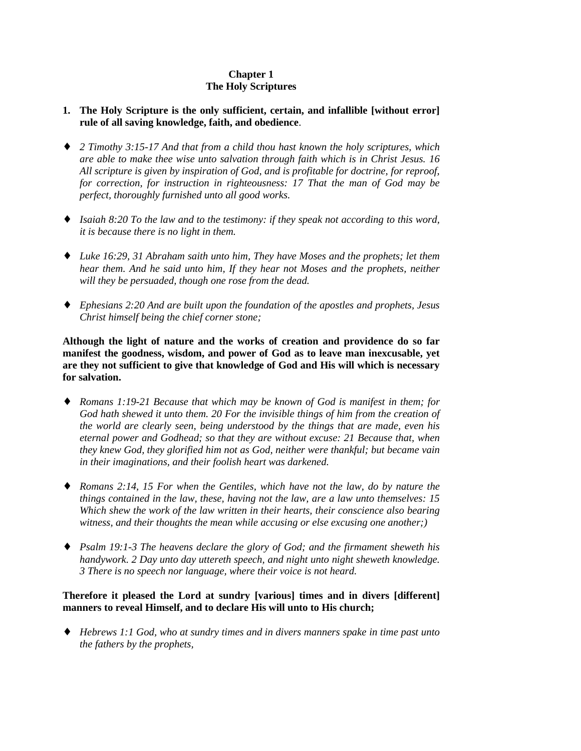# **Chapter 1 The Holy Scriptures**

## **1. The Holy Scripture is the only sufficient, certain, and infallible [without error] rule of all saving knowledge, faith, and obedience**.

- ♦ *2 Timothy 3:15-17 And that from a child thou hast known the holy scriptures, which are able to make thee wise unto salvation through faith which is in Christ Jesus. 16 All scripture is given by inspiration of God, and is profitable for doctrine, for reproof, for correction, for instruction in righteousness: 17 That the man of God may be perfect, thoroughly furnished unto all good works.*
- ♦ *Isaiah 8:20 To the law and to the testimony: if they speak not according to this word, it is because there is no light in them.*
- ♦ *Luke 16:29, 31 Abraham saith unto him, They have Moses and the prophets; let them hear them. And he said unto him, If they hear not Moses and the prophets, neither will they be persuaded, though one rose from the dead.*
- ♦ *Ephesians 2:20 And are built upon the foundation of the apostles and prophets, Jesus Christ himself being the chief corner stone;*

**Although the light of nature and the works of creation and providence do so far manifest the goodness, wisdom, and power of God as to leave man inexcusable, yet are they not sufficient to give that knowledge of God and His will which is necessary for salvation.**

- ♦ *Romans 1:19-21 Because that which may be known of God is manifest in them; for God hath shewed it unto them. 20 For the invisible things of him from the creation of the world are clearly seen, being understood by the things that are made, even his eternal power and Godhead; so that they are without excuse: 21 Because that, when they knew God, they glorified him not as God, neither were thankful; but became vain in their imaginations, and their foolish heart was darkened.*
- ♦ *Romans 2:14, 15 For when the Gentiles, which have not the law, do by nature the things contained in the law, these, having not the law, are a law unto themselves: 15 Which shew the work of the law written in their hearts, their conscience also bearing witness, and their thoughts the mean while accusing or else excusing one another;)*
- ♦ *Psalm 19:1-3 The heavens declare the glory of God; and the firmament sheweth his handywork. 2 Day unto day uttereth speech, and night unto night sheweth knowledge. 3 There is no speech nor language, where their voice is not heard.*

## **Therefore it pleased the Lord at sundry [various] times and in divers [different] manners to reveal Himself, and to declare His will unto to His church;**

♦ *Hebrews 1:1 God, who at sundry times and in divers manners spake in time past unto the fathers by the prophets,*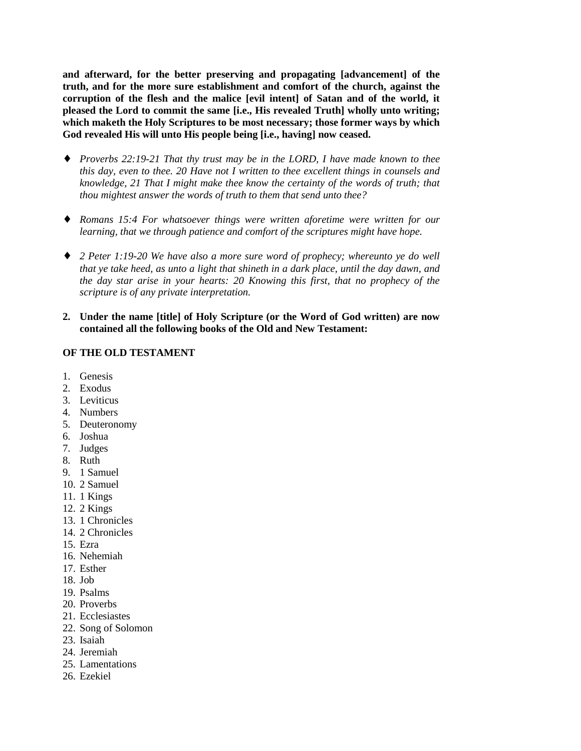**and afterward, for the better preserving and propagating [advancement] of the truth, and for the more sure establishment and comfort of the church, against the corruption of the flesh and the malice [evil intent] of Satan and of the world, it pleased the Lord to commit the same [i.e., His revealed Truth] wholly unto writing; which maketh the Holy Scriptures to be most necessary; those former ways by which God revealed His will unto His people being [i.e., having] now ceased.**

- ♦ *Proverbs 22:19-21 That thy trust may be in the LORD, I have made known to thee this day, even to thee. 20 Have not I written to thee excellent things in counsels and knowledge, 21 That I might make thee know the certainty of the words of truth; that thou mightest answer the words of truth to them that send unto thee?*
- ♦ *Romans 15:4 For whatsoever things were written aforetime were written for our learning, that we through patience and comfort of the scriptures might have hope.*
- ♦ *2 Peter 1:19-20 We have also a more sure word of prophecy; whereunto ye do well that ye take heed, as unto a light that shineth in a dark place, until the day dawn, and the day star arise in your hearts: 20 Knowing this first, that no prophecy of the scripture is of any private interpretation.*
- **2. Under the name [title] of Holy Scripture (or the Word of God written) are now contained all the following books of the Old and New Testament:**

#### **OF THE OLD TESTAMENT**

- 1. Genesis
- 2. Exodus
- 3. Leviticus
- 4. Numbers
- 5. Deuteronomy
- 6. Joshua
- 7. Judges
- 8. Ruth
- 9. 1 Samuel
- 10. 2 Samuel
- 11. 1 Kings
- 12. 2 Kings
- 13. 1 Chronicles
- 14. 2 Chronicles
- 15. Ezra
- 16. Nehemiah
- 17. Esther
- 18. Job
- 19. Psalms
- 20. Proverbs
- 21. Ecclesiastes
- 22. Song of Solomon
- 23. Isaiah
- 24. Jeremiah
- 25. Lamentations
- 26. Ezekiel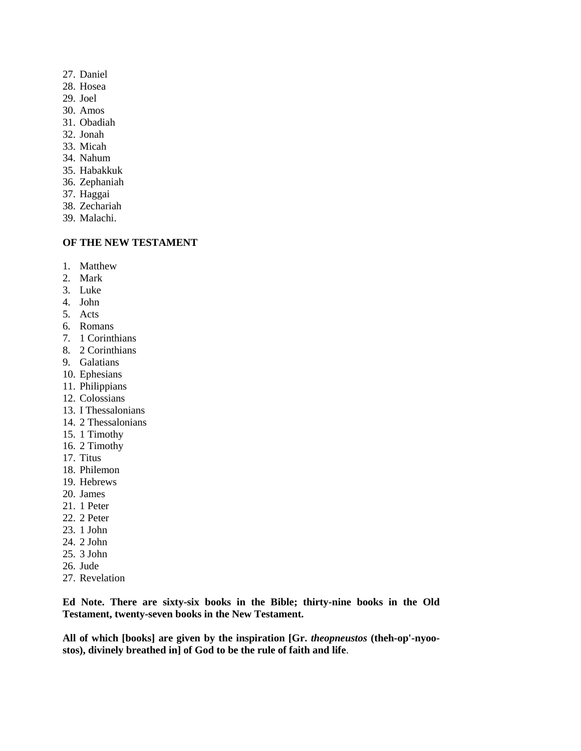- 27. Daniel
- 28. Hosea
- 29. Joel
- 30. Amos
- 31. Obadiah
- 32. Jonah
- 33. Micah
- 34. Nahum
- 35. Habakkuk
- 36. Zephaniah
- 37. Haggai
- 38. Zechariah
- 39. Malachi.

# **OF THE NEW TESTAMENT**

- 1. Matthew
- 2. Mark
- 3. Luke
- 4. John
- 5. Acts
- 6. Romans
- 7. 1 Corinthians
- 8. 2 Corinthians
- 9. Galatians
- 10. Ephesians
- 11. Philippians
- 12. Colossians
- 13. I Thessalonians
- 14. 2 Thessalonians
- 15. 1 Timothy
- 16. 2 Timothy
- 17. Titus
- 18. Philemon
- 19. Hebrews
- 20. James
- 21. 1 Peter
- 22. 2 Peter
- 23. 1 John
- 24. 2 John
- 25. 3 John
- 26. Jude
- 27. Revelation

**Ed Note. There are sixty-six books in the Bible; thirty-nine books in the Old Testament, twenty-seven books in the New Testament.**

**All of which [books] are given by the inspiration [Gr.** *theopneustos* **(theh-op'-nyoostos), divinely breathed in] of God to be the rule of faith and life**.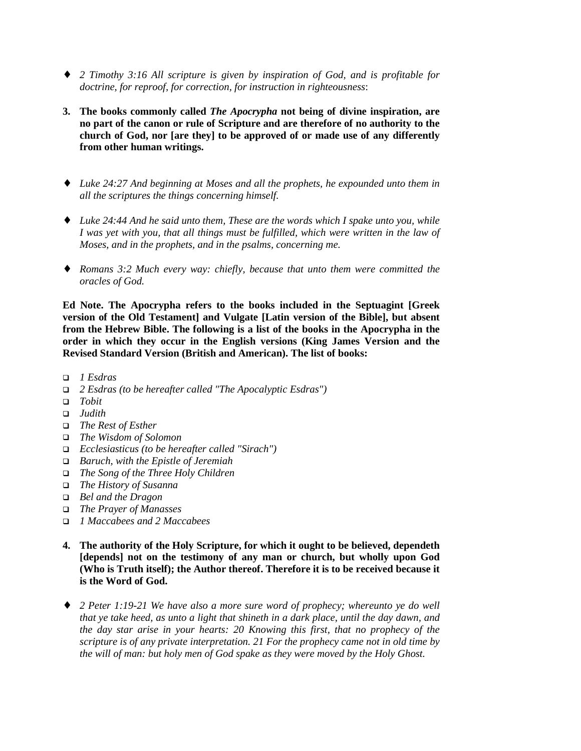- ♦ *2 Timothy 3:16 All scripture is given by inspiration of God, and is profitable for doctrine, for reproof, for correction, for instruction in righteousness*:
- **3. The books commonly called** *The Apocrypha* **not being of divine inspiration, are no part of the canon or rule of Scripture and are therefore of no authority to the church of God, nor [are they] to be approved of or made use of any differently from other human writings.**
- ♦ *Luke 24:27 And beginning at Moses and all the prophets, he expounded unto them in all the scriptures the things concerning himself.*
- ♦ *Luke 24:44 And he said unto them, These are the words which I spake unto you, while I was yet with you, that all things must be fulfilled, which were written in the law of Moses, and in the prophets, and in the psalms, concerning me.*
- ♦ *Romans 3:2 Much every way: chiefly, because that unto them were committed the oracles of God.*

**Ed Note. The Apocrypha refers to the books included in the Septuagint [Greek version of the Old Testament] and Vulgate [Latin version of the Bible], but absent from the Hebrew Bible. The following is a list of the books in the Apocrypha in the order in which they occur in the English versions (King James Version and the Revised Standard Version (British and American). The list of books:**

- ! *1 Esdras*
- ! *2 Esdras (to be hereafter called "The Apocalyptic Esdras")*
- ! *Tobit*
- ! *Judith*
- ! *The Rest of Esther*
- ! *The Wisdom of Solomon*
- ! *Ecclesiasticus (to be hereafter called "Sirach")*
- ! *Baruch, with the Epistle of Jeremiah*
- ! *The Song of the Three Holy Children*
- ! *The History of Susanna*
- ! *Bel and the Dragon*
- ! *The Prayer of Manasses*
- ! *1 Maccabees and 2 Maccabees*
- **4. The authority of the Holy Scripture, for which it ought to be believed, dependeth [depends] not on the testimony of any man or church, but wholly upon God (Who is Truth itself); the Author thereof. Therefore it is to be received because it is the Word of God.**
- ♦ *2 Peter 1:19-21 We have also a more sure word of prophecy; whereunto ye do well that ye take heed, as unto a light that shineth in a dark place, until the day dawn, and the day star arise in your hearts: 20 Knowing this first, that no prophecy of the scripture is of any private interpretation. 21 For the prophecy came not in old time by the will of man: but holy men of God spake as they were moved by the Holy Ghost.*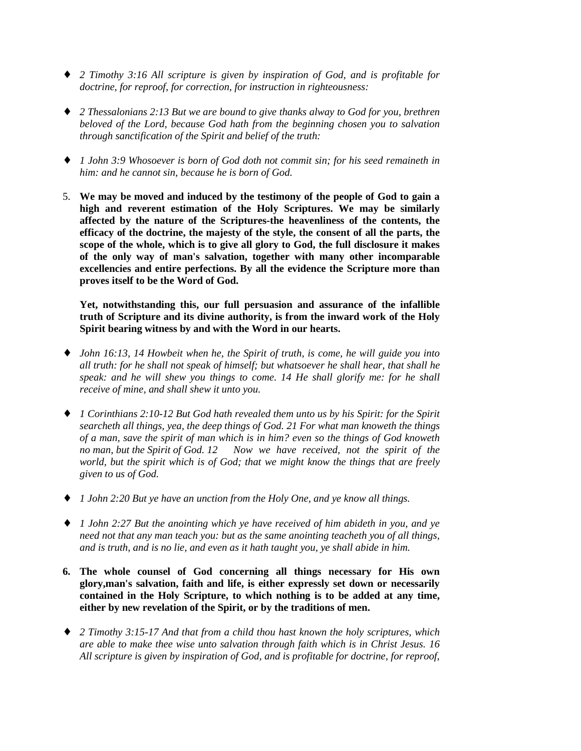- ♦ *2 Timothy 3:16 All scripture is given by inspiration of God, and is profitable for doctrine, for reproof, for correction, for instruction in righteousness:*
- ♦ *2 Thessalonians 2:13 But we are bound to give thanks alway to God for you, brethren beloved of the Lord, because God hath from the beginning chosen you to salvation through sanctification of the Spirit and belief of the truth:*
- ♦ *1 John 3:9 Whosoever is born of God doth not commit sin; for his seed remaineth in him: and he cannot sin, because he is born of God.*
- 5. **We may be moved and induced by the testimony of the people of God to gain a high and reverent estimation of the Holy Scriptures. We may be similarly affected by the nature of the Scriptures-the heavenliness of the contents, the efficacy of the doctrine, the majesty of the style, the consent of all the parts, the scope of the whole, which is to give all glory to God, the full disclosure it makes of the only way of man's salvation, together with many other incomparable excellencies and entire perfections. By all the evidence the Scripture more than proves itself to be the Word of God.**

**Yet, notwithstanding this, our full persuasion and assurance of the infallible truth of Scripture and its divine authority, is from the inward work of the Holy Spirit bearing witness by and with the Word in our hearts.**

- ♦ *John 16:13, 14 Howbeit when he, the Spirit of truth, is come, he will guide you into all truth: for he shall not speak of himself; but whatsoever he shall hear, that shall he speak: and he will shew you things to come. 14 He shall glorify me: for he shall receive of mine, and shall shew it unto you.*
- ♦ *1 Corinthians 2:10-12 But God hath revealed them unto us by his Spirit: for the Spirit searcheth all things, yea, the deep things of God. 21 For what man knoweth the things of a man, save the spirit of man which is in him? even so the things of God knoweth no man, but the Spirit of God. 12 Now we have received, not the spirit of the world, but the spirit which is of God; that we might know the things that are freely given to us of God.*
- ♦ *1 John 2:20 But ye have an unction from the Holy One, and ye know all things.*
- ♦ *1 John 2:27 But the anointing which ye have received of him abideth in you, and ye need not that any man teach you: but as the same anointing teacheth you of all things, and is truth, and is no lie, and even as it hath taught you, ye shall abide in him.*
- **6. The whole counsel of God concerning all things necessary for His own glory,man's salvation, faith and life, is either expressly set down or necessarily contained in the Holy Scripture, to which nothing is to be added at any time, either by new revelation of the Spirit, or by the traditions of men.**
- ♦ *2 Timothy 3:15-17 And that from a child thou hast known the holy scriptures, which are able to make thee wise unto salvation through faith which is in Christ Jesus. 16 All scripture is given by inspiration of God, and is profitable for doctrine, for reproof,*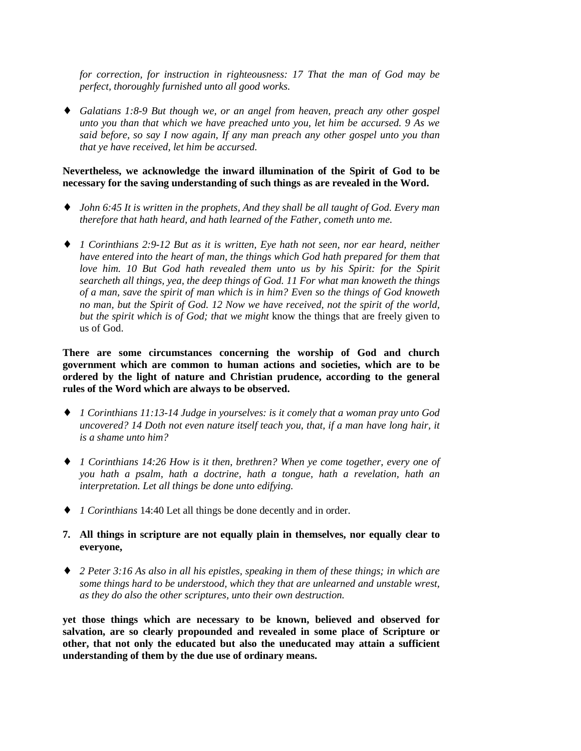*for correction, for instruction in righteousness: 17 That the man of God may be perfect, thoroughly furnished unto all good works.*

♦ *Galatians 1:8-9 But though we, or an angel from heaven, preach any other gospel unto you than that which we have preached unto you, let him be accursed. 9 As we said before, so say I now again, If any man preach any other gospel unto you than that ye have received, let him be accursed.*

#### **Nevertheless, we acknowledge the inward illumination of the Spirit of God to be necessary for the saving understanding of such things as are revealed in the Word.**

- ♦ *John 6:45 It is written in the prophets, And they shall be all taught of God. Every man therefore that hath heard, and hath learned of the Father, cometh unto me.*
- ♦ *1 Corinthians 2:9-12 But as it is written, Eye hath not seen, nor ear heard, neither have entered into the heart of man, the things which God hath prepared for them that love him. 10 But God hath revealed them unto us by his Spirit: for the Spirit searcheth all things, yea, the deep things of God. 11 For what man knoweth the things of a man, save the spirit of man which is in him? Even so the things of God knoweth no man, but the Spirit of God. 12 Now we have received, not the spirit of the world, but the spirit which is of God; that we might* know the things that are freely given to us of God.

**There are some circumstances concerning the worship of God and church government which are common to human actions and societies, which are to be ordered by the light of nature and Christian prudence, according to the general rules of the Word which are always to be observed.**

- ♦ *1 Corinthians 11:13-14 Judge in yourselves: is it comely that a woman pray unto God uncovered? 14 Doth not even nature itself teach you, that, if a man have long hair, it is a shame unto him?*
- ♦ *1 Corinthians 14:26 How is it then, brethren? When ye come together, every one of you hath a psalm, hath a doctrine, hath a tongue, hath a revelation, hath an interpretation. Let all things be done unto edifying.*
- ♦ *1 Corinthians* 14:40 Let all things be done decently and in order.
- **7. All things in scripture are not equally plain in themselves, nor equally clear to everyone,**
- ♦ *2 Peter 3:16 As also in all his epistles, speaking in them of these things; in which are some things hard to be understood, which they that are unlearned and unstable wrest, as they do also the other scriptures, unto their own destruction.*

**yet those things which are necessary to be known, believed and observed for salvation, are so clearly propounded and revealed in some place of Scripture or other, that not only the educated but also the uneducated may attain a sufficient understanding of them by the due use of ordinary means.**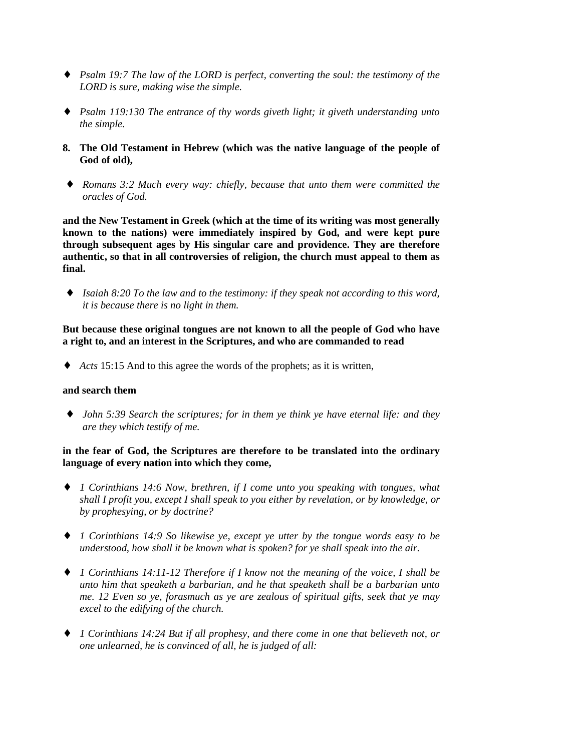- ♦ *Psalm 19:7 The law of the LORD is perfect, converting the soul: the testimony of the LORD is sure, making wise the simple.*
- ♦ *Psalm 119:130 The entrance of thy words giveth light; it giveth understanding unto the simple.*
- **8. The Old Testament in Hebrew (which was the native language of the people of God of old),**
- ♦ *Romans 3:2 Much every way: chiefly, because that unto them were committed the oracles of God.*

**and the New Testament in Greek (which at the time of its writing was most generally known to the nations) were immediately inspired by God, and were kept pure through subsequent ages by His singular care and providence. They are therefore authentic, so that in all controversies of religion, the church must appeal to them as final.**

♦ *Isaiah 8:20 To the law and to the testimony: if they speak not according to this word, it is because there is no light in them.*

**But because these original tongues are not known to all the people of God who have a right to, and an interest in the Scriptures, and who are commanded to read**

♦ *Acts* 15:15 And to this agree the words of the prophets; as it is written,

#### **and search them**

♦ *John 5:39 Search the scriptures; for in them ye think ye have eternal life: and they are they which testify of me.*

## **in the fear of God, the Scriptures are therefore to be translated into the ordinary language of every nation into which they come,**

- ♦ *1 Corinthians 14:6 Now, brethren, if I come unto you speaking with tongues, what shall I profit you, except I shall speak to you either by revelation, or by knowledge, or by prophesying, or by doctrine?*
- ♦ *1 Corinthians 14:9 So likewise ye, except ye utter by the tongue words easy to be understood, how shall it be known what is spoken? for ye shall speak into the air.*
- ♦ *1 Corinthians 14:11-12 Therefore if I know not the meaning of the voice, I shall be unto him that speaketh a barbarian, and he that speaketh shall be a barbarian unto me. 12 Even so ye, forasmuch as ye are zealous of spiritual gifts, seek that ye may excel to the edifying of the church.*
- ♦ *1 Corinthians 14:24 But if all prophesy, and there come in one that believeth not, or one unlearned, he is convinced of all, he is judged of all:*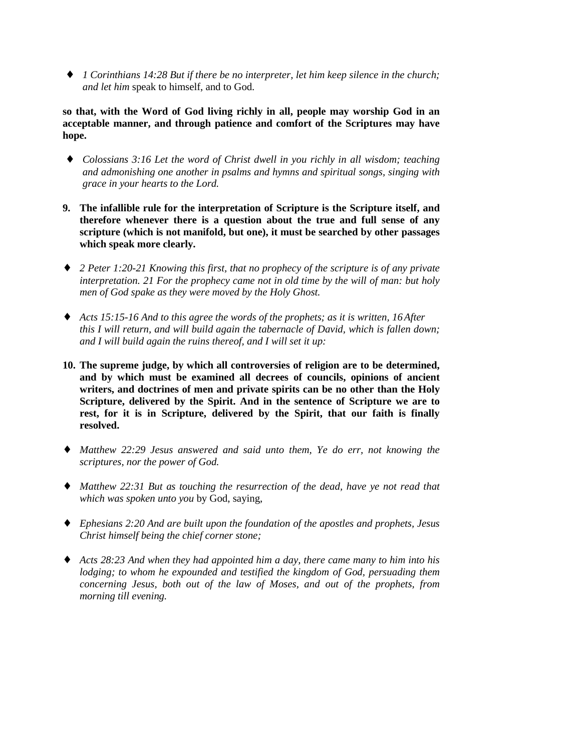♦ *1 Corinthians 14:28 But if there be no interpreter, let him keep silence in the church; and let him* speak to himself, and to God.

**so that, with the Word of God living richly in all, people may worship God in an acceptable manner, and through patience and comfort of the Scriptures may have hope.**

- ♦ *Colossians 3:16 Let the word of Christ dwell in you richly in all wisdom; teaching and admonishing one another in psalms and hymns and spiritual songs, singing with grace in your hearts to the Lord.*
- **9. The infallible rule for the interpretation of Scripture is the Scripture itself, and therefore whenever there is a question about the true and full sense of any scripture (which is not manifold, but one), it must be searched by other passages which speak more clearly.**
- ♦ *2 Peter 1:20-21 Knowing this first, that no prophecy of the scripture is of any private interpretation. 21 For the prophecy came not in old time by the will of man: but holy men of God spake as they were moved by the Holy Ghost.*
- ♦ *Acts 15:15-16 And to this agree the words of the prophets; as it is written, 16 After this I will return, and will build again the tabernacle of David, which is fallen down; and I will build again the ruins thereof, and I will set it up:*
- **10. The supreme judge, by which all controversies of religion are to be determined, and by which must be examined all decrees of councils, opinions of ancient writers, and doctrines of men and private spirits can be no other than the Holy Scripture, delivered by the Spirit. And in the sentence of Scripture we are to rest, for it is in Scripture, delivered by the Spirit, that our faith is finally resolved.**
- ♦ *Matthew 22:29 Jesus answered and said unto them, Ye do err, not knowing the scriptures, nor the power of God.*
- ♦ *Matthew 22:31 But as touching the resurrection of the dead, have ye not read that which was spoken unto you* by God, saying,
- ♦ *Ephesians 2:20 And are built upon the foundation of the apostles and prophets, Jesus Christ himself being the chief corner stone;*
- ♦ *Acts 28:23 And when they had appointed him a day, there came many to him into his lodging; to whom he expounded and testified the kingdom of God, persuading them concerning Jesus, both out of the law of Moses, and out of the prophets, from morning till evening.*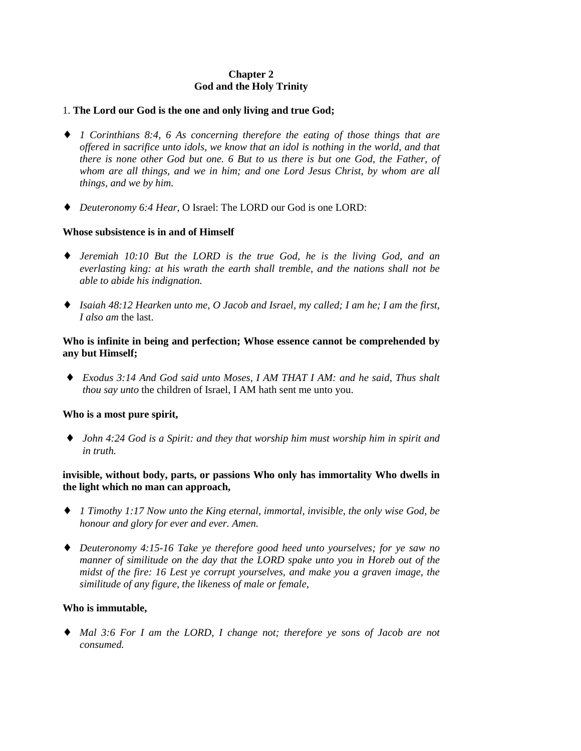# **Chapter 2 God and the Holy Trinity**

#### 1. **The Lord our God is the one and only living and true God;**

- ♦ *1 Corinthians 8:4, 6 As concerning therefore the eating of those things that are offered in sacrifice unto idols, we know that an idol is nothing in the world, and that there is none other God but one. 6 But to us there is but one God, the Father, of whom are all things, and we in him; and one Lord Jesus Christ, by whom are all things, and we by him.*
- ♦ *Deuteronomy 6:4 Hear*, O Israel: The LORD our God is one LORD:

## **Whose subsistence is in and of Himself**

- ♦ *Jeremiah 10:10 But the LORD is the true God, he is the living God, and an everlasting king: at his wrath the earth shall tremble, and the nations shall not be able to abide his indignation.*
- ♦ *Isaiah 48:12 Hearken unto me, O Jacob and Israel, my called; I am he; I am the first, I also am* the last.

#### **Who is infinite in being and perfection; Whose essence cannot be comprehended by any but Himself;**

♦ *Exodus 3:14 And God said unto Moses, I AM THAT I AM: and he said, Thus shalt thou say unto* the children of Israel, I AM hath sent me unto you.

#### **Who is a most pure spirit,**

♦ *John 4:24 God is a Spirit: and they that worship him must worship him in spirit and in truth.*

## **invisible, without body, parts, or passions Who only has immortality Who dwells in the light which no man can approach,**

- ♦ *1 Timothy 1:17 Now unto the King eternal, immortal, invisible, the only wise God, be honour and glory for ever and ever. Amen.*
- ♦ *Deuteronomy 4:15-16 Take ye therefore good heed unto yourselves; for ye saw no manner of similitude on the day that the LORD spake unto you in Horeb out of the midst of the fire: 16 Lest ye corrupt yourselves, and make you a graven image, the similitude of any figure, the likeness of male or female,*

## **Who is immutable,**

♦ *Mal 3:6 For I am the LORD, I change not; therefore ye sons of Jacob are not consumed.*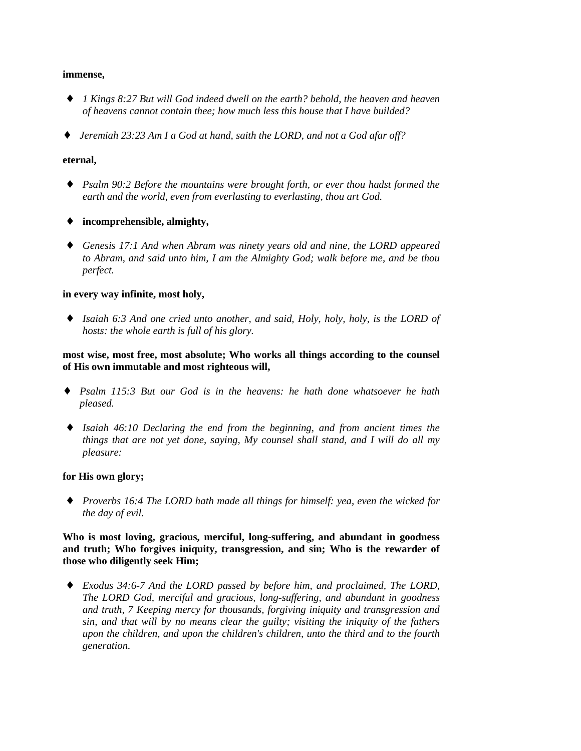#### **immense,**

- ♦ *1 Kings 8:27 But will God indeed dwell on the earth? behold, the heaven and heaven of heavens cannot contain thee; how much less this house that I have builded?*
- *Jeremiah 23:23 Am I a God at hand, saith the LORD, and not a God afar off?*

#### **eternal,**

- ♦ *Psalm 90:2 Before the mountains were brought forth, or ever thou hadst formed the earth and the world, even from everlasting to everlasting, thou art God.*
- ♦ **incomprehensible, almighty,**
- ♦ *Genesis 17:1 And when Abram was ninety years old and nine, the LORD appeared to Abram, and said unto him, I am the Almighty God; walk before me, and be thou perfect.*

## **in every way infinite, most holy,**

♦ *Isaiah 6:3 And one cried unto another, and said, Holy, holy, holy, is the LORD of hosts: the whole earth is full of his glory.*

## **most wise, most free, most absolute; Who works all things according to the counsel of His own immutable and most righteous will,**

- ♦ *Psalm 115:3 But our God is in the heavens: he hath done whatsoever he hath pleased.*
- ♦ *Isaiah 46:10 Declaring the end from the beginning, and from ancient times the things that are not yet done, saying, My counsel shall stand, and I will do all my pleasure:*

## **for His own glory;**

♦ *Proverbs 16:4 The LORD hath made all things for himself: yea, even the wicked for the day of evil.*

**Who is most loving, gracious, merciful, long-suffering, and abundant in goodness and truth; Who forgives iniquity, transgression, and sin; Who is the rewarder of those who diligently seek Him;**

♦ *Exodus 34:6-7 And the LORD passed by before him, and proclaimed, The LORD, The LORD God, merciful and gracious, long-suffering, and abundant in goodness and truth, 7 Keeping mercy for thousands, forgiving iniquity and transgression and sin, and that will by no means clear the guilty; visiting the iniquity of the fathers upon the children, and upon the children's children, unto the third and to the fourth generation.*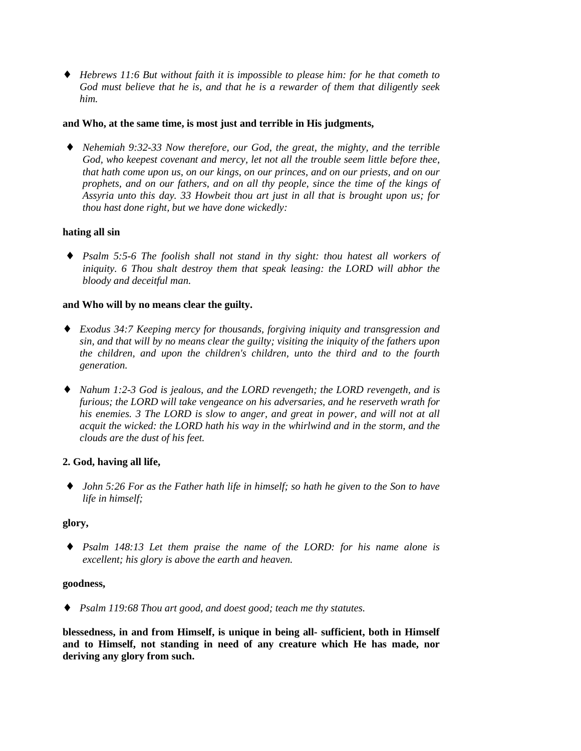♦ *Hebrews 11:6 But without faith it is impossible to please him: for he that cometh to God must believe that he is, and that he is a rewarder of them that diligently seek him.*

#### **and Who, at the same time, is most just and terrible in His judgments,**

Nehemiah 9:32-33 Now therefore, our God, the great, the mighty, and the terrible *God, who keepest covenant and mercy, let not all the trouble seem little before thee, that hath come upon us, on our kings, on our princes, and on our priests, and on our prophets, and on our fathers, and on all thy people, since the time of the kings of Assyria unto this day. 33 Howbeit thou art just in all that is brought upon us; for thou hast done right, but we have done wickedly:*

## **hating all sin**

♦ *Psalm 5:5-6 The foolish shall not stand in thy sight: thou hatest all workers of iniquity. 6 Thou shalt destroy them that speak leasing: the LORD will abhor the bloody and deceitful man.*

#### **and Who will by no means clear the guilty.**

- ♦ *Exodus 34:7 Keeping mercy for thousands, forgiving iniquity and transgression and sin, and that will by no means clear the guilty; visiting the iniquity of the fathers upon the children, and upon the children's children, unto the third and to the fourth generation.*
- ♦ *Nahum 1:2-3 God is jealous, and the LORD revengeth; the LORD revengeth, and is furious; the LORD will take vengeance on his adversaries, and he reserveth wrath for his enemies. 3 The LORD is slow to anger, and great in power, and will not at all acquit the wicked: the LORD hath his way in the whirlwind and in the storm, and the clouds are the dust of his feet.*

## **2. God, having all life,**

♦ *John 5:26 For as the Father hath life in himself; so hath he given to the Son to have life in himself;*

#### **glory,**

♦ *Psalm 148:13 Let them praise the name of the LORD: for his name alone is excellent; his glory is above the earth and heaven.*

#### **goodness,**

♦ *Psalm 119:68 Thou art good, and doest good; teach me thy statutes.*

**blessedness, in and from Himself, is unique in being all- sufficient, both in Himself and to Himself, not standing in need of any creature which He has made, nor deriving any glory from such.**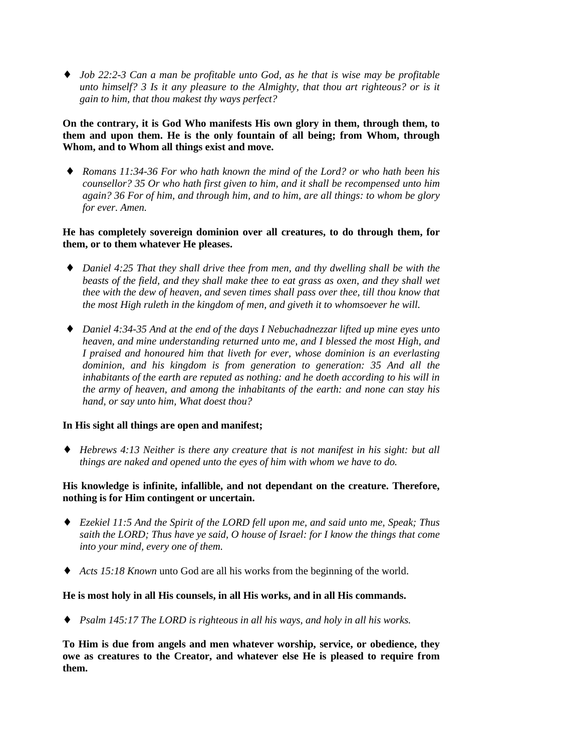♦ *Job 22:2-3 Can a man be profitable unto God, as he that is wise may be profitable unto himself? 3 Is it any pleasure to the Almighty, that thou art righteous? or is it gain to him, that thou makest thy ways perfect?*

**On the contrary, it is God Who manifests His own glory in them, through them, to them and upon them. He is the only fountain of all being; from Whom, through Whom, and to Whom all things exist and move.**

♦ *Romans 11:34-36 For who hath known the mind of the Lord? or who hath been his counsellor? 35 Or who hath first given to him, and it shall be recompensed unto him again? 36 For of him, and through him, and to him, are all things: to whom be glory for ever. Amen.*

## **He has completely sovereign dominion over all creatures, to do through them, for them, or to them whatever He pleases.**

- *Daniel 4:25 That they shall drive thee from men, and thy dwelling shall be with the beasts of the field, and they shall make thee to eat grass as oxen, and they shall wet thee with the dew of heaven, and seven times shall pass over thee, till thou know that the most High ruleth in the kingdom of men, and giveth it to whomsoever he will.*
- ♦ *Daniel 4:34-35 And at the end of the days I Nebuchadnezzar lifted up mine eyes unto heaven, and mine understanding returned unto me, and I blessed the most High, and I praised and honoured him that liveth for ever, whose dominion is an everlasting dominion, and his kingdom is from generation to generation: 35 And all the inhabitants of the earth are reputed as nothing: and he doeth according to his will in the army of heaven, and among the inhabitants of the earth: and none can stay his hand, or say unto him, What doest thou?*

## **In His sight all things are open and manifest;**

♦ *Hebrews 4:13 Neither is there any creature that is not manifest in his sight: but all things are naked and opened unto the eyes of him with whom we have to do.*

## **His knowledge is infinite, infallible, and not dependant on the creature. Therefore, nothing is for Him contingent or uncertain.**

- ♦ *Ezekiel 11:5 And the Spirit of the LORD fell upon me, and said unto me, Speak; Thus saith the LORD; Thus have ye said, O house of Israel: for I know the things that come into your mind, every one of them.*
- ♦ *Acts 15:18 Known* unto God are all his works from the beginning of the world.

## **He is most holy in all His counsels, in all His works, and in all His commands.**

♦ *Psalm 145:17 The LORD is righteous in all his ways, and holy in all his works.*

**To Him is due from angels and men whatever worship, service, or obedience, they owe as creatures to the Creator, and whatever else He is pleased to require from them.**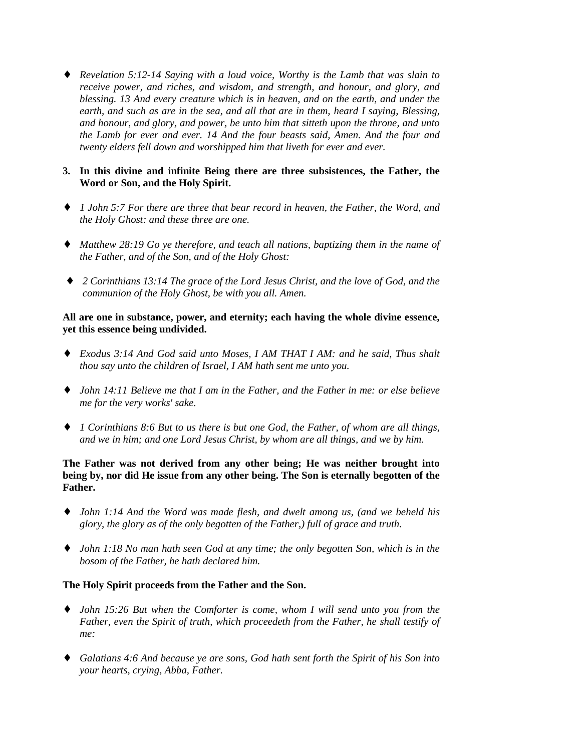♦ *Revelation 5:12-14 Saying with a loud voice, Worthy is the Lamb that was slain to receive power, and riches, and wisdom, and strength, and honour, and glory, and blessing. 13 And every creature which is in heaven, and on the earth, and under the earth, and such as are in the sea, and all that are in them, heard I saying, Blessing, and honour, and glory, and power, be unto him that sitteth upon the throne, and unto the Lamb for ever and ever. 14 And the four beasts said, Amen. And the four and twenty elders fell down and worshipped him that liveth for ever and ever.*

## **3. In this divine and infinite Being there are three subsistences, the Father, the Word or Son, and the Holy Spirit.**

- ♦ *1 John 5:7 For there are three that bear record in heaven, the Father, the Word, and the Holy Ghost: and these three are one.*
- ♦ *Matthew 28:19 Go ye therefore, and teach all nations, baptizing them in the name of the Father, and of the Son, and of the Holy Ghost:*
- ♦ *2 Corinthians 13:14 The grace of the Lord Jesus Christ, and the love of God, and the communion of the Holy Ghost, be with you all. Amen.*

**All are one in substance, power, and eternity; each having the whole divine essence, yet this essence being undivided.**

- ♦ *Exodus 3:14 And God said unto Moses, I AM THAT I AM: and he said, Thus shalt thou say unto the children of Israel, I AM hath sent me unto you.*
- ♦ *John 14:11 Believe me that I am in the Father, and the Father in me: or else believe me for the very works' sake.*
- ♦ *1 Corinthians 8:6 But to us there is but one God, the Father, of whom are all things, and we in him; and one Lord Jesus Christ, by whom are all things, and we by him.*

## **The Father was not derived from any other being; He was neither brought into being by, nor did He issue from any other being. The Son is eternally begotten of the Father.**

- ♦ *John 1:14 And the Word was made flesh, and dwelt among us, (and we beheld his glory, the glory as of the only begotten of the Father,) full of grace and truth.*
- ♦ *John 1:18 No man hath seen God at any time; the only begotten Son, which is in the bosom of the Father, he hath declared him.*

## **The Holy Spirit proceeds from the Father and the Son.**

- ♦ *John 15:26 But when the Comforter is come, whom I will send unto you from the Father, even the Spirit of truth, which proceedeth from the Father, he shall testify of me:*
- ♦ *Galatians 4:6 And because ye are sons, God hath sent forth the Spirit of his Son into your hearts, crying, Abba, Father.*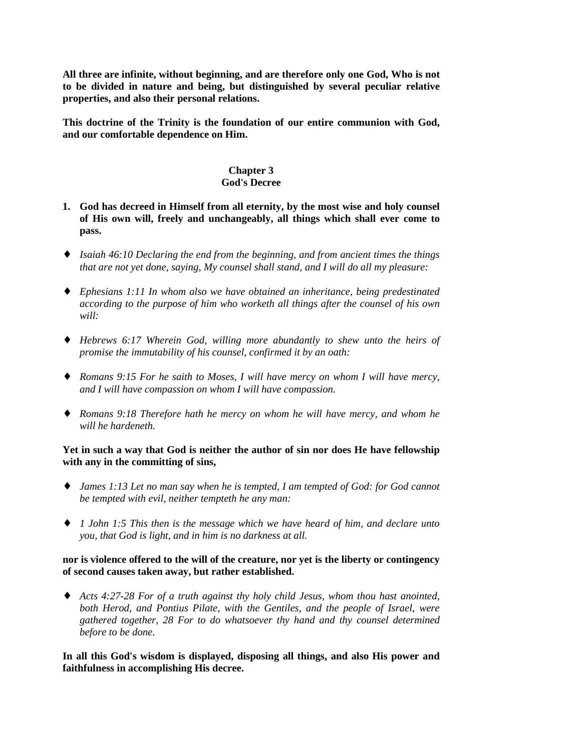**All three are infinite, without beginning, and are therefore only one God, Who is not to be divided in nature and being, but distinguished by several peculiar relative properties, and also their personal relations.**

**This doctrine of the Trinity is the foundation of our entire communion with God, and our comfortable dependence on Him.**

#### **Chapter 3 God's Decree**

- **1. God has decreed in Himself from all eternity, by the most wise and holy counsel of His own will, freely and unchangeably, all things which shall ever come to pass.**
- ♦ *Isaiah 46:10 Declaring the end from the beginning, and from ancient times the things that are not yet done, saying, My counsel shall stand, and I will do all my pleasure:*
- ♦ *Ephesians 1:11 In whom also we have obtained an inheritance, being predestinated according to the purpose of him who worketh all things after the counsel of his own will:*
- ♦ *Hebrews 6:17 Wherein God, willing more abundantly to shew unto the heirs of promise the immutability of his counsel, confirmed it by an oath:*
- ♦ *Romans 9:15 For he saith to Moses, I will have mercy on whom I will have mercy, and I will have compassion on whom I will have compassion.*
- ♦ *Romans 9:18 Therefore hath he mercy on whom he will have mercy, and whom he will he hardeneth.*

## **Yet in such a way that God is neither the author of sin nor does He have fellowship with any in the committing of sins,**

- ♦ *James 1:13 Let no man say when he is tempted, I am tempted of God: for God cannot be tempted with evil, neither tempteth he any man:*
- ♦ *1 John 1:5 This then is the message which we have heard of him, and declare unto you, that God is light, and in him is no darkness at all.*

## **nor is violence offered to the will of the creature, nor yet is the liberty or contingency of second causes taken away, but rather established.**

♦ *Acts 4:27-28 For of a truth against thy holy child Jesus, whom thou hast anointed, both Herod, and Pontius Pilate, with the Gentiles, and the people of Israel, were gathered together, 28 For to do whatsoever thy hand and thy counsel determined before to be done.*

## **In all this God's wisdom is displayed, disposing all things, and also His power and faithfulness in accomplishing His decree.**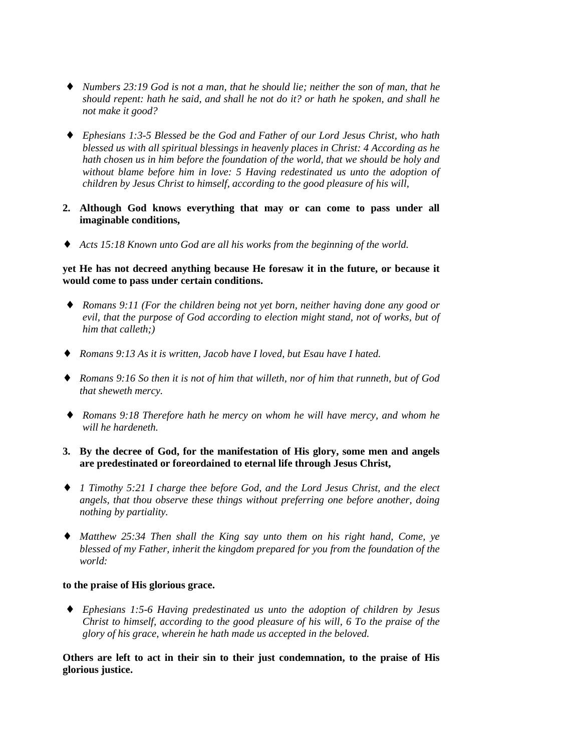- ♦ *Numbers 23:19 God is not a man, that he should lie; neither the son of man, that he should repent: hath he said, and shall he not do it? or hath he spoken, and shall he not make it good?*
- ♦ *Ephesians 1:3-5 Blessed be the God and Father of our Lord Jesus Christ, who hath blessed us with all spiritual blessings in heavenly places in Christ: 4 According as he hath chosen us in him before the foundation of the world, that we should be holy and without blame before him in love: 5 Having redestinated us unto the adoption of children by Jesus Christ to himself, according to the good pleasure of his will,*
- **2. Although God knows everything that may or can come to pass under all imaginable conditions,**
- ♦ *Acts 15:18 Known unto God are all his works from the beginning of the world.*

#### **yet He has not decreed anything because He foresaw it in the future, or because it would come to pass under certain conditions.**

- ♦ *Romans 9:11 (For the children being not yet born, neither having done any good or evil, that the purpose of God according to election might stand, not of works, but of him that calleth;)*
- ♦ *Romans 9:13 As it is written, Jacob have I loved, but Esau have I hated.*
- ♦ *Romans 9:16 So then it is not of him that willeth, nor of him that runneth, but of God that sheweth mercy.*
- ♦ *Romans 9:18 Therefore hath he mercy on whom he will have mercy, and whom he will he hardeneth.*

## **3. By the decree of God, for the manifestation of His glory, some men and angels are predestinated or foreordained to eternal life through Jesus Christ,**

- ♦ *1 Timothy 5:21 I charge thee before God, and the Lord Jesus Christ, and the elect angels, that thou observe these things without preferring one before another, doing nothing by partiality.*
- ♦ *Matthew 25:34 Then shall the King say unto them on his right hand, Come, ye blessed of my Father, inherit the kingdom prepared for you from the foundation of the world:*

#### **to the praise of His glorious grace.**

♦ *Ephesians 1:5-6 Having predestinated us unto the adoption of children by Jesus Christ to himself, according to the good pleasure of his will, 6 To the praise of the glory of his grace, wherein he hath made us accepted in the beloved.*

# **Others are left to act in their sin to their just condemnation, to the praise of His glorious justice.**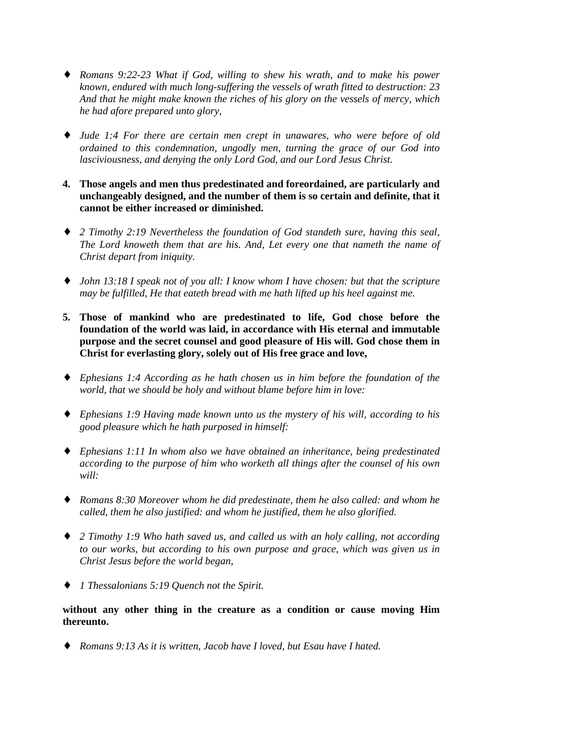- ♦ *Romans 9:22-23 What if God, willing to shew his wrath, and to make his power known, endured with much long-suffering the vessels of wrath fitted to destruction: 23 And that he might make known the riches of his glory on the vessels of mercy, which he had afore prepared unto glory,*
- ♦ *Jude 1:4 For there are certain men crept in unawares, who were before of old ordained to this condemnation, ungodly men, turning the grace of our God into lasciviousness, and denying the only Lord God, and our Lord Jesus Christ.*
- **4. Those angels and men thus predestinated and foreordained, are particularly and unchangeably designed, and the number of them is so certain and definite, that it cannot be either increased or diminished.**
- ♦ *2 Timothy 2:19 Nevertheless the foundation of God standeth sure, having this seal, The Lord knoweth them that are his. And, Let every one that nameth the name of Christ depart from iniquity.*
- ♦ *John 13:18 I speak not of you all: I know whom I have chosen: but that the scripture may be fulfilled, He that eateth bread with me hath lifted up his heel against me.*
- **5. Those of mankind who are predestinated to life, God chose before the foundation of the world was laid, in accordance with His eternal and immutable purpose and the secret counsel and good pleasure of His will. God chose them in Christ for everlasting glory, solely out of His free grace and love,**
- ♦ *Ephesians 1:4 According as he hath chosen us in him before the foundation of the world, that we should be holy and without blame before him in love:*
- ♦ *Ephesians 1:9 Having made known unto us the mystery of his will, according to his good pleasure which he hath purposed in himself:*
- ♦ *Ephesians 1:11 In whom also we have obtained an inheritance, being predestinated according to the purpose of him who worketh all things after the counsel of his own will:*
- ♦ *Romans 8:30 Moreover whom he did predestinate, them he also called: and whom he called, them he also justified: and whom he justified, them he also glorified.*
- ♦ *2 Timothy 1:9 Who hath saved us, and called us with an holy calling, not according to our works, but according to his own purpose and grace, which was given us in Christ Jesus before the world began,*
- ♦ *1 Thessalonians 5:19 Quench not the Spirit.*

**without any other thing in the creature as a condition or cause moving Him thereunto.**

♦ *Romans 9:13 As it is written, Jacob have I loved, but Esau have I hated.*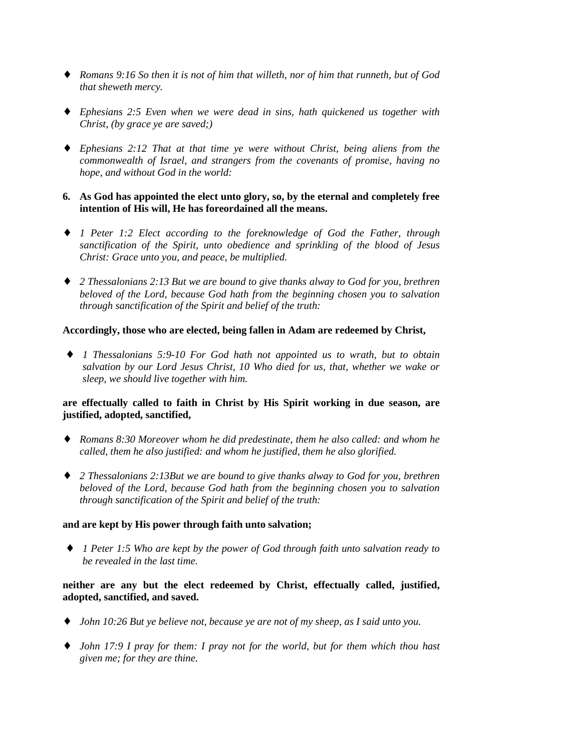- ♦ *Romans 9:16 So then it is not of him that willeth, nor of him that runneth, but of God that sheweth mercy.*
- ♦ *Ephesians 2:5 Even when we were dead in sins, hath quickened us together with Christ, (by grace ye are saved;)*
- ♦ *Ephesians 2:12 That at that time ye were without Christ, being aliens from the commonwealth of Israel, and strangers from the covenants of promise, having no hope, and without God in the world:*
- **6. As God has appointed the elect unto glory, so, by the eternal and completely free intention of His will, He has foreordained all the means.**
- ♦ *1 Peter 1:2 Elect according to the foreknowledge of God the Father, through sanctification of the Spirit, unto obedience and sprinkling of the blood of Jesus Christ: Grace unto you, and peace, be multiplied.*
- ♦ *2 Thessalonians 2:13 But we are bound to give thanks alway to God for you, brethren beloved of the Lord, because God hath from the beginning chosen you to salvation through sanctification of the Spirit and belief of the truth:*

#### **Accordingly, those who are elected, being fallen in Adam are redeemed by Christ,**

♦ *1 Thessalonians 5:9-10 For God hath not appointed us to wrath, but to obtain salvation by our Lord Jesus Christ, 10 Who died for us, that, whether we wake or sleep, we should live together with him.*

## **are effectually called to faith in Christ by His Spirit working in due season, are justified, adopted, sanctified,**

- ♦ *Romans 8:30 Moreover whom he did predestinate, them he also called: and whom he called, them he also justified: and whom he justified, them he also glorified.*
- ♦ *2 Thessalonians 2:13But we are bound to give thanks alway to God for you, brethren beloved of the Lord, because God hath from the beginning chosen you to salvation through sanctification of the Spirit and belief of the truth:*

## **and are kept by His power through faith unto salvation;**

♦ *1 Peter 1:5 Who are kept by the power of God through faith unto salvation ready to be revealed in the last time.*

## **neither are any but the elect redeemed by Christ, effectually called, justified, adopted, sanctified, and saved.**

- ♦ *John 10:26 But ye believe not, because ye are not of my sheep, as I said unto you.*
- ♦ *John 17:9 I pray for them: I pray not for the world, but for them which thou hast given me; for they are thine.*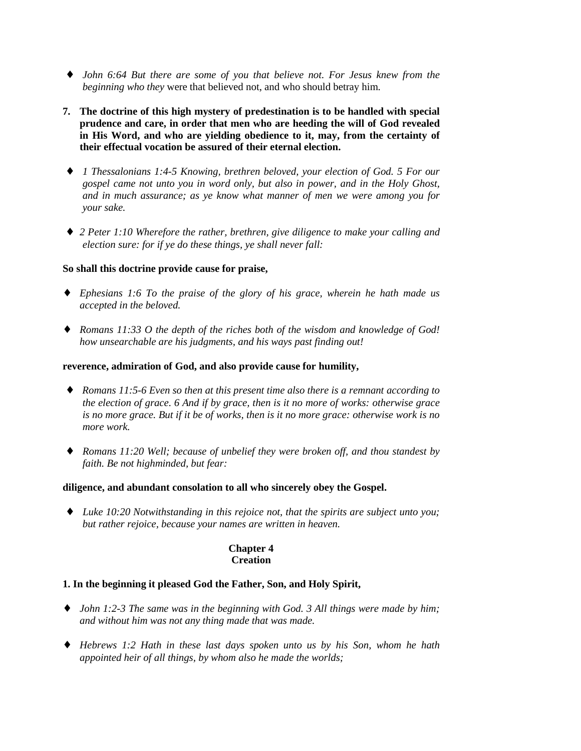- ♦ *John 6:64 But there are some of you that believe not. For Jesus knew from the beginning who they* were that believed not, and who should betray him.
- **7. The doctrine of this high mystery of predestination is to be handled with special prudence and care, in order that men who are heeding the will of God revealed in His Word, and who are yielding obedience to it, may, from the certainty of their effectual vocation be assured of their eternal election.**
- ♦ *1 Thessalonians 1:4-5 Knowing, brethren beloved, your election of God. 5 For our gospel came not unto you in word only, but also in power, and in the Holy Ghost, and in much assurance; as ye know what manner of men we were among you for your sake.*
- ♦ *2 Peter 1:10 Wherefore the rather, brethren, give diligence to make your calling and election sure: for if ye do these things, ye shall never fall:*

## **So shall this doctrine provide cause for praise,**

- ♦ *Ephesians 1:6 To the praise of the glory of his grace, wherein he hath made us accepted in the beloved.*
- ♦ *Romans 11:33 O the depth of the riches both of the wisdom and knowledge of God! how unsearchable are his judgments, and his ways past finding out!*

#### **reverence, admiration of God, and also provide cause for humility,**

- ♦ *Romans 11:5-6 Even so then at this present time also there is a remnant according to the election of grace. 6 And if by grace, then is it no more of works: otherwise grace is no more grace. But if it be of works, then is it no more grace: otherwise work is no more work.*
- ♦ *Romans 11:20 Well; because of unbelief they were broken off, and thou standest by faith. Be not highminded, but fear:*

## **diligence, and abundant consolation to all who sincerely obey the Gospel.**

♦ *Luke 10:20 Notwithstanding in this rejoice not, that the spirits are subject unto you; but rather rejoice, because your names are written in heaven.*

## **Chapter 4 Creation**

## **1. In the beginning it pleased God the Father, Son, and Holy Spirit,**

- ♦ *John 1:2-3 The same was in the beginning with God. 3 All things were made by him; and without him was not any thing made that was made.*
- ♦ *Hebrews 1:2 Hath in these last days spoken unto us by his Son, whom he hath appointed heir of all things, by whom also he made the worlds;*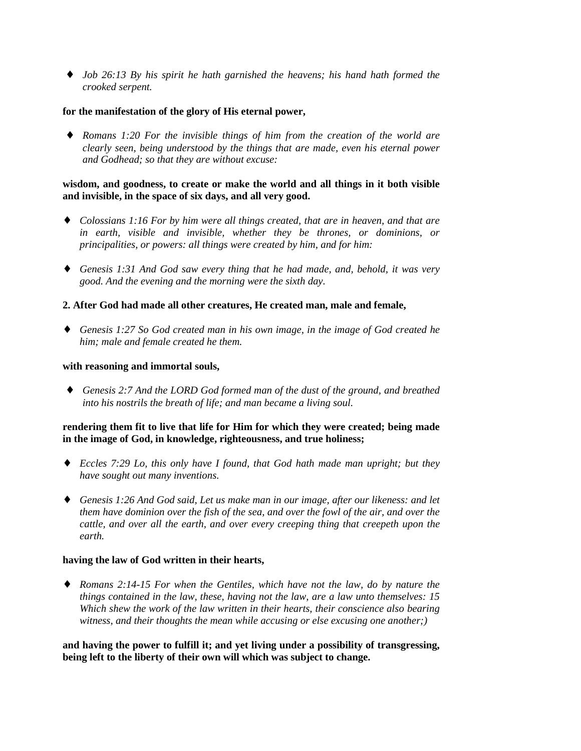♦ *Job 26:13 By his spirit he hath garnished the heavens; his hand hath formed the crooked serpent.*

#### **for the manifestation of the glory of His eternal power,**

♦ *Romans 1:20 For the invisible things of him from the creation of the world are clearly seen, being understood by the things that are made, even his eternal power and Godhead; so that they are without excuse:*

#### **wisdom, and goodness, to create or make the world and all things in it both visible and invisible, in the space of six days, and all very good.**

- ♦ *Colossians 1:16 For by him were all things created, that are in heaven, and that are in earth, visible and invisible, whether they be thrones, or dominions, or principalities, or powers: all things were created by him, and for him:*
- ♦ *Genesis 1:31 And God saw every thing that he had made, and, behold, it was very good. And the evening and the morning were the sixth day.*

## **2. After God had made all other creatures, He created man, male and female,**

♦ *Genesis 1:27 So God created man in his own image, in the image of God created he him; male and female created he them.*

#### **with reasoning and immortal souls,**

♦ *Genesis 2:7 And the LORD God formed man of the dust of the ground, and breathed into his nostrils the breath of life; and man became a living soul.*

## **rendering them fit to live that life for Him for which they were created; being made in the image of God, in knowledge, righteousness, and true holiness;**

- ♦ *Eccles 7:29 Lo, this only have I found, that God hath made man upright; but they have sought out many inventions.*
- ♦ *Genesis 1:26 And God said, Let us make man in our image, after our likeness: and let them have dominion over the fish of the sea, and over the fowl of the air, and over the cattle, and over all the earth, and over every creeping thing that creepeth upon the earth.*

## **having the law of God written in their hearts,**

♦ *Romans 2:14-15 For when the Gentiles, which have not the law, do by nature the things contained in the law, these, having not the law, are a law unto themselves: 15 Which shew the work of the law written in their hearts, their conscience also bearing witness, and their thoughts the mean while accusing or else excusing one another;)*

**and having the power to fulfill it; and yet living under a possibility of transgressing, being left to the liberty of their own will which was subject to change.**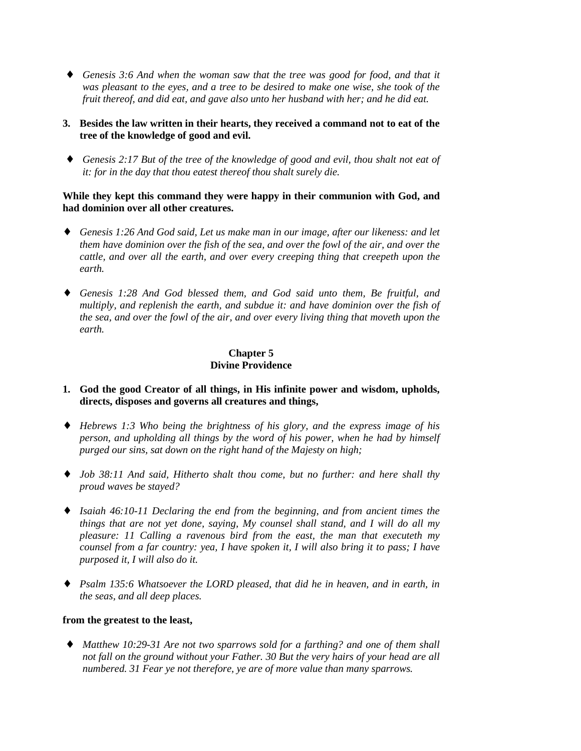♦ *Genesis 3:6 And when the woman saw that the tree was good for food, and that it was pleasant to the eyes, and a tree to be desired to make one wise, she took of the fruit thereof, and did eat, and gave also unto her husband with her; and he did eat.*

## **3. Besides the law written in their hearts, they received a command not to eat of the tree of the knowledge of good and evil.**

♦ *Genesis 2:17 But of the tree of the knowledge of good and evil, thou shalt not eat of it: for in the day that thou eatest thereof thou shalt surely die.*

## **While they kept this command they were happy in their communion with God, and had dominion over all other creatures.**

- ♦ *Genesis 1:26 And God said, Let us make man in our image, after our likeness: and let them have dominion over the fish of the sea, and over the fowl of the air, and over the cattle, and over all the earth, and over every creeping thing that creepeth upon the earth.*
- ♦ *Genesis 1:28 And God blessed them, and God said unto them, Be fruitful, and multiply, and replenish the earth, and subdue it: and have dominion over the fish of the sea, and over the fowl of the air, and over every living thing that moveth upon the earth.*

# **Chapter 5 Divine Providence**

- **1. God the good Creator of all things, in His infinite power and wisdom, upholds, directs, disposes and governs all creatures and things,**
- ♦ *Hebrews 1:3 Who being the brightness of his glory, and the express image of his person, and upholding all things by the word of his power, when he had by himself purged our sins, sat down on the right hand of the Majesty on high;*
- ♦ *Job 38:11 And said, Hitherto shalt thou come, but no further: and here shall thy proud waves be stayed?*
- ♦ *Isaiah 46:10-11 Declaring the end from the beginning, and from ancient times the things that are not yet done, saying, My counsel shall stand, and I will do all my pleasure: 11 Calling a ravenous bird from the east, the man that executeth my counsel from a far country: yea, I have spoken it, I will also bring it to pass; I have purposed it, I will also do it.*
- ♦ *Psalm 135:6 Whatsoever the LORD pleased, that did he in heaven, and in earth, in the seas, and all deep places.*

## **from the greatest to the least,**

♦ *Matthew 10:29-31 Are not two sparrows sold for a farthing? and one of them shall not fall on the ground without your Father. 30 But the very hairs of your head are all numbered. 31 Fear ye not therefore, ye are of more value than many sparrows.*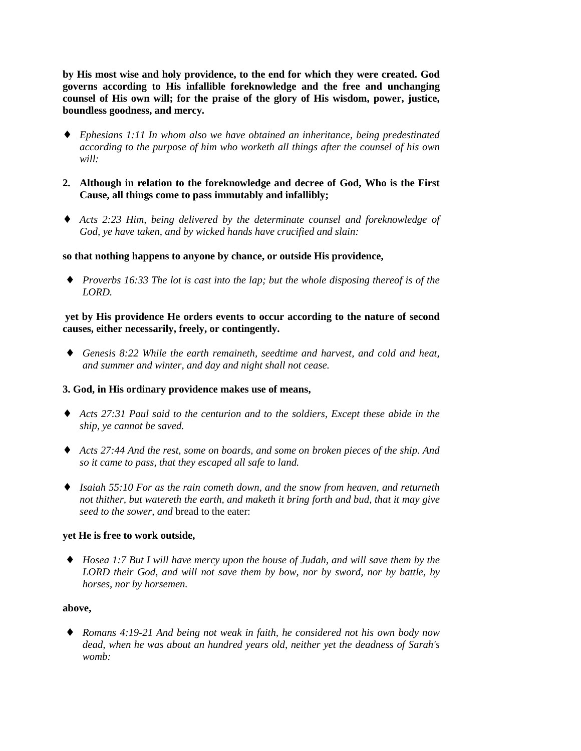**by His most wise and holy providence, to the end for which they were created. God governs according to His infallible foreknowledge and the free and unchanging counsel of His own will; for the praise of the glory of His wisdom, power, justice, boundless goodness, and mercy.**

- ♦ *Ephesians 1:11 In whom also we have obtained an inheritance, being predestinated according to the purpose of him who worketh all things after the counsel of his own will:*
- **2. Although in relation to the foreknowledge and decree of God, Who is the First Cause, all things come to pass immutably and infallibly;**
- ♦ *Acts 2:23 Him, being delivered by the determinate counsel and foreknowledge of God, ye have taken, and by wicked hands have crucified and slain:*

## **so that nothing happens to anyone by chance, or outside His providence,**

♦ *Proverbs 16:33 The lot is cast into the lap; but the whole disposing thereof is of the LORD.*

## **yet by His providence He orders events to occur according to the nature of second causes, either necessarily, freely, or contingently.**

♦ *Genesis 8:22 While the earth remaineth, seedtime and harvest, and cold and heat, and summer and winter, and day and night shall not cease.*

## **3. God, in His ordinary providence makes use of means,**

- ♦ *Acts 27:31 Paul said to the centurion and to the soldiers, Except these abide in the ship, ye cannot be saved.*
- ♦ *Acts 27:44 And the rest, some on boards, and some on broken pieces of the ship. And so it came to pass, that they escaped all safe to land.*
- ♦ *Isaiah 55:10 For as the rain cometh down, and the snow from heaven, and returneth not thither, but watereth the earth, and maketh it bring forth and bud, that it may give seed to the sower, and* bread to the eater:

## **yet He is free to work outside,**

♦ *Hosea 1:7 But I will have mercy upon the house of Judah, and will save them by the LORD their God, and will not save them by bow, nor by sword, nor by battle, by horses, nor by horsemen.*

#### **above,**

♦ *Romans 4:19-21 And being not weak in faith, he considered not his own body now dead, when he was about an hundred years old, neither yet the deadness of Sarah's womb:*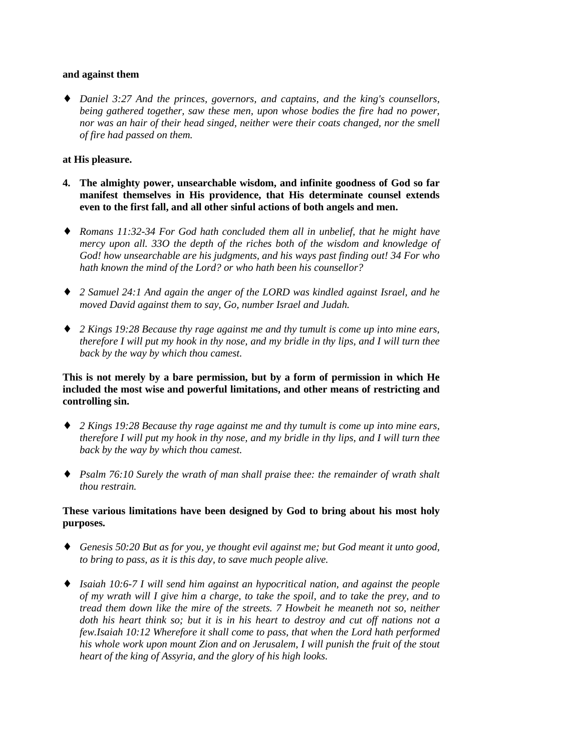#### **and against them**

♦ *Daniel 3:27 And the princes, governors, and captains, and the king's counsellors, being gathered together, saw these men, upon whose bodies the fire had no power, nor was an hair of their head singed, neither were their coats changed, nor the smell of fire had passed on them.*

#### **at His pleasure.**

- **4. The almighty power, unsearchable wisdom, and infinite goodness of God so far manifest themselves in His providence, that His determinate counsel extends even to the first fall, and all other sinful actions of both angels and men.**
- ♦ *Romans 11:32-34 For God hath concluded them all in unbelief, that he might have mercy upon all. 33O the depth of the riches both of the wisdom and knowledge of God! how unsearchable are his judgments, and his ways past finding out! 34 For who hath known the mind of the Lord? or who hath been his counsellor?*
- ♦ *2 Samuel 24:1 And again the anger of the LORD was kindled against Israel, and he moved David against them to say, Go, number Israel and Judah.*
- ♦ *2 Kings 19:28 Because thy rage against me and thy tumult is come up into mine ears, therefore I will put my hook in thy nose, and my bridle in thy lips, and I will turn thee back by the way by which thou camest.*

## **This is not merely by a bare permission, but by a form of permission in which He included the most wise and powerful limitations, and other means of restricting and controlling sin.**

- ♦ *2 Kings 19:28 Because thy rage against me and thy tumult is come up into mine ears, therefore I will put my hook in thy nose, and my bridle in thy lips, and I will turn thee back by the way by which thou camest.*
- ♦ *Psalm 76:10 Surely the wrath of man shall praise thee: the remainder of wrath shalt thou restrain.*

## **These various limitations have been designed by God to bring about his most holy purposes.**

- ♦ *Genesis 50:20 But as for you, ye thought evil against me; but God meant it unto good, to bring to pass, as it is this day, to save much people alive.*
- ♦ *Isaiah 10:6-7 I will send him against an hypocritical nation, and against the people of my wrath will I give him a charge, to take the spoil, and to take the prey, and to tread them down like the mire of the streets. 7 Howbeit he meaneth not so, neither doth his heart think so; but it is in his heart to destroy and cut off nations not a few.Isaiah 10:12 Wherefore it shall come to pass, that when the Lord hath performed his whole work upon mount Zion and on Jerusalem, I will punish the fruit of the stout heart of the king of Assyria, and the glory of his high looks.*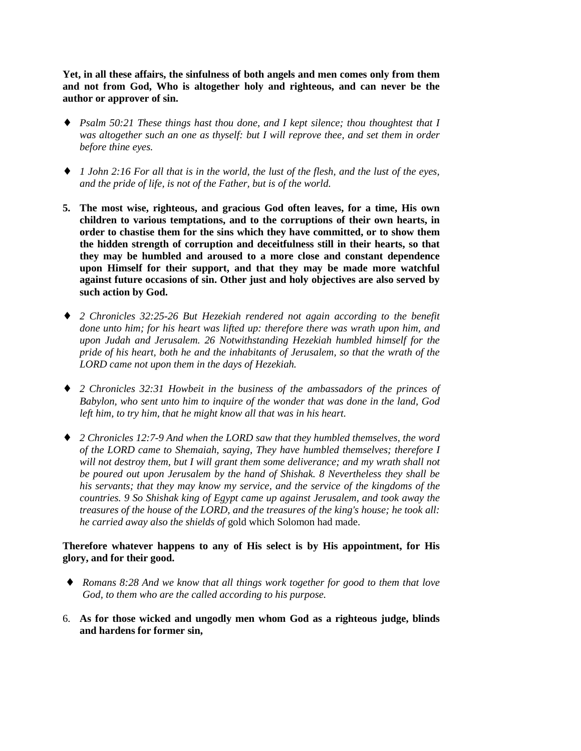**Yet, in all these affairs, the sinfulness of both angels and men comes only from them and not from God, Who is altogether holy and righteous, and can never be the author or approver of sin.**

- ♦ *Psalm 50:21 These things hast thou done, and I kept silence; thou thoughtest that I was altogether such an one as thyself: but I will reprove thee, and set them in order before thine eyes.*
- ♦ *1 John 2:16 For all that is in the world, the lust of the flesh, and the lust of the eyes, and the pride of life, is not of the Father, but is of the world.*
- **5. The most wise, righteous, and gracious God often leaves, for a time, His own children to various temptations, and to the corruptions of their own hearts, in order to chastise them for the sins which they have committed, or to show them the hidden strength of corruption and deceitfulness still in their hearts, so that they may be humbled and aroused to a more close and constant dependence upon Himself for their support, and that they may be made more watchful against future occasions of sin. Other just and holy objectives are also served by such action by God.**
- ♦ *2 Chronicles 32:25-26 But Hezekiah rendered not again according to the benefit done unto him; for his heart was lifted up: therefore there was wrath upon him, and upon Judah and Jerusalem. 26 Notwithstanding Hezekiah humbled himself for the pride of his heart, both he and the inhabitants of Jerusalem, so that the wrath of the LORD came not upon them in the days of Hezekiah.*
- ♦ *2 Chronicles 32:31 Howbeit in the business of the ambassadors of the princes of Babylon, who sent unto him to inquire of the wonder that was done in the land, God left him, to try him, that he might know all that was in his heart.*
- ♦ *2 Chronicles 12:7-9 And when the LORD saw that they humbled themselves, the word of the LORD came to Shemaiah, saying, They have humbled themselves; therefore I will not destroy them, but I will grant them some deliverance; and my wrath shall not be poured out upon Jerusalem by the hand of Shishak. 8 Nevertheless they shall be his servants; that they may know my service, and the service of the kingdoms of the countries. 9 So Shishak king of Egypt came up against Jerusalem, and took away the treasures of the house of the LORD, and the treasures of the king's house; he took all: he carried away also the shields of* gold which Solomon had made.

## **Therefore whatever happens to any of His select is by His appointment, for His glory, and for their good.**

- ♦ *Romans 8:28 And we know that all things work together for good to them that love God, to them who are the called according to his purpose.*
- 6. **As for those wicked and ungodly men whom God as a righteous judge, blinds and hardens for former sin,**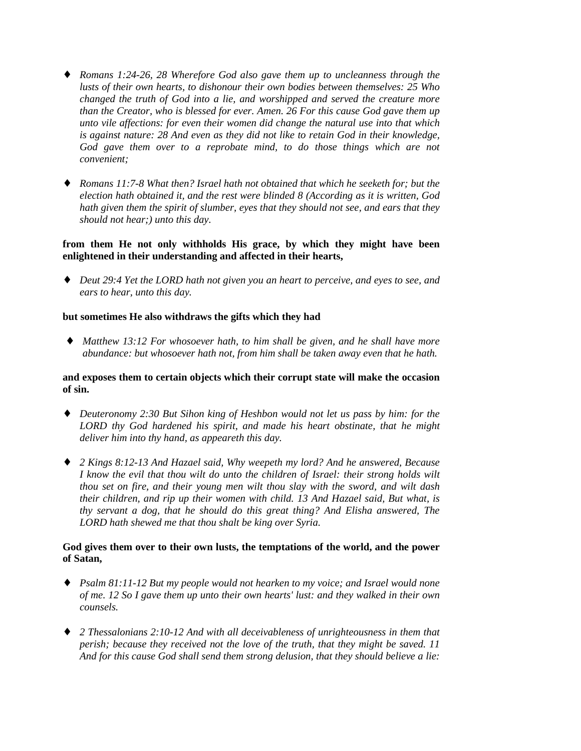- ♦ *Romans 1:24-26, 28 Wherefore God also gave them up to uncleanness through the lusts of their own hearts, to dishonour their own bodies between themselves: 25 Who changed the truth of God into a lie, and worshipped and served the creature more than the Creator, who is blessed for ever. Amen. 26 For this cause God gave them up unto vile affections: for even their women did change the natural use into that which is against nature: 28 And even as they did not like to retain God in their knowledge, God gave them over to a reprobate mind, to do those things which are not convenient;*
- ♦ *Romans 11:7-8 What then? Israel hath not obtained that which he seeketh for; but the election hath obtained it, and the rest were blinded 8 (According as it is written, God hath given them the spirit of slumber, eyes that they should not see, and ears that they should not hear;) unto this day.*

## **from them He not only withholds His grace, by which they might have been enlightened in their understanding and affected in their hearts,**

♦ *Deut 29:4 Yet the LORD hath not given you an heart to perceive, and eyes to see, and ears to hear, unto this day.*

## **but sometimes He also withdraws the gifts which they had**

♦ *Matthew 13:12 For whosoever hath, to him shall be given, and he shall have more abundance: but whosoever hath not, from him shall be taken away even that he hath.*

## **and exposes them to certain objects which their corrupt state will make the occasion of sin.**

- ♦ *Deuteronomy 2:30 But Sihon king of Heshbon would not let us pass by him: for the LORD thy God hardened his spirit, and made his heart obstinate, that he might deliver him into thy hand, as appeareth this day.*
- ♦ *2 Kings 8:12-13 And Hazael said, Why weepeth my lord? And he answered, Because I know the evil that thou wilt do unto the children of Israel: their strong holds wilt thou set on fire, and their young men wilt thou slay with the sword, and wilt dash their children, and rip up their women with child. 13 And Hazael said, But what, is thy servant a dog, that he should do this great thing? And Elisha answered, The LORD hath shewed me that thou shalt be king over Syria.*

# **God gives them over to their own lusts, the temptations of the world, and the power of Satan,**

- ♦ *Psalm 81:11-12 But my people would not hearken to my voice; and Israel would none of me. 12 So I gave them up unto their own hearts' lust: and they walked in their own counsels.*
- ♦ *2 Thessalonians 2:10-12 And with all deceivableness of unrighteousness in them that perish; because they received not the love of the truth, that they might be saved. 11 And for this cause God shall send them strong delusion, that they should believe a lie:*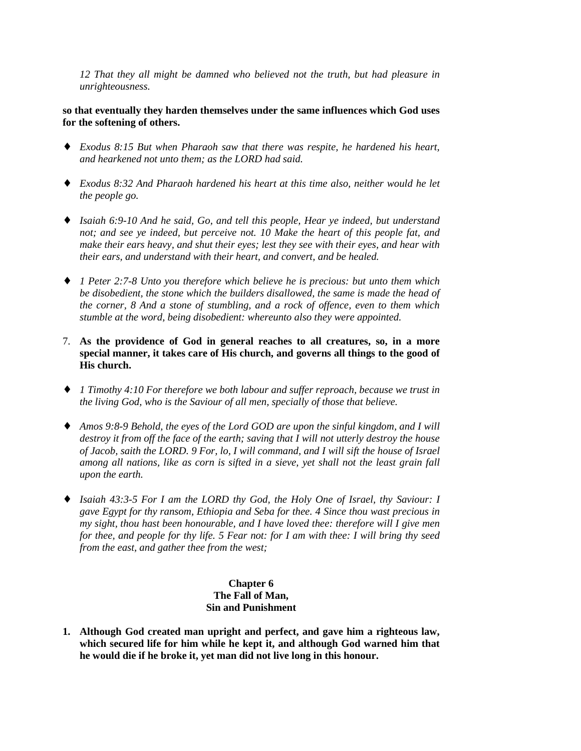*12 That they all might be damned who believed not the truth, but had pleasure in unrighteousness.*

**so that eventually they harden themselves under the same influences which God uses for the softening of others.**

- ♦ *Exodus 8:15 But when Pharaoh saw that there was respite, he hardened his heart, and hearkened not unto them; as the LORD had said.*
- ♦ *Exodus 8:32 And Pharaoh hardened his heart at this time also, neither would he let the people go.*
- ♦ *Isaiah 6:9-10 And he said, Go, and tell this people, Hear ye indeed, but understand not; and see ye indeed, but perceive not. 10 Make the heart of this people fat, and make their ears heavy, and shut their eyes; lest they see with their eyes, and hear with their ears, and understand with their heart, and convert, and be healed.*
- ♦ *1 Peter 2:7-8 Unto you therefore which believe he is precious: but unto them which be disobedient, the stone which the builders disallowed, the same is made the head of the corner, 8 And a stone of stumbling, and a rock of offence, even to them which stumble at the word, being disobedient: whereunto also they were appointed.*
- 7. **As the providence of God in general reaches to all creatures, so, in a more special manner, it takes care of His church, and governs all things to the good of His church.**
- ♦ *1 Timothy 4:10 For therefore we both labour and suffer reproach, because we trust in the living God, who is the Saviour of all men, specially of those that believe.*
- ♦ *Amos 9:8-9 Behold, the eyes of the Lord GOD are upon the sinful kingdom, and I will destroy it from off the face of the earth; saving that I will not utterly destroy the house of Jacob, saith the LORD. 9 For, lo, I will command, and I will sift the house of Israel among all nations, like as corn is sifted in a sieve, yet shall not the least grain fall upon the earth.*
- ♦ *Isaiah 43:3-5 For I am the LORD thy God, the Holy One of Israel, thy Saviour: I gave Egypt for thy ransom, Ethiopia and Seba for thee. 4 Since thou wast precious in my sight, thou hast been honourable, and I have loved thee: therefore will I give men for thee, and people for thy life. 5 Fear not: for I am with thee: I will bring thy seed from the east, and gather thee from the west;*

# **Chapter 6 The Fall of Man, Sin and Punishment**

**1. Although God created man upright and perfect, and gave him a righteous law, which secured life for him while he kept it, and although God warned him that he would die if he broke it, yet man did not live long in this honour.**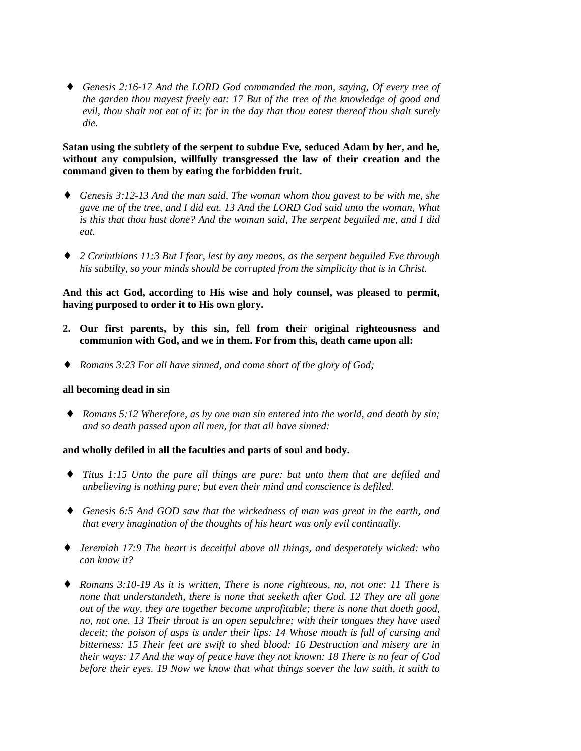♦ *Genesis 2:16-17 And the LORD God commanded the man, saying, Of every tree of the garden thou mayest freely eat: 17 But of the tree of the knowledge of good and evil, thou shalt not eat of it: for in the day that thou eatest thereof thou shalt surely die.*

## **Satan using the subtlety of the serpent to subdue Eve, seduced Adam by her, and he, without any compulsion, willfully transgressed the law of their creation and the command given to them by eating the forbidden fruit.**

- ♦ *Genesis 3:12-13 And the man said, The woman whom thou gavest to be with me, she gave me of the tree, and I did eat. 13 And the LORD God said unto the woman, What is this that thou hast done? And the woman said, The serpent beguiled me, and I did eat.*
- ♦ *2 Corinthians 11:3 But I fear, lest by any means, as the serpent beguiled Eve through his subtilty, so your minds should be corrupted from the simplicity that is in Christ.*

**And this act God, according to His wise and holy counsel, was pleased to permit, having purposed to order it to His own glory.**

- **2. Our first parents, by this sin, fell from their original righteousness and communion with God, and we in them. For from this, death came upon all:**
- ♦ *Romans 3:23 For all have sinned, and come short of the glory of God;*

#### **all becoming dead in sin**

♦ *Romans 5:12 Wherefore, as by one man sin entered into the world, and death by sin; and so death passed upon all men, for that all have sinned:*

#### **and wholly defiled in all the faculties and parts of soul and body.**

- ♦ *Titus 1:15 Unto the pure all things are pure: but unto them that are defiled and unbelieving is nothing pure; but even their mind and conscience is defiled.*
- ♦ *Genesis 6:5 And GOD saw that the wickedness of man was great in the earth, and that every imagination of the thoughts of his heart was only evil continually.*
- ♦ *Jeremiah 17:9 The heart is deceitful above all things, and desperately wicked: who can know it?*
- ♦ *Romans 3:10-19 As it is written, There is none righteous, no, not one: 11 There is none that understandeth, there is none that seeketh after God. 12 They are all gone out of the way, they are together become unprofitable; there is none that doeth good, no, not one. 13 Their throat is an open sepulchre; with their tongues they have used deceit; the poison of asps is under their lips: 14 Whose mouth is full of cursing and bitterness: 15 Their feet are swift to shed blood: 16 Destruction and misery are in their ways: 17 And the way of peace have they not known: 18 There is no fear of God before their eyes. 19 Now we know that what things soever the law saith, it saith to*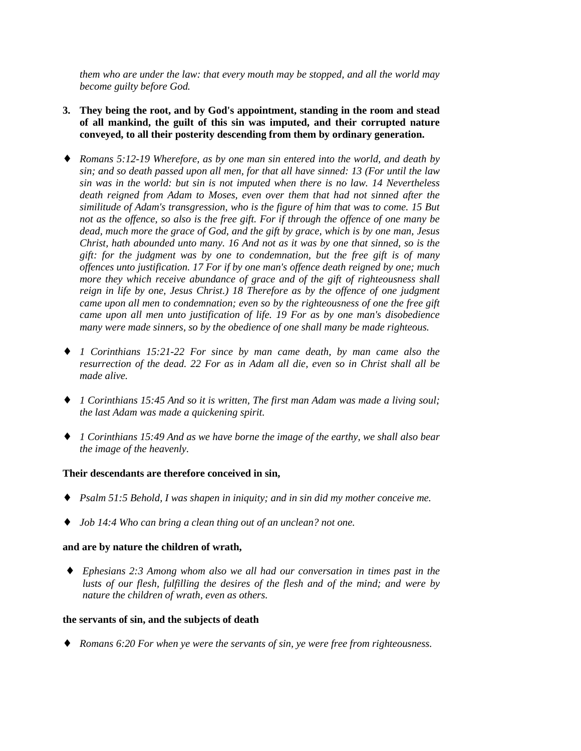*them who are under the law: that every mouth may be stopped, and all the world may become guilty before God.*

- **3. They being the root, and by God's appointment, standing in the room and stead of all mankind, the guilt of this sin was imputed, and their corrupted nature conveyed, to all their posterity descending from them by ordinary generation.**
- ♦ *Romans 5:12-19 Wherefore, as by one man sin entered into the world, and death by sin; and so death passed upon all men, for that all have sinned: 13 (For until the law sin was in the world: but sin is not imputed when there is no law. 14 Nevertheless death reigned from Adam to Moses, even over them that had not sinned after the similitude of Adam's transgression, who is the figure of him that was to come. 15 But not as the offence, so also is the free gift. For if through the offence of one many be dead, much more the grace of God, and the gift by grace, which is by one man, Jesus Christ, hath abounded unto many. 16 And not as it was by one that sinned, so is the gift: for the judgment was by one to condemnation, but the free gift is of many offences unto justification. 17 For if by one man's offence death reigned by one; much more they which receive abundance of grace and of the gift of righteousness shall reign in life by one, Jesus Christ.) 18 Therefore as by the offence of one judgment came upon all men to condemnation; even so by the righteousness of one the free gift came upon all men unto justification of life. 19 For as by one man's disobedience many were made sinners, so by the obedience of one shall many be made righteous.*
- ♦ *1 Corinthians 15:21-22 For since by man came death, by man came also the resurrection of the dead. 22 For as in Adam all die, even so in Christ shall all be made alive.*
- ♦ *1 Corinthians 15:45 And so it is written, The first man Adam was made a living soul; the last Adam was made a quickening spirit.*
- ♦ *1 Corinthians 15:49 And as we have borne the image of the earthy, we shall also bear the image of the heavenly.*

## **Their descendants are therefore conceived in sin,**

- ♦ *Psalm 51:5 Behold, I was shapen in iniquity; and in sin did my mother conceive me.*
- ♦ *Job 14:4 Who can bring a clean thing out of an unclean? not one.*

#### **and are by nature the children of wrath,**

♦ *Ephesians 2:3 Among whom also we all had our conversation in times past in the lusts of our flesh, fulfilling the desires of the flesh and of the mind; and were by nature the children of wrath, even as others.*

#### **the servants of sin, and the subjects of death**

♦ *Romans 6:20 For when ye were the servants of sin, ye were free from righteousness.*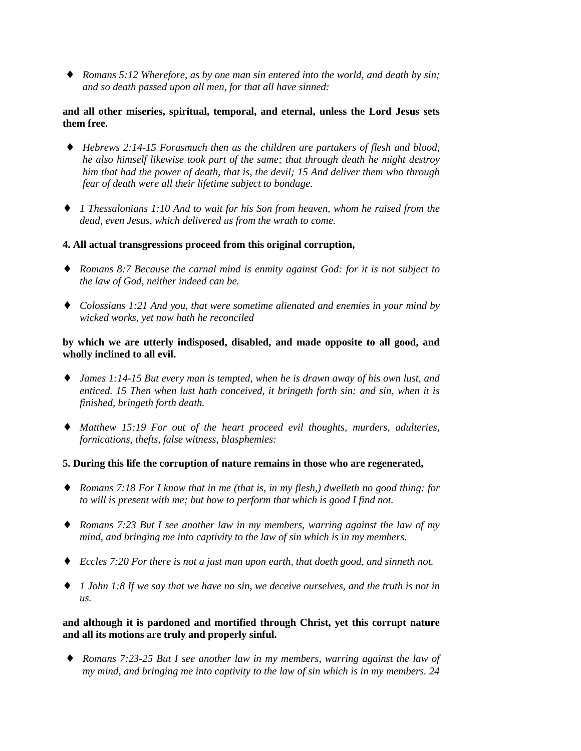♦ *Romans 5:12 Wherefore, as by one man sin entered into the world, and death by sin; and so death passed upon all men, for that all have sinned:*

## **and all other miseries, spiritual, temporal, and eternal, unless the Lord Jesus sets them free.**

- ♦ *Hebrews 2:14-15 Forasmuch then as the children are partakers of flesh and blood, he also himself likewise took part of the same; that through death he might destroy him that had the power of death, that is, the devil; 15 And deliver them who through fear of death were all their lifetime subject to bondage.*
- ♦ *1 Thessalonians 1:10 And to wait for his Son from heaven, whom he raised from the dead, even Jesus, which delivered us from the wrath to come.*
- **4. All actual transgressions proceed from this original corruption,**
- ♦ *Romans 8:7 Because the carnal mind is enmity against God: for it is not subject to the law of God, neither indeed can be.*
- ♦ *Colossians 1:21 And you, that were sometime alienated and enemies in your mind by wicked works, yet now hath he reconciled*

## **by which we are utterly indisposed, disabled, and made opposite to all good, and wholly inclined to all evil.**

- ♦ *James 1:14-15 But every man is tempted, when he is drawn away of his own lust, and enticed. 15 Then when lust hath conceived, it bringeth forth sin: and sin, when it is finished, bringeth forth death.*
- ♦ *Matthew 15:19 For out of the heart proceed evil thoughts, murders, adulteries, fornications, thefts, false witness, blasphemies:*
- **5. During this life the corruption of nature remains in those who are regenerated,**
- ♦ *Romans 7:18 For I know that in me (that is, in my flesh,) dwelleth no good thing: for to will is present with me; but how to perform that which is good I find not.*
- ♦ *Romans 7:23 But I see another law in my members, warring against the law of my mind, and bringing me into captivity to the law of sin which is in my members.*
- ♦ *Eccles 7:20 For there is not a just man upon earth, that doeth good, and sinneth not.*
- ♦ *1 John 1:8 If we say that we have no sin, we deceive ourselves, and the truth is not in us.*

## **and although it is pardoned and mortified through Christ, yet this corrupt nature and all its motions are truly and properly sinful.**

♦ *Romans 7:23-25 But I see another law in my members, warring against the law of my mind, and bringing me into captivity to the law of sin which is in my members. 24*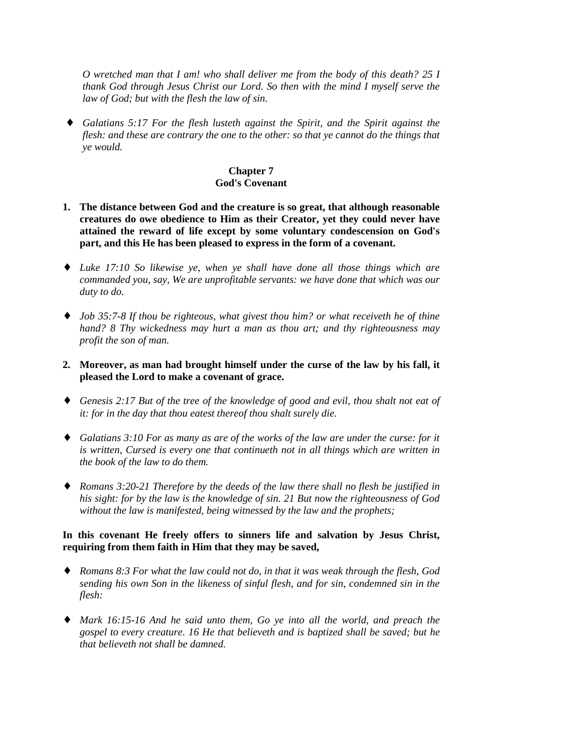*O wretched man that I am! who shall deliver me from the body of this death? 25 I thank God through Jesus Christ our Lord. So then with the mind I myself serve the law of God; but with the flesh the law of sin.*

♦ *Galatians 5:17 For the flesh lusteth against the Spirit, and the Spirit against the flesh: and these are contrary the one to the other: so that ye cannot do the things that ye would.*

# **Chapter 7 God's Covenant**

- **1. The distance between God and the creature is so great, that although reasonable creatures do owe obedience to Him as their Creator, yet they could never have attained the reward of life except by some voluntary condescension on God's part, and this He has been pleased to express in the form of a covenant.**
- ♦ *Luke 17:10 So likewise ye, when ye shall have done all those things which are commanded you, say, We are unprofitable servants: we have done that which was our duty to do.*
- ♦ *Job 35:7-8 If thou be righteous, what givest thou him? or what receiveth he of thine hand? 8 Thy wickedness may hurt a man as thou art; and thy righteousness may profit the son of man.*
- **2. Moreover, as man had brought himself under the curse of the law by his fall, it pleased the Lord to make a covenant of grace.**
- ♦ *Genesis 2:17 But of the tree of the knowledge of good and evil, thou shalt not eat of it: for in the day that thou eatest thereof thou shalt surely die.*
- ♦ *Galatians 3:10 For as many as are of the works of the law are under the curse: for it is written, Cursed is every one that continueth not in all things which are written in the book of the law to do them.*
- ♦ *Romans 3:20-21 Therefore by the deeds of the law there shall no flesh be justified in his sight: for by the law is the knowledge of sin. 21 But now the righteousness of God without the law is manifested, being witnessed by the law and the prophets;*

## **In this covenant He freely offers to sinners life and salvation by Jesus Christ, requiring from them faith in Him that they may be saved,**

- ♦ *Romans 8:3 For what the law could not do, in that it was weak through the flesh, God sending his own Son in the likeness of sinful flesh, and for sin, condemned sin in the flesh:*
- ♦ *Mark 16:15-16 And he said unto them, Go ye into all the world, and preach the gospel to every creature. 16 He that believeth and is baptized shall be saved; but he that believeth not shall be damned.*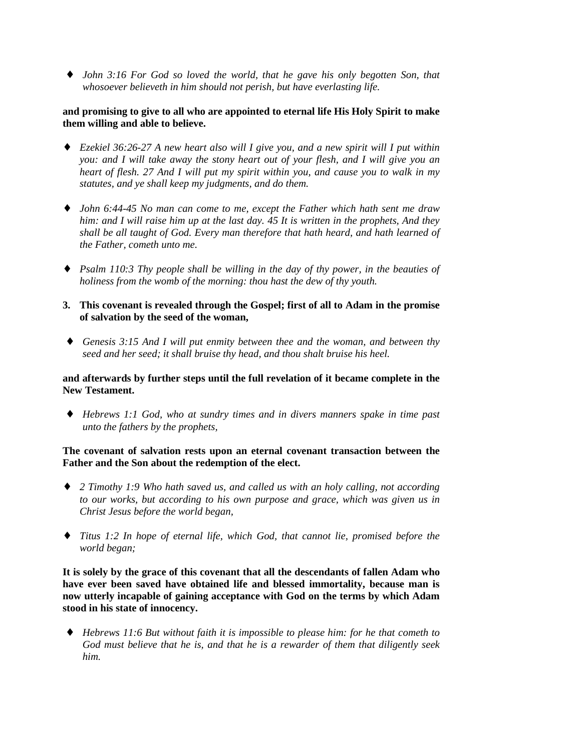♦ *John 3:16 For God so loved the world, that he gave his only begotten Son, that whosoever believeth in him should not perish, but have everlasting life.*

## **and promising to give to all who are appointed to eternal life His Holy Spirit to make them willing and able to believe.**

- ♦ *Ezekiel 36:26-27 A new heart also will I give you, and a new spirit will I put within you: and I will take away the stony heart out of your flesh, and I will give you an heart of flesh. 27 And I will put my spirit within you, and cause you to walk in my statutes, and ye shall keep my judgments, and do them.*
- ♦ *John 6:44-45 No man can come to me, except the Father which hath sent me draw him: and I will raise him up at the last day. 45 It is written in the prophets, And they shall be all taught of God. Every man therefore that hath heard, and hath learned of the Father, cometh unto me.*
- ♦ *Psalm 110:3 Thy people shall be willing in the day of thy power, in the beauties of holiness from the womb of the morning: thou hast the dew of thy youth.*
- **3. This covenant is revealed through the Gospel; first of all to Adam in the promise of salvation by the seed of the woman,**
- ♦ *Genesis 3:15 And I will put enmity between thee and the woman, and between thy seed and her seed; it shall bruise thy head, and thou shalt bruise his heel.*

## **and afterwards by further steps until the full revelation of it became complete in the New Testament.**

♦ *Hebrews 1:1 God, who at sundry times and in divers manners spake in time past unto the fathers by the prophets,*

## **The covenant of salvation rests upon an eternal covenant transaction between the Father and the Son about the redemption of the elect.**

- ♦ *2 Timothy 1:9 Who hath saved us, and called us with an holy calling, not according to our works, but according to his own purpose and grace, which was given us in Christ Jesus before the world began,*
- ♦ *Titus 1:2 In hope of eternal life, which God, that cannot lie, promised before the world began;*

**It is solely by the grace of this covenant that all the descendants of fallen Adam who have ever been saved have obtained life and blessed immortality, because man is now utterly incapable of gaining acceptance with God on the terms by which Adam stood in his state of innocency.**

♦ *Hebrews 11:6 But without faith it is impossible to please him: for he that cometh to God must believe that he is, and that he is a rewarder of them that diligently seek him.*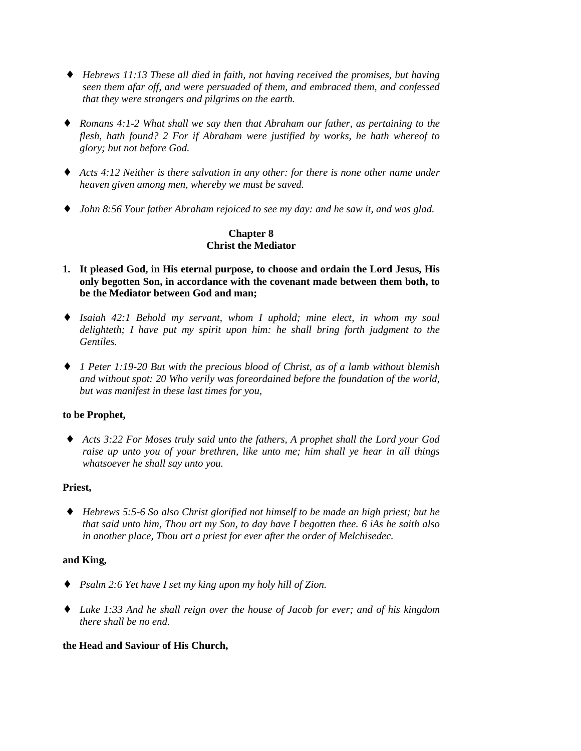- ♦ *Hebrews 11:13 These all died in faith, not having received the promises, but having seen them afar off, and were persuaded of them, and embraced them, and confessed that they were strangers and pilgrims on the earth.*
- ♦ *Romans 4:1-2 What shall we say then that Abraham our father, as pertaining to the flesh, hath found? 2 For if Abraham were justified by works, he hath whereof to glory; but not before God.*
- ♦ *Acts 4:12 Neither is there salvation in any other: for there is none other name under heaven given among men, whereby we must be saved.*
- ♦ *John 8:56 Your father Abraham rejoiced to see my day: and he saw it, and was glad.*

# **Chapter 8 Christ the Mediator**

- **1. It pleased God, in His eternal purpose, to choose and ordain the Lord Jesus, His only begotten Son, in accordance with the covenant made between them both, to be the Mediator between God and man;**
- ♦ *Isaiah 42:1 Behold my servant, whom I uphold; mine elect, in whom my soul delighteth; I have put my spirit upon him: he shall bring forth judgment to the Gentiles.*
- ♦ *1 Peter 1:19-20 But with the precious blood of Christ, as of a lamb without blemish and without spot: 20 Who verily was foreordained before the foundation of the world, but was manifest in these last times for you,*

# **to be Prophet,**

♦ *Acts 3:22 For Moses truly said unto the fathers, A prophet shall the Lord your God raise up unto you of your brethren, like unto me; him shall ye hear in all things whatsoever he shall say unto you.*

# **Priest,**

♦ *Hebrews 5:5-6 So also Christ glorified not himself to be made an high priest; but he that said unto him, Thou art my Son, to day have I begotten thee. 6 iAs he saith also in another place, Thou art a priest for ever after the order of Melchisedec.*

# **and King,**

- ♦ *Psalm 2:6 Yet have I set my king upon my holy hill of Zion.*
- ♦ *Luke 1:33 And he shall reign over the house of Jacob for ever; and of his kingdom there shall be no end.*

## **the Head and Saviour of His Church,**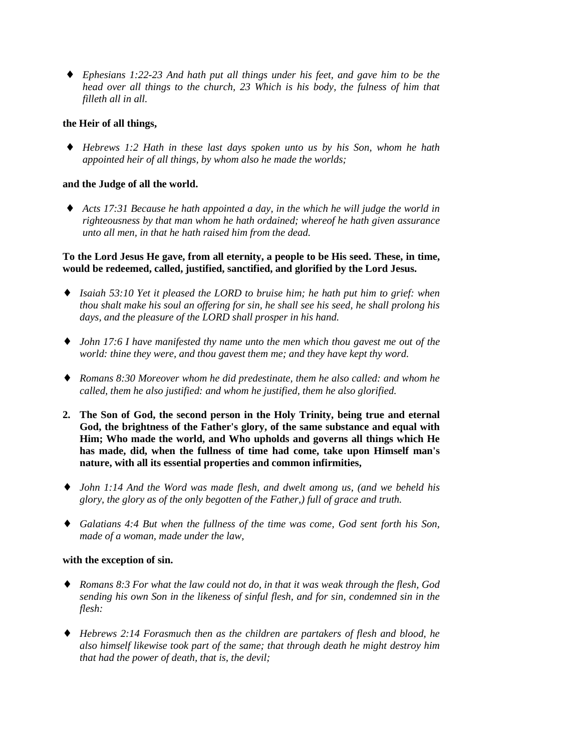♦ *Ephesians 1:22-23 And hath put all things under his feet, and gave him to be the head over all things to the church, 23 Which is his body, the fulness of him that filleth all in all.*

## **the Heir of all things,**

♦ *Hebrews 1:2 Hath in these last days spoken unto us by his Son, whom he hath appointed heir of all things, by whom also he made the worlds;*

#### **and the Judge of all the world.**

Acts 17:31 Because he hath appointed a day, in the which he will judge the world in *righteousness by that man whom he hath ordained; whereof he hath given assurance unto all men, in that he hath raised him from the dead.*

## **To the Lord Jesus He gave, from all eternity, a people to be His seed. These, in time, would be redeemed, called, justified, sanctified, and glorified by the Lord Jesus.**

- ♦ *Isaiah 53:10 Yet it pleased the LORD to bruise him; he hath put him to grief: when thou shalt make his soul an offering for sin, he shall see his seed, he shall prolong his days, and the pleasure of the LORD shall prosper in his hand.*
- ♦ *John 17:6 I have manifested thy name unto the men which thou gavest me out of the world: thine they were, and thou gavest them me; and they have kept thy word.*
- ♦ *Romans 8:30 Moreover whom he did predestinate, them he also called: and whom he called, them he also justified: and whom he justified, them he also glorified.*
- **2. The Son of God, the second person in the Holy Trinity, being true and eternal God, the brightness of the Father's glory, of the same substance and equal with Him; Who made the world, and Who upholds and governs all things which He has made, did, when the fullness of time had come, take upon Himself man's nature, with all its essential properties and common infirmities,**
- ♦ *John 1:14 And the Word was made flesh, and dwelt among us, (and we beheld his glory, the glory as of the only begotten of the Father,) full of grace and truth.*
- ♦ *Galatians 4:4 But when the fullness of the time was come, God sent forth his Son, made of a woman, made under the law,*

#### **with the exception of sin.**

- ♦ *Romans 8:3 For what the law could not do, in that it was weak through the flesh, God sending his own Son in the likeness of sinful flesh, and for sin, condemned sin in the flesh:*
- ♦ *Hebrews 2:14 Forasmuch then as the children are partakers of flesh and blood, he also himself likewise took part of the same; that through death he might destroy him that had the power of death, that is, the devil;*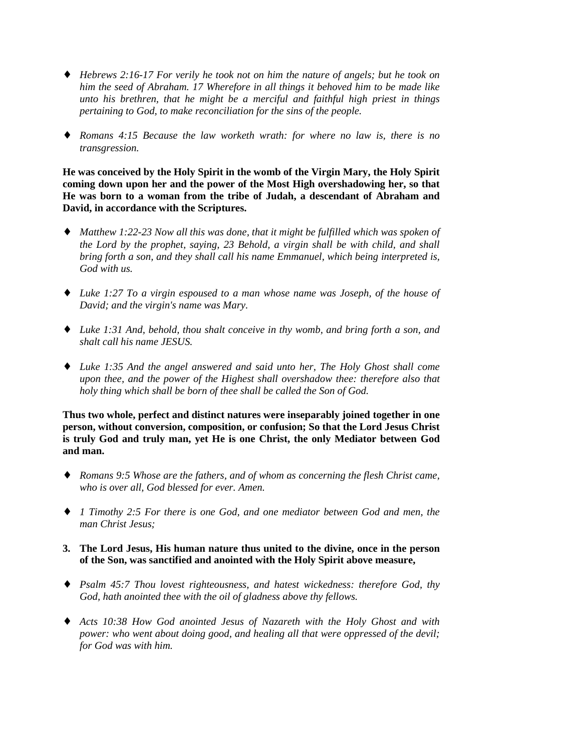- ♦ *Hebrews 2:16-17 For verily he took not on him the nature of angels; but he took on him the seed of Abraham. 17 Wherefore in all things it behoved him to be made like unto his brethren, that he might be a merciful and faithful high priest in things pertaining to God, to make reconciliation for the sins of the people.*
- ♦ *Romans 4:15 Because the law worketh wrath: for where no law is, there is no transgression.*

**He was conceived by the Holy Spirit in the womb of the Virgin Mary, the Holy Spirit coming down upon her and the power of the Most High overshadowing her, so that He was born to a woman from the tribe of Judah, a descendant of Abraham and David, in accordance with the Scriptures.**

- ♦ *Matthew 1:22-23 Now all this was done, that it might be fulfilled which was spoken of the Lord by the prophet, saying, 23 Behold, a virgin shall be with child, and shall bring forth a son, and they shall call his name Emmanuel, which being interpreted is, God with us.*
- ♦ *Luke 1:27 To a virgin espoused to a man whose name was Joseph, of the house of David; and the virgin's name was Mary.*
- ♦ *Luke 1:31 And, behold, thou shalt conceive in thy womb, and bring forth a son, and shalt call his name JESUS.*
- ♦ *Luke 1:35 And the angel answered and said unto her, The Holy Ghost shall come upon thee, and the power of the Highest shall overshadow thee: therefore also that holy thing which shall be born of thee shall be called the Son of God.*

**Thus two whole, perfect and distinct natures were inseparably joined together in one person, without conversion, composition, or confusion; So that the Lord Jesus Christ is truly God and truly man, yet He is one Christ, the only Mediator between God and man.**

- ♦ *Romans 9:5 Whose are the fathers, and of whom as concerning the flesh Christ came, who is over all, God blessed for ever. Amen.*
- ♦ *1 Timothy 2:5 For there is one God, and one mediator between God and men, the man Christ Jesus;*
- **3. The Lord Jesus, His human nature thus united to the divine, once in the person of the Son, was sanctified and anointed with the Holy Spirit above measure,**
- ♦ *Psalm 45:7 Thou lovest righteousness, and hatest wickedness: therefore God, thy God, hath anointed thee with the oil of gladness above thy fellows.*
- ♦ *Acts 10:38 How God anointed Jesus of Nazareth with the Holy Ghost and with power: who went about doing good, and healing all that were oppressed of the devil; for God was with him.*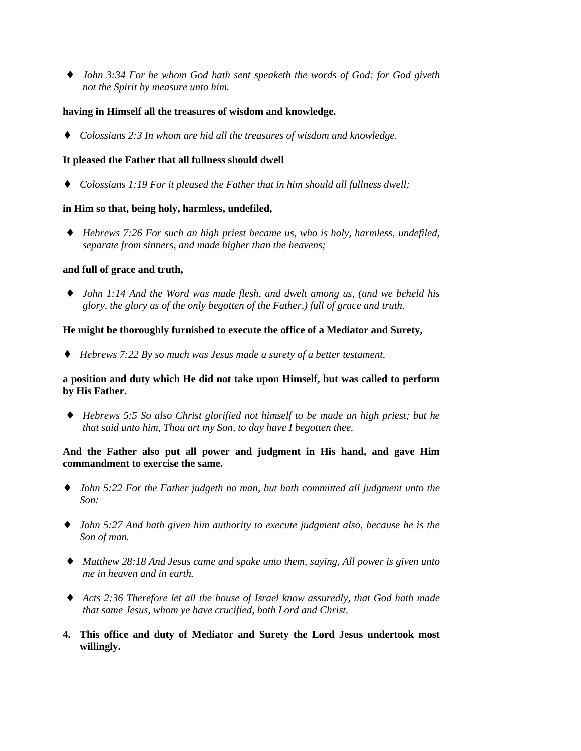♦ *John 3:34 For he whom God hath sent speaketh the words of God: for God giveth not the Spirit by measure unto him.*

## **having in Himself all the treasures of wisdom and knowledge.**

♦ *Colossians 2:3 In whom are hid all the treasures of wisdom and knowledge.*

# **It pleased the Father that all fullness should dwell**

♦ *Colossians 1:19 For it pleased the Father that in him should all fullness dwell;*

# **in Him so that, being holy, harmless, undefiled,**

♦ *Hebrews 7:26 For such an high priest became us, who is holy, harmless, undefiled, separate from sinners, and made higher than the heavens;*

# **and full of grace and truth,**

♦ *John 1:14 And the Word was made flesh, and dwelt among us, (and we beheld his glory, the glory as of the only begotten of the Father,) full of grace and truth.*

# **He might be thoroughly furnished to execute the office of a Mediator and Surety,**

♦ *Hebrews 7:22 By so much was Jesus made a surety of a better testament.*

## **a position and duty which He did not take upon Himself, but was called to perform by His Father.**

♦ *Hebrews 5:5 So also Christ glorified not himself to be made an high priest; but he that said unto him, Thou art my Son, to day have I begotten thee.*

# **And the Father also put all power and judgment in His hand, and gave Him commandment to exercise the same.**

- ♦ *John 5:22 For the Father judgeth no man, but hath committed all judgment unto the Son:*
- ♦ *John 5:27 And hath given him authority to execute judgment also, because he is the Son of man.*
- ♦ *Matthew 28:18 And Jesus came and spake unto them, saying, All power is given unto me in heaven and in earth.*
- ♦ *Acts 2:36 Therefore let all the house of Israel know assuredly, that God hath made that same Jesus, whom ye have crucified, both Lord and Christ.*
- **4. This office and duty of Mediator and Surety the Lord Jesus undertook most willingly.**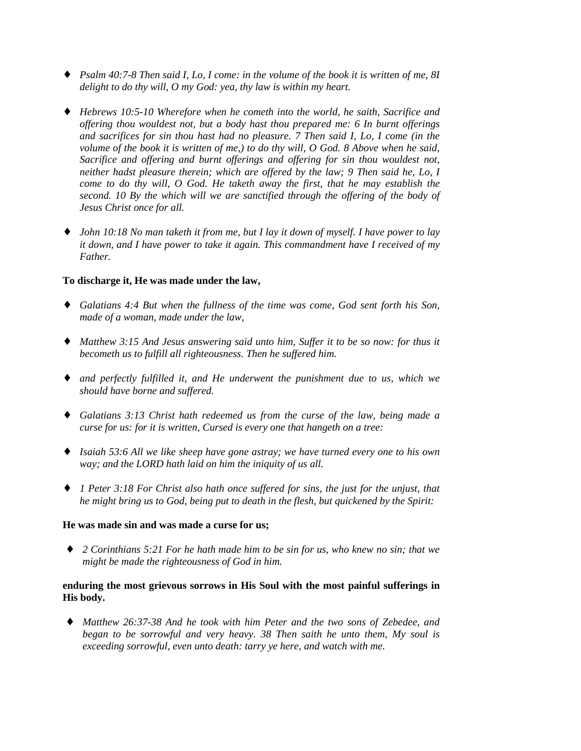- ♦ *Psalm 40:7-8 Then said I, Lo, I come: in the volume of the book it is written of me, 8I delight to do thy will, O my God: yea, thy law is within my heart.*
- ♦ *Hebrews 10:5-10 Wherefore when he cometh into the world, he saith, Sacrifice and offering thou wouldest not, but a body hast thou prepared me: 6 In burnt offerings and sacrifices for sin thou hast had no pleasure. 7 Then said I, Lo, I come (in the volume of the book it is written of me,) to do thy will, O God. 8 Above when he said, Sacrifice and offering and burnt offerings and offering for sin thou wouldest not, neither hadst pleasure therein; which are offered by the law; 9 Then said he, Lo, I come to do thy will, O God. He taketh away the first, that he may establish the second. 10 By the which will we are sanctified through the offering of the body of Jesus Christ once for all.*
- ♦ *John 10:18 No man taketh it from me, but I lay it down of myself. I have power to lay it down, and I have power to take it again. This commandment have I received of my Father.*

# **To discharge it, He was made under the law,**

- ♦ *Galatians 4:4 But when the fullness of the time was come, God sent forth his Son, made of a woman, made under the law,*
- ♦ *Matthew 3:15 And Jesus answering said unto him, Suffer it to be so now: for thus it becometh us to fulfill all righteousness. Then he suffered him.*
- ♦ *and perfectly fulfilled it, and He underwent the punishment due to us, which we should have borne and suffered.*
- ♦ *Galatians 3:13 Christ hath redeemed us from the curse of the law, being made a curse for us: for it is written, Cursed is every one that hangeth on a tree:*
- ♦ *Isaiah 53:6 All we like sheep have gone astray; we have turned every one to his own way; and the LORD hath laid on him the iniquity of us all.*
- ♦ *1 Peter 3:18 For Christ also hath once suffered for sins, the just for the unjust, that he might bring us to God, being put to death in the flesh, but quickened by the Spirit:*

#### **He was made sin and was made a curse for us;**

♦ *2 Corinthians 5:21 For he hath made him to be sin for us, who knew no sin; that we might be made the righteousness of God in him.*

# **enduring the most grievous sorrows in His Soul with the most painful sufferings in His body.**

♦ *Matthew 26:37-38 And he took with him Peter and the two sons of Zebedee, and began to be sorrowful and very heavy. 38 Then saith he unto them, My soul is exceeding sorrowful, even unto death: tarry ye here, and watch with me.*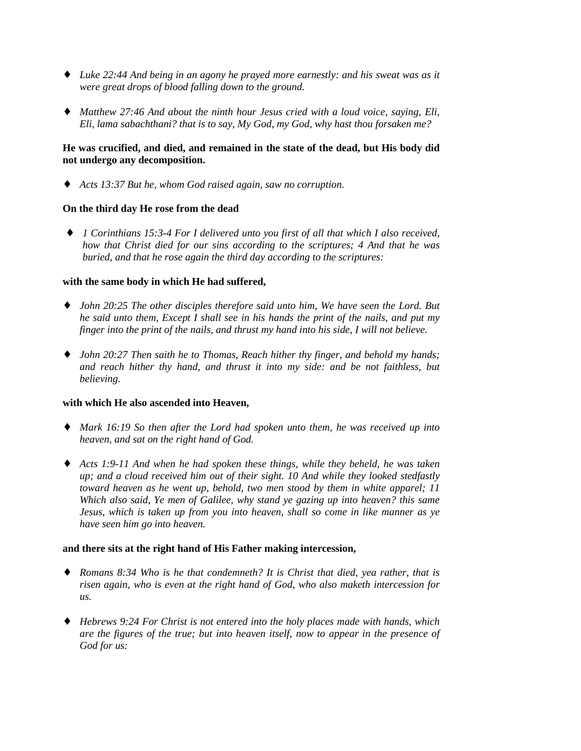- ♦ *Luke 22:44 And being in an agony he prayed more earnestly: and his sweat was as it were great drops of blood falling down to the ground.*
- ♦ *Matthew 27:46 And about the ninth hour Jesus cried with a loud voice, saying, Eli, Eli, lama sabachthani? that is to say, My God, my God, why hast thou forsaken me?*

# **He was crucified, and died, and remained in the state of the dead, but His body did not undergo any decomposition.**

♦ *Acts 13:37 But he, whom God raised again, saw no corruption.*

# **On the third day He rose from the dead**

♦ *1 Corinthians 15:3-4 For I delivered unto you first of all that which I also received, how that Christ died for our sins according to the scriptures; 4 And that he was buried, and that he rose again the third day according to the scriptures:*

# **with the same body in which He had suffered,**

- ♦ *John 20:25 The other disciples therefore said unto him, We have seen the Lord. But he said unto them, Except I shall see in his hands the print of the nails, and put my finger into the print of the nails, and thrust my hand into his side, I will not believe.*
- ♦ *John 20:27 Then saith he to Thomas, Reach hither thy finger, and behold my hands; and reach hither thy hand, and thrust it into my side: and be not faithless, but believing.*

# **with which He also ascended into Heaven,**

- ♦ *Mark 16:19 So then after the Lord had spoken unto them, he was received up into heaven, and sat on the right hand of God.*
- ♦ *Acts 1:9-11 And when he had spoken these things, while they beheld, he was taken up; and a cloud received him out of their sight. 10 And while they looked stedfastly toward heaven as he went up, behold, two men stood by them in white apparel; 11 Which also said, Ye men of Galilee, why stand ye gazing up into heaven? this same Jesus, which is taken up from you into heaven, shall so come in like manner as ye have seen him go into heaven.*

# **and there sits at the right hand of His Father making intercession,**

- ♦ *Romans 8:34 Who is he that condemneth? It is Christ that died, yea rather, that is risen again, who is even at the right hand of God, who also maketh intercession for us.*
- ♦ *Hebrews 9:24 For Christ is not entered into the holy places made with hands, which are the figures of the true; but into heaven itself, now to appear in the presence of God for us:*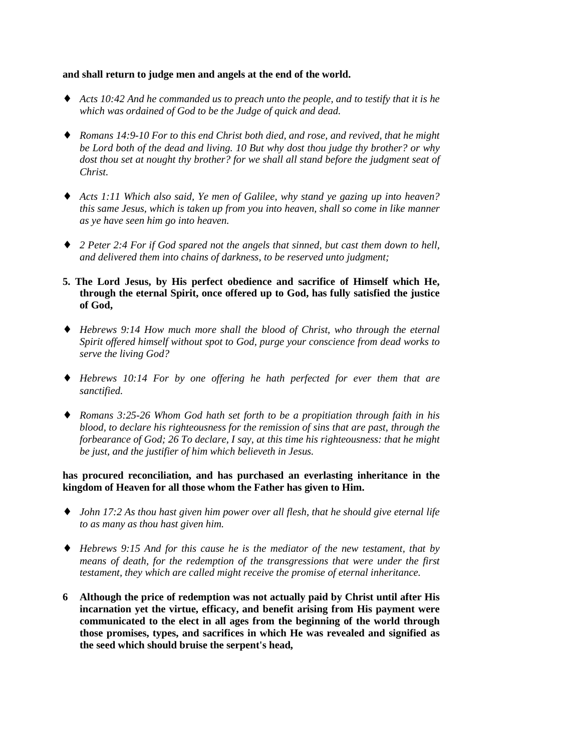#### **and shall return to judge men and angels at the end of the world.**

- ♦ *Acts 10:42 And he commanded us to preach unto the people, and to testify that it is he which was ordained of God to be the Judge of quick and dead.*
- ♦ *Romans 14:9-10 For to this end Christ both died, and rose, and revived, that he might be Lord both of the dead and living. 10 But why dost thou judge thy brother? or why dost thou set at nought thy brother? for we shall all stand before the judgment seat of Christ.*
- ♦ *Acts 1:11 Which also said, Ye men of Galilee, why stand ye gazing up into heaven? this same Jesus, which is taken up from you into heaven, shall so come in like manner as ye have seen him go into heaven.*
- ♦ *2 Peter 2:4 For if God spared not the angels that sinned, but cast them down to hell, and delivered them into chains of darkness, to be reserved unto judgment;*
- **5. The Lord Jesus, by His perfect obedience and sacrifice of Himself which He, through the eternal Spirit, once offered up to God, has fully satisfied the justice of God,**
- ♦ *Hebrews 9:14 How much more shall the blood of Christ, who through the eternal Spirit offered himself without spot to God, purge your conscience from dead works to serve the living God?*
- ♦ *Hebrews 10:14 For by one offering he hath perfected for ever them that are sanctified.*
- ♦ *Romans 3:25-26 Whom God hath set forth to be a propitiation through faith in his blood, to declare his righteousness for the remission of sins that are past, through the forbearance of God; 26 To declare, I say, at this time his righteousness: that he might be just, and the justifier of him which believeth in Jesus.*

**has procured reconciliation, and has purchased an everlasting inheritance in the kingdom of Heaven for all those whom the Father has given to Him.**

- ♦ *John 17:2 As thou hast given him power over all flesh, that he should give eternal life to as many as thou hast given him.*
- ♦ *Hebrews 9:15 And for this cause he is the mediator of the new testament, that by means of death, for the redemption of the transgressions that were under the first testament, they which are called might receive the promise of eternal inheritance.*
- **6 Although the price of redemption was not actually paid by Christ until after His incarnation yet the virtue, efficacy, and benefit arising from His payment were communicated to the elect in all ages from the beginning of the world through those promises, types, and sacrifices in which He was revealed and signified as the seed which should bruise the serpent's head,**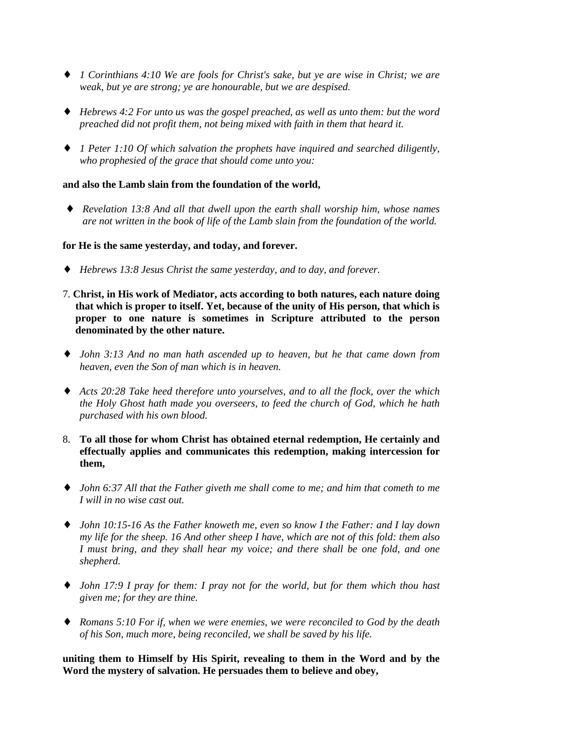- ♦ *1 Corinthians 4:10 We are fools for Christ's sake, but ye are wise in Christ; we are weak, but ye are strong; ye are honourable, but we are despised.*
- ♦ *Hebrews 4:2 For unto us was the gospel preached, as well as unto them: but the word preached did not profit them, not being mixed with faith in them that heard it.*
- ♦ *1 Peter 1:10 Of which salvation the prophets have inquired and searched diligently, who prophesied of the grace that should come unto you:*

# **and also the Lamb slain from the foundation of the world,**

♦ *Revelation 13:8 And all that dwell upon the earth shall worship him, whose names are not written in the book of life of the Lamb slain from the foundation of the world.*

### **for He is the same yesterday, and today, and forever.**

- ♦ *Hebrews 13:8 Jesus Christ the same yesterday, and to day, and forever.*
- 7. **Christ, in His work of Mediator, acts according to both natures, each nature doing that which is proper to itself. Yet, because of the unity of His person, that which is proper to one nature is sometimes in Scripture attributed to the person denominated by the other nature.**
- ♦ *John 3:13 And no man hath ascended up to heaven, but he that came down from heaven, even the Son of man which is in heaven.*
- ♦ *Acts 20:28 Take heed therefore unto yourselves, and to all the flock, over the which the Holy Ghost hath made you overseers, to feed the church of God, which he hath purchased with his own blood.*
- 8. **To all those for whom Christ has obtained eternal redemption, He certainly and effectually applies and communicates this redemption, making intercession for them,**
- ♦ *John 6:37 All that the Father giveth me shall come to me; and him that cometh to me I will in no wise cast out.*
- ♦ *John 10:15-16 As the Father knoweth me, even so know I the Father: and I lay down my life for the sheep. 16 And other sheep I have, which are not of this fold: them also I must bring, and they shall hear my voice; and there shall be one fold, and one shepherd.*
- ♦ *John 17:9 I pray for them: I pray not for the world, but for them which thou hast given me; for they are thine.*
- ♦ *Romans 5:10 For if, when we were enemies, we were reconciled to God by the death of his Son, much more, being reconciled, we shall be saved by his life.*

**uniting them to Himself by His Spirit, revealing to them in the Word and by the Word the mystery of salvation. He persuades them to believe and obey,**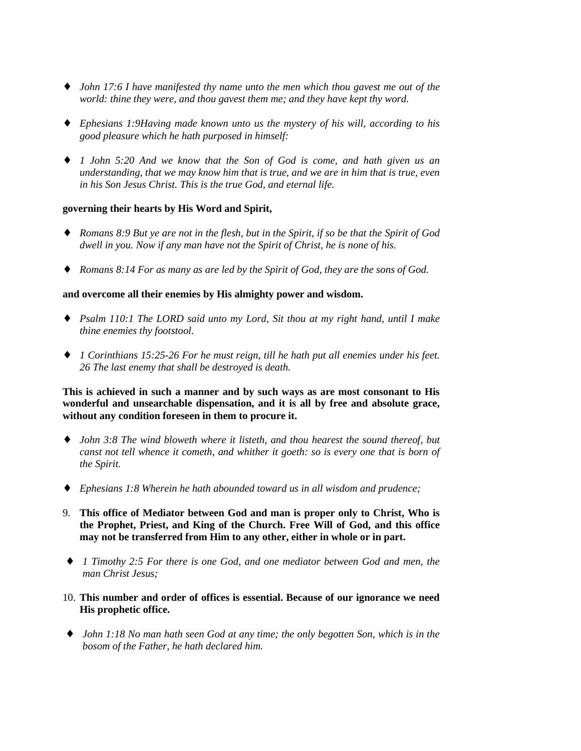- ♦ *John 17:6 I have manifested thy name unto the men which thou gavest me out of the world: thine they were, and thou gavest them me; and they have kept thy word.*
- ♦ *Ephesians 1:9Having made known unto us the mystery of his will, according to his good pleasure which he hath purposed in himself:*
- ♦ *1 John 5:20 And we know that the Son of God is come, and hath given us an understanding, that we may know him that is true, and we are in him that is true, even in his Son Jesus Christ. This is the true God, and eternal life.*

### **governing their hearts by His Word and Spirit,**

- ♦ *Romans 8:9 But ye are not in the flesh, but in the Spirit, if so be that the Spirit of God dwell in you. Now if any man have not the Spirit of Christ, he is none of his.*
- ♦ *Romans 8:14 For as many as are led by the Spirit of God, they are the sons of God.*

### **and overcome all their enemies by His almighty power and wisdom.**

- ♦ *Psalm 110:1 The LORD said unto my Lord, Sit thou at my right hand, until I make thine enemies thy footstool.*
- ♦ *1 Corinthians 15:25-26 For he must reign, till he hath put all enemies under his feet. 26 The last enemy that shall be destroyed is death.*

**This is achieved in such a manner and by such ways as are most consonant to His wonderful and unsearchable dispensation, and it is all by free and absolute grace, without any condition foreseen in them to procure it.**

- ♦ *John 3:8 The wind bloweth where it listeth, and thou hearest the sound thereof, but canst not tell whence it cometh, and whither it goeth: so is every one that is born of the Spirit.*
- ♦ *Ephesians 1:8 Wherein he hath abounded toward us in all wisdom and prudence;*
- 9. **This office of Mediator between God and man is proper only to Christ, Who is the Prophet, Priest, and King of the Church. Free Will of God, and this office may not be transferred from Him to any other, either in whole or in part.**
- ♦ *1 Timothy 2:5 For there is one God, and one mediator between God and men, the man Christ Jesus;*
- 10. **This number and order of offices is essential. Because of our ignorance we need His prophetic office.**
- ♦ *John 1:18 No man hath seen God at any time; the only begotten Son, which is in the bosom of the Father, he hath declared him.*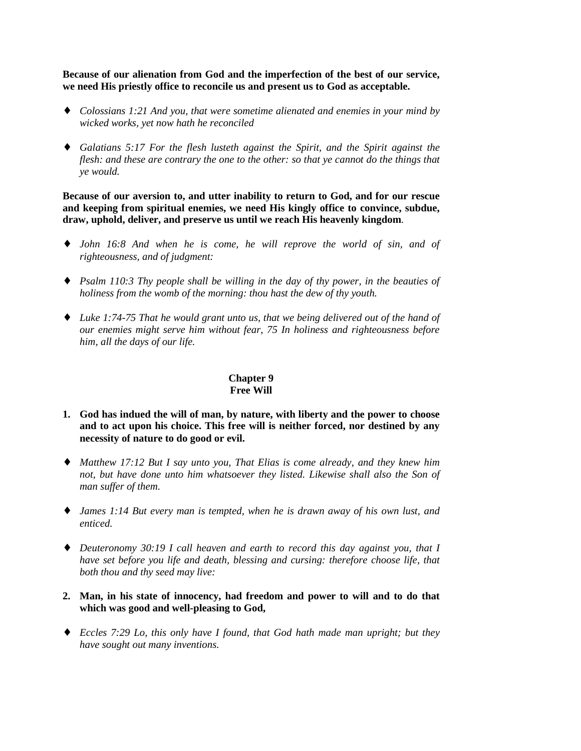**Because of our alienation from God and the imperfection of the best of our service, we need His priestly office to reconcile us and present us to God as acceptable.**

- ♦ *Colossians 1:21 And you, that were sometime alienated and enemies in your mind by wicked works, yet now hath he reconciled*
- ♦ *Galatians 5:17 For the flesh lusteth against the Spirit, and the Spirit against the flesh: and these are contrary the one to the other: so that ye cannot do the things that ye would.*

**Because of our aversion to, and utter inability to return to God, and for our rescue and keeping from spiritual enemies, we need His kingly office to convince, subdue, draw, uphold, deliver, and preserve us until we reach His heavenly kingdom***.*

- ♦ *John 16:8 And when he is come, he will reprove the world of sin, and of righteousness, and of judgment:*
- ♦ *Psalm 110:3 Thy people shall be willing in the day of thy power, in the beauties of holiness from the womb of the morning: thou hast the dew of thy youth.*
- ♦ *Luke 1:74-75 That he would grant unto us, that we being delivered out of the hand of our enemies might serve him without fear, 75 In holiness and righteousness before him, all the days of our life.*

# **Chapter 9 Free Will**

- **1. God has indued the will of man, by nature, with liberty and the power to choose and to act upon his choice. This free will is neither forced, nor destined by any necessity of nature to do good or evil.**
- ♦ *Matthew 17:12 But I say unto you, That Elias is come already, and they knew him not, but have done unto him whatsoever they listed. Likewise shall also the Son of man suffer of them.*
- ♦ *James 1:14 But every man is tempted, when he is drawn away of his own lust, and enticed.*
- ♦ *Deuteronomy 30:19 I call heaven and earth to record this day against you, that I have set before you life and death, blessing and cursing: therefore choose life, that both thou and thy seed may live:*
- **2. Man, in his state of innocency, had freedom and power to will and to do that which was good and well-pleasing to God,**
- ♦ *Eccles 7:29 Lo, this only have I found, that God hath made man upright; but they have sought out many inventions.*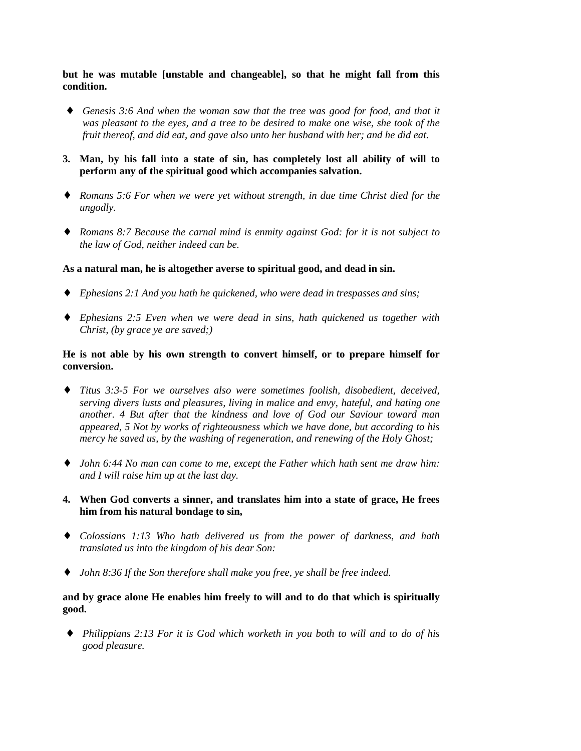**but he was mutable [unstable and changeable], so that he might fall from this condition.**

- Genesis 3:6 And when the woman saw that the tree was good for food, and that it *was pleasant to the eyes, and a tree to be desired to make one wise, she took of the fruit thereof, and did eat, and gave also unto her husband with her; and he did eat.*
- **3. Man, by his fall into a state of sin, has completely lost all ability of will to perform any of the spiritual good which accompanies salvation.**
- ♦ *Romans 5:6 For when we were yet without strength, in due time Christ died for the ungodly.*
- ♦ *Romans 8:7 Because the carnal mind is enmity against God: for it is not subject to the law of God, neither indeed can be.*

### **As a natural man, he is altogether averse to spiritual good, and dead in sin.**

- ♦ *Ephesians 2:1 And you hath he quickened, who were dead in trespasses and sins;*
- ♦ *Ephesians 2:5 Even when we were dead in sins, hath quickened us together with Christ, (by grace ye are saved;)*

## **He is not able by his own strength to convert himself, or to prepare himself for conversion.**

- ♦ *Titus 3:3-5 For we ourselves also were sometimes foolish, disobedient, deceived, serving divers lusts and pleasures, living in malice and envy, hateful, and hating one another. 4 But after that the kindness and love of God our Saviour toward man appeared, 5 Not by works of righteousness which we have done, but according to his mercy he saved us, by the washing of regeneration, and renewing of the Holy Ghost;*
- ♦ *John 6:44 No man can come to me, except the Father which hath sent me draw him: and I will raise him up at the last day.*
- **4. When God converts a sinner, and translates him into a state of grace, He frees him from his natural bondage to sin,**
- ♦ *Colossians 1:13 Who hath delivered us from the power of darkness, and hath translated us into the kingdom of his dear Son:*
- ♦ *John 8:36 If the Son therefore shall make you free, ye shall be free indeed.*

# **and by grace alone He enables him freely to will and to do that which is spiritually good.**

♦ *Philippians 2:13 For it is God which worketh in you both to will and to do of his good pleasure.*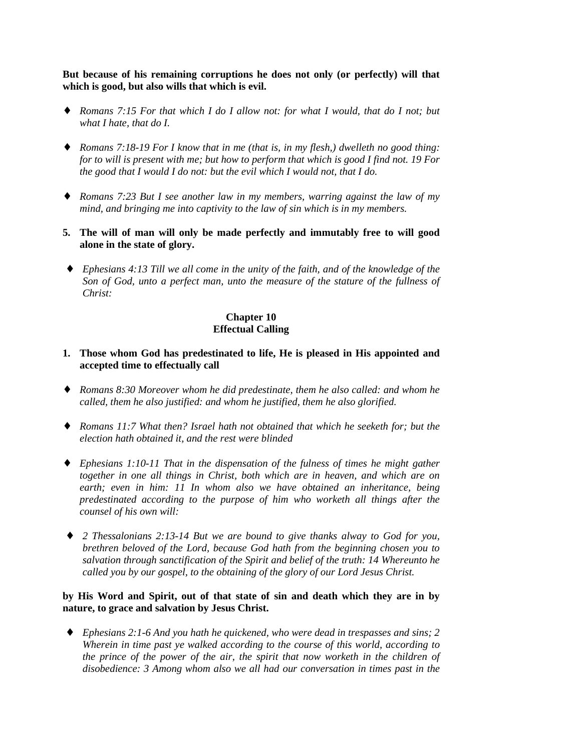**But because of his remaining corruptions he does not only (or perfectly) will that which is good, but also wills that which is evil.**

- ♦ *Romans 7:15 For that which I do I allow not: for what I would, that do I not; but what I hate, that do I.*
- ♦ *Romans 7:18-19 For I know that in me (that is, in my flesh,) dwelleth no good thing: for to will is present with me; but how to perform that which is good I find not. 19 For the good that I would I do not: but the evil which I would not, that I do.*
- ♦ *Romans 7:23 But I see another law in my members, warring against the law of my mind, and bringing me into captivity to the law of sin which is in my members.*
- **5. The will of man will only be made perfectly and immutably free to will good alone in the state of glory.**
- ♦ *Ephesians 4:13 Till we all come in the unity of the faith, and of the knowledge of the Son of God, unto a perfect man, unto the measure of the stature of the fullness of Christ:*

# **Chapter 10 Effectual Calling**

- **1. Those whom God has predestinated to life, He is pleased in His appointed and accepted time to effectually call**
- ♦ *Romans 8:30 Moreover whom he did predestinate, them he also called: and whom he called, them he also justified: and whom he justified, them he also glorified.*
- ♦ *Romans 11:7 What then? Israel hath not obtained that which he seeketh for; but the election hath obtained it, and the rest were blinded*
- ♦ *Ephesians 1:10-11 That in the dispensation of the fulness of times he might gather together in one all things in Christ, both which are in heaven, and which are on earth; even in him: 11 In whom also we have obtained an inheritance, being predestinated according to the purpose of him who worketh all things after the counsel of his own will:*
- ♦ *2 Thessalonians 2:13-14 But we are bound to give thanks alway to God for you, brethren beloved of the Lord, because God hath from the beginning chosen you to salvation through sanctification of the Spirit and belief of the truth: 14 Whereunto he called you by our gospel, to the obtaining of the glory of our Lord Jesus Christ.*

# **by His Word and Spirit, out of that state of sin and death which they are in by nature, to grace and salvation by Jesus Christ.**

♦ *Ephesians 2:1-6 And you hath he quickened, who were dead in trespasses and sins; 2 Wherein in time past ye walked according to the course of this world, according to the prince of the power of the air, the spirit that now worketh in the children of disobedience: 3 Among whom also we all had our conversation in times past in the*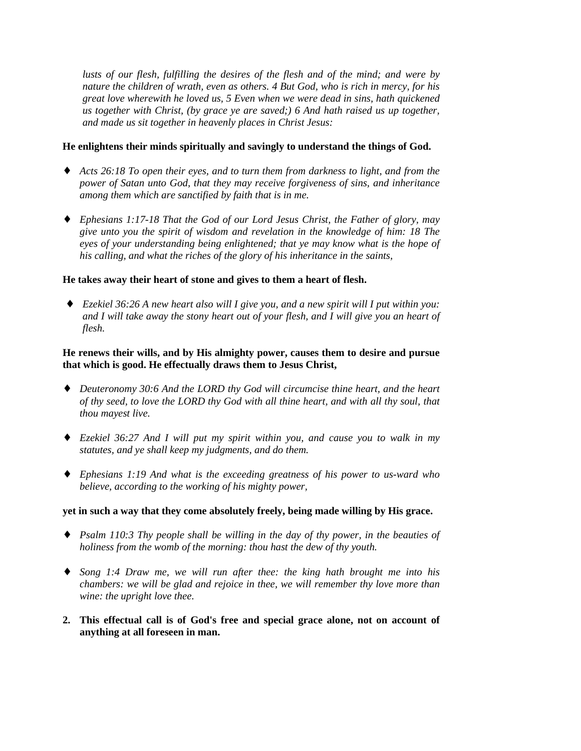*lusts of our flesh, fulfilling the desires of the flesh and of the mind; and were by nature the children of wrath, even as others. 4 But God, who is rich in mercy, for his great love wherewith he loved us, 5 Even when we were dead in sins, hath quickened us together with Christ, (by grace ye are saved;) 6 And hath raised us up together, and made us sit together in heavenly places in Christ Jesus:*

## **He enlightens their minds spiritually and savingly to understand the things of God.**

- ♦ *Acts 26:18 To open their eyes, and to turn them from darkness to light, and from the power of Satan unto God, that they may receive forgiveness of sins, and inheritance among them which are sanctified by faith that is in me.*
- ♦ *Ephesians 1:17-18 That the God of our Lord Jesus Christ, the Father of glory, may give unto you the spirit of wisdom and revelation in the knowledge of him: 18 The eyes of your understanding being enlightened; that ye may know what is the hope of his calling, and what the riches of the glory of his inheritance in the saints,*

### **He takes away their heart of stone and gives to them a heart of flesh.**

♦ *Ezekiel 36:26 A new heart also will I give you, and a new spirit will I put within you: and I will take away the stony heart out of your flesh, and I will give you an heart of flesh.*

# **He renews their wills, and by His almighty power, causes them to desire and pursue that which is good. He effectually draws them to Jesus Christ,**

- ♦ *Deuteronomy 30:6 And the LORD thy God will circumcise thine heart, and the heart of thy seed, to love the LORD thy God with all thine heart, and with all thy soul, that thou mayest live.*
- ♦ *Ezekiel 36:27 And I will put my spirit within you, and cause you to walk in my statutes, and ye shall keep my judgments, and do them.*
- ♦ *Ephesians 1:19 And what is the exceeding greatness of his power to us-ward who believe, according to the working of his mighty power,*

#### **yet in such a way that they come absolutely freely, being made willing by His grace.**

- ♦ *Psalm 110:3 Thy people shall be willing in the day of thy power, in the beauties of holiness from the womb of the morning: thou hast the dew of thy youth.*
- ♦ *Song 1:4 Draw me, we will run after thee: the king hath brought me into his chambers: we will be glad and rejoice in thee, we will remember thy love more than wine: the upright love thee.*
- **2. This effectual call is of God's free and special grace alone, not on account of anything at all foreseen in man.**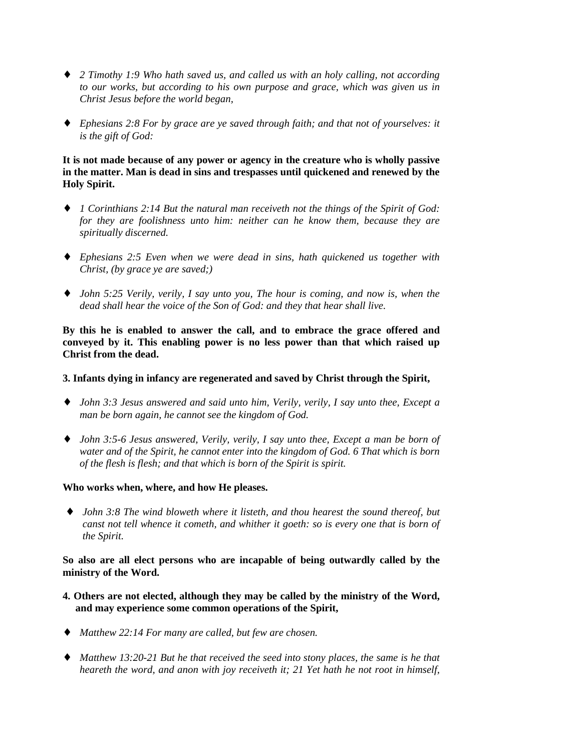- ♦ *2 Timothy 1:9 Who hath saved us, and called us with an holy calling, not according to our works, but according to his own purpose and grace, which was given us in Christ Jesus before the world began,*
- ♦ *Ephesians 2:8 For by grace are ye saved through faith; and that not of yourselves: it is the gift of God:*

# **It is not made because of any power or agency in the creature who is wholly passive in the matter. Man is dead in sins and trespasses until quickened and renewed by the Holy Spirit.**

- ♦ *1 Corinthians 2:14 But the natural man receiveth not the things of the Spirit of God: for they are foolishness unto him: neither can he know them, because they are spiritually discerned.*
- ♦ *Ephesians 2:5 Even when we were dead in sins, hath quickened us together with Christ, (by grace ye are saved;)*
- ♦ *John 5:25 Verily, verily, I say unto you, The hour is coming, and now is, when the dead shall hear the voice of the Son of God: and they that hear shall live.*

**By this he is enabled to answer the call, and to embrace the grace offered and conveyed by it. This enabling power is no less power than that which raised up Christ from the dead.**

## **3. Infants dying in infancy are regenerated and saved by Christ through the Spirit,**

- ♦ *John 3:3 Jesus answered and said unto him, Verily, verily, I say unto thee, Except a man be born again, he cannot see the kingdom of God.*
- ♦ *John 3:5-6 Jesus answered, Verily, verily, I say unto thee, Except a man be born of water and of the Spirit, he cannot enter into the kingdom of God. 6 That which is born of the flesh is flesh; and that which is born of the Spirit is spirit.*

# **Who works when, where, and how He pleases.**

♦ *John 3:8 The wind bloweth where it listeth, and thou hearest the sound thereof, but canst not tell whence it cometh, and whither it goeth: so is every one that is born of the Spirit.*

**So also are all elect persons who are incapable of being outwardly called by the ministry of the Word.**

- **4. Others are not elected, although they may be called by the ministry of the Word, and may experience some common operations of the Spirit,**
- ♦ *Matthew 22:14 For many are called, but few are chosen.*
- ♦ *Matthew 13:20-21 But he that received the seed into stony places, the same is he that heareth the word, and anon with joy receiveth it; 21 Yet hath he not root in himself,*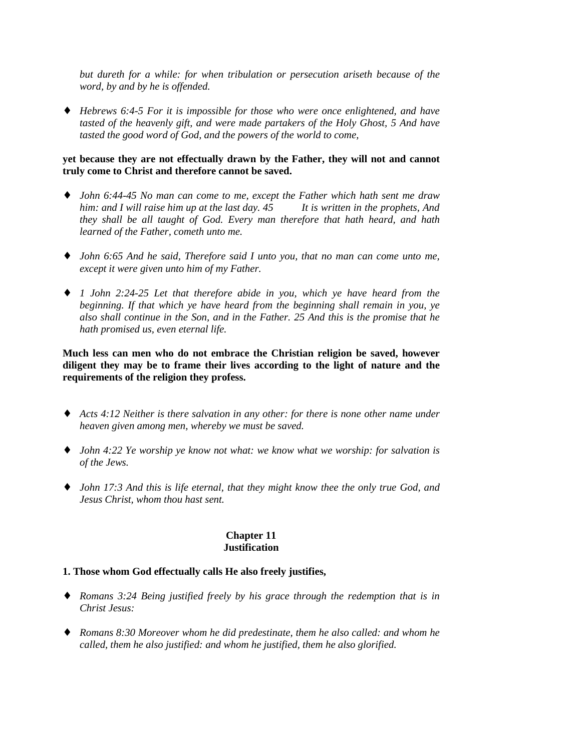*but dureth for a while: for when tribulation or persecution ariseth because of the word, by and by he is offended.*

♦ *Hebrews 6:4-5 For it is impossible for those who were once enlightened, and have tasted of the heavenly gift, and were made partakers of the Holy Ghost, 5 And have tasted the good word of God, and the powers of the world to come,*

# **yet because they are not effectually drawn by the Father, they will not and cannot truly come to Christ and therefore cannot be saved.**

- ♦ *John 6:44-45 No man can come to me, except the Father which hath sent me draw him: and I will raise him up at the last day. 45 It is written in the prophets, And they shall be all taught of God. Every man therefore that hath heard, and hath learned of the Father, cometh unto me.*
- ♦ *John 6:65 And he said, Therefore said I unto you, that no man can come unto me, except it were given unto him of my Father.*
- ♦ *1 John 2:24-25 Let that therefore abide in you, which ye have heard from the beginning. If that which ye have heard from the beginning shall remain in you, ye also shall continue in the Son, and in the Father. 25 And this is the promise that he hath promised us, even eternal life.*

**Much less can men who do not embrace the Christian religion be saved, however diligent they may be to frame their lives according to the light of nature and the requirements of the religion they profess.**

- ♦ *Acts 4:12 Neither is there salvation in any other: for there is none other name under heaven given among men, whereby we must be saved.*
- ♦ *John 4:22 Ye worship ye know not what: we know what we worship: for salvation is of the Jews.*
- ♦ *John 17:3 And this is life eternal, that they might know thee the only true God, and Jesus Christ, whom thou hast sent.*

### **Chapter 11 Justification**

# **1. Those whom God effectually calls He also freely justifies,**

- ♦ *Romans 3:24 Being justified freely by his grace through the redemption that is in Christ Jesus:*
- ♦ *Romans 8:30 Moreover whom he did predestinate, them he also called: and whom he called, them he also justified: and whom he justified, them he also glorified.*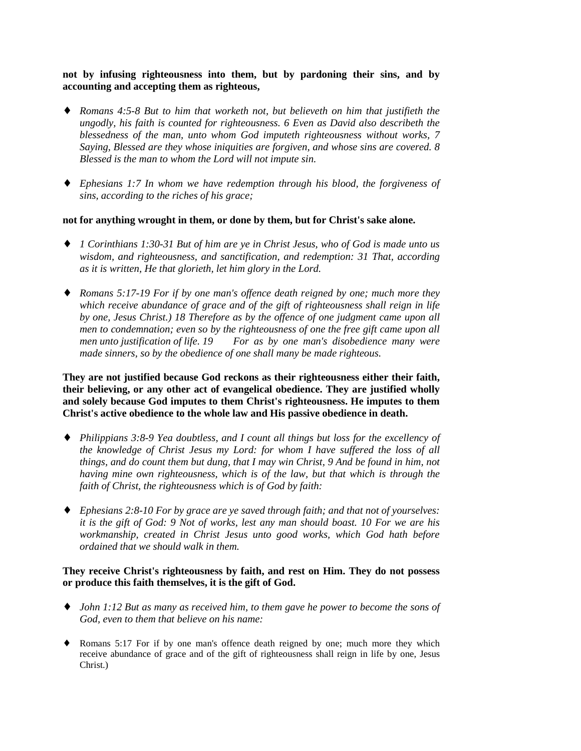# **not by infusing righteousness into them, but by pardoning their sins, and by accounting and accepting them as righteous,**

- ♦ *Romans 4:5-8 But to him that worketh not, but believeth on him that justifieth the ungodly, his faith is counted for righteousness. 6 Even as David also describeth the blessedness of the man, unto whom God imputeth righteousness without works, 7 Saying, Blessed are they whose iniquities are forgiven, and whose sins are covered. 8 Blessed is the man to whom the Lord will not impute sin.*
- ♦ *Ephesians 1:7 In whom we have redemption through his blood, the forgiveness of sins, according to the riches of his grace;*

### **not for anything wrought in them, or done by them, but for Christ's sake alone.**

- ♦ *1 Corinthians 1:30-31 But of him are ye in Christ Jesus, who of God is made unto us wisdom, and righteousness, and sanctification, and redemption: 31 That, according as it is written, He that glorieth, let him glory in the Lord.*
- ♦ *Romans 5:17-19 For if by one man's offence death reigned by one; much more they which receive abundance of grace and of the gift of righteousness shall reign in life by one, Jesus Christ.) 18 Therefore as by the offence of one judgment came upon all men to condemnation; even so by the righteousness of one the free gift came upon all men unto justification of life. 19 For as by one man's disobedience many were made sinners, so by the obedience of one shall many be made righteous.*

**They are not justified because God reckons as their righteousness either their faith, their believing, or any other act of evangelical obedience. They are justified wholly and solely because God imputes to them Christ's righteousness. He imputes to them Christ's active obedience to the whole law and His passive obedience in death.**

- ♦ *Philippians 3:8-9 Yea doubtless, and I count all things but loss for the excellency of the knowledge of Christ Jesus my Lord: for whom I have suffered the loss of all things, and do count them but dung, that I may win Christ, 9 And be found in him, not having mine own righteousness, which is of the law, but that which is through the faith of Christ, the righteousness which is of God by faith:*
- ♦ *Ephesians 2:8-10 For by grace are ye saved through faith; and that not of yourselves: it is the gift of God: 9 Not of works, lest any man should boast. 10 For we are his workmanship, created in Christ Jesus unto good works, which God hath before ordained that we should walk in them.*

### **They receive Christ's righteousness by faith, and rest on Him. They do not possess or produce this faith themselves, it is the gift of God.**

- ♦ *John 1:12 But as many as received him, to them gave he power to become the sons of God, even to them that believe on his name:*
- ♦ Romans 5:17 For if by one man's offence death reigned by one; much more they which receive abundance of grace and of the gift of righteousness shall reign in life by one, Jesus Christ.)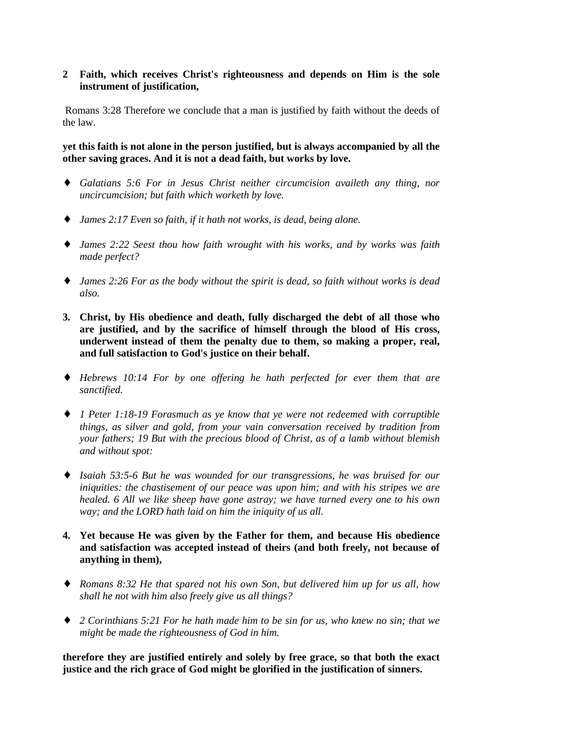# **2 Faith, which receives Christ's righteousness and depends on Him is the sole instrument of justification,**

 Romans 3:28 Therefore we conclude that a man is justified by faith without the deeds of the law.

**yet this faith is not alone in the person justified, but is always accompanied by all the other saving graces. And it is not a dead faith, but works by love.**

- ♦ *Galatians 5:6 For in Jesus Christ neither circumcision availeth any thing, nor uncircumcision; but faith which worketh by love.*
- ♦ *James 2:17 Even so faith, if it hath not works, is dead, being alone.*
- ♦ *James 2:22 Seest thou how faith wrought with his works, and by works was faith made perfect?*
- ♦ *James 2:26 For as the body without the spirit is dead, so faith without works is dead also.*
- **3. Christ, by His obedience and death, fully discharged the debt of all those who are justified, and by the sacrifice of himself through the blood of His cross, underwent instead of them the penalty due to them, so making a proper, real, and full satisfaction to God's justice on their behalf.**
- ♦ *Hebrews 10:14 For by one offering he hath perfected for ever them that are sanctified.*
- ♦ *1 Peter 1:18-19 Forasmuch as ye know that ye were not redeemed with corruptible things, as silver and gold, from your vain conversation received by tradition from your fathers; 19 But with the precious blood of Christ, as of a lamb without blemish and without spot:*
- ♦ *Isaiah 53:5-6 But he was wounded for our transgressions, he was bruised for our iniquities: the chastisement of our peace was upon him; and with his stripes we are healed. 6 All we like sheep have gone astray; we have turned every one to his own way; and the LORD hath laid on him the iniquity of us all.*
- **4. Yet because He was given by the Father for them, and because His obedience and satisfaction was accepted instead of theirs (and both freely, not because of anything in them),**
- ♦ *Romans 8:32 He that spared not his own Son, but delivered him up for us all, how shall he not with him also freely give us all things?*
- ♦ *2 Corinthians 5:21 For he hath made him to be sin for us, who knew no sin; that we might be made the righteousness of God in him.*

**therefore they are justified entirely and solely by free grace, so that both the exact justice and the rich grace of God might be glorified in the justification of sinners.**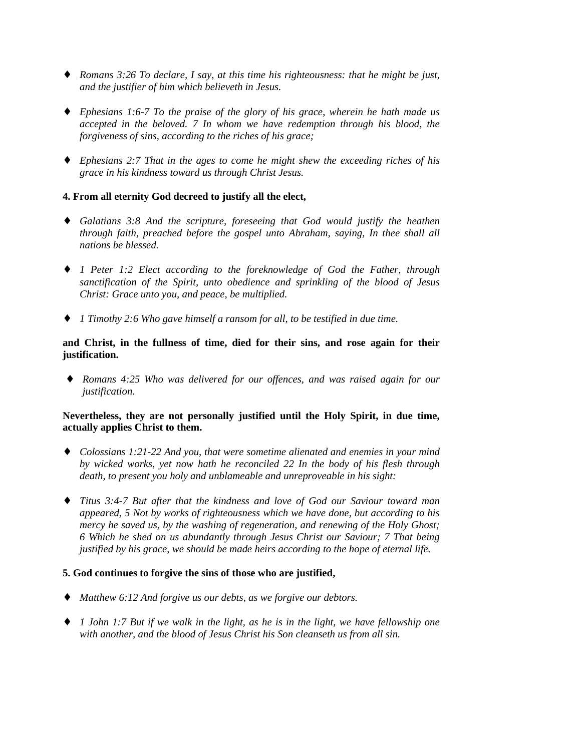- ♦ *Romans 3:26 To declare, I say, at this time his righteousness: that he might be just, and the justifier of him which believeth in Jesus.*
- ♦ *Ephesians 1:6-7 To the praise of the glory of his grace, wherein he hath made us accepted in the beloved. 7 In whom we have redemption through his blood, the forgiveness of sins, according to the riches of his grace;*
- ♦ *Ephesians 2:7 That in the ages to come he might shew the exceeding riches of his grace in his kindness toward us through Christ Jesus.*

# **4. From all eternity God decreed to justify all the elect,**

- ♦ *Galatians 3:8 And the scripture, foreseeing that God would justify the heathen through faith, preached before the gospel unto Abraham, saying, In thee shall all nations be blessed.*
- ♦ *1 Peter 1:2 Elect according to the foreknowledge of God the Father, through sanctification of the Spirit, unto obedience and sprinkling of the blood of Jesus Christ: Grace unto you, and peace, be multiplied.*
- ♦ *1 Timothy 2:6 Who gave himself a ransom for all, to be testified in due time.*

# **and Christ, in the fullness of time, died for their sins, and rose again for their justification.**

♦ *Romans 4:25 Who was delivered for our offences, and was raised again for our justification.*

# **Nevertheless, they are not personally justified until the Holy Spirit, in due time, actually applies Christ to them.**

- ♦ *Colossians 1:21-22 And you, that were sometime alienated and enemies in your mind by wicked works, yet now hath he reconciled 22 In the body of his flesh through death, to present you holy and unblameable and unreproveable in his sight:*
- ♦ *Titus 3:4-7 But after that the kindness and love of God our Saviour toward man appeared, 5 Not by works of righteousness which we have done, but according to his mercy he saved us, by the washing of regeneration, and renewing of the Holy Ghost; 6 Which he shed on us abundantly through Jesus Christ our Saviour; 7 That being justified by his grace, we should be made heirs according to the hope of eternal life.*

# **5. God continues to forgive the sins of those who are justified,**

- ♦ *Matthew 6:12 And forgive us our debts, as we forgive our debtors.*
- ♦ *1 John 1:7 But if we walk in the light, as he is in the light, we have fellowship one with another, and the blood of Jesus Christ his Son cleanseth us from all sin.*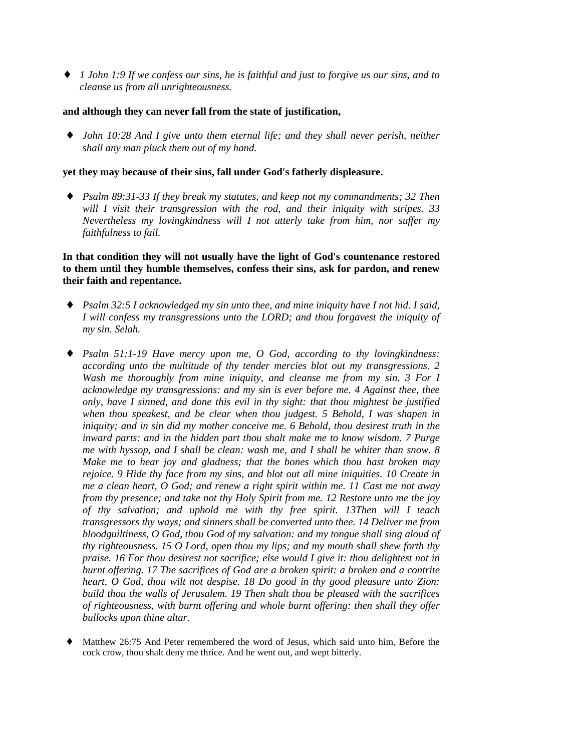♦ *1 John 1:9 If we confess our sins, he is faithful and just to forgive us our sins, and to cleanse us from all unrighteousness.*

#### **and although they can never fall from the state of justification,**

♦ *John 10:28 And I give unto them eternal life; and they shall never perish, neither shall any man pluck them out of my hand.*

### **yet they may because of their sins, fall under God's fatherly displeasure.**

♦ *Psalm 89:31-33 If they break my statutes, and keep not my commandments; 32 Then will I visit their transgression with the rod, and their iniquity with stripes. 33 Nevertheless my lovingkindness will I not utterly take from him, nor suffer my faithfulness to fail.*

**In that condition they will not usually have the light of God's countenance restored to them until they humble themselves, confess their sins, ask for pardon, and renew their faith and repentance.**

- ♦ *Psalm 32:5 I acknowledged my sin unto thee, and mine iniquity have I not hid. I said, I will confess my transgressions unto the LORD; and thou forgavest the iniquity of my sin. Selah.*
- ♦ *Psalm 51:1-19 Have mercy upon me, O God, according to thy lovingkindness: according unto the multitude of thy tender mercies blot out my transgressions. 2 Wash me thoroughly from mine iniquity, and cleanse me from my sin. 3 For I acknowledge my transgressions: and my sin is ever before me. 4 Against thee, thee only, have I sinned, and done this evil in thy sight: that thou mightest be justified when thou speakest, and be clear when thou judgest. 5 Behold, I was shapen in iniquity; and in sin did my mother conceive me. 6 Behold, thou desirest truth in the inward parts: and in the hidden part thou shalt make me to know wisdom. 7 Purge me with hyssop, and I shall be clean: wash me, and I shall be whiter than snow. 8 Make me to hear joy and gladness; that the bones which thou hast broken may rejoice. 9 Hide thy face from my sins, and blot out all mine iniquities. 10 Create in me a clean heart, O God; and renew a right spirit within me. 11 Cast me not away from thy presence; and take not thy Holy Spirit from me. 12 Restore unto me the joy of thy salvation; and uphold me with thy free spirit. 13Then will I teach transgressors thy ways; and sinners shall be converted unto thee. 14 Deliver me from bloodguiltiness, O God, thou God of my salvation: and my tongue shall sing aloud of thy righteousness. 15 O Lord, open thou my lips; and my mouth shall shew forth thy praise. 16 For thou desirest not sacrifice; else would I give it: thou delightest not in burnt offering. 17 The sacrifices of God are a broken spirit: a broken and a contrite heart, O God, thou wilt not despise. 18 Do good in thy good pleasure unto Zion: build thou the walls of Jerusalem. 19 Then shalt thou be pleased with the sacrifices of righteousness, with burnt offering and whole burnt offering: then shall they offer bullocks upon thine altar.*
- Matthew 26:75 And Peter remembered the word of Jesus, which said unto him, Before the cock crow, thou shalt deny me thrice. And he went out, and wept bitterly.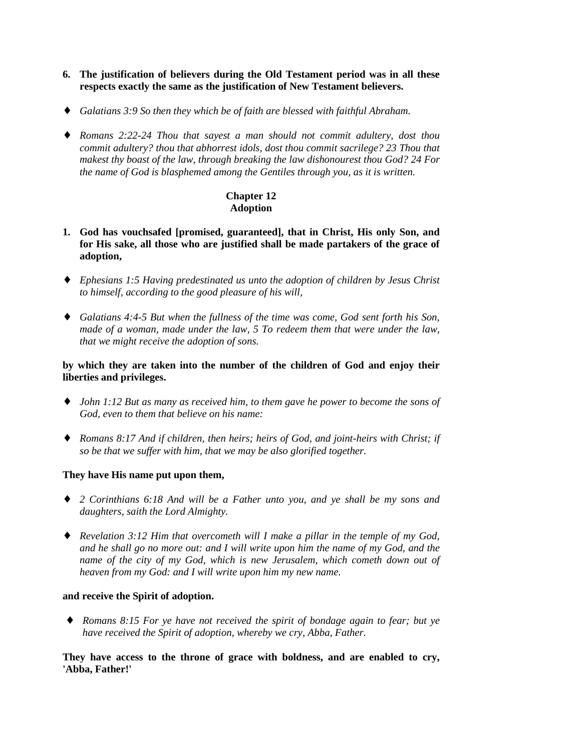- **6. The justification of believers during the Old Testament period was in all these respects exactly the same as the justification of New Testament believers.**
- ♦ *Galatians 3:9 So then they which be of faith are blessed with faithful Abraham.*
- ♦ *Romans 2:22-24 Thou that sayest a man should not commit adultery, dost thou commit adultery? thou that abhorrest idols, dost thou commit sacrilege? 23 Thou that makest thy boast of the law, through breaking the law dishonourest thou God? 24 For the name of God is blasphemed among the Gentiles through you, as it is written.*

# **Chapter 12 Adoption**

- **1. God has vouchsafed [promised, guaranteed], that in Christ, His only Son, and for His sake, all those who are justified shall be made partakers of the grace of adoption,**
- ♦ *Ephesians 1:5 Having predestinated us unto the adoption of children by Jesus Christ to himself, according to the good pleasure of his will,*
- ♦ *Galatians 4:4-5 But when the fullness of the time was come, God sent forth his Son, made of a woman, made under the law, 5 To redeem them that were under the law, that we might receive the adoption of sons.*

# **by which they are taken into the number of the children of God and enjoy their liberties and privileges.**

- ♦ *John 1:12 But as many as received him, to them gave he power to become the sons of God, even to them that believe on his name:*
- ♦ *Romans 8:17 And if children, then heirs; heirs of God, and joint-heirs with Christ; if so be that we suffer with him, that we may be also glorified together.*

# **They have His name put upon them,**

- ♦ *2 Corinthians 6:18 And will be a Father unto you, and ye shall be my sons and daughters, saith the Lord Almighty.*
- ♦ *Revelation 3:12 Him that overcometh will I make a pillar in the temple of my God, and he shall go no more out: and I will write upon him the name of my God, and the name of the city of my God, which is new Jerusalem, which cometh down out of heaven from my God: and I will write upon him my new name.*

#### **and receive the Spirit of adoption.**

♦ *Romans 8:15 For ye have not received the spirit of bondage again to fear; but ye have received the Spirit of adoption, whereby we cry, Abba, Father.*

**They have access to the throne of grace with boldness, and are enabled to cry, 'Abba, Father!'**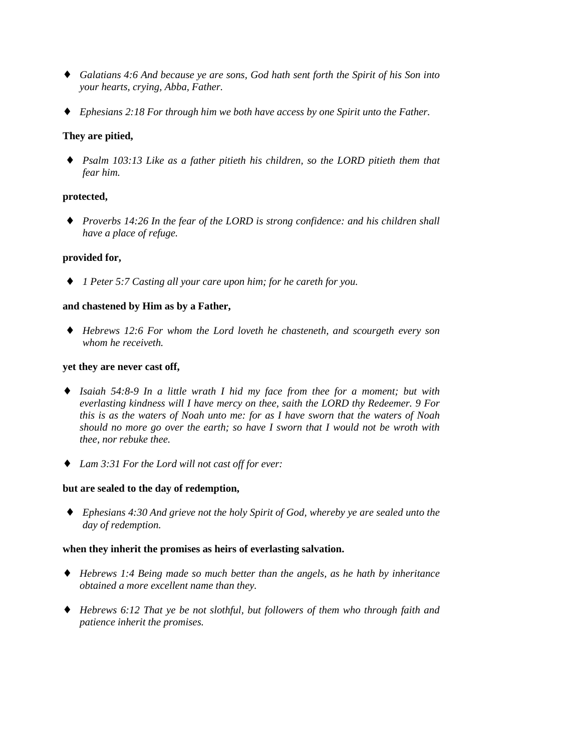- ♦ *Galatians 4:6 And because ye are sons, God hath sent forth the Spirit of his Son into your hearts, crying, Abba, Father.*
- ♦ *Ephesians 2:18 For through him we both have access by one Spirit unto the Father.*

# **They are pitied,**

♦ *Psalm 103:13 Like as a father pitieth his children, so the LORD pitieth them that fear him.*

# **protected,**

♦ *Proverbs 14:26 In the fear of the LORD is strong confidence: and his children shall have a place of refuge.*

# **provided for,**

♦ *1 Peter 5:7 Casting all your care upon him; for he careth for you.*

# **and chastened by Him as by a Father,**

♦ *Hebrews 12:6 For whom the Lord loveth he chasteneth, and scourgeth every son whom he receiveth.*

# **yet they are never cast off,**

- ♦ *Isaiah 54:8-9 In a little wrath I hid my face from thee for a moment; but with everlasting kindness will I have mercy on thee, saith the LORD thy Redeemer. 9 For this is as the waters of Noah unto me: for as I have sworn that the waters of Noah should no more go over the earth; so have I sworn that I would not be wroth with thee, nor rebuke thee.*
- ♦ *Lam 3:31 For the Lord will not cast off for ever:*

# **but are sealed to the day of redemption,**

♦ *Ephesians 4:30 And grieve not the holy Spirit of God, whereby ye are sealed unto the day of redemption.*

# **when they inherit the promises as heirs of everlasting salvation.**

- ♦ *Hebrews 1:4 Being made so much better than the angels, as he hath by inheritance obtained a more excellent name than they.*
- ♦ *Hebrews 6:12 That ye be not slothful, but followers of them who through faith and patience inherit the promises.*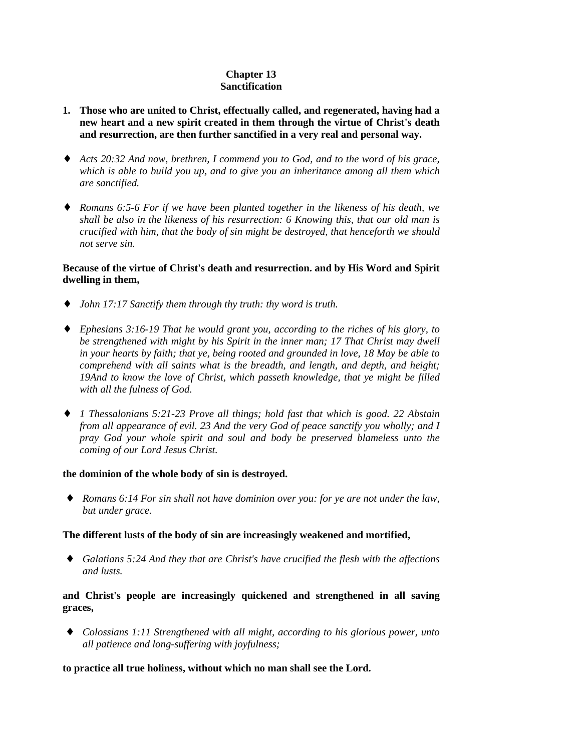# **Chapter 13 Sanctification**

- **1. Those who are united to Christ, effectually called, and regenerated, having had a new heart and a new spirit created in them through the virtue of Christ's death and resurrection, are then further sanctified in a very real and personal way.**
- ♦ *Acts 20:32 And now, brethren, I commend you to God, and to the word of his grace, which is able to build you up, and to give you an inheritance among all them which are sanctified.*
- ♦ *Romans 6:5-6 For if we have been planted together in the likeness of his death, we shall be also in the likeness of his resurrection: 6 Knowing this, that our old man is crucified with him, that the body of sin might be destroyed, that henceforth we should not serve sin.*

## **Because of the virtue of Christ's death and resurrection. and by His Word and Spirit dwelling in them,**

- ♦ *John 17:17 Sanctify them through thy truth: thy word is truth.*
- ♦ *Ephesians 3:16-19 That he would grant you, according to the riches of his glory, to be strengthened with might by his Spirit in the inner man; 17 That Christ may dwell in your hearts by faith; that ye, being rooted and grounded in love, 18 May be able to comprehend with all saints what is the breadth, and length, and depth, and height; 19And to know the love of Christ, which passeth knowledge, that ye might be filled with all the fulness of God.*
- ♦ *1 Thessalonians 5:21-23 Prove all things; hold fast that which is good. 22 Abstain from all appearance of evil. 23 And the very God of peace sanctify you wholly; and I pray God your whole spirit and soul and body be preserved blameless unto the coming of our Lord Jesus Christ.*

# **the dominion of the whole body of sin is destroyed.**

♦ *Romans 6:14 For sin shall not have dominion over you: for ye are not under the law, but under grace.*

# **The different lusts of the body of sin are increasingly weakened and mortified,**

♦ *Galatians 5:24 And they that are Christ's have crucified the flesh with the affections and lusts.*

# **and Christ's people are increasingly quickened and strengthened in all saving graces,**

♦ *Colossians 1:11 Strengthened with all might, according to his glorious power, unto all patience and long-suffering with joyfulness;*

# **to practice all true holiness, without which no man shall see the Lord.**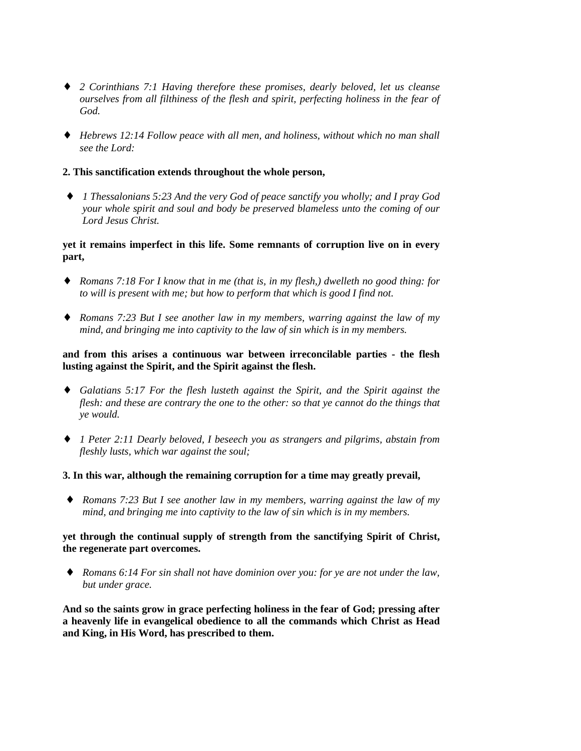- ♦ *2 Corinthians 7:1 Having therefore these promises, dearly beloved, let us cleanse ourselves from all filthiness of the flesh and spirit, perfecting holiness in the fear of God.*
- ♦ *Hebrews 12:14 Follow peace with all men, and holiness, without which no man shall see the Lord:*

## **2. This sanctification extends throughout the whole person,**

♦ *1 Thessalonians 5:23 And the very God of peace sanctify you wholly; and I pray God your whole spirit and soul and body be preserved blameless unto the coming of our Lord Jesus Christ.*

# **yet it remains imperfect in this life. Some remnants of corruption live on in every part,**

- ♦ *Romans 7:18 For I know that in me (that is, in my flesh,) dwelleth no good thing: for to will is present with me; but how to perform that which is good I find not.*
- ♦ *Romans 7:23 But I see another law in my members, warring against the law of my mind, and bringing me into captivity to the law of sin which is in my members.*

# **and from this arises a continuous war between irreconcilable parties - the flesh lusting against the Spirit, and the Spirit against the flesh.**

- ♦ *Galatians 5:17 For the flesh lusteth against the Spirit, and the Spirit against the flesh: and these are contrary the one to the other: so that ye cannot do the things that ye would.*
- ♦ *1 Peter 2:11 Dearly beloved, I beseech you as strangers and pilgrims, abstain from fleshly lusts, which war against the soul;*

#### **3. In this war, although the remaining corruption for a time may greatly prevail,**

♦ *Romans 7:23 But I see another law in my members, warring against the law of my mind, and bringing me into captivity to the law of sin which is in my members.*

# **yet through the continual supply of strength from the sanctifying Spirit of Christ, the regenerate part overcomes.**

♦ *Romans 6:14 For sin shall not have dominion over you: for ye are not under the law, but under grace.*

**And so the saints grow in grace perfecting holiness in the fear of God; pressing after a heavenly life in evangelical obedience to all the commands which Christ as Head and King, in His Word, has prescribed to them.**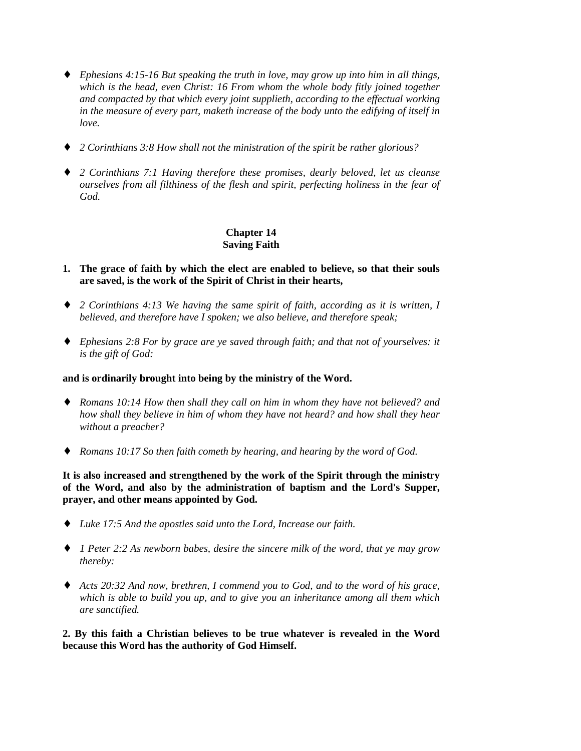- ♦ *Ephesians 4:15-16 But speaking the truth in love, may grow up into him in all things, which is the head, even Christ: 16 From whom the whole body fitly joined together and compacted by that which every joint supplieth, according to the effectual working in the measure of every part, maketh increase of the body unto the edifying of itself in love.*
- ♦ *2 Corinthians 3:8 How shall not the ministration of the spirit be rather glorious?*
- ♦ *2 Corinthians 7:1 Having therefore these promises, dearly beloved, let us cleanse ourselves from all filthiness of the flesh and spirit, perfecting holiness in the fear of God.*

# **Chapter 14 Saving Faith**

- **1. The grace of faith by which the elect are enabled to believe, so that their souls are saved, is the work of the Spirit of Christ in their hearts,**
- ♦ *2 Corinthians 4:13 We having the same spirit of faith, according as it is written, I believed, and therefore have I spoken; we also believe, and therefore speak;*
- ♦ *Ephesians 2:8 For by grace are ye saved through faith; and that not of yourselves: it is the gift of God:*

# **and is ordinarily brought into being by the ministry of the Word.**

- ♦ *Romans 10:14 How then shall they call on him in whom they have not believed? and how shall they believe in him of whom they have not heard? and how shall they hear without a preacher?*
- ♦ *Romans 10:17 So then faith cometh by hearing, and hearing by the word of God.*

**It is also increased and strengthened by the work of the Spirit through the ministry of the Word, and also by the administration of baptism and the Lord's Supper, prayer, and other means appointed by God.**

- ♦ *Luke 17:5 And the apostles said unto the Lord, Increase our faith.*
- ♦ *1 Peter 2:2 As newborn babes, desire the sincere milk of the word, that ye may grow thereby:*
- ♦ *Acts 20:32 And now, brethren, I commend you to God, and to the word of his grace, which is able to build you up, and to give you an inheritance among all them which are sanctified.*

**2. By this faith a Christian believes to be true whatever is revealed in the Word because this Word has the authority of God Himself.**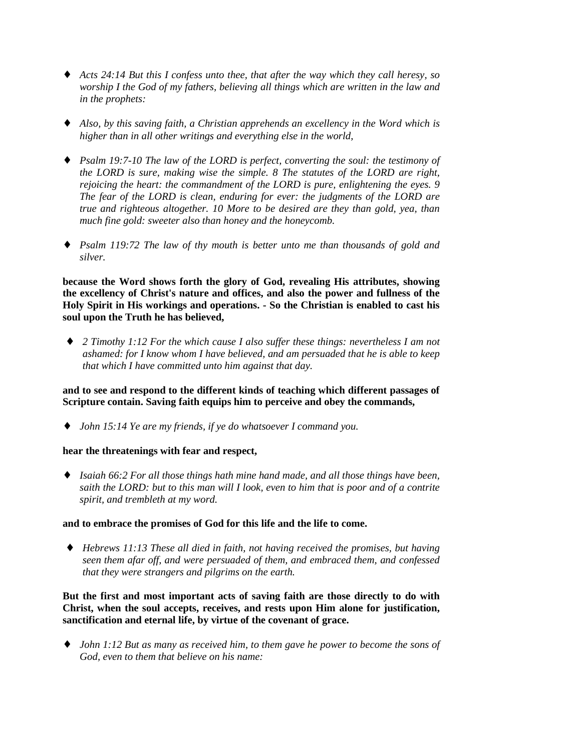- ♦ *Acts 24:14 But this I confess unto thee, that after the way which they call heresy, so worship I the God of my fathers, believing all things which are written in the law and in the prophets:*
- ♦ *Also, by this saving faith, a Christian apprehends an excellency in the Word which is higher than in all other writings and everything else in the world,*
- ♦ *Psalm 19:7-10 The law of the LORD is perfect, converting the soul: the testimony of the LORD is sure, making wise the simple. 8 The statutes of the LORD are right, rejoicing the heart: the commandment of the LORD is pure, enlightening the eyes. 9 The fear of the LORD is clean, enduring for ever: the judgments of the LORD are true and righteous altogether. 10 More to be desired are they than gold, yea, than much fine gold: sweeter also than honey and the honeycomb.*
- ♦ *Psalm 119:72 The law of thy mouth is better unto me than thousands of gold and silver.*

**because the Word shows forth the glory of God, revealing His attributes, showing the excellency of Christ's nature and offices, and also the power and fullness of the Holy Spirit in His workings and operations. - So the Christian is enabled to cast his soul upon the Truth he has believed,**

♦ *2 Timothy 1:12 For the which cause I also suffer these things: nevertheless I am not ashamed: for I know whom I have believed, and am persuaded that he is able to keep that which I have committed unto him against that day.*

**and to see and respond to the different kinds of teaching which different passages of Scripture contain. Saving faith equips him to perceive and obey the commands,**

♦ *John 15:14 Ye are my friends, if ye do whatsoever I command you.*

# **hear the threatenings with fear and respect,**

♦ *Isaiah 66:2 For all those things hath mine hand made, and all those things have been, saith the LORD: but to this man will I look, even to him that is poor and of a contrite spirit, and trembleth at my word.*

#### **and to embrace the promises of God for this life and the life to come.**

♦ *Hebrews 11:13 These all died in faith, not having received the promises, but having seen them afar off, and were persuaded of them, and embraced them, and confessed that they were strangers and pilgrims on the earth.*

**But the first and most important acts of saving faith are those directly to do with Christ, when the soul accepts, receives, and rests upon Him alone for justification, sanctification and eternal life, by virtue of the covenant of grace.**

♦ *John 1:12 But as many as received him, to them gave he power to become the sons of God, even to them that believe on his name:*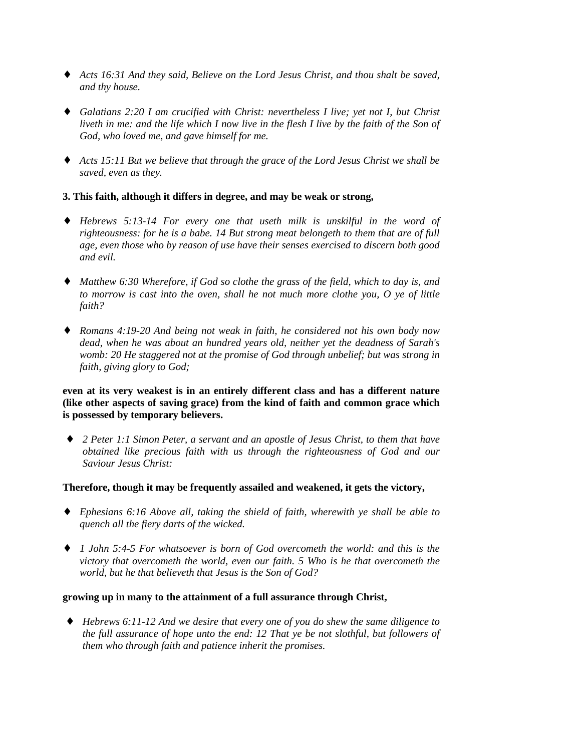- ♦ *Acts 16:31 And they said, Believe on the Lord Jesus Christ, and thou shalt be saved, and thy house.*
- ♦ *Galatians 2:20 I am crucified with Christ: nevertheless I live; yet not I, but Christ liveth in me: and the life which I now live in the flesh I live by the faith of the Son of God, who loved me, and gave himself for me.*
- ♦ *Acts 15:11 But we believe that through the grace of the Lord Jesus Christ we shall be saved, even as they.*

# **3. This faith, although it differs in degree, and may be weak or strong,**

- ♦ *Hebrews 5:13-14 For every one that useth milk is unskilful in the word of righteousness: for he is a babe. 14 But strong meat belongeth to them that are of full age, even those who by reason of use have their senses exercised to discern both good and evil.*
- ♦ *Matthew 6:30 Wherefore, if God so clothe the grass of the field, which to day is, and to morrow is cast into the oven, shall he not much more clothe you, O ye of little faith?*
- ♦ *Romans 4:19-20 And being not weak in faith, he considered not his own body now dead, when he was about an hundred years old, neither yet the deadness of Sarah's womb: 20 He staggered not at the promise of God through unbelief; but was strong in faith, giving glory to God;*

# **even at its very weakest is in an entirely different class and has a different nature (like other aspects of saving grace) from the kind of faith and common grace which is possessed by temporary believers.**

♦ *2 Peter 1:1 Simon Peter, a servant and an apostle of Jesus Christ, to them that have obtained like precious faith with us through the righteousness of God and our Saviour Jesus Christ:*

# **Therefore, though it may be frequently assailed and weakened, it gets the victory,**

- ♦ *Ephesians 6:16 Above all, taking the shield of faith, wherewith ye shall be able to quench all the fiery darts of the wicked.*
- ♦ *1 John 5:4-5 For whatsoever is born of God overcometh the world: and this is the victory that overcometh the world, even our faith. 5 Who is he that overcometh the world, but he that believeth that Jesus is the Son of God?*

# **growing up in many to the attainment of a full assurance through Christ,**

♦ *Hebrews 6:11-12 And we desire that every one of you do shew the same diligence to the full assurance of hope unto the end: 12 That ye be not slothful, but followers of them who through faith and patience inherit the promises.*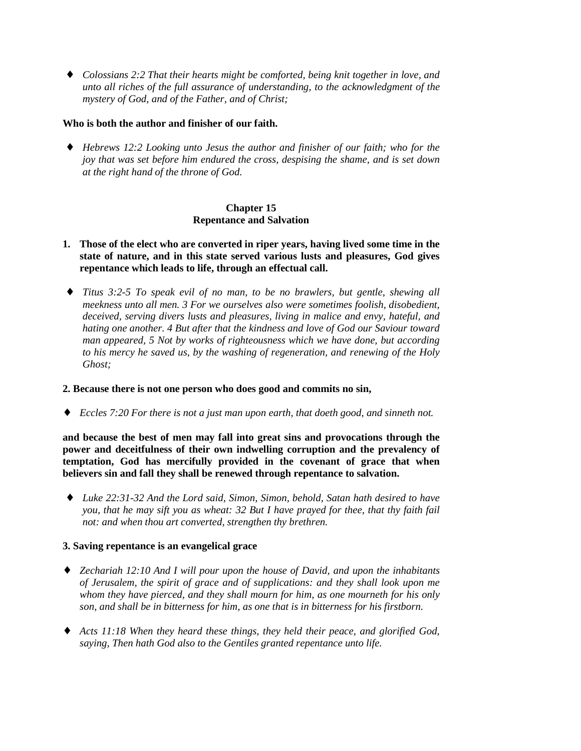♦ *Colossians 2:2 That their hearts might be comforted, being knit together in love, and unto all riches of the full assurance of understanding, to the acknowledgment of the mystery of God, and of the Father, and of Christ;*

# **Who is both the author and finisher of our faith.**

♦ *Hebrews 12:2 Looking unto Jesus the author and finisher of our faith; who for the joy that was set before him endured the cross, despising the shame, and is set down at the right hand of the throne of God.*

# **Chapter 15 Repentance and Salvation**

- **1. Those of the elect who are converted in riper years, having lived some time in the state of nature, and in this state served various lusts and pleasures, God gives repentance which leads to life, through an effectual call.**
- ♦ *Titus 3:2-5 To speak evil of no man, to be no brawlers, but gentle, shewing all meekness unto all men. 3 For we ourselves also were sometimes foolish, disobedient, deceived, serving divers lusts and pleasures, living in malice and envy, hateful, and hating one another. 4 But after that the kindness and love of God our Saviour toward man appeared, 5 Not by works of righteousness which we have done, but according to his mercy he saved us, by the washing of regeneration, and renewing of the Holy Ghost;*

#### **2. Because there is not one person who does good and commits no sin,**

♦ *Eccles 7:20 For there is not a just man upon earth, that doeth good, and sinneth not.*

**and because the best of men may fall into great sins and provocations through the power and deceitfulness of their own indwelling corruption and the prevalency of temptation, God has mercifully provided in the covenant of grace that when believers sin and fall they shall be renewed through repentance to salvation.**

♦ *Luke 22:31-32 And the Lord said, Simon, Simon, behold, Satan hath desired to have you, that he may sift you as wheat: 32 But I have prayed for thee, that thy faith fail not: and when thou art converted, strengthen thy brethren.*

#### **3. Saving repentance is an evangelical grace**

- ♦ *Zechariah 12:10 And I will pour upon the house of David, and upon the inhabitants of Jerusalem, the spirit of grace and of supplications: and they shall look upon me whom they have pierced, and they shall mourn for him, as one mourneth for his only son, and shall be in bitterness for him, as one that is in bitterness for his firstborn.*
- ♦ *Acts 11:18 When they heard these things, they held their peace, and glorified God, saying, Then hath God also to the Gentiles granted repentance unto life.*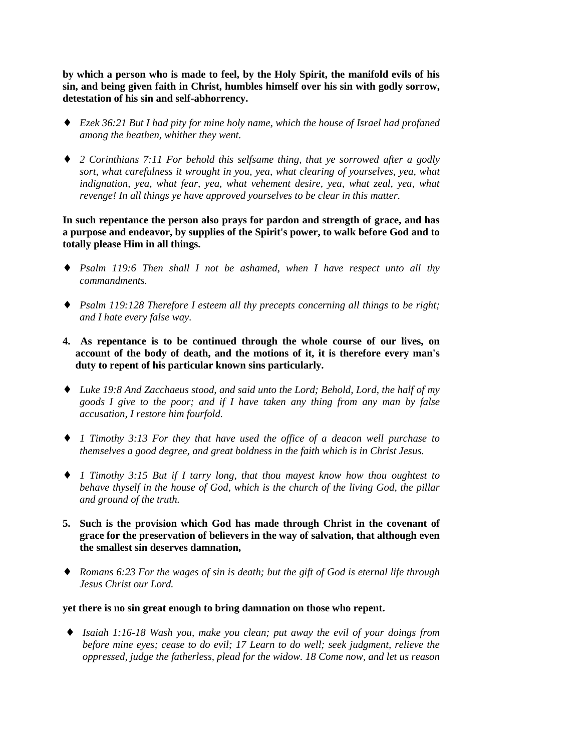**by which a person who is made to feel, by the Holy Spirit, the manifold evils of his sin, and being given faith in Christ, humbles himself over his sin with godly sorrow, detestation of his sin and self-abhorrency.**

- ♦ *Ezek 36:21 But I had pity for mine holy name, which the house of Israel had profaned among the heathen, whither they went.*
- ♦ *2 Corinthians 7:11 For behold this selfsame thing, that ye sorrowed after a godly sort, what carefulness it wrought in you, yea, what clearing of yourselves, yea, what indignation, yea, what fear, yea, what vehement desire, yea, what zeal, yea, what revenge! In all things ye have approved yourselves to be clear in this matter.*

**In such repentance the person also prays for pardon and strength of grace, and has a purpose and endeavor, by supplies of the Spirit's power, to walk before God and to totally please Him in all things.**

- ♦ *Psalm 119:6 Then shall I not be ashamed, when I have respect unto all thy commandments.*
- ♦ *Psalm 119:128 Therefore I esteem all thy precepts concerning all things to be right; and I hate every false way.*
- **4. As repentance is to be continued through the whole course of our lives, on account of the body of death, and the motions of it, it is therefore every man's duty to repent of his particular known sins particularly.**
- ♦ *Luke 19:8 And Zacchaeus stood, and said unto the Lord; Behold, Lord, the half of my goods I give to the poor; and if I have taken any thing from any man by false accusation, I restore him fourfold.*
- ♦ *1 Timothy 3:13 For they that have used the office of a deacon well purchase to themselves a good degree, and great boldness in the faith which is in Christ Jesus.*
- ♦ *1 Timothy 3:15 But if I tarry long, that thou mayest know how thou oughtest to behave thyself in the house of God, which is the church of the living God, the pillar and ground of the truth.*
- **5. Such is the provision which God has made through Christ in the covenant of grace for the preservation of believers in the way of salvation, that although even the smallest sin deserves damnation,**
- ♦ *Romans 6:23 For the wages of sin is death; but the gift of God is eternal life through Jesus Christ our Lord.*

#### **yet there is no sin great enough to bring damnation on those who repent.**

♦ *Isaiah 1:16-18 Wash you, make you clean; put away the evil of your doings from before mine eyes; cease to do evil; 17 Learn to do well; seek judgment, relieve the oppressed, judge the fatherless, plead for the widow. 18 Come now, and let us reason*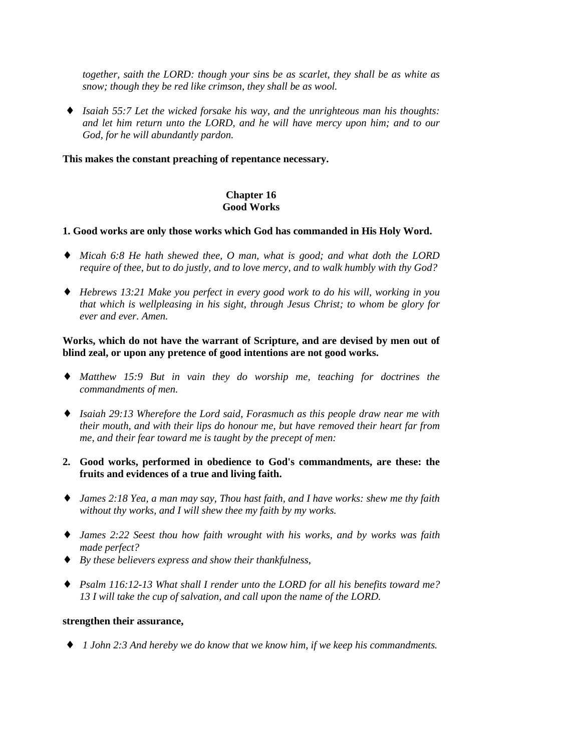*together, saith the LORD: though your sins be as scarlet, they shall be as white as snow; though they be red like crimson, they shall be as wool.*

♦ *Isaiah 55:7 Let the wicked forsake his way, and the unrighteous man his thoughts: and let him return unto the LORD, and he will have mercy upon him; and to our God, for he will abundantly pardon.*

### **This makes the constant preaching of repentance necessary.**

# **Chapter 16 Good Works**

### **1. Good works are only those works which God has commanded in His Holy Word.**

- ♦ *Micah 6:8 He hath shewed thee, O man, what is good; and what doth the LORD require of thee, but to do justly, and to love mercy, and to walk humbly with thy God?*
- ♦ *Hebrews 13:21 Make you perfect in every good work to do his will, working in you that which is wellpleasing in his sight, through Jesus Christ; to whom be glory for ever and ever. Amen.*

# **Works, which do not have the warrant of Scripture, and are devised by men out of blind zeal, or upon any pretence of good intentions are not good works.**

- ♦ *Matthew 15:9 But in vain they do worship me, teaching for doctrines the commandments of men.*
- ♦ *Isaiah 29:13 Wherefore the Lord said, Forasmuch as this people draw near me with their mouth, and with their lips do honour me, but have removed their heart far from me, and their fear toward me is taught by the precept of men:*
- **2. Good works, performed in obedience to God's commandments, are these: the fruits and evidences of a true and living faith.**
- ♦ *James 2:18 Yea, a man may say, Thou hast faith, and I have works: shew me thy faith without thy works, and I will shew thee my faith by my works.*
- ♦ *James 2:22 Seest thou how faith wrought with his works, and by works was faith made perfect?*
- ♦ *By these believers express and show their thankfulness,*
- ♦ *Psalm 116:12-13 What shall I render unto the LORD for all his benefits toward me? 13 I will take the cup of salvation, and call upon the name of the LORD.*

# **strengthen their assurance,**

♦ *1 John 2:3 And hereby we do know that we know him, if we keep his commandments.*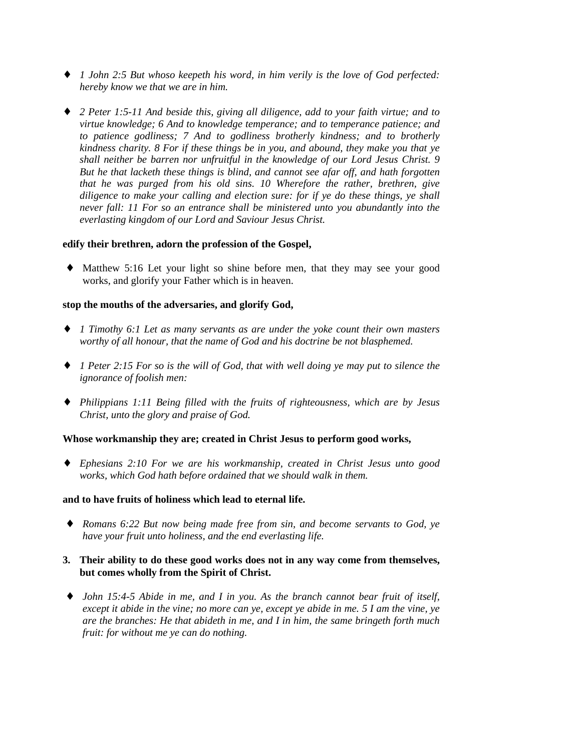- ♦ *1 John 2:5 But whoso keepeth his word, in him verily is the love of God perfected: hereby know we that we are in him.*
- ♦ *2 Peter 1:5-11 And beside this, giving all diligence, add to your faith virtue; and to virtue knowledge; 6 And to knowledge temperance; and to temperance patience; and to patience godliness; 7 And to godliness brotherly kindness; and to brotherly kindness charity. 8 For if these things be in you, and abound, they make you that ye shall neither be barren nor unfruitful in the knowledge of our Lord Jesus Christ. 9 But he that lacketh these things is blind, and cannot see afar off, and hath forgotten that he was purged from his old sins. 10 Wherefore the rather, brethren, give diligence to make your calling and election sure: for if ye do these things, ye shall never fall: 11 For so an entrance shall be ministered unto you abundantly into the everlasting kingdom of our Lord and Saviour Jesus Christ.*

### **edify their brethren, adorn the profession of the Gospel,**

♦ Matthew 5:16 Let your light so shine before men, that they may see your good works, and glorify your Father which is in heaven.

### **stop the mouths of the adversaries, and glorify God,**

- ♦ *1 Timothy 6:1 Let as many servants as are under the yoke count their own masters worthy of all honour, that the name of God and his doctrine be not blasphemed.*
- ♦ *1 Peter 2:15 For so is the will of God, that with well doing ye may put to silence the ignorance of foolish men:*
- ♦ *Philippians 1:11 Being filled with the fruits of righteousness, which are by Jesus Christ, unto the glory and praise of God.*

#### **Whose workmanship they are; created in Christ Jesus to perform good works,**

♦ *Ephesians 2:10 For we are his workmanship, created in Christ Jesus unto good works, which God hath before ordained that we should walk in them.*

#### **and to have fruits of holiness which lead to eternal life.**

♦ *Romans 6:22 But now being made free from sin, and become servants to God, ye have your fruit unto holiness, and the end everlasting life.*

# **3. Their ability to do these good works does not in any way come from themselves, but comes wholly from the Spirit of Christ.**

♦ *John 15:4-5 Abide in me, and I in you. As the branch cannot bear fruit of itself, except it abide in the vine; no more can ye, except ye abide in me. 5 I am the vine, ye are the branches: He that abideth in me, and I in him, the same bringeth forth much fruit: for without me ye can do nothing.*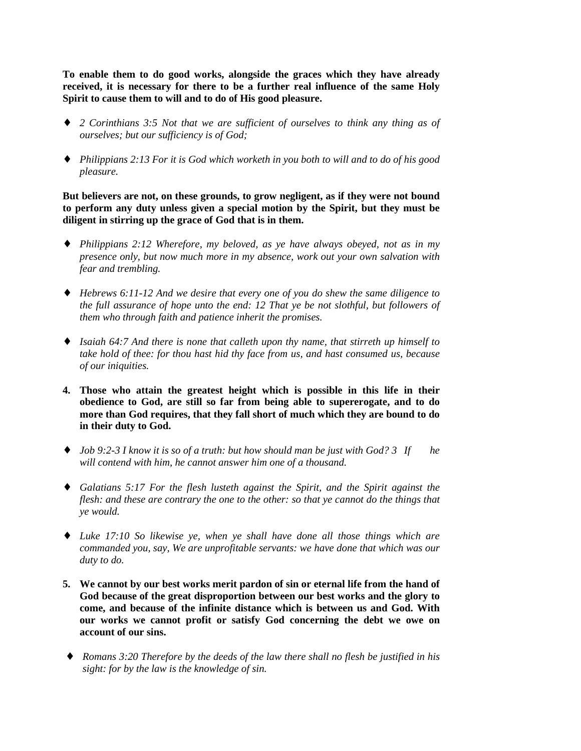**To enable them to do good works, alongside the graces which they have already received, it is necessary for there to be a further real influence of the same Holy Spirit to cause them to will and to do of His good pleasure.**

- ♦ *2 Corinthians 3:5 Not that we are sufficient of ourselves to think any thing as of ourselves; but our sufficiency is of God;*
- ♦ *Philippians 2:13 For it is God which worketh in you both to will and to do of his good pleasure.*

**But believers are not, on these grounds, to grow negligent, as if they were not bound to perform any duty unless given a special motion by the Spirit, but they must be diligent in stirring up the grace of God that is in them.**

- ♦ *Philippians 2:12 Wherefore, my beloved, as ye have always obeyed, not as in my presence only, but now much more in my absence, work out your own salvation with fear and trembling.*
- ♦ *Hebrews 6:11-12 And we desire that every one of you do shew the same diligence to the full assurance of hope unto the end: 12 That ye be not slothful, but followers of them who through faith and patience inherit the promises.*
- ♦ *Isaiah 64:7 And there is none that calleth upon thy name, that stirreth up himself to take hold of thee: for thou hast hid thy face from us, and hast consumed us, because of our iniquities.*
- **4. Those who attain the greatest height which is possible in this life in their obedience to God, are still so far from being able to supererogate, and to do more than God requires, that they fall short of much which they are bound to do in their duty to God.**
- ♦ *Job 9:2-3 I know it is so of a truth: but how should man be just with God? 3 If he will contend with him, he cannot answer him one of a thousand.*
- ♦ *Galatians 5:17 For the flesh lusteth against the Spirit, and the Spirit against the flesh: and these are contrary the one to the other: so that ye cannot do the things that ye would.*
- ♦ *Luke 17:10 So likewise ye, when ye shall have done all those things which are commanded you, say, We are unprofitable servants: we have done that which was our duty to do.*
- **5. We cannot by our best works merit pardon of sin or eternal life from the hand of God because of the great disproportion between our best works and the glory to come, and because of the infinite distance which is between us and God. With our works we cannot profit or satisfy God concerning the debt we owe on account of our sins.**
- ♦ *Romans 3:20 Therefore by the deeds of the law there shall no flesh be justified in his sight: for by the law is the knowledge of sin.*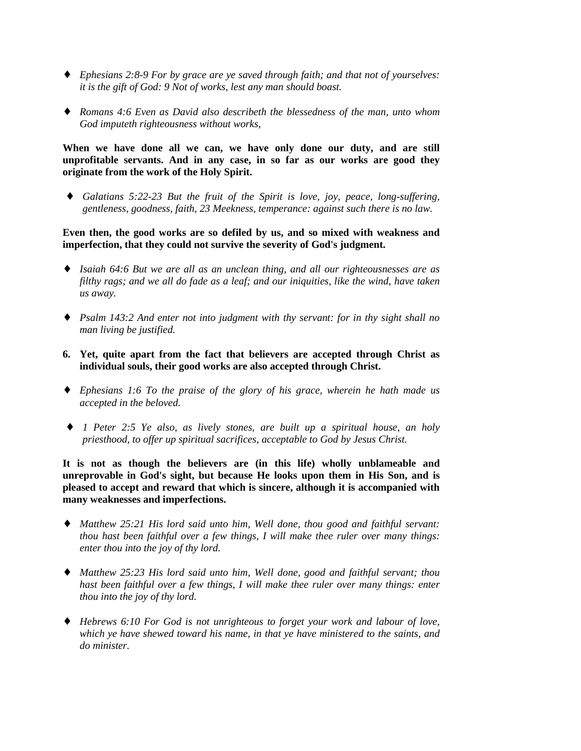- ♦ *Ephesians 2:8-9 For by grace are ye saved through faith; and that not of yourselves: it is the gift of God: 9 Not of works, lest any man should boast.*
- ♦ *Romans 4:6 Even as David also describeth the blessedness of the man, unto whom God imputeth righteousness without works,*

**When we have done all we can, we have only done our duty, and are still unprofitable servants. And in any case, in so far as our works are good they originate from the work of the Holy Spirit.**

♦ *Galatians 5:22-23 But the fruit of the Spirit is love, joy, peace, long-suffering, gentleness, goodness, faith, 23 Meekness, temperance: against such there is no law.*

**Even then, the good works are so defiled by us, and so mixed with weakness and imperfection, that they could not survive the severity of God's judgment.**

- ♦ *Isaiah 64:6 But we are all as an unclean thing, and all our righteousnesses are as filthy rags; and we all do fade as a leaf; and our iniquities, like the wind, have taken us away.*
- ♦ *Psalm 143:2 And enter not into judgment with thy servant: for in thy sight shall no man living be justified.*
- **6. Yet, quite apart from the fact that believers are accepted through Christ as individual souls, their good works are also accepted through Christ.**
- ♦ *Ephesians 1:6 To the praise of the glory of his grace, wherein he hath made us accepted in the beloved.*
- ♦ *1 Peter 2:5 Ye also, as lively stones, are built up a spiritual house, an holy priesthood, to offer up spiritual sacrifices, acceptable to God by Jesus Christ.*

**It is not as though the believers are (in this life) wholly unblameable and unreprovable in God's sight, but because He looks upon them in His Son, and is pleased to accept and reward that which is sincere, although it is accompanied with many weaknesses and imperfections.**

- ♦ *Matthew 25:21 His lord said unto him, Well done, thou good and faithful servant: thou hast been faithful over a few things, I will make thee ruler over many things: enter thou into the joy of thy lord.*
- ♦ *Matthew 25:23 His lord said unto him, Well done, good and faithful servant; thou hast been faithful over a few things, I will make thee ruler over many things: enter thou into the joy of thy lord.*
- ♦ *Hebrews 6:10 For God is not unrighteous to forget your work and labour of love, which ye have shewed toward his name, in that ye have ministered to the saints, and do minister.*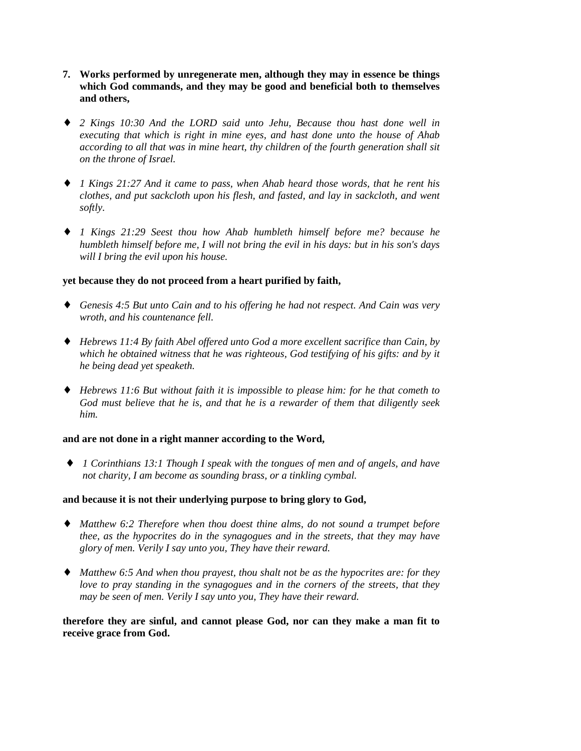- **7. Works performed by unregenerate men, although they may in essence be things which God commands, and they may be good and beneficial both to themselves and others,**
- ♦ *2 Kings 10:30 And the LORD said unto Jehu, Because thou hast done well in executing that which is right in mine eyes, and hast done unto the house of Ahab according to all that was in mine heart, thy children of the fourth generation shall sit on the throne of Israel.*
- ♦ *1 Kings 21:27 And it came to pass, when Ahab heard those words, that he rent his clothes, and put sackcloth upon his flesh, and fasted, and lay in sackcloth, and went softly.*
- ♦ *1 Kings 21:29 Seest thou how Ahab humbleth himself before me? because he humbleth himself before me, I will not bring the evil in his days: but in his son's days will I bring the evil upon his house.*

### **yet because they do not proceed from a heart purified by faith,**

- ♦ *Genesis 4:5 But unto Cain and to his offering he had not respect. And Cain was very wroth, and his countenance fell.*
- ♦ *Hebrews 11:4 By faith Abel offered unto God a more excellent sacrifice than Cain, by which he obtained witness that he was righteous, God testifying of his gifts: and by it he being dead yet speaketh.*
- ♦ *Hebrews 11:6 But without faith it is impossible to please him: for he that cometh to God must believe that he is, and that he is a rewarder of them that diligently seek him.*

#### **and are not done in a right manner according to the Word,**

♦ *1 Corinthians 13:1 Though I speak with the tongues of men and of angels, and have not charity, I am become as sounding brass, or a tinkling cymbal.*

#### **and because it is not their underlying purpose to bring glory to God,**

- ♦ *Matthew 6:2 Therefore when thou doest thine alms, do not sound a trumpet before thee, as the hypocrites do in the synagogues and in the streets, that they may have glory of men. Verily I say unto you, They have their reward.*
- ♦ *Matthew 6:5 And when thou prayest, thou shalt not be as the hypocrites are: for they love to pray standing in the synagogues and in the corners of the streets, that they may be seen of men. Verily I say unto you, They have their reward.*

**therefore they are sinful, and cannot please God, nor can they make a man fit to receive grace from God.**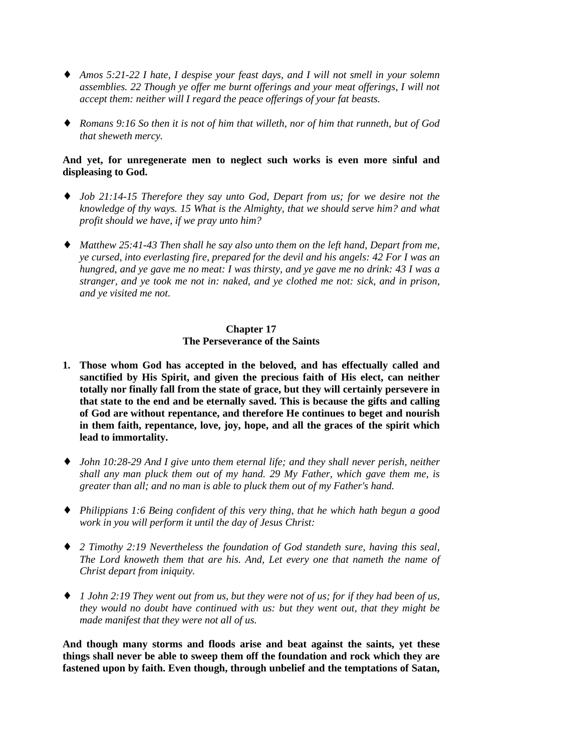- ♦ *Amos 5:21-22 I hate, I despise your feast days, and I will not smell in your solemn assemblies. 22 Though ye offer me burnt offerings and your meat offerings, I will not accept them: neither will I regard the peace offerings of your fat beasts.*
- ♦ *Romans 9:16 So then it is not of him that willeth, nor of him that runneth, but of God that sheweth mercy.*

### **And yet, for unregenerate men to neglect such works is even more sinful and displeasing to God.**

- ♦ *Job 21:14-15 Therefore they say unto God, Depart from us; for we desire not the knowledge of thy ways. 15 What is the Almighty, that we should serve him? and what profit should we have, if we pray unto him?*
- ♦ *Matthew 25:41-43 Then shall he say also unto them on the left hand, Depart from me, ye cursed, into everlasting fire, prepared for the devil and his angels: 42 For I was an hungred, and ye gave me no meat: I was thirsty, and ye gave me no drink: 43 I was a stranger, and ye took me not in: naked, and ye clothed me not: sick, and in prison, and ye visited me not.*

# **Chapter 17 The Perseverance of the Saints**

- **1. Those whom God has accepted in the beloved, and has effectually called and sanctified by His Spirit, and given the precious faith of His elect, can neither totally nor finally fall from the state of grace, but they will certainly persevere in that state to the end and be eternally saved. This is because the gifts and calling of God are without repentance, and therefore He continues to beget and nourish in them faith, repentance, love, joy, hope, and all the graces of the spirit which lead to immortality.**
- ♦ *John 10:28-29 And I give unto them eternal life; and they shall never perish, neither shall any man pluck them out of my hand. 29 My Father, which gave them me, is greater than all; and no man is able to pluck them out of my Father's hand.*
- ♦ *Philippians 1:6 Being confident of this very thing, that he which hath begun a good work in you will perform it until the day of Jesus Christ:*
- ♦ *2 Timothy 2:19 Nevertheless the foundation of God standeth sure, having this seal, The Lord knoweth them that are his. And, Let every one that nameth the name of Christ depart from iniquity.*
- ♦ *1 John 2:19 They went out from us, but they were not of us; for if they had been of us, they would no doubt have continued with us: but they went out, that they might be made manifest that they were not all of us.*

**And though many storms and floods arise and beat against the saints, yet these things shall never be able to sweep them off the foundation and rock which they are fastened upon by faith. Even though, through unbelief and the temptations of Satan,**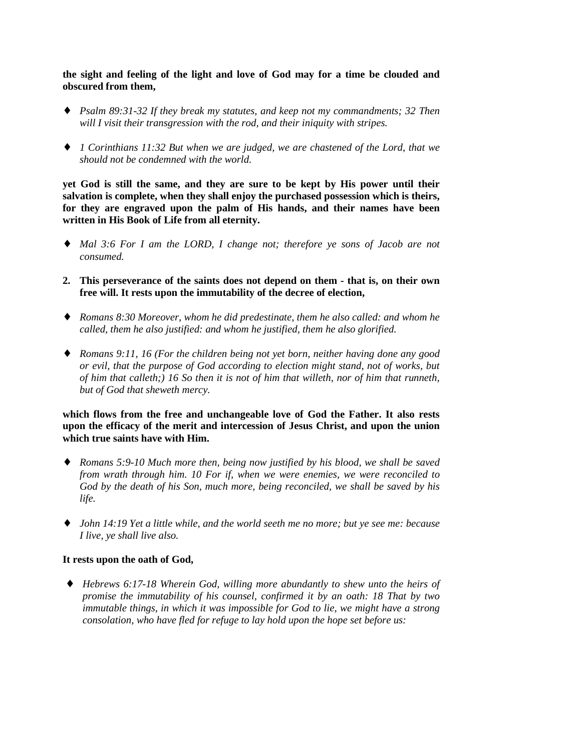**the sight and feeling of the light and love of God may for a time be clouded and obscured from them,**

- ♦ *Psalm 89:31-32 If they break my statutes, and keep not my commandments; 32 Then will I visit their transgression with the rod, and their iniquity with stripes.*
- ♦ *1 Corinthians 11:32 But when we are judged, we are chastened of the Lord, that we should not be condemned with the world.*

**yet God is still the same, and they are sure to be kept by His power until their salvation is complete, when they shall enjoy the purchased possession which is theirs, for they are engraved upon the palm of His hands, and their names have been written in His Book of Life from all eternity.**

- ♦ *Mal 3:6 For I am the LORD, I change not; therefore ye sons of Jacob are not consumed.*
- **2. This perseverance of the saints does not depend on them that is, on their own free will. It rests upon the immutability of the decree of election,**
- ♦ *Romans 8:30 Moreover, whom he did predestinate, them he also called: and whom he called, them he also justified: and whom he justified, them he also glorified.*
- ♦ *Romans 9:11, 16 (For the children being not yet born, neither having done any good or evil, that the purpose of God according to election might stand, not of works, but of him that calleth;) 16 So then it is not of him that willeth, nor of him that runneth, but of God that sheweth mercy.*

**which flows from the free and unchangeable love of God the Father. It also rests upon the efficacy of the merit and intercession of Jesus Christ, and upon the union which true saints have with Him.**

- ♦ *Romans 5:9-10 Much more then, being now justified by his blood, we shall be saved from wrath through him. 10 For if, when we were enemies, we were reconciled to God by the death of his Son, much more, being reconciled, we shall be saved by his life.*
- ♦ *John 14:19 Yet a little while, and the world seeth me no more; but ye see me: because I live, ye shall live also.*

#### **It rests upon the oath of God,**

♦ *Hebrews 6:17-18 Wherein God, willing more abundantly to shew unto the heirs of promise the immutability of his counsel, confirmed it by an oath: 18 That by two immutable things, in which it was impossible for God to lie, we might have a strong consolation, who have fled for refuge to lay hold upon the hope set before us:*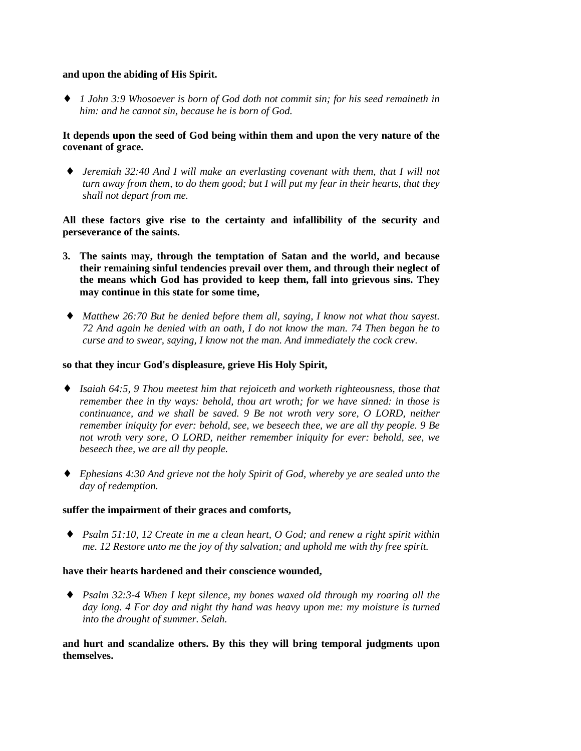#### **and upon the abiding of His Spirit.**

♦ *1 John 3:9 Whosoever is born of God doth not commit sin; for his seed remaineth in him: and he cannot sin, because he is born of God.*

# **It depends upon the seed of God being within them and upon the very nature of the covenant of grace.**

♦ *Jeremiah 32:40 And I will make an everlasting covenant with them, that I will not turn away from them, to do them good; but I will put my fear in their hearts, that they shall not depart from me.*

**All these factors give rise to the certainty and infallibility of the security and perseverance of the saints.**

- **3. The saints may, through the temptation of Satan and the world, and because their remaining sinful tendencies prevail over them, and through their neglect of the means which God has provided to keep them, fall into grievous sins. They may continue in this state for some time,**
- ♦ *Matthew 26:70 But he denied before them all, saying, I know not what thou sayest. 72 And again he denied with an oath, I do not know the man. 74 Then began he to curse and to swear, saying, I know not the man. And immediately the cock crew.*

### **so that they incur God's displeasure, grieve His Holy Spirit,**

- ♦ *Isaiah 64:5, 9 Thou meetest him that rejoiceth and worketh righteousness, those that remember thee in thy ways: behold, thou art wroth; for we have sinned: in those is continuance, and we shall be saved. 9 Be not wroth very sore, O LORD, neither remember iniquity for ever: behold, see, we beseech thee, we are all thy people. 9 Be not wroth very sore, O LORD, neither remember iniquity for ever: behold, see, we beseech thee, we are all thy people.*
- ♦ *Ephesians 4:30 And grieve not the holy Spirit of God, whereby ye are sealed unto the day of redemption.*

#### **suffer the impairment of their graces and comforts,**

♦ *Psalm 51:10, 12 Create in me a clean heart, O God; and renew a right spirit within me. 12 Restore unto me the joy of thy salvation; and uphold me with thy free spirit.*

#### **have their hearts hardened and their conscience wounded,**

♦ *Psalm 32:3-4 When I kept silence, my bones waxed old through my roaring all the day long. 4 For day and night thy hand was heavy upon me: my moisture is turned into the drought of summer. Selah.*

**and hurt and scandalize others. By this they will bring temporal judgments upon themselves.**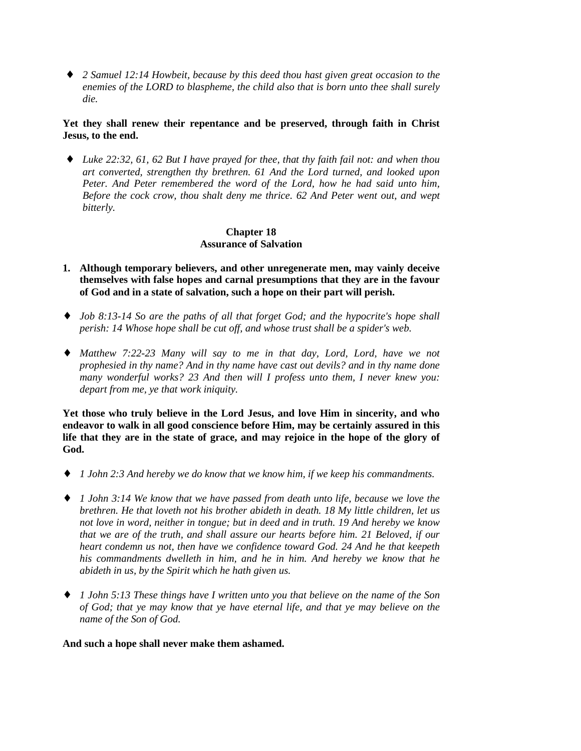♦ *2 Samuel 12:14 Howbeit, because by this deed thou hast given great occasion to the enemies of the LORD to blaspheme, the child also that is born unto thee shall surely die.*

# **Yet they shall renew their repentance and be preserved, through faith in Christ Jesus, to the end.**

♦ *Luke 22:32, 61, 62 But I have prayed for thee, that thy faith fail not: and when thou art converted, strengthen thy brethren. 61 And the Lord turned, and looked upon Peter. And Peter remembered the word of the Lord, how he had said unto him, Before the cock crow, thou shalt deny me thrice. 62 And Peter went out, and wept bitterly.*

# **Chapter 18 Assurance of Salvation**

- **1. Although temporary believers, and other unregenerate men, may vainly deceive themselves with false hopes and carnal presumptions that they are in the favour of God and in a state of salvation, such a hope on their part will perish.**
- ♦ *Job 8:13-14 So are the paths of all that forget God; and the hypocrite's hope shall perish: 14 Whose hope shall be cut off, and whose trust shall be a spider's web.*
- ♦ *Matthew 7:22-23 Many will say to me in that day, Lord, Lord, have we not prophesied in thy name? And in thy name have cast out devils? and in thy name done many wonderful works? 23 And then will I profess unto them, I never knew you: depart from me, ye that work iniquity.*

**Yet those who truly believe in the Lord Jesus, and love Him in sincerity, and who endeavor to walk in all good conscience before Him, may be certainly assured in this life that they are in the state of grace, and may rejoice in the hope of the glory of God.**

- ♦ *1 John 2:3 And hereby we do know that we know him, if we keep his commandments.*
- ♦ *1 John 3:14 We know that we have passed from death unto life, because we love the brethren. He that loveth not his brother abideth in death. 18 My little children, let us not love in word, neither in tongue; but in deed and in truth. 19 And hereby we know that we are of the truth, and shall assure our hearts before him. 21 Beloved, if our heart condemn us not, then have we confidence toward God. 24 And he that keepeth his commandments dwelleth in him, and he in him. And hereby we know that he abideth in us, by the Spirit which he hath given us.*
- ♦ *1 John 5:13 These things have I written unto you that believe on the name of the Son of God; that ye may know that ye have eternal life, and that ye may believe on the name of the Son of God.*

#### **And such a hope shall never make them ashamed.**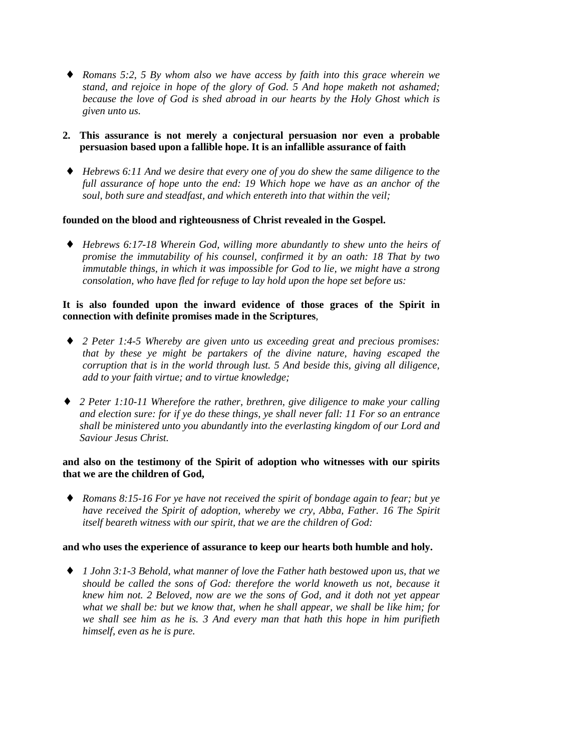- ♦ *Romans 5:2, 5 By whom also we have access by faith into this grace wherein we stand, and rejoice in hope of the glory of God. 5 And hope maketh not ashamed; because the love of God is shed abroad in our hearts by the Holy Ghost which is given unto us.*
- **2. This assurance is not merely a conjectural persuasion nor even a probable persuasion based upon a fallible hope. It is an infallible assurance of faith**
- ♦ *Hebrews 6:11 And we desire that every one of you do shew the same diligence to the full assurance of hope unto the end: 19 Which hope we have as an anchor of the soul, both sure and steadfast, and which entereth into that within the veil;*

### **founded on the blood and righteousness of Christ revealed in the Gospel.**

♦ *Hebrews 6:17-18 Wherein God, willing more abundantly to shew unto the heirs of promise the immutability of his counsel, confirmed it by an oath: 18 That by two immutable things, in which it was impossible for God to lie, we might have a strong consolation, who have fled for refuge to lay hold upon the hope set before us:*

## **It is also founded upon the inward evidence of those graces of the Spirit in connection with definite promises made in the Scriptures**,

- ♦ *2 Peter 1:4-5 Whereby are given unto us exceeding great and precious promises: that by these ye might be partakers of the divine nature, having escaped the corruption that is in the world through lust. 5 And beside this, giving all diligence, add to your faith virtue; and to virtue knowledge;*
- ♦ *2 Peter 1:10-11 Wherefore the rather, brethren, give diligence to make your calling and election sure: for if ye do these things, ye shall never fall: 11 For so an entrance shall be ministered unto you abundantly into the everlasting kingdom of our Lord and Saviour Jesus Christ.*

# **and also on the testimony of the Spirit of adoption who witnesses with our spirits that we are the children of God,**

♦ *Romans 8:15-16 For ye have not received the spirit of bondage again to fear; but ye have received the Spirit of adoption, whereby we cry, Abba, Father. 16 The Spirit itself beareth witness with our spirit, that we are the children of God:*

#### **and who uses the experience of assurance to keep our hearts both humble and holy.**

♦ *1 John 3:1-3 Behold, what manner of love the Father hath bestowed upon us, that we should be called the sons of God: therefore the world knoweth us not, because it knew him not. 2 Beloved, now are we the sons of God, and it doth not yet appear what we shall be: but we know that, when he shall appear, we shall be like him; for we shall see him as he is. 3 And every man that hath this hope in him purifieth himself, even as he is pure.*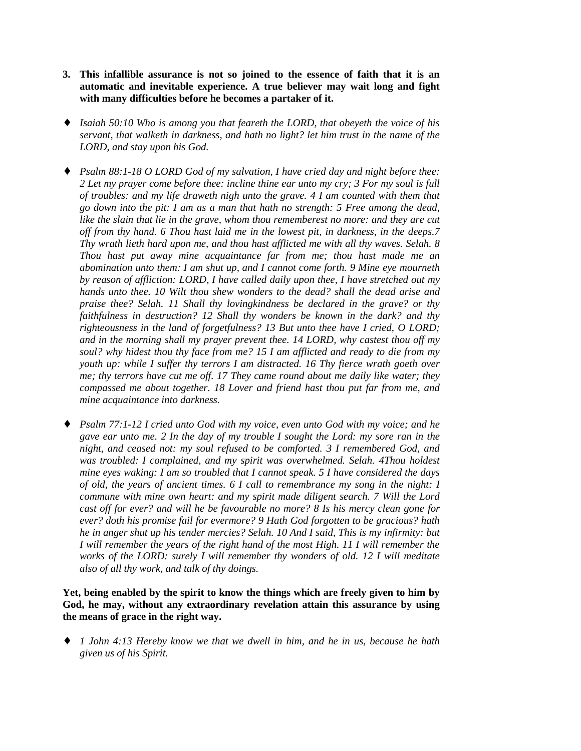- **3. This infallible assurance is not so joined to the essence of faith that it is an automatic and inevitable experience. A true believer may wait long and fight with many difficulties before he becomes a partaker of it.**
- ♦ *Isaiah 50:10 Who is among you that feareth the LORD, that obeyeth the voice of his servant, that walketh in darkness, and hath no light? let him trust in the name of the LORD, and stay upon his God.*
- ♦ *Psalm 88:1-18 O LORD God of my salvation, I have cried day and night before thee: 2 Let my prayer come before thee: incline thine ear unto my cry; 3 For my soul is full of troubles: and my life draweth nigh unto the grave. 4 I am counted with them that go down into the pit: I am as a man that hath no strength: 5 Free among the dead, like the slain that lie in the grave, whom thou rememberest no more: and they are cut off from thy hand. 6 Thou hast laid me in the lowest pit, in darkness, in the deeps.7 Thy wrath lieth hard upon me, and thou hast afflicted me with all thy waves. Selah. 8 Thou hast put away mine acquaintance far from me; thou hast made me an abomination unto them: I am shut up, and I cannot come forth. 9 Mine eye mourneth by reason of affliction: LORD, I have called daily upon thee, I have stretched out my hands unto thee. 10 Wilt thou shew wonders to the dead? shall the dead arise and praise thee? Selah. 11 Shall thy lovingkindness be declared in the grave? or thy faithfulness in destruction? 12 Shall thy wonders be known in the dark? and thy righteousness in the land of forgetfulness? 13 But unto thee have I cried, O LORD; and in the morning shall my prayer prevent thee. 14 LORD, why castest thou off my soul? why hidest thou thy face from me? 15 I am afflicted and ready to die from my youth up: while I suffer thy terrors I am distracted. 16 Thy fierce wrath goeth over me; thy terrors have cut me off. 17 They came round about me daily like water; they compassed me about together. 18 Lover and friend hast thou put far from me, and mine acquaintance into darkness.*
- ♦ *Psalm 77:1-12 I cried unto God with my voice, even unto God with my voice; and he gave ear unto me. 2 In the day of my trouble I sought the Lord: my sore ran in the night, and ceased not: my soul refused to be comforted. 3 I remembered God, and was troubled: I complained, and my spirit was overwhelmed. Selah. 4Thou holdest mine eyes waking: I am so troubled that I cannot speak. 5 I have considered the days of old, the years of ancient times. 6 I call to remembrance my song in the night: I commune with mine own heart: and my spirit made diligent search. 7 Will the Lord cast off for ever? and will he be favourable no more? 8 Is his mercy clean gone for ever? doth his promise fail for evermore? 9 Hath God forgotten to be gracious? hath he in anger shut up his tender mercies? Selah. 10 And I said, This is my infirmity: but I will remember the years of the right hand of the most High. 11 I will remember the works of the LORD: surely I will remember thy wonders of old. 12 I will meditate also of all thy work, and talk of thy doings.*

**Yet, being enabled by the spirit to know the things which are freely given to him by God, he may, without any extraordinary revelation attain this assurance by using the means of grace in the right way.**

♦ *1 John 4:13 Hereby know we that we dwell in him, and he in us, because he hath given us of his Spirit.*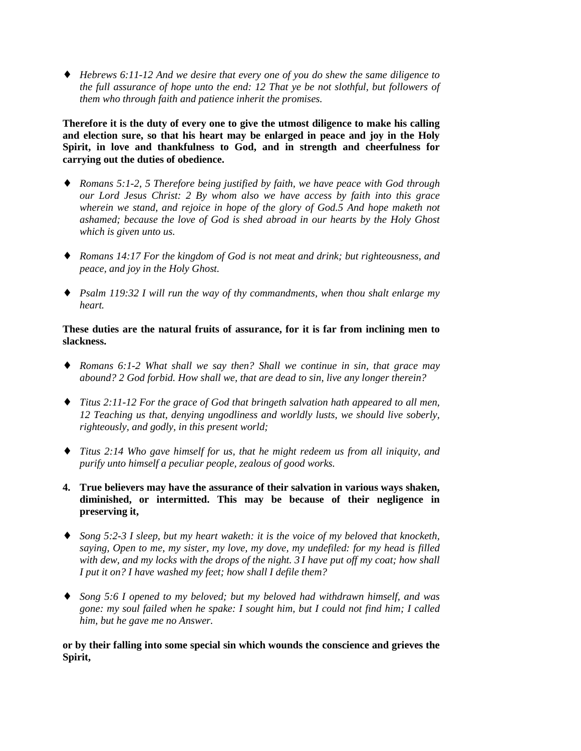♦ *Hebrews 6:11-12 And we desire that every one of you do shew the same diligence to the full assurance of hope unto the end: 12 That ye be not slothful, but followers of them who through faith and patience inherit the promises.*

**Therefore it is the duty of every one to give the utmost diligence to make his calling and election sure, so that his heart may be enlarged in peace and joy in the Holy Spirit, in love and thankfulness to God, and in strength and cheerfulness for carrying out the duties of obedience.**

- ♦ *Romans 5:1-2, 5 Therefore being justified by faith, we have peace with God through our Lord Jesus Christ: 2 By whom also we have access by faith into this grace wherein we stand, and rejoice in hope of the glory of God.5 And hope maketh not ashamed; because the love of God is shed abroad in our hearts by the Holy Ghost which is given unto us.*
- ♦ *Romans 14:17 For the kingdom of God is not meat and drink; but righteousness, and peace, and joy in the Holy Ghost.*
- ♦ *Psalm 119:32 I will run the way of thy commandments, when thou shalt enlarge my heart.*

# **These duties are the natural fruits of assurance, for it is far from inclining men to slackness.**

- ♦ *Romans 6:1-2 What shall we say then? Shall we continue in sin, that grace may abound? 2 God forbid. How shall we, that are dead to sin, live any longer therein?*
- ♦ *Titus 2:11-12 For the grace of God that bringeth salvation hath appeared to all men, 12 Teaching us that, denying ungodliness and worldly lusts, we should live soberly, righteously, and godly, in this present world;*
- ♦ *Titus 2:14 Who gave himself for us, that he might redeem us from all iniquity, and purify unto himself a peculiar people, zealous of good works.*
- **4. True believers may have the assurance of their salvation in various ways shaken, diminished, or intermitted. This may be because of their negligence in preserving it,**
- ♦ *Song 5:2-3 I sleep, but my heart waketh: it is the voice of my beloved that knocketh, saying, Open to me, my sister, my love, my dove, my undefiled: for my head is filled with dew, and my locks with the drops of the night. 3 I have put off my coat; how shall I put it on? I have washed my feet; how shall I defile them?*
- ♦ *Song 5:6 I opened to my beloved; but my beloved had withdrawn himself, and was gone: my soul failed when he spake: I sought him, but I could not find him; I called him, but he gave me no Answer.*

**or by their falling into some special sin which wounds the conscience and grieves the Spirit,**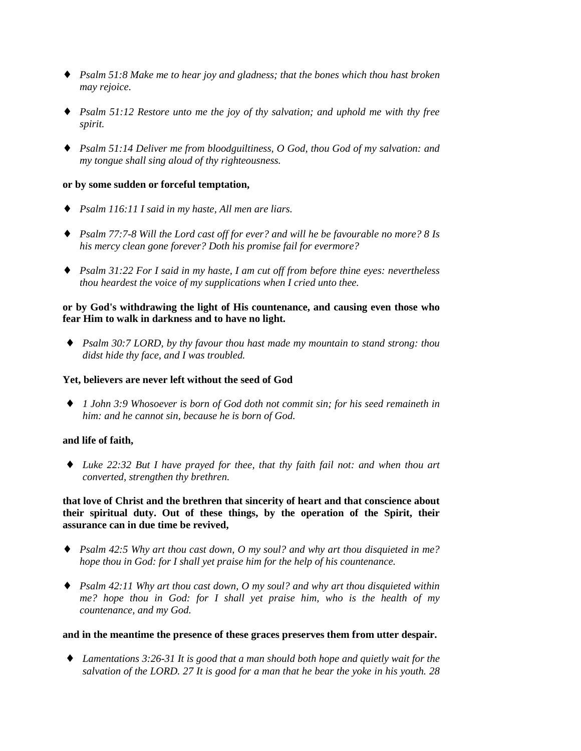- ♦ *Psalm 51:8 Make me to hear joy and gladness; that the bones which thou hast broken may rejoice.*
- ♦ *Psalm 51:12 Restore unto me the joy of thy salvation; and uphold me with thy free spirit.*
- ♦ *Psalm 51:14 Deliver me from bloodguiltiness, O God, thou God of my salvation: and my tongue shall sing aloud of thy righteousness.*

#### **or by some sudden or forceful temptation,**

- ♦ *Psalm 116:11 I said in my haste, All men are liars.*
- ♦ *Psalm 77:7-8 Will the Lord cast off for ever? and will he be favourable no more? 8 Is his mercy clean gone forever? Doth his promise fail for evermore?*
- ♦ *Psalm 31:22 For I said in my haste, I am cut off from before thine eyes: nevertheless thou heardest the voice of my supplications when I cried unto thee.*

## **or by God's withdrawing the light of His countenance, and causing even those who fear Him to walk in darkness and to have no light.**

♦ *Psalm 30:7 LORD, by thy favour thou hast made my mountain to stand strong: thou didst hide thy face, and I was troubled.*

#### **Yet, believers are never left without the seed of God**

♦ *1 John 3:9 Whosoever is born of God doth not commit sin; for his seed remaineth in him: and he cannot sin, because he is born of God.*

#### **and life of faith,**

♦ *Luke 22:32 But I have prayed for thee, that thy faith fail not: and when thou art converted, strengthen thy brethren.*

# **that love of Christ and the brethren that sincerity of heart and that conscience about their spiritual duty. Out of these things, by the operation of the Spirit, their assurance can in due time be revived,**

- ♦ *Psalm 42:5 Why art thou cast down, O my soul? and why art thou disquieted in me? hope thou in God: for I shall yet praise him for the help of his countenance.*
- ♦ *Psalm 42:11 Why art thou cast down, O my soul? and why art thou disquieted within me? hope thou in God: for I shall yet praise him, who is the health of my countenance, and my God.*

#### **and in the meantime the presence of these graces preserves them from utter despair.**

♦ *Lamentations 3:26-31 It is good that a man should both hope and quietly wait for the salvation of the LORD. 27 It is good for a man that he bear the yoke in his youth. 28*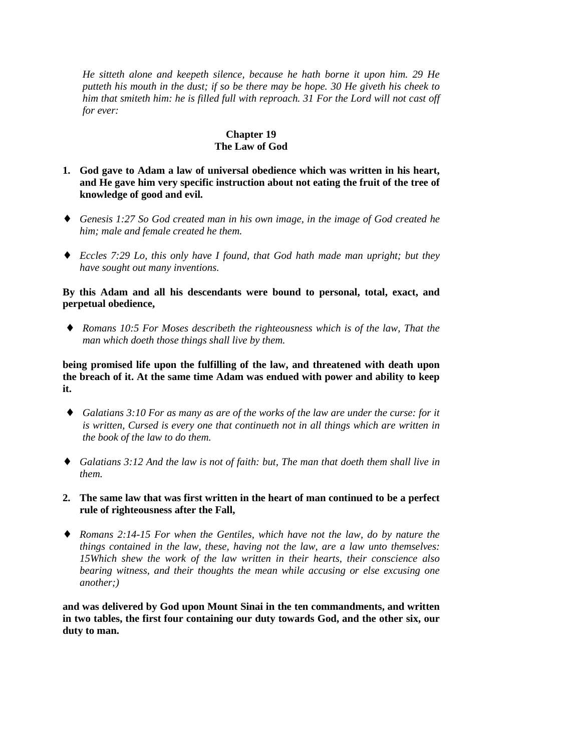*He sitteth alone and keepeth silence, because he hath borne it upon him. 29 He putteth his mouth in the dust; if so be there may be hope. 30 He giveth his cheek to him that smiteth him: he is filled full with reproach. 31 For the Lord will not cast off for ever:*

## **Chapter 19 The Law of God**

- **1. God gave to Adam a law of universal obedience which was written in his heart, and He gave him very specific instruction about not eating the fruit of the tree of knowledge of good and evil.**
- ♦ *Genesis 1:27 So God created man in his own image, in the image of God created he him; male and female created he them.*
- ♦ *Eccles 7:29 Lo, this only have I found, that God hath made man upright; but they have sought out many inventions.*

## **By this Adam and all his descendants were bound to personal, total, exact, and perpetual obedience,**

♦ *Romans 10:5 For Moses describeth the righteousness which is of the law, That the man which doeth those things shall live by them.*

**being promised life upon the fulfilling of the law, and threatened with death upon the breach of it. At the same time Adam was endued with power and ability to keep it.**

- ♦ *Galatians 3:10 For as many as are of the works of the law are under the curse: for it is written, Cursed is every one that continueth not in all things which are written in the book of the law to do them.*
- ♦ *Galatians 3:12 And the law is not of faith: but, The man that doeth them shall live in them.*
- **2. The same law that was first written in the heart of man continued to be a perfect rule of righteousness after the Fall,**
- ♦ *Romans 2:14-15 For when the Gentiles, which have not the law, do by nature the things contained in the law, these, having not the law, are a law unto themselves: 15Which shew the work of the law written in their hearts, their conscience also bearing witness, and their thoughts the mean while accusing or else excusing one another;)*

**and was delivered by God upon Mount Sinai in the ten commandments, and written in two tables, the first four containing our duty towards God, and the other six, our duty to man.**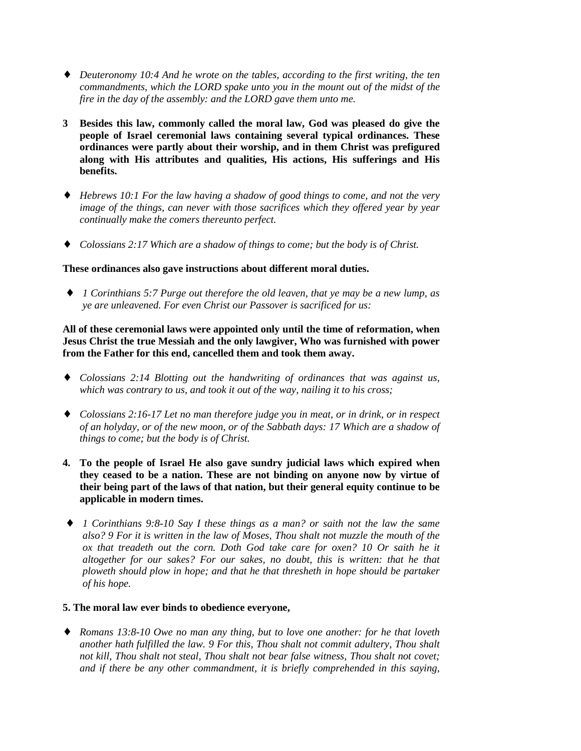- ♦ *Deuteronomy 10:4 And he wrote on the tables, according to the first writing, the ten commandments, which the LORD spake unto you in the mount out of the midst of the fire in the day of the assembly: and the LORD gave them unto me.*
- **3 Besides this law, commonly called the moral law, God was pleased do give the people of Israel ceremonial laws containing several typical ordinances. These ordinances were partly about their worship, and in them Christ was prefigured along with His attributes and qualities, His actions, His sufferings and His benefits.**
- ♦ *Hebrews 10:1 For the law having a shadow of good things to come, and not the very image of the things, can never with those sacrifices which they offered year by year continually make the comers thereunto perfect.*
- ♦ *Colossians 2:17 Which are a shadow of things to come; but the body is of Christ.*

#### **These ordinances also gave instructions about different moral duties.**

♦ *1 Corinthians 5:7 Purge out therefore the old leaven, that ye may be a new lump, as ye are unleavened. For even Christ our Passover is sacrificed for us:*

**All of these ceremonial laws were appointed only until the time of reformation, when Jesus Christ the true Messiah and the only lawgiver, Who was furnished with power from the Father for this end, cancelled them and took them away.**

- ♦ *Colossians 2:14 Blotting out the handwriting of ordinances that was against us, which was contrary to us, and took it out of the way, nailing it to his cross;*
- ♦ *Colossians 2:16-17 Let no man therefore judge you in meat, or in drink, or in respect of an holyday, or of the new moon, or of the Sabbath days: 17 Which are a shadow of things to come; but the body is of Christ.*
- **4. To the people of Israel He also gave sundry judicial laws which expired when they ceased to be a nation. These are not binding on anyone now by virtue of their being part of the laws of that nation, but their general equity continue to be applicable in modern times.**
- ♦ *1 Corinthians 9:8-10 Say I these things as a man? or saith not the law the same also? 9 For it is written in the law of Moses, Thou shalt not muzzle the mouth of the ox that treadeth out the corn. Doth God take care for oxen? 10 Or saith he it altogether for our sakes? For our sakes, no doubt, this is written: that he that ploweth should plow in hope; and that he that thresheth in hope should be partaker of his hope.*
- **5. The moral law ever binds to obedience everyone,**
- ♦ *Romans 13:8-10 Owe no man any thing, but to love one another: for he that loveth another hath fulfilled the law. 9 For this, Thou shalt not commit adultery, Thou shalt not kill, Thou shalt not steal, Thou shalt not bear false witness, Thou shalt not covet; and if there be any other commandment, it is briefly comprehended in this saying,*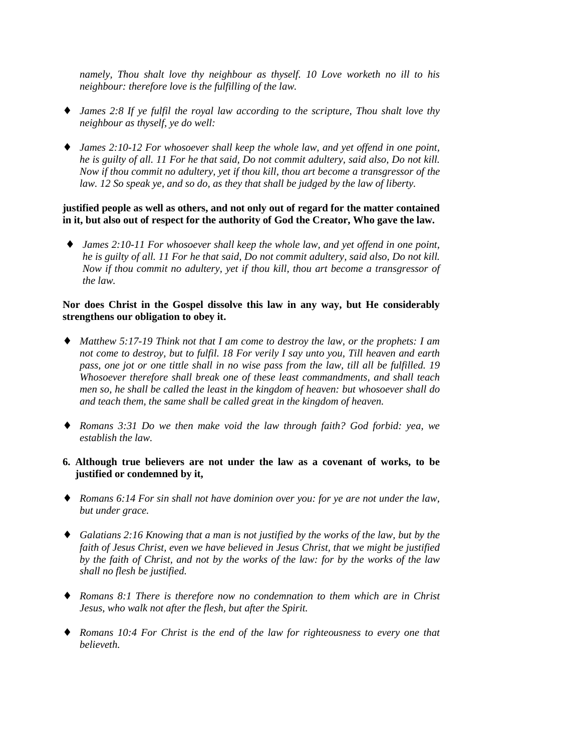*namely, Thou shalt love thy neighbour as thyself. 10 Love worketh no ill to his neighbour: therefore love is the fulfilling of the law.*

- ♦ *James 2:8 If ye fulfil the royal law according to the scripture, Thou shalt love thy neighbour as thyself, ye do well:*
- ♦ *James 2:10-12 For whosoever shall keep the whole law, and yet offend in one point, he is guilty of all. 11 For he that said, Do not commit adultery, said also, Do not kill. Now if thou commit no adultery, yet if thou kill, thou art become a transgressor of the law. 12 So speak ye, and so do, as they that shall be judged by the law of liberty.*

#### **justified people as well as others, and not only out of regard for the matter contained in it, but also out of respect for the authority of God the Creator, Who gave the law.**

♦ *James 2:10-11 For whosoever shall keep the whole law, and yet offend in one point, he is guilty of all. 11 For he that said, Do not commit adultery, said also, Do not kill. Now if thou commit no adultery, yet if thou kill, thou art become a transgressor of the law.*

## **Nor does Christ in the Gospel dissolve this law in any way, but He considerably strengthens our obligation to obey it.**

- ♦ *Matthew 5:17-19 Think not that I am come to destroy the law, or the prophets: I am not come to destroy, but to fulfil. 18 For verily I say unto you, Till heaven and earth pass, one jot or one tittle shall in no wise pass from the law, till all be fulfilled. 19 Whosoever therefore shall break one of these least commandments, and shall teach men so, he shall be called the least in the kingdom of heaven: but whosoever shall do and teach them, the same shall be called great in the kingdom of heaven.*
- ♦ *Romans 3:31 Do we then make void the law through faith? God forbid: yea, we establish the law.*
- **6. Although true believers are not under the law as a covenant of works, to be justified or condemned by it,**
- ♦ *Romans 6:14 For sin shall not have dominion over you: for ye are not under the law, but under grace.*
- ♦ *Galatians 2:16 Knowing that a man is not justified by the works of the law, but by the faith of Jesus Christ, even we have believed in Jesus Christ, that we might be justified by the faith of Christ, and not by the works of the law: for by the works of the law shall no flesh be justified.*
- ♦ *Romans 8:1 There is therefore now no condemnation to them which are in Christ Jesus, who walk not after the flesh, but after the Spirit.*
- ♦ *Romans 10:4 For Christ is the end of the law for righteousness to every one that believeth.*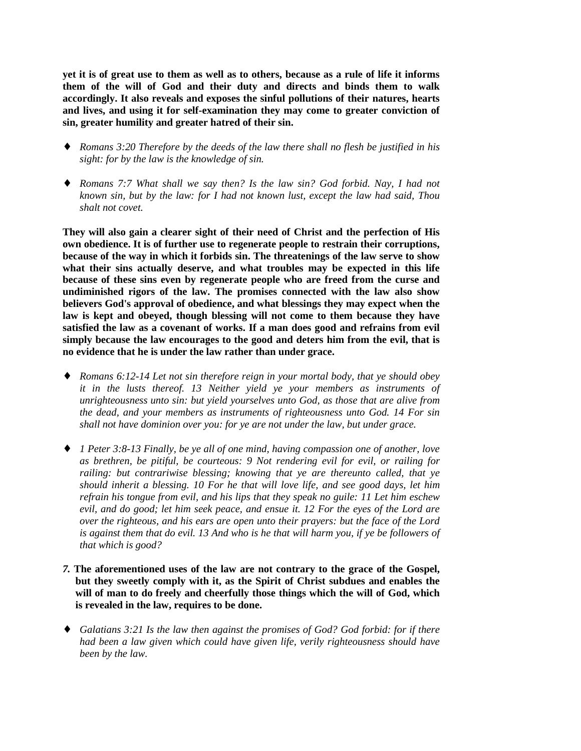**yet it is of great use to them as well as to others, because as a rule of life it informs them of the will of God and their duty and directs and binds them to walk accordingly. It also reveals and exposes the sinful pollutions of their natures, hearts and lives, and using it for self-examination they may come to greater conviction of sin, greater humility and greater hatred of their sin.**

- ♦ *Romans 3:20 Therefore by the deeds of the law there shall no flesh be justified in his sight: for by the law is the knowledge of sin.*
- ♦ *Romans 7:7 What shall we say then? Is the law sin? God forbid. Nay, I had not known sin, but by the law: for I had not known lust, except the law had said, Thou shalt not covet.*

**They will also gain a clearer sight of their need of Christ and the perfection of His own obedience. It is of further use to regenerate people to restrain their corruptions, because of the way in which it forbids sin. The threatenings of the law serve to show what their sins actually deserve, and what troubles may be expected in this life because of these sins even by regenerate people who are freed from the curse and undiminished rigors of the law. The promises connected with the law also show believers God's approval of obedience, and what blessings they may expect when the law is kept and obeyed, though blessing will not come to them because they have satisfied the law as a covenant of works. If a man does good and refrains from evil simply because the law encourages to the good and deters him from the evil, that is no evidence that he is under the law rather than under grace.**

- ♦ *Romans 6:12-14 Let not sin therefore reign in your mortal body, that ye should obey it in the lusts thereof. 13 Neither yield ye your members as instruments of unrighteousness unto sin: but yield yourselves unto God, as those that are alive from the dead, and your members as instruments of righteousness unto God. 14 For sin shall not have dominion over you: for ye are not under the law, but under grace.*
- ♦ *1 Peter 3:8-13 Finally, be ye all of one mind, having compassion one of another, love as brethren, be pitiful, be courteous: 9 Not rendering evil for evil, or railing for railing: but contrariwise blessing; knowing that ye are thereunto called, that ye should inherit a blessing. 10 For he that will love life, and see good days, let him refrain his tongue from evil, and his lips that they speak no guile: 11 Let him eschew evil, and do good; let him seek peace, and ensue it. 12 For the eyes of the Lord are over the righteous, and his ears are open unto their prayers: but the face of the Lord is against them that do evil. 13 And who is he that will harm you, if ye be followers of that which is good?*
- *7.* **The aforementioned uses of the law are not contrary to the grace of the Gospel, but they sweetly comply with it, as the Spirit of Christ subdues and enables the will of man to do freely and cheerfully those things which the will of God, which is revealed in the law, requires to be done.**
- ♦ *Galatians 3:21 Is the law then against the promises of God? God forbid: for if there had been a law given which could have given life, verily righteousness should have been by the law.*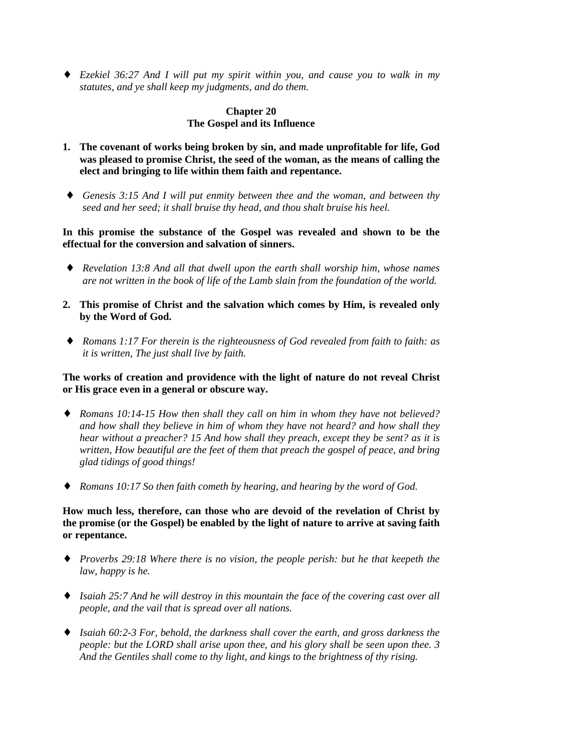♦ *Ezekiel 36:27 And I will put my spirit within you, and cause you to walk in my statutes, and ye shall keep my judgments, and do them.*

# **Chapter 20 The Gospel and its Influence**

- **1. The covenant of works being broken by sin, and made unprofitable for life, God was pleased to promise Christ, the seed of the woman, as the means of calling the elect and bringing to life within them faith and repentance.**
- ♦ *Genesis 3:15 And I will put enmity between thee and the woman, and between thy seed and her seed; it shall bruise thy head, and thou shalt bruise his heel.*

**In this promise the substance of the Gospel was revealed and shown to be the effectual for the conversion and salvation of sinners.**

- ♦ *Revelation 13:8 And all that dwell upon the earth shall worship him, whose names are not written in the book of life of the Lamb slain from the foundation of the world.*
- **2. This promise of Christ and the salvation which comes by Him, is revealed only by the Word of God.**
- ♦ *Romans 1:17 For therein is the righteousness of God revealed from faith to faith: as it is written, The just shall live by faith.*

**The works of creation and providence with the light of nature do not reveal Christ or His grace even in a general or obscure way.**

- ♦ *Romans 10:14-15 How then shall they call on him in whom they have not believed? and how shall they believe in him of whom they have not heard? and how shall they hear without a preacher? 15 And how shall they preach, except they be sent? as it is written, How beautiful are the feet of them that preach the gospel of peace, and bring glad tidings of good things!*
- ♦ *Romans 10:17 So then faith cometh by hearing, and hearing by the word of God.*

**How much less, therefore, can those who are devoid of the revelation of Christ by the promise (or the Gospel) be enabled by the light of nature to arrive at saving faith or repentance.**

- ♦ *Proverbs 29:18 Where there is no vision, the people perish: but he that keepeth the law, happy is he.*
- ♦ *Isaiah 25:7 And he will destroy in this mountain the face of the covering cast over all people, and the vail that is spread over all nations.*
- ♦ *Isaiah 60:2-3 For, behold, the darkness shall cover the earth, and gross darkness the people: but the LORD shall arise upon thee, and his glory shall be seen upon thee. 3 And the Gentiles shall come to thy light, and kings to the brightness of thy rising.*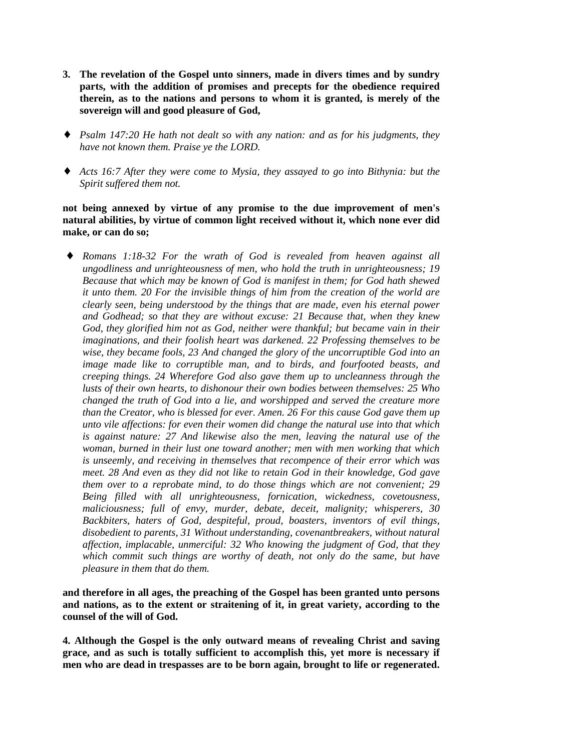- **3. The revelation of the Gospel unto sinners, made in divers times and by sundry parts, with the addition of promises and precepts for the obedience required therein, as to the nations and persons to whom it is granted, is merely of the sovereign will and good pleasure of God,**
- ♦ *Psalm 147:20 He hath not dealt so with any nation: and as for his judgments, they have not known them. Praise ye the LORD.*
- ♦ *Acts 16:7 After they were come to Mysia, they assayed to go into Bithynia: but the Spirit suffered them not.*

## **not being annexed by virtue of any promise to the due improvement of men's natural abilities, by virtue of common light received without it, which none ever did make, or can do so;**

Romans 1:18-32 For the wrath of God is revealed from heaven against all *ungodliness and unrighteousness of men, who hold the truth in unrighteousness; 19 Because that which may be known of God is manifest in them; for God hath shewed it unto them. 20 For the invisible things of him from the creation of the world are clearly seen, being understood by the things that are made, even his eternal power and Godhead; so that they are without excuse: 21 Because that, when they knew God, they glorified him not as God, neither were thankful; but became vain in their imaginations, and their foolish heart was darkened. 22 Professing themselves to be wise, they became fools, 23 And changed the glory of the uncorruptible God into an image made like to corruptible man, and to birds, and fourfooted beasts, and creeping things. 24 Wherefore God also gave them up to uncleanness through the lusts of their own hearts, to dishonour their own bodies between themselves: 25 Who changed the truth of God into a lie, and worshipped and served the creature more than the Creator, who is blessed for ever. Amen. 26 For this cause God gave them up unto vile affections: for even their women did change the natural use into that which is against nature: 27 And likewise also the men, leaving the natural use of the woman, burned in their lust one toward another; men with men working that which is unseemly, and receiving in themselves that recompence of their error which was meet. 28 And even as they did not like to retain God in their knowledge, God gave them over to a reprobate mind, to do those things which are not convenient; 29 Being filled with all unrighteousness, fornication, wickedness, covetousness, maliciousness; full of envy, murder, debate, deceit, malignity; whisperers, 30 Backbiters, haters of God, despiteful, proud, boasters, inventors of evil things, disobedient to parents, 31 Without understanding, covenantbreakers, without natural affection, implacable, unmerciful: 32 Who knowing the judgment of God, that they which commit such things are worthy of death, not only do the same, but have pleasure in them that do them.*

**and therefore in all ages, the preaching of the Gospel has been granted unto persons and nations, as to the extent or straitening of it, in great variety, according to the counsel of the will of God.**

**4. Although the Gospel is the only outward means of revealing Christ and saving grace, and as such is totally sufficient to accomplish this, yet more is necessary if men who are dead in trespasses are to be born again, brought to life or regenerated.**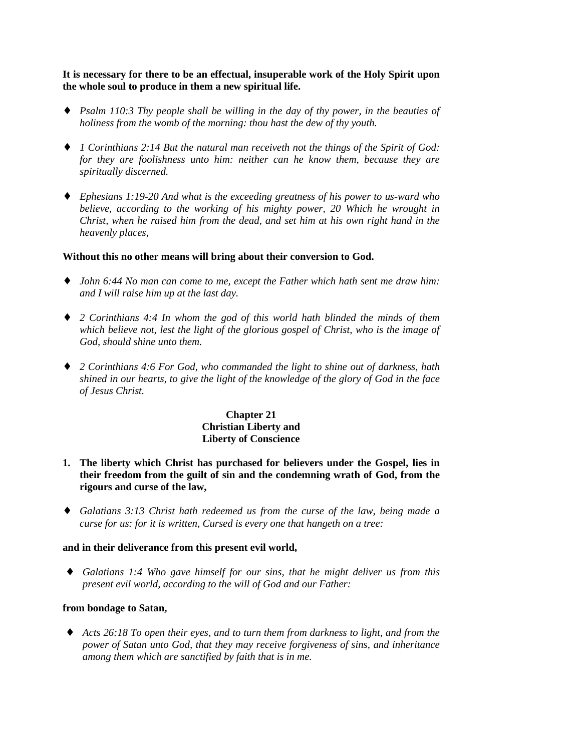**It is necessary for there to be an effectual, insuperable work of the Holy Spirit upon the whole soul to produce in them a new spiritual life.**

- ♦ *Psalm 110:3 Thy people shall be willing in the day of thy power, in the beauties of holiness from the womb of the morning: thou hast the dew of thy youth.*
- ♦ *1 Corinthians 2:14 But the natural man receiveth not the things of the Spirit of God: for they are foolishness unto him: neither can he know them, because they are spiritually discerned.*
- ♦ *Ephesians 1:19-20 And what is the exceeding greatness of his power to us-ward who believe, according to the working of his mighty power, 20 Which he wrought in Christ, when he raised him from the dead, and set him at his own right hand in the heavenly places,*

#### **Without this no other means will bring about their conversion to God.**

- ♦ *John 6:44 No man can come to me, except the Father which hath sent me draw him: and I will raise him up at the last day.*
- ♦ *2 Corinthians 4:4 In whom the god of this world hath blinded the minds of them which believe not, lest the light of the glorious gospel of Christ, who is the image of God, should shine unto them.*
- ♦ *2 Corinthians 4:6 For God, who commanded the light to shine out of darkness, hath shined in our hearts, to give the light of the knowledge of the glory of God in the face of Jesus Christ.*

# **Chapter 21 Christian Liberty and Liberty of Conscience**

- **1. The liberty which Christ has purchased for believers under the Gospel, lies in their freedom from the guilt of sin and the condemning wrath of God, from the rigours and curse of the law,**
- ♦ *Galatians 3:13 Christ hath redeemed us from the curse of the law, being made a curse for us: for it is written, Cursed is every one that hangeth on a tree:*

## **and in their deliverance from this present evil world,**

♦ *Galatians 1:4 Who gave himself for our sins, that he might deliver us from this present evil world, according to the will of God and our Father:*

## **from bondage to Satan,**

♦ *Acts 26:18 To open their eyes, and to turn them from darkness to light, and from the power of Satan unto God, that they may receive forgiveness of sins, and inheritance among them which are sanctified by faith that is in me.*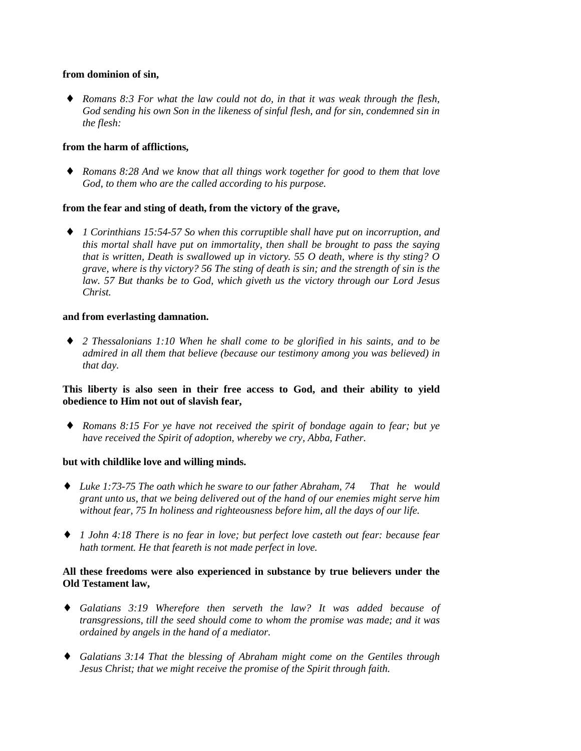#### **from dominion of sin,**

♦ *Romans 8:3 For what the law could not do, in that it was weak through the flesh, God sending his own Son in the likeness of sinful flesh, and for sin, condemned sin in the flesh:*

## **from the harm of afflictions,**

♦ *Romans 8:28 And we know that all things work together for good to them that love God, to them who are the called according to his purpose.*

## **from the fear and sting of death, from the victory of the grave,**

♦ *1 Corinthians 15:54-57 So when this corruptible shall have put on incorruption, and this mortal shall have put on immortality, then shall be brought to pass the saying that is written, Death is swallowed up in victory. 55 O death, where is thy sting? O grave, where is thy victory? 56 The sting of death is sin; and the strength of sin is the law. 57 But thanks be to God, which giveth us the victory through our Lord Jesus Christ.*

#### **and from everlasting damnation.**

♦ *2 Thessalonians 1:10 When he shall come to be glorified in his saints, and to be admired in all them that believe (because our testimony among you was believed) in that day.*

## **This liberty is also seen in their free access to God, and their ability to yield obedience to Him not out of slavish fear,**

♦ *Romans 8:15 For ye have not received the spirit of bondage again to fear; but ye have received the Spirit of adoption, whereby we cry, Abba, Father.*

## **but with childlike love and willing minds.**

- ♦ *Luke 1:73-75 The oath which he sware to our father Abraham, 74 That he would grant unto us, that we being delivered out of the hand of our enemies might serve him without fear, 75 In holiness and righteousness before him, all the days of our life.*
- ♦ *1 John 4:18 There is no fear in love; but perfect love casteth out fear: because fear hath torment. He that feareth is not made perfect in love.*

# **All these freedoms were also experienced in substance by true believers under the Old Testament law,**

- ♦ *Galatians 3:19 Wherefore then serveth the law? It was added because of transgressions, till the seed should come to whom the promise was made; and it was ordained by angels in the hand of a mediator.*
- ♦ *Galatians 3:14 That the blessing of Abraham might come on the Gentiles through Jesus Christ; that we might receive the promise of the Spirit through faith.*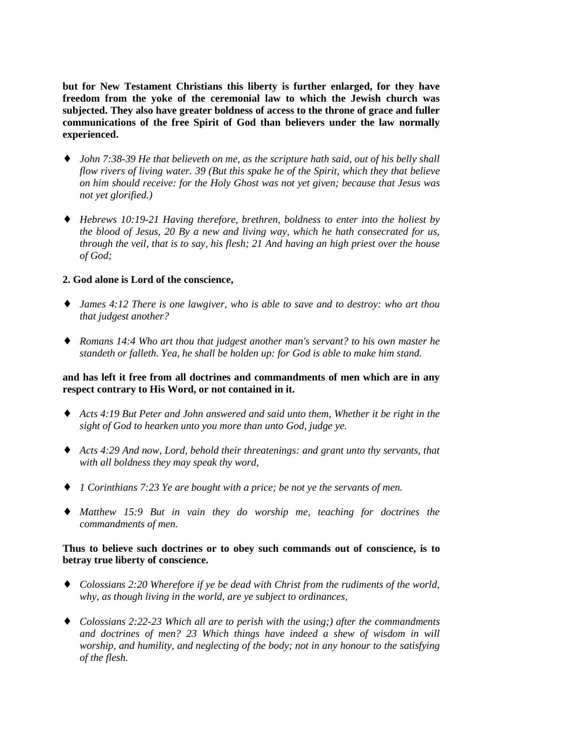**but for New Testament Christians this liberty is further enlarged, for they have freedom from the yoke of the ceremonial law to which the Jewish church was subjected. They also have greater boldness of access to the throne of grace and fuller communications of the free Spirit of God than believers under the law normally experienced.**

- ♦ *John 7:38-39 He that believeth on me, as the scripture hath said, out of his belly shall flow rivers of living water. 39 (But this spake he of the Spirit, which they that believe on him should receive: for the Holy Ghost was not yet given; because that Jesus was not yet glorified.)*
- ♦ *Hebrews 10:19-21 Having therefore, brethren, boldness to enter into the holiest by the blood of Jesus, 20 By a new and living way, which he hath consecrated for us, through the veil, that is to say, his flesh; 21 And having an high priest over the house of God;*

#### **2. God alone is Lord of the conscience,**

- ♦ *James 4:12 There is one lawgiver, who is able to save and to destroy: who art thou that judgest another?*
- ♦ *Romans 14:4 Who art thou that judgest another man's servant? to his own master he standeth or falleth. Yea, he shall be holden up: for God is able to make him stand.*

#### **and has left it free from all doctrines and commandments of men which are in any respect contrary to His Word, or not contained in it.**

- ♦ *Acts 4:19 But Peter and John answered and said unto them, Whether it be right in the sight of God to hearken unto you more than unto God, judge ye.*
- ♦ *Acts 4:29 And now, Lord, behold their threatenings: and grant unto thy servants, that with all boldness they may speak thy word,*
- ♦ *1 Corinthians 7:23 Ye are bought with a price; be not ye the servants of men.*
- ♦ *Matthew 15:9 But in vain they do worship me, teaching for doctrines the commandments of men.*

#### **Thus to believe such doctrines or to obey such commands out of conscience, is to betray true liberty of conscience.**

- ♦ *Colossians 2:20 Wherefore if ye be dead with Christ from the rudiments of the world, why, as though living in the world, are ye subject to ordinances,*
- ♦ *Colossians 2:22-23 Which all are to perish with the using;) after the commandments and doctrines of men? 23 Which things have indeed a shew of wisdom in will worship, and humility, and neglecting of the body; not in any honour to the satisfying of the flesh.*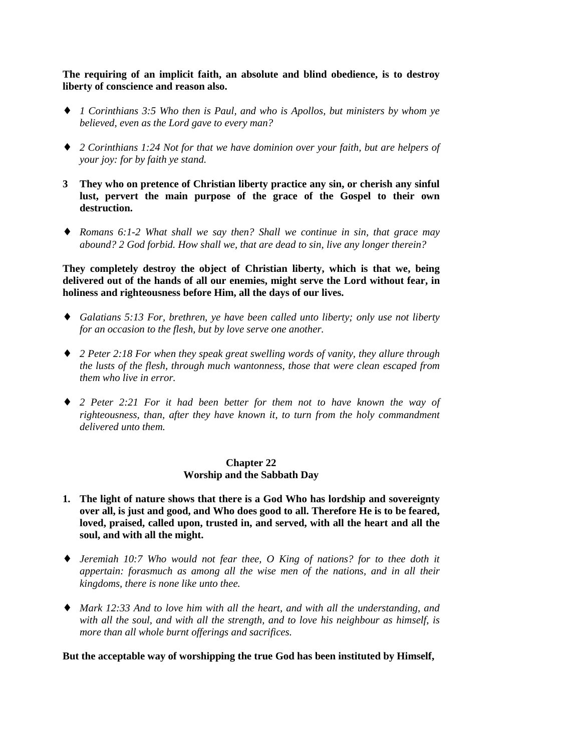**The requiring of an implicit faith, an absolute and blind obedience, is to destroy liberty of conscience and reason also.**

- ♦ *1 Corinthians 3:5 Who then is Paul, and who is Apollos, but ministers by whom ye believed, even as the Lord gave to every man?*
- ♦ *2 Corinthians 1:24 Not for that we have dominion over your faith, but are helpers of your joy: for by faith ye stand.*
- **3 They who on pretence of Christian liberty practice any sin, or cherish any sinful lust, pervert the main purpose of the grace of the Gospel to their own destruction.**
- ♦ *Romans 6:1-2 What shall we say then? Shall we continue in sin, that grace may abound? 2 God forbid. How shall we, that are dead to sin, live any longer therein?*

**They completely destroy the object of Christian liberty, which is that we, being delivered out of the hands of all our enemies, might serve the Lord without fear, in holiness and righteousness before Him, all the days of our lives.**

- ♦ *Galatians 5:13 For, brethren, ye have been called unto liberty; only use not liberty for an occasion to the flesh, but by love serve one another.*
- ♦ *2 Peter 2:18 For when they speak great swelling words of vanity, they allure through the lusts of the flesh, through much wantonness, those that were clean escaped from them who live in error.*
- ♦ *2 Peter 2:21 For it had been better for them not to have known the way of righteousness, than, after they have known it, to turn from the holy commandment delivered unto them.*

#### **Chapter 22 Worship and the Sabbath Day**

- **1. The light of nature shows that there is a God Who has lordship and sovereignty over all, is just and good, and Who does good to all. Therefore He is to be feared, loved, praised, called upon, trusted in, and served, with all the heart and all the soul, and with all the might.**
- ♦ *Jeremiah 10:7 Who would not fear thee, O King of nations? for to thee doth it appertain: forasmuch as among all the wise men of the nations, and in all their kingdoms, there is none like unto thee.*
- ♦ *Mark 12:33 And to love him with all the heart, and with all the understanding, and with all the soul, and with all the strength, and to love his neighbour as himself, is more than all whole burnt offerings and sacrifices.*

**But the acceptable way of worshipping the true God has been instituted by Himself,**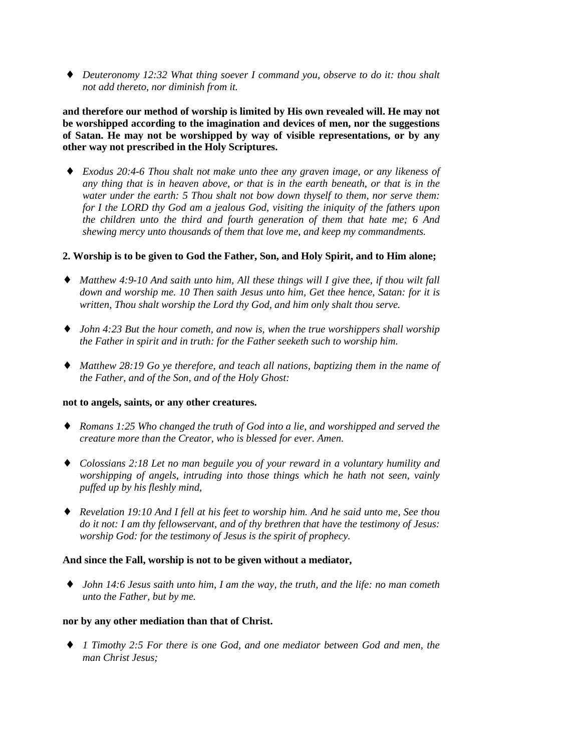♦ *Deuteronomy 12:32 What thing soever I command you, observe to do it: thou shalt not add thereto, nor diminish from it.*

**and therefore our method of worship is limited by His own revealed will. He may not be worshipped according to the imagination and devices of men, nor the suggestions of Satan. He may not be worshipped by way of visible representations, or by any other way not prescribed in the Holy Scriptures.**

♦ *Exodus 20:4-6 Thou shalt not make unto thee any graven image, or any likeness of any thing that is in heaven above, or that is in the earth beneath, or that is in the water under the earth: 5 Thou shalt not bow down thyself to them, nor serve them: for I the LORD thy God am a jealous God, visiting the iniquity of the fathers upon the children unto the third and fourth generation of them that hate me; 6 And shewing mercy unto thousands of them that love me, and keep my commandments.*

## **2. Worship is to be given to God the Father, Son, and Holy Spirit, and to Him alone;**

- ♦ *Matthew 4:9-10 And saith unto him, All these things will I give thee, if thou wilt fall down and worship me. 10 Then saith Jesus unto him, Get thee hence, Satan: for it is written, Thou shalt worship the Lord thy God, and him only shalt thou serve.*
- ♦ *John 4:23 But the hour cometh, and now is, when the true worshippers shall worship the Father in spirit and in truth: for the Father seeketh such to worship him.*
- ♦ *Matthew 28:19 Go ye therefore, and teach all nations, baptizing them in the name of the Father, and of the Son, and of the Holy Ghost:*

## **not to angels, saints, or any other creatures.**

- ♦ *Romans 1:25 Who changed the truth of God into a lie, and worshipped and served the creature more than the Creator, who is blessed for ever. Amen.*
- ♦ *Colossians 2:18 Let no man beguile you of your reward in a voluntary humility and worshipping of angels, intruding into those things which he hath not seen, vainly puffed up by his fleshly mind,*
- ♦ *Revelation 19:10 And I fell at his feet to worship him. And he said unto me, See thou do it not: I am thy fellowservant, and of thy brethren that have the testimony of Jesus: worship God: for the testimony of Jesus is the spirit of prophecy.*

## **And since the Fall, worship is not to be given without a mediator,**

♦ *John 14:6 Jesus saith unto him, I am the way, the truth, and the life: no man cometh unto the Father, but by me.*

## **nor by any other mediation than that of Christ.**

♦ *1 Timothy 2:5 For there is one God, and one mediator between God and men, the man Christ Jesus;*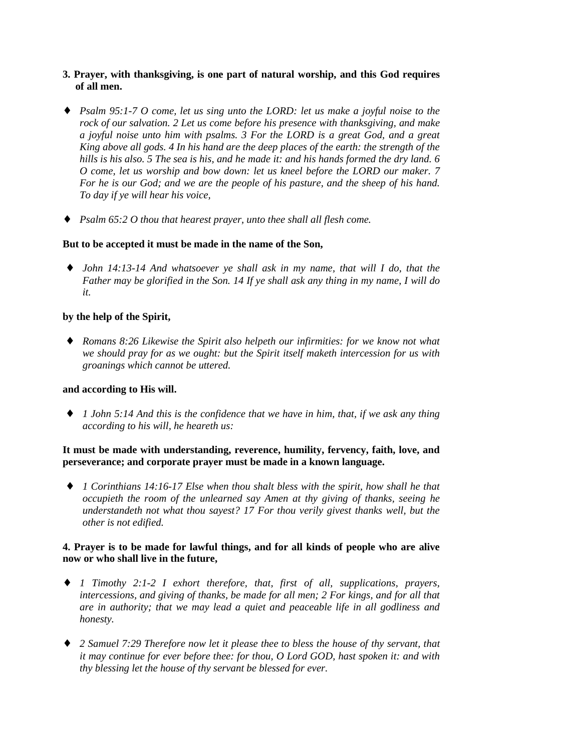# **3. Prayer, with thanksgiving, is one part of natural worship, and this God requires of all men.**

- ♦ *Psalm 95:1-7 O come, let us sing unto the LORD: let us make a joyful noise to the rock of our salvation. 2 Let us come before his presence with thanksgiving, and make a joyful noise unto him with psalms. 3 For the LORD is a great God, and a great King above all gods. 4 In his hand are the deep places of the earth: the strength of the hills is his also. 5 The sea is his, and he made it: and his hands formed the dry land. 6 O come, let us worship and bow down: let us kneel before the LORD our maker. 7 For he is our God; and we are the people of his pasture, and the sheep of his hand. To day if ye will hear his voice,*
- ♦ *Psalm 65:2 O thou that hearest prayer, unto thee shall all flesh come.*

## **But to be accepted it must be made in the name of the Son,**

♦ *John 14:13-14 And whatsoever ye shall ask in my name, that will I do, that the Father may be glorified in the Son. 14 If ye shall ask any thing in my name, I will do it.*

## **by the help of the Spirit,**

♦ *Romans 8:26 Likewise the Spirit also helpeth our infirmities: for we know not what we should pray for as we ought: but the Spirit itself maketh intercession for us with groanings which cannot be uttered.*

#### **and according to His will.**

♦ *1 John 5:14 And this is the confidence that we have in him, that, if we ask any thing according to his will, he heareth us:*

# **It must be made with understanding, reverence, humility, fervency, faith, love, and perseverance; and corporate prayer must be made in a known language.**

♦ *1 Corinthians 14:16-17 Else when thou shalt bless with the spirit, how shall he that occupieth the room of the unlearned say Amen at thy giving of thanks, seeing he understandeth not what thou sayest? 17 For thou verily givest thanks well, but the other is not edified.*

#### **4. Prayer is to be made for lawful things, and for all kinds of people who are alive now or who shall live in the future,**

- ♦ *1 Timothy 2:1-2 I exhort therefore, that, first of all, supplications, prayers, intercessions, and giving of thanks, be made for all men; 2 For kings, and for all that are in authority; that we may lead a quiet and peaceable life in all godliness and honesty.*
- ♦ *2 Samuel 7:29 Therefore now let it please thee to bless the house of thy servant, that it may continue for ever before thee: for thou, O Lord GOD, hast spoken it: and with thy blessing let the house of thy servant be blessed for ever.*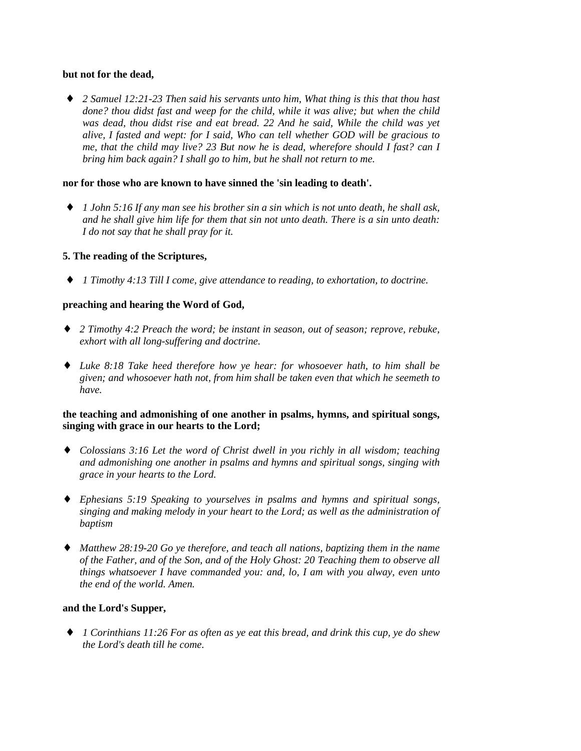#### **but not for the dead,**

♦ *2 Samuel 12:21-23 Then said his servants unto him, What thing is this that thou hast done? thou didst fast and weep for the child, while it was alive; but when the child was dead, thou didst rise and eat bread. 22 And he said, While the child was yet alive, I fasted and wept: for I said, Who can tell whether GOD will be gracious to me, that the child may live? 23 But now he is dead, wherefore should I fast? can I bring him back again? I shall go to him, but he shall not return to me.*

## **nor for those who are known to have sinned the 'sin leading to death'.**

♦ *1 John 5:16 If any man see his brother sin a sin which is not unto death, he shall ask, and he shall give him life for them that sin not unto death. There is a sin unto death: I do not say that he shall pray for it.*

## **5. The reading of the Scriptures,**

♦ *1 Timothy 4:13 Till I come, give attendance to reading, to exhortation, to doctrine.*

# **preaching and hearing the Word of God,**

- ♦ *2 Timothy 4:2 Preach the word; be instant in season, out of season; reprove, rebuke, exhort with all long-suffering and doctrine.*
- ♦ *Luke 8:18 Take heed therefore how ye hear: for whosoever hath, to him shall be given; and whosoever hath not, from him shall be taken even that which he seemeth to have.*

## **the teaching and admonishing of one another in psalms, hymns, and spiritual songs, singing with grace in our hearts to the Lord;**

- ♦ *Colossians 3:16 Let the word of Christ dwell in you richly in all wisdom; teaching and admonishing one another in psalms and hymns and spiritual songs, singing with grace in your hearts to the Lord.*
- ♦ *Ephesians 5:19 Speaking to yourselves in psalms and hymns and spiritual songs, singing and making melody in your heart to the Lord; as well as the administration of baptism*
- ♦ *Matthew 28:19-20 Go ye therefore, and teach all nations, baptizing them in the name of the Father, and of the Son, and of the Holy Ghost: 20 Teaching them to observe all things whatsoever I have commanded you: and, lo, I am with you alway, even unto the end of the world. Amen.*

## **and the Lord's Supper,**

♦ *1 Corinthians 11:26 For as often as ye eat this bread, and drink this cup, ye do shew the Lord's death till he come.*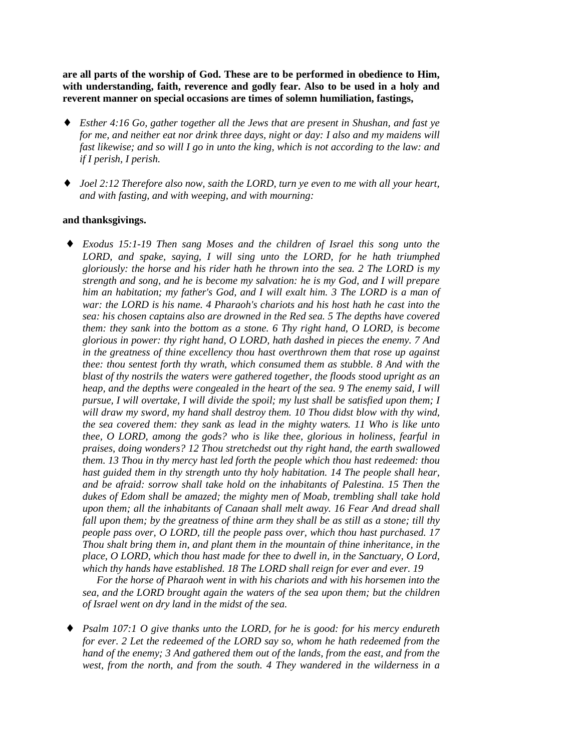**are all parts of the worship of God. These are to be performed in obedience to Him, with understanding, faith, reverence and godly fear. Also to be used in a holy and reverent manner on special occasions are times of solemn humiliation, fastings,**

- ♦ *Esther 4:16 Go, gather together all the Jews that are present in Shushan, and fast ye for me, and neither eat nor drink three days, night or day: I also and my maidens will fast likewise; and so will I go in unto the king, which is not according to the law: and if I perish, I perish.*
- ♦ *Joel 2:12 Therefore also now, saith the LORD, turn ye even to me with all your heart, and with fasting, and with weeping, and with mourning:*

#### **and thanksgivings.**

♦ *Exodus 15:1-19 Then sang Moses and the children of Israel this song unto the LORD, and spake, saying, I will sing unto the LORD, for he hath triumphed gloriously: the horse and his rider hath he thrown into the sea. 2 The LORD is my strength and song, and he is become my salvation: he is my God, and I will prepare him an habitation; my father's God, and I will exalt him. 3 The LORD is a man of war: the LORD is his name. 4 Pharaoh's chariots and his host hath he cast into the sea: his chosen captains also are drowned in the Red sea. 5 The depths have covered them: they sank into the bottom as a stone. 6 Thy right hand, O LORD, is become glorious in power: thy right hand, O LORD, hath dashed in pieces the enemy. 7 And in the greatness of thine excellency thou hast overthrown them that rose up against thee: thou sentest forth thy wrath, which consumed them as stubble. 8 And with the blast of thy nostrils the waters were gathered together, the floods stood upright as an heap, and the depths were congealed in the heart of the sea. 9 The enemy said, I will pursue, I will overtake, I will divide the spoil; my lust shall be satisfied upon them; I will draw my sword, my hand shall destroy them. 10 Thou didst blow with thy wind, the sea covered them: they sank as lead in the mighty waters. 11 Who is like unto thee, O LORD, among the gods? who is like thee, glorious in holiness, fearful in praises, doing wonders? 12 Thou stretchedst out thy right hand, the earth swallowed them. 13 Thou in thy mercy hast led forth the people which thou hast redeemed: thou hast guided them in thy strength unto thy holy habitation. 14 The people shall hear, and be afraid: sorrow shall take hold on the inhabitants of Palestina. 15 Then the dukes of Edom shall be amazed; the mighty men of Moab, trembling shall take hold upon them; all the inhabitants of Canaan shall melt away. 16 Fear And dread shall fall upon them; by the greatness of thine arm they shall be as still as a stone; till thy people pass over, O LORD, till the people pass over, which thou hast purchased. 17 Thou shalt bring them in, and plant them in the mountain of thine inheritance, in the place, O LORD, which thou hast made for thee to dwell in, in the Sanctuary, O Lord, which thy hands have established. 18 The LORD shall reign for ever and ever. 19*

*For the horse of Pharaoh went in with his chariots and with his horsemen into the sea, and the LORD brought again the waters of the sea upon them; but the children of Israel went on dry land in the midst of the sea.*

*Psalm 107:1 O give thanks unto the LORD, for he is good: for his mercy endureth for ever. 2 Let the redeemed of the LORD say so, whom he hath redeemed from the hand of the enemy; 3 And gathered them out of the lands, from the east, and from the west, from the north, and from the south. 4 They wandered in the wilderness in a*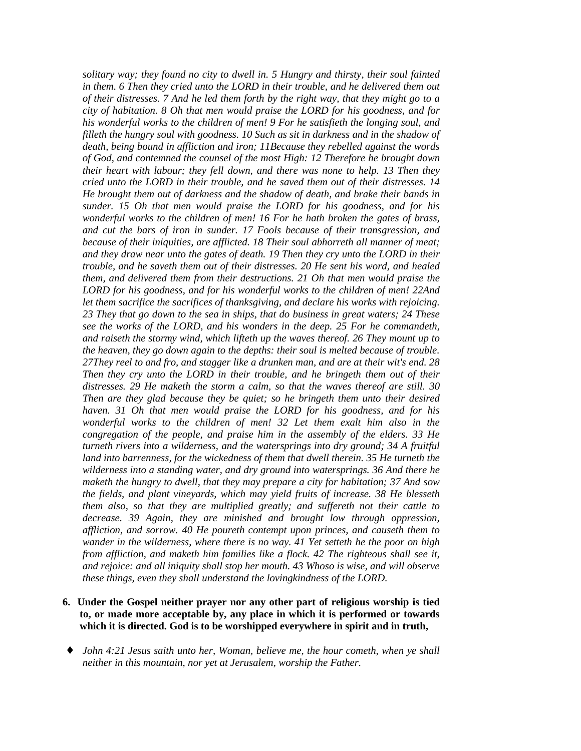*solitary way; they found no city to dwell in. 5 Hungry and thirsty, their soul fainted in them. 6 Then they cried unto the LORD in their trouble, and he delivered them out of their distresses. 7 And he led them forth by the right way, that they might go to a city of habitation. 8 Oh that men would praise the LORD for his goodness, and for his wonderful works to the children of men! 9 For he satisfieth the longing soul, and filleth the hungry soul with goodness. 10 Such as sit in darkness and in the shadow of death, being bound in affliction and iron; 11Because they rebelled against the words of God, and contemned the counsel of the most High: 12 Therefore he brought down their heart with labour; they fell down, and there was none to help. 13 Then they cried unto the LORD in their trouble, and he saved them out of their distresses. 14 He brought them out of darkness and the shadow of death, and brake their bands in sunder. 15 Oh that men would praise the LORD for his goodness, and for his wonderful works to the children of men! 16 For he hath broken the gates of brass, and cut the bars of iron in sunder. 17 Fools because of their transgression, and because of their iniquities, are afflicted. 18 Their soul abhorreth all manner of meat; and they draw near unto the gates of death. 19 Then they cry unto the LORD in their trouble, and he saveth them out of their distresses. 20 He sent his word, and healed them, and delivered them from their destructions. 21 Oh that men would praise the LORD for his goodness, and for his wonderful works to the children of men! 22And let them sacrifice the sacrifices of thanksgiving, and declare his works with rejoicing. 23 They that go down to the sea in ships, that do business in great waters; 24 These see the works of the LORD, and his wonders in the deep. 25 For he commandeth, and raiseth the stormy wind, which lifteth up the waves thereof. 26 They mount up to the heaven, they go down again to the depths: their soul is melted because of trouble. 27They reel to and fro, and stagger like a drunken man, and are at their wit's end. 28 Then they cry unto the LORD in their trouble, and he bringeth them out of their distresses. 29 He maketh the storm a calm, so that the waves thereof are still. 30 Then are they glad because they be quiet; so he bringeth them unto their desired haven. 31 Oh that men would praise the LORD for his goodness, and for his wonderful works to the children of men! 32 Let them exalt him also in the congregation of the people, and praise him in the assembly of the elders. 33 He turneth rivers into a wilderness, and the watersprings into dry ground; 34 A fruitful land into barrenness, for the wickedness of them that dwell therein. 35 He turneth the wilderness into a standing water, and dry ground into watersprings. 36 And there he maketh the hungry to dwell, that they may prepare a city for habitation; 37 And sow the fields, and plant vineyards, which may yield fruits of increase. 38 He blesseth them also, so that they are multiplied greatly; and suffereth not their cattle to decrease. 39 Again, they are minished and brought low through oppression, affliction, and sorrow. 40 He poureth contempt upon princes, and causeth them to wander in the wilderness, where there is no way. 41 Yet setteth he the poor on high from affliction, and maketh him families like a flock. 42 The righteous shall see it, and rejoice: and all iniquity shall stop her mouth. 43 Whoso is wise, and will observe these things, even they shall understand the lovingkindness of the LORD.*

- **6. Under the Gospel neither prayer nor any other part of religious worship is tied to, or made more acceptable by, any place in which it is performed or towards which it is directed. God is to be worshipped everywhere in spirit and in truth,**
- ♦ *John 4:21 Jesus saith unto her, Woman, believe me, the hour cometh, when ye shall neither in this mountain, nor yet at Jerusalem, worship the Father.*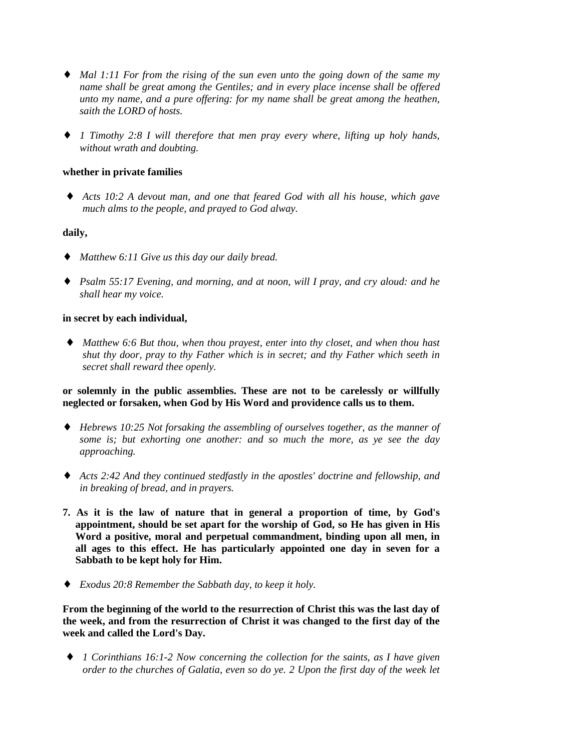- ♦ *Mal 1:11 For from the rising of the sun even unto the going down of the same my name shall be great among the Gentiles; and in every place incense shall be offered unto my name, and a pure offering: for my name shall be great among the heathen, saith the LORD of hosts.*
- ♦ *1 Timothy 2:8 I will therefore that men pray every where, lifting up holy hands, without wrath and doubting.*

## **whether in private families**

♦ *Acts 10:2 A devout man, and one that feared God with all his house, which gave much alms to the people, and prayed to God alway.*

## **daily,**

- ♦ *Matthew 6:11 Give us this day our daily bread.*
- ♦ *Psalm 55:17 Evening, and morning, and at noon, will I pray, and cry aloud: and he shall hear my voice.*

## **in secret by each individual,**

♦ *Matthew 6:6 But thou, when thou prayest, enter into thy closet, and when thou hast shut thy door, pray to thy Father which is in secret; and thy Father which seeth in secret shall reward thee openly.*

## **or solemnly in the public assemblies. These are not to be carelessly or willfully neglected or forsaken, when God by His Word and providence calls us to them.**

- ♦ *Hebrews 10:25 Not forsaking the assembling of ourselves together, as the manner of some is; but exhorting one another: and so much the more, as ye see the day approaching.*
- ♦ *Acts 2:42 And they continued stedfastly in the apostles' doctrine and fellowship, and in breaking of bread, and in prayers.*
- **7. As it is the law of nature that in general a proportion of time, by God's appointment, should be set apart for the worship of God, so He has given in His Word a positive, moral and perpetual commandment, binding upon all men, in all ages to this effect. He has particularly appointed one day in seven for a Sabbath to be kept holy for Him.**
- ♦ *Exodus 20:8 Remember the Sabbath day, to keep it holy.*

**From the beginning of the world to the resurrection of Christ this was the last day of the week, and from the resurrection of Christ it was changed to the first day of the week and called the Lord's Day.**

♦ *1 Corinthians 16:1-2 Now concerning the collection for the saints, as I have given order to the churches of Galatia, even so do ye. 2 Upon the first day of the week let*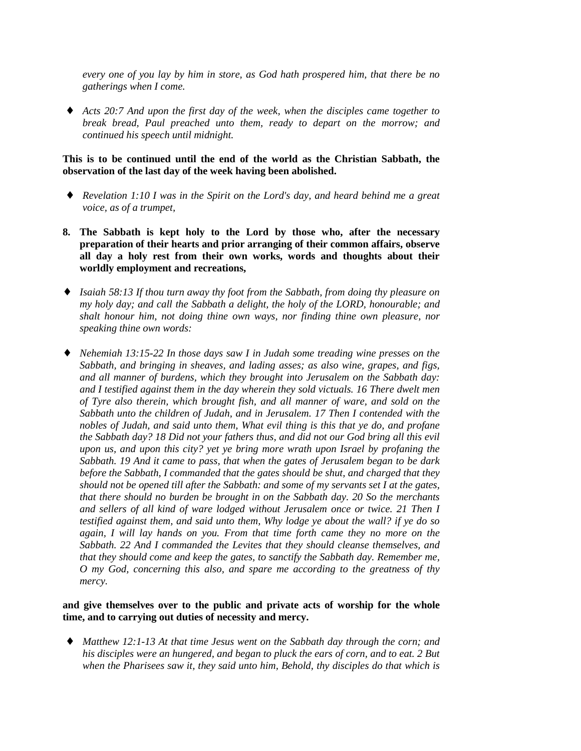*every one of you lay by him in store, as God hath prospered him, that there be no gatherings when I come.*

Acts 20:7 And upon the first day of the week, when the disciples came together to *break bread, Paul preached unto them, ready to depart on the morrow; and continued his speech until midnight.*

## **This is to be continued until the end of the world as the Christian Sabbath, the observation of the last day of the week having been abolished.**

- ♦ *Revelation 1:10 I was in the Spirit on the Lord's day, and heard behind me a great voice, as of a trumpet,*
- **8. The Sabbath is kept holy to the Lord by those who, after the necessary preparation of their hearts and prior arranging of their common affairs, observe all day a holy rest from their own works, words and thoughts about their worldly employment and recreations,**
- ♦ *Isaiah 58:13 If thou turn away thy foot from the Sabbath, from doing thy pleasure on my holy day; and call the Sabbath a delight, the holy of the LORD, honourable; and shalt honour him, not doing thine own ways, nor finding thine own pleasure, nor speaking thine own words:*
- ♦ *Nehemiah 13:15-22 In those days saw I in Judah some treading wine presses on the Sabbath, and bringing in sheaves, and lading asses; as also wine, grapes, and figs, and all manner of burdens, which they brought into Jerusalem on the Sabbath day: and I testified against them in the day wherein they sold victuals. 16 There dwelt men of Tyre also therein, which brought fish, and all manner of ware, and sold on the Sabbath unto the children of Judah, and in Jerusalem. 17 Then I contended with the nobles of Judah, and said unto them, What evil thing is this that ye do, and profane the Sabbath day? 18 Did not your fathers thus, and did not our God bring all this evil upon us, and upon this city? yet ye bring more wrath upon Israel by profaning the Sabbath. 19 And it came to pass, that when the gates of Jerusalem began to be dark before the Sabbath, I commanded that the gates should be shut, and charged that they should not be opened till after the Sabbath: and some of my servants set I at the gates, that there should no burden be brought in on the Sabbath day. 20 So the merchants and sellers of all kind of ware lodged without Jerusalem once or twice. 21 Then I testified against them, and said unto them, Why lodge ye about the wall? if ye do so again, I will lay hands on you. From that time forth came they no more on the Sabbath. 22 And I commanded the Levites that they should cleanse themselves, and that they should come and keep the gates, to sanctify the Sabbath day. Remember me, O my God, concerning this also, and spare me according to the greatness of thy mercy.*

## **and give themselves over to the public and private acts of worship for the whole time, and to carrying out duties of necessity and mercy.**

♦ *Matthew 12:1-13 At that time Jesus went on the Sabbath day through the corn; and his disciples were an hungered, and began to pluck the ears of corn, and to eat. 2 But when the Pharisees saw it, they said unto him, Behold, thy disciples do that which is*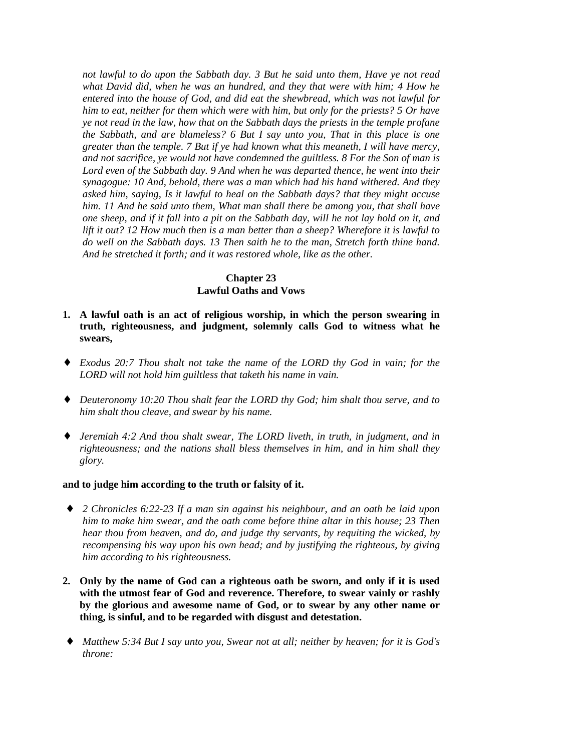*not lawful to do upon the Sabbath day. 3 But he said unto them, Have ye not read what David did, when he was an hundred, and they that were with him; 4 How he entered into the house of God, and did eat the shewbread, which was not lawful for him to eat, neither for them which were with him, but only for the priests? 5 Or have ye not read in the law, how that on the Sabbath days the priests in the temple profane the Sabbath, and are blameless? 6 But I say unto you, That in this place is one greater than the temple. 7 But if ye had known what this meaneth, I will have mercy, and not sacrifice, ye would not have condemned the guiltless. 8 For the Son of man is Lord even of the Sabbath day. 9 And when he was departed thence, he went into their synagogue: 10 And, behold, there was a man which had his hand withered. And they asked him, saying, Is it lawful to heal on the Sabbath days? that they might accuse him. 11 And he said unto them, What man shall there be among you, that shall have one sheep, and if it fall into a pit on the Sabbath day, will he not lay hold on it, and lift it out? 12 How much then is a man better than a sheep? Wherefore it is lawful to do well on the Sabbath days. 13 Then saith he to the man, Stretch forth thine hand. And he stretched it forth; and it was restored whole, like as the other.*

## **Chapter 23 Lawful Oaths and Vows**

- **1. A lawful oath is an act of religious worship, in which the person swearing in truth, righteousness, and judgment, solemnly calls God to witness what he swears,**
- ♦ *Exodus 20:7 Thou shalt not take the name of the LORD thy God in vain; for the LORD will not hold him guiltless that taketh his name in vain.*
- ♦ *Deuteronomy 10:20 Thou shalt fear the LORD thy God; him shalt thou serve, and to him shalt thou cleave, and swear by his name.*
- ♦ *Jeremiah 4:2 And thou shalt swear, The LORD liveth, in truth, in judgment, and in righteousness; and the nations shall bless themselves in him, and in him shall they glory.*

#### **and to judge him according to the truth or falsity of it.**

- ♦ *2 Chronicles 6:22-23 If a man sin against his neighbour, and an oath be laid upon him to make him swear, and the oath come before thine altar in this house; 23 Then hear thou from heaven, and do, and judge thy servants, by requiting the wicked, by recompensing his way upon his own head; and by justifying the righteous, by giving him according to his righteousness.*
- **2. Only by the name of God can a righteous oath be sworn, and only if it is used with the utmost fear of God and reverence. Therefore, to swear vainly or rashly by the glorious and awesome name of God, or to swear by any other name or thing, is sinful, and to be regarded with disgust and detestation.**
- ♦ *Matthew 5:34 But I say unto you, Swear not at all; neither by heaven; for it is God's throne:*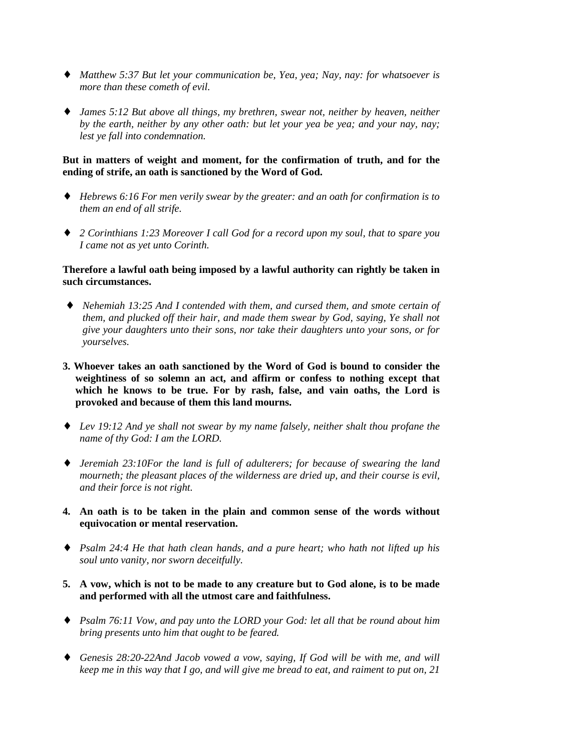- ♦ *Matthew 5:37 But let your communication be, Yea, yea; Nay, nay: for whatsoever is more than these cometh of evil.*
- ♦ *James 5:12 But above all things, my brethren, swear not, neither by heaven, neither by the earth, neither by any other oath: but let your yea be yea; and your nay, nay; lest ye fall into condemnation.*

#### **But in matters of weight and moment, for the confirmation of truth, and for the ending of strife, an oath is sanctioned by the Word of God.**

- ♦ *Hebrews 6:16 For men verily swear by the greater: and an oath for confirmation is to them an end of all strife.*
- ♦ *2 Corinthians 1:23 Moreover I call God for a record upon my soul, that to spare you I came not as yet unto Corinth.*

## **Therefore a lawful oath being imposed by a lawful authority can rightly be taken in such circumstances.**

- ♦ *Nehemiah 13:25 And I contended with them, and cursed them, and smote certain of them, and plucked off their hair, and made them swear by God, saying, Ye shall not give your daughters unto their sons, nor take their daughters unto your sons, or for yourselves.*
- **3. Whoever takes an oath sanctioned by the Word of God is bound to consider the weightiness of so solemn an act, and affirm or confess to nothing except that which he knows to be true. For by rash, false, and vain oaths, the Lord is provoked and because of them this land mourns.**
- ♦ *Lev 19:12 And ye shall not swear by my name falsely, neither shalt thou profane the name of thy God: I am the LORD.*
- ♦ *Jeremiah 23:10For the land is full of adulterers; for because of swearing the land mourneth; the pleasant places of the wilderness are dried up, and their course is evil, and their force is not right.*
- **4. An oath is to be taken in the plain and common sense of the words without equivocation or mental reservation.**
- ♦ *Psalm 24:4 He that hath clean hands, and a pure heart; who hath not lifted up his soul unto vanity, nor sworn deceitfully.*
- **5. A vow, which is not to be made to any creature but to God alone, is to be made and performed with all the utmost care and faithfulness.**
- ♦ *Psalm 76:11 Vow, and pay unto the LORD your God: let all that be round about him bring presents unto him that ought to be feared.*
- ♦ *Genesis 28:20-22And Jacob vowed a vow, saying, If God will be with me, and will keep me in this way that I go, and will give me bread to eat, and raiment to put on, 21*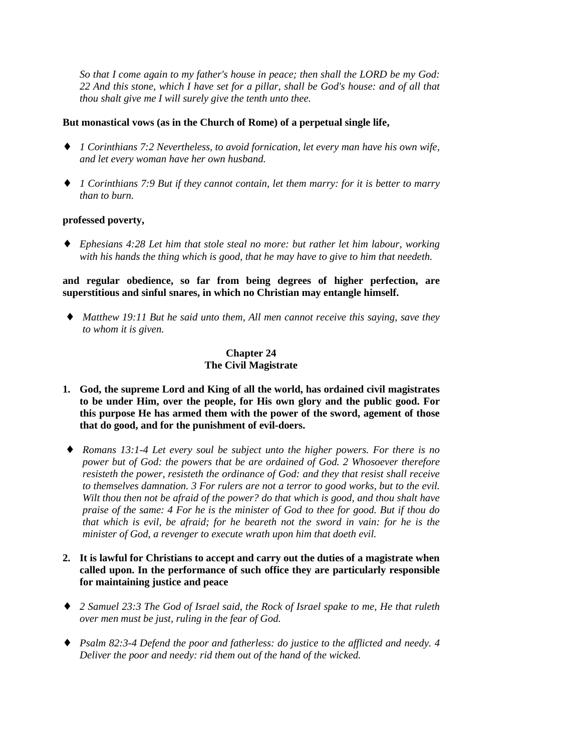*So that I come again to my father's house in peace; then shall the LORD be my God: 22 And this stone, which I have set for a pillar, shall be God's house: and of all that thou shalt give me I will surely give the tenth unto thee.*

## **But monastical vows (as in the Church of Rome) of a perpetual single life,**

- ♦ *1 Corinthians 7:2 Nevertheless, to avoid fornication, let every man have his own wife, and let every woman have her own husband.*
- ♦ *1 Corinthians 7:9 But if they cannot contain, let them marry: for it is better to marry than to burn.*

#### **professed poverty,**

♦ *Ephesians 4:28 Let him that stole steal no more: but rather let him labour, working with his hands the thing which is good, that he may have to give to him that needeth.*

#### **and regular obedience, so far from being degrees of higher perfection, are superstitious and sinful snares, in which no Christian may entangle himself.**

♦ *Matthew 19:11 But he said unto them, All men cannot receive this saying, save they to whom it is given.*

# **Chapter 24 The Civil Magistrate**

- **1. God, the supreme Lord and King of all the world, has ordained civil magistrates to be under Him, over the people, for His own glory and the public good. For this purpose He has armed them with the power of the sword, agement of those that do good, and for the punishment of evil-doers.**
- ♦ *Romans 13:1-4 Let every soul be subject unto the higher powers. For there is no power but of God: the powers that be are ordained of God. 2 Whosoever therefore resisteth the power, resisteth the ordinance of God: and they that resist shall receive to themselves damnation. 3 For rulers are not a terror to good works, but to the evil. Wilt thou then not be afraid of the power? do that which is good, and thou shalt have praise of the same: 4 For he is the minister of God to thee for good. But if thou do that which is evil, be afraid; for he beareth not the sword in vain: for he is the minister of God, a revenger to execute wrath upon him that doeth evil.*
- **2. It is lawful for Christians to accept and carry out the duties of a magistrate when called upon. In the performance of such office they are particularly responsible for maintaining justice and peace**
- ♦ *2 Samuel 23:3 The God of Israel said, the Rock of Israel spake to me, He that ruleth over men must be just, ruling in the fear of God.*
- ♦ *Psalm 82:3-4 Defend the poor and fatherless: do justice to the afflicted and needy. 4 Deliver the poor and needy: rid them out of the hand of the wicked.*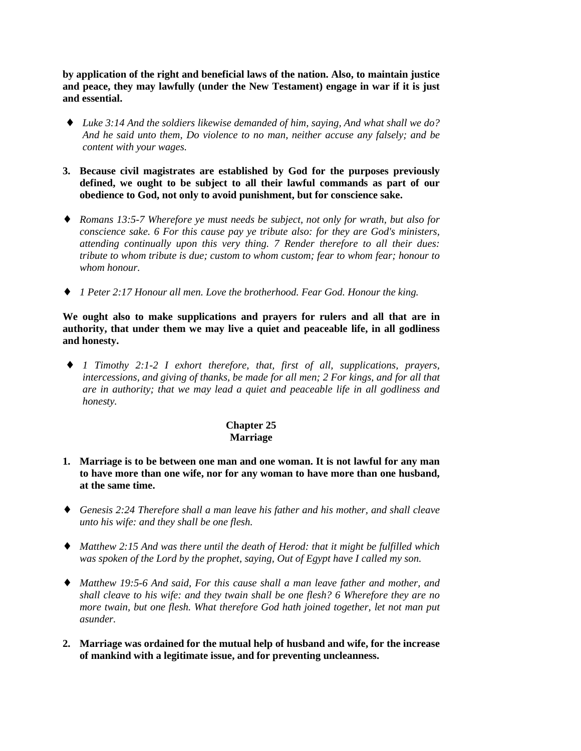**by application of the right and beneficial laws of the nation. Also, to maintain justice and peace, they may lawfully (under the New Testament) engage in war if it is just and essential.**

- ♦ *Luke 3:14 And the soldiers likewise demanded of him, saying, And what shall we do? And he said unto them, Do violence to no man, neither accuse any falsely; and be content with your wages.*
- **3. Because civil magistrates are established by God for the purposes previously defined, we ought to be subject to all their lawful commands as part of our obedience to God, not only to avoid punishment, but for conscience sake.**
- ♦ *Romans 13:5-7 Wherefore ye must needs be subject, not only for wrath, but also for conscience sake. 6 For this cause pay ye tribute also: for they are God's ministers, attending continually upon this very thing. 7 Render therefore to all their dues: tribute to whom tribute is due; custom to whom custom; fear to whom fear; honour to whom honour.*
- ♦ *1 Peter 2:17 Honour all men. Love the brotherhood. Fear God. Honour the king.*

**We ought also to make supplications and prayers for rulers and all that are in authority, that under them we may live a quiet and peaceable life, in all godliness and honesty.**

♦ *1 Timothy 2:1-2 I exhort therefore, that, first of all, supplications, prayers, intercessions, and giving of thanks, be made for all men; 2 For kings, and for all that are in authority; that we may lead a quiet and peaceable life in all godliness and honesty.*

#### **Chapter 25 Marriage**

- **1. Marriage is to be between one man and one woman. It is not lawful for any man to have more than one wife, nor for any woman to have more than one husband, at the same time.**
- ♦ *Genesis 2:24 Therefore shall a man leave his father and his mother, and shall cleave unto his wife: and they shall be one flesh.*
- ♦ *Matthew 2:15 And was there until the death of Herod: that it might be fulfilled which was spoken of the Lord by the prophet, saying, Out of Egypt have I called my son.*
- ♦ *Matthew 19:5-6 And said, For this cause shall a man leave father and mother, and shall cleave to his wife: and they twain shall be one flesh? 6 Wherefore they are no more twain, but one flesh. What therefore God hath joined together, let not man put asunder.*
- **2. Marriage was ordained for the mutual help of husband and wife, for the increase of mankind with a legitimate issue, and for preventing uncleanness.**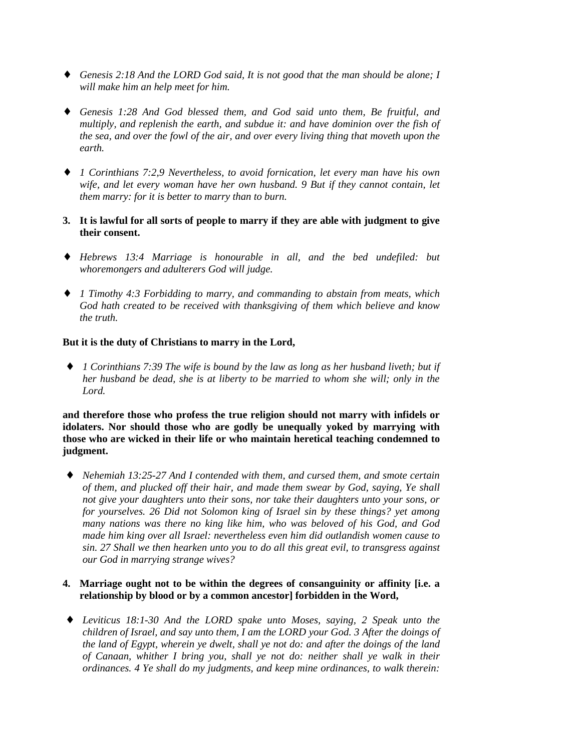- ♦ *Genesis 2:18 And the LORD God said, It is not good that the man should be alone; I will make him an help meet for him.*
- ♦ *Genesis 1:28 And God blessed them, and God said unto them, Be fruitful, and multiply, and replenish the earth, and subdue it: and have dominion over the fish of the sea, and over the fowl of the air, and over every living thing that moveth upon the earth.*
- ♦ *1 Corinthians 7:2,9 Nevertheless, to avoid fornication, let every man have his own wife, and let every woman have her own husband. 9 But if they cannot contain, let them marry: for it is better to marry than to burn.*
- **3. It is lawful for all sorts of people to marry if they are able with judgment to give their consent.**
- ♦ *Hebrews 13:4 Marriage is honourable in all, and the bed undefiled: but whoremongers and adulterers God will judge.*
- ♦ *1 Timothy 4:3 Forbidding to marry, and commanding to abstain from meats, which God hath created to be received with thanksgiving of them which believe and know the truth.*

## **But it is the duty of Christians to marry in the Lord,**

♦ *1 Corinthians 7:39 The wife is bound by the law as long as her husband liveth; but if her husband be dead, she is at liberty to be married to whom she will; only in the Lord.*

**and therefore those who profess the true religion should not marry with infidels or idolaters. Nor should those who are godly be unequally yoked by marrying with those who are wicked in their life or who maintain heretical teaching condemned to judgment.**

♦ *Nehemiah 13:25-27 And I contended with them, and cursed them, and smote certain of them, and plucked off their hair, and made them swear by God, saying, Ye shall not give your daughters unto their sons, nor take their daughters unto your sons, or for yourselves. 26 Did not Solomon king of Israel sin by these things? yet among many nations was there no king like him, who was beloved of his God, and God made him king over all Israel: nevertheless even him did outlandish women cause to sin. 27 Shall we then hearken unto you to do all this great evil, to transgress against our God in marrying strange wives?*

#### **4. Marriage ought not to be within the degrees of consanguinity or affinity [i.e. a relationship by blood or by a common ancestor] forbidden in the Word,**

♦ *Leviticus 18:1-30 And the LORD spake unto Moses, saying, 2 Speak unto the children of Israel, and say unto them, I am the LORD your God. 3 After the doings of the land of Egypt, wherein ye dwelt, shall ye not do: and after the doings of the land of Canaan, whither I bring you, shall ye not do: neither shall ye walk in their ordinances. 4 Ye shall do my judgments, and keep mine ordinances, to walk therein:*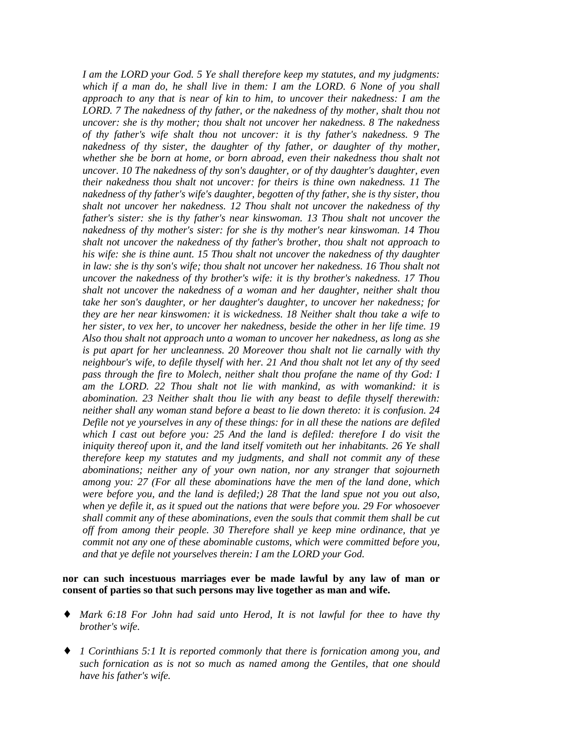*I am the LORD your God. 5 Ye shall therefore keep my statutes, and my judgments: which if a man do, he shall live in them: I am the LORD. 6 None of you shall approach to any that is near of kin to him, to uncover their nakedness: I am the LORD. 7 The nakedness of thy father, or the nakedness of thy mother, shalt thou not uncover: she is thy mother; thou shalt not uncover her nakedness. 8 The nakedness of thy father's wife shalt thou not uncover: it is thy father's nakedness. 9 The nakedness of thy sister, the daughter of thy father, or daughter of thy mother, whether she be born at home, or born abroad, even their nakedness thou shalt not uncover. 10 The nakedness of thy son's daughter, or of thy daughter's daughter, even their nakedness thou shalt not uncover: for theirs is thine own nakedness. 11 The nakedness of thy father's wife's daughter, begotten of thy father, she is thy sister, thou shalt not uncover her nakedness. 12 Thou shalt not uncover the nakedness of thy father's sister: she is thy father's near kinswoman. 13 Thou shalt not uncover the nakedness of thy mother's sister: for she is thy mother's near kinswoman. 14 Thou shalt not uncover the nakedness of thy father's brother, thou shalt not approach to his wife: she is thine aunt. 15 Thou shalt not uncover the nakedness of thy daughter in law: she is thy son's wife; thou shalt not uncover her nakedness. 16 Thou shalt not uncover the nakedness of thy brother's wife: it is thy brother's nakedness. 17 Thou shalt not uncover the nakedness of a woman and her daughter, neither shalt thou take her son's daughter, or her daughter's daughter, to uncover her nakedness; for they are her near kinswomen: it is wickedness. 18 Neither shalt thou take a wife to her sister, to vex her, to uncover her nakedness, beside the other in her life time. 19 Also thou shalt not approach unto a woman to uncover her nakedness, as long as she is put apart for her uncleanness. 20 Moreover thou shalt not lie carnally with thy neighbour's wife, to defile thyself with her. 21 And thou shalt not let any of thy seed pass through the fire to Molech, neither shalt thou profane the name of thy God: I am the LORD. 22 Thou shalt not lie with mankind, as with womankind: it is abomination. 23 Neither shalt thou lie with any beast to defile thyself therewith: neither shall any woman stand before a beast to lie down thereto: it is confusion. 24 Defile not ye yourselves in any of these things: for in all these the nations are defiled which I cast out before you: 25 And the land is defiled: therefore I do visit the iniquity thereof upon it, and the land itself vomiteth out her inhabitants. 26 Ye shall therefore keep my statutes and my judgments, and shall not commit any of these abominations; neither any of your own nation, nor any stranger that sojourneth among you: 27 (For all these abominations have the men of the land done, which were before you, and the land is defiled;) 28 That the land spue not you out also, when ye defile it, as it spued out the nations that were before you. 29 For whosoever shall commit any of these abominations, even the souls that commit them shall be cut off from among their people. 30 Therefore shall ye keep mine ordinance, that ye commit not any one of these abominable customs, which were committed before you, and that ye defile not yourselves therein: I am the LORD your God.*

**nor can such incestuous marriages ever be made lawful by any law of man or consent of parties so that such persons may live together as man and wife.**

- ♦ *Mark 6:18 For John had said unto Herod, It is not lawful for thee to have thy brother's wife.*
- ♦ *1 Corinthians 5:1 It is reported commonly that there is fornication among you, and such fornication as is not so much as named among the Gentiles, that one should have his father's wife.*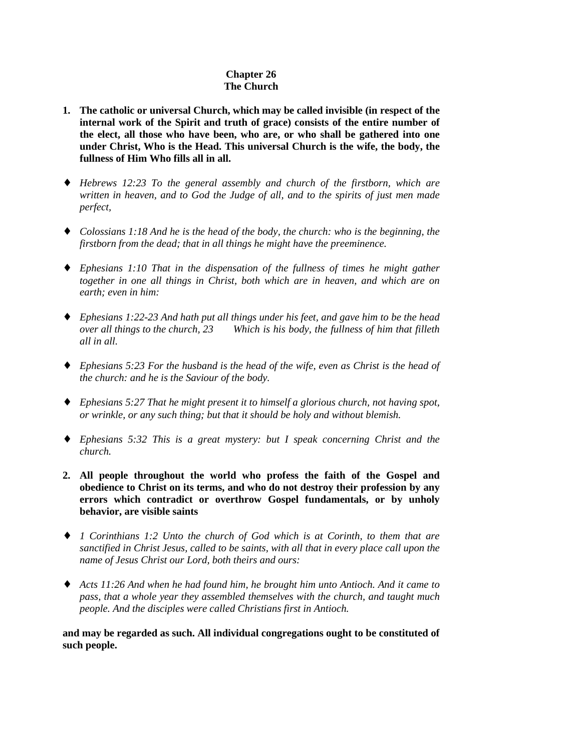# **Chapter 26 The Church**

- **1. The catholic or universal Church, which may be called invisible (in respect of the internal work of the Spirit and truth of grace) consists of the entire number of the elect, all those who have been, who are, or who shall be gathered into one under Christ, Who is the Head. This universal Church is the wife, the body, the fullness of Him Who fills all in all.**
- ♦ *Hebrews 12:23 To the general assembly and church of the firstborn, which are written in heaven, and to God the Judge of all, and to the spirits of just men made perfect,*
- ♦ *Colossians 1:18 And he is the head of the body, the church: who is the beginning, the firstborn from the dead; that in all things he might have the preeminence.*
- ♦ *Ephesians 1:10 That in the dispensation of the fullness of times he might gather together in one all things in Christ, both which are in heaven, and which are on earth; even in him:*
- ♦ *Ephesians 1:22-23 And hath put all things under his feet, and gave him to be the head over all things to the church, 23 Which is his body, the fullness of him that filleth all in all.*
- ♦ *Ephesians 5:23 For the husband is the head of the wife, even as Christ is the head of the church: and he is the Saviour of the body.*
- ♦ *Ephesians 5:27 That he might present it to himself a glorious church, not having spot, or wrinkle, or any such thing; but that it should be holy and without blemish.*
- ♦ *Ephesians 5:32 This is a great mystery: but I speak concerning Christ and the church.*
- **2. All people throughout the world who profess the faith of the Gospel and obedience to Christ on its terms, and who do not destroy their profession by any errors which contradict or overthrow Gospel fundamentals, or by unholy behavior, are visible saints**
- ♦ *1 Corinthians 1:2 Unto the church of God which is at Corinth, to them that are sanctified in Christ Jesus, called to be saints, with all that in every place call upon the name of Jesus Christ our Lord, both theirs and ours:*
- ♦ *Acts 11:26 And when he had found him, he brought him unto Antioch. And it came to pass, that a whole year they assembled themselves with the church, and taught much people. And the disciples were called Christians first in Antioch.*

**and may be regarded as such. All individual congregations ought to be constituted of such people.**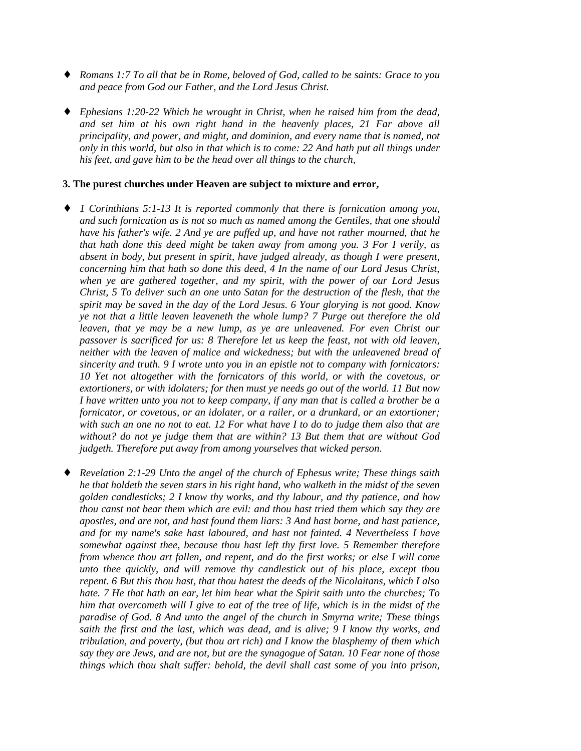- ♦ *Romans 1:7 To all that be in Rome, beloved of God, called to be saints: Grace to you and peace from God our Father, and the Lord Jesus Christ.*
- ♦ *Ephesians 1:20-22 Which he wrought in Christ, when he raised him from the dead, and set him at his own right hand in the heavenly places, 21 Far above all principality, and power, and might, and dominion, and every name that is named, not only in this world, but also in that which is to come: 22 And hath put all things under his feet, and gave him to be the head over all things to the church,*

#### **3. The purest churches under Heaven are subject to mixture and error,**

- ♦ *1 Corinthians 5:1-13 It is reported commonly that there is fornication among you, and such fornication as is not so much as named among the Gentiles, that one should have his father's wife. 2 And ye are puffed up, and have not rather mourned, that he that hath done this deed might be taken away from among you. 3 For I verily, as absent in body, but present in spirit, have judged already, as though I were present, concerning him that hath so done this deed, 4 In the name of our Lord Jesus Christ, when ye are gathered together, and my spirit, with the power of our Lord Jesus Christ, 5 To deliver such an one unto Satan for the destruction of the flesh, that the spirit may be saved in the day of the Lord Jesus. 6 Your glorying is not good. Know ye not that a little leaven leaveneth the whole lump? 7 Purge out therefore the old leaven, that ye may be a new lump, as ye are unleavened. For even Christ our passover is sacrificed for us: 8 Therefore let us keep the feast, not with old leaven, neither with the leaven of malice and wickedness; but with the unleavened bread of sincerity and truth. 9 I wrote unto you in an epistle not to company with fornicators: 10 Yet not altogether with the fornicators of this world, or with the covetous, or extortioners, or with idolaters; for then must ye needs go out of the world. 11 But now I have written unto you not to keep company, if any man that is called a brother be a fornicator, or covetous, or an idolater, or a railer, or a drunkard, or an extortioner; with such an one no not to eat. 12 For what have I to do to judge them also that are without? do not ye judge them that are within? 13 But them that are without God judgeth. Therefore put away from among yourselves that wicked person.*
- ♦ *Revelation 2:1-29 Unto the angel of the church of Ephesus write; These things saith he that holdeth the seven stars in his right hand, who walketh in the midst of the seven golden candlesticks; 2 I know thy works, and thy labour, and thy patience, and how thou canst not bear them which are evil: and thou hast tried them which say they are apostles, and are not, and hast found them liars: 3 And hast borne, and hast patience, and for my name's sake hast laboured, and hast not fainted. 4 Nevertheless I have somewhat against thee, because thou hast left thy first love. 5 Remember therefore from whence thou art fallen, and repent, and do the first works; or else I will come unto thee quickly, and will remove thy candlestick out of his place, except thou repent. 6 But this thou hast, that thou hatest the deeds of the Nicolaitans, which I also hate. 7 He that hath an ear, let him hear what the Spirit saith unto the churches; To him that overcometh will I give to eat of the tree of life, which is in the midst of the paradise of God. 8 And unto the angel of the church in Smyrna write; These things saith the first and the last, which was dead, and is alive; 9 I know thy works, and tribulation, and poverty, (but thou art rich) and I know the blasphemy of them which say they are Jews, and are not, but are the synagogue of Satan. 10 Fear none of those things which thou shalt suffer: behold, the devil shall cast some of you into prison,*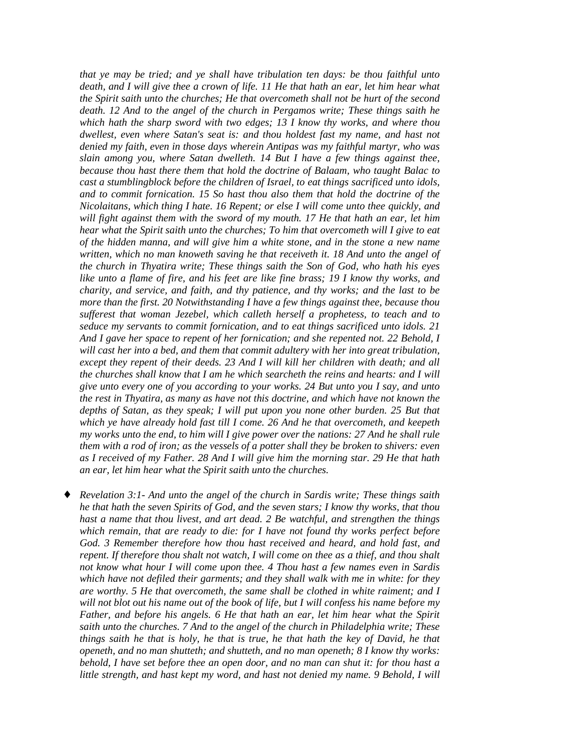*that ye may be tried; and ye shall have tribulation ten days: be thou faithful unto death, and I will give thee a crown of life. 11 He that hath an ear, let him hear what the Spirit saith unto the churches; He that overcometh shall not be hurt of the second death. 12 And to the angel of the church in Pergamos write; These things saith he which hath the sharp sword with two edges; 13 I know thy works, and where thou dwellest, even where Satan's seat is: and thou holdest fast my name, and hast not denied my faith, even in those days wherein Antipas was my faithful martyr, who was slain among you, where Satan dwelleth. 14 But I have a few things against thee, because thou hast there them that hold the doctrine of Balaam, who taught Balac to cast a stumblingblock before the children of Israel, to eat things sacrificed unto idols, and to commit fornication. 15 So hast thou also them that hold the doctrine of the Nicolaitans, which thing I hate. 16 Repent; or else I will come unto thee quickly, and will fight against them with the sword of my mouth. 17 He that hath an ear, let him hear what the Spirit saith unto the churches; To him that overcometh will I give to eat of the hidden manna, and will give him a white stone, and in the stone a new name written, which no man knoweth saving he that receiveth it. 18 And unto the angel of the church in Thyatira write; These things saith the Son of God, who hath his eyes like unto a flame of fire, and his feet are like fine brass; 19 I know thy works, and charity, and service, and faith, and thy patience, and thy works; and the last to be more than the first. 20 Notwithstanding I have a few things against thee, because thou sufferest that woman Jezebel, which calleth herself a prophetess, to teach and to seduce my servants to commit fornication, and to eat things sacrificed unto idols. 21 And I gave her space to repent of her fornication; and she repented not. 22 Behold, I will cast her into a bed, and them that commit adultery with her into great tribulation, except they repent of their deeds. 23 And I will kill her children with death; and all the churches shall know that I am he which searcheth the reins and hearts: and I will give unto every one of you according to your works. 24 But unto you I say, and unto the rest in Thyatira, as many as have not this doctrine, and which have not known the depths of Satan, as they speak; I will put upon you none other burden. 25 But that which ye have already hold fast till I come. 26 And he that overcometh, and keepeth my works unto the end, to him will I give power over the nations: 27 And he shall rule them with a rod of iron; as the vessels of a potter shall they be broken to shivers: even as I received of my Father. 28 And I will give him the morning star. 29 He that hath an ear, let him hear what the Spirit saith unto the churches.*

♦ *Revelation 3:1- And unto the angel of the church in Sardis write; These things saith he that hath the seven Spirits of God, and the seven stars; I know thy works, that thou hast a name that thou livest, and art dead. 2 Be watchful, and strengthen the things which remain, that are ready to die: for I have not found thy works perfect before God. 3 Remember therefore how thou hast received and heard, and hold fast, and repent. If therefore thou shalt not watch, I will come on thee as a thief, and thou shalt not know what hour I will come upon thee. 4 Thou hast a few names even in Sardis which have not defiled their garments; and they shall walk with me in white: for they are worthy. 5 He that overcometh, the same shall be clothed in white raiment; and I will not blot out his name out of the book of life, but I will confess his name before my Father, and before his angels. 6 He that hath an ear, let him hear what the Spirit saith unto the churches. 7 And to the angel of the church in Philadelphia write; These things saith he that is holy, he that is true, he that hath the key of David, he that openeth, and no man shutteth; and shutteth, and no man openeth; 8 I know thy works: behold, I have set before thee an open door, and no man can shut it: for thou hast a little strength, and hast kept my word, and hast not denied my name. 9 Behold, I will*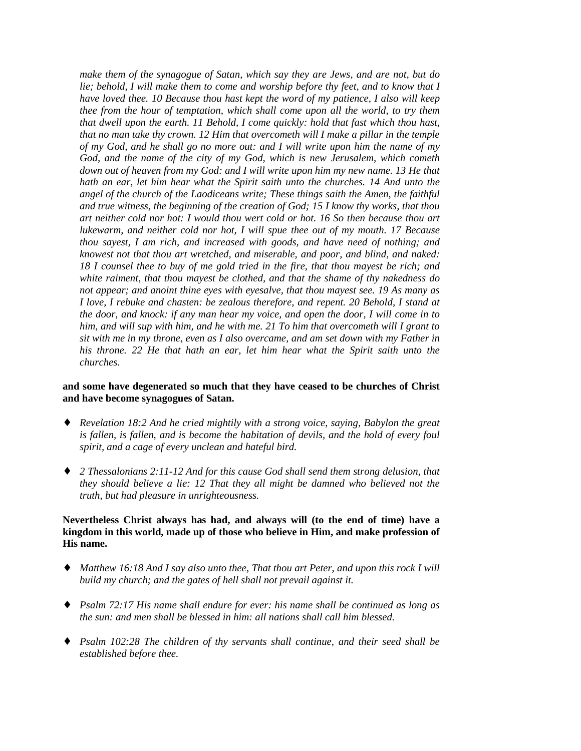*make them of the synagogue of Satan, which say they are Jews, and are not, but do lie; behold, I will make them to come and worship before thy feet, and to know that I have loved thee. 10 Because thou hast kept the word of my patience, I also will keep thee from the hour of temptation, which shall come upon all the world, to try them that dwell upon the earth. 11 Behold, I come quickly: hold that fast which thou hast, that no man take thy crown. 12 Him that overcometh will I make a pillar in the temple of my God, and he shall go no more out: and I will write upon him the name of my God, and the name of the city of my God, which is new Jerusalem, which cometh down out of heaven from my God: and I will write upon him my new name. 13 He that hath an ear, let him hear what the Spirit saith unto the churches. 14 And unto the angel of the church of the Laodiceans write; These things saith the Amen, the faithful and true witness, the beginning of the creation of God; 15 I know thy works, that thou art neither cold nor hot: I would thou wert cold or hot. 16 So then because thou art lukewarm, and neither cold nor hot, I will spue thee out of my mouth. 17 Because thou sayest, I am rich, and increased with goods, and have need of nothing; and knowest not that thou art wretched, and miserable, and poor, and blind, and naked: 18 I counsel thee to buy of me gold tried in the fire, that thou mayest be rich; and white raiment, that thou mayest be clothed, and that the shame of thy nakedness do not appear; and anoint thine eyes with eyesalve, that thou mayest see. 19 As many as I love, I rebuke and chasten: be zealous therefore, and repent. 20 Behold, I stand at the door, and knock: if any man hear my voice, and open the door, I will come in to him, and will sup with him, and he with me. 21 To him that overcometh will I grant to sit with me in my throne, even as I also overcame, and am set down with my Father in his throne. 22 He that hath an ear, let him hear what the Spirit saith unto the churches.*

## **and some have degenerated so much that they have ceased to be churches of Christ and have become synagogues of Satan.**

- ♦ *Revelation 18:2 And he cried mightily with a strong voice, saying, Babylon the great is fallen, is fallen, and is become the habitation of devils, and the hold of every foul spirit, and a cage of every unclean and hateful bird.*
- ♦ *2 Thessalonians 2:11-12 And for this cause God shall send them strong delusion, that they should believe a lie: 12 That they all might be damned who believed not the truth, but had pleasure in unrighteousness.*

#### **Nevertheless Christ always has had, and always will (to the end of time) have a kingdom in this world, made up of those who believe in Him, and make profession of His name.**

- ♦ *Matthew 16:18 And I say also unto thee, That thou art Peter, and upon this rock I will build my church; and the gates of hell shall not prevail against it.*
- ♦ *Psalm 72:17 His name shall endure for ever: his name shall be continued as long as the sun: and men shall be blessed in him: all nations shall call him blessed.*
- ♦ *Psalm 102:28 The children of thy servants shall continue, and their seed shall be established before thee.*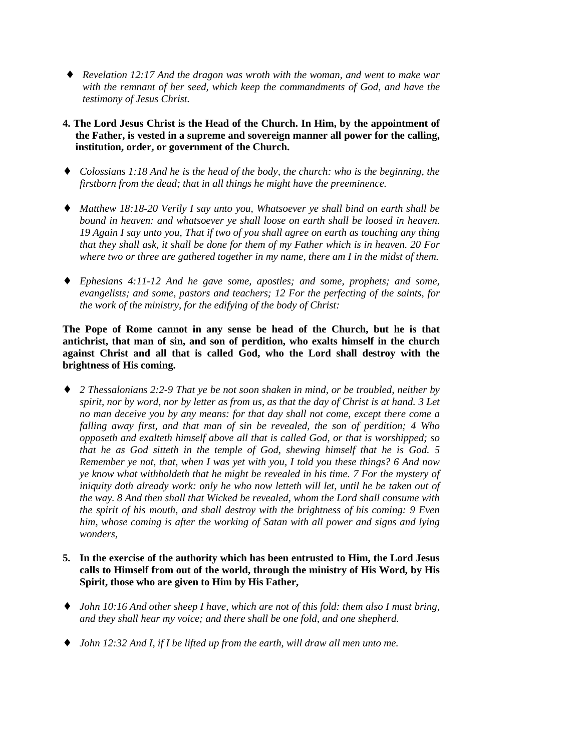- ♦ *Revelation 12:17 And the dragon was wroth with the woman, and went to make war with the remnant of her seed, which keep the commandments of God, and have the testimony of Jesus Christ.*
- **4. The Lord Jesus Christ is the Head of the Church. In Him, by the appointment of the Father, is vested in a supreme and sovereign manner all power for the calling, institution, order, or government of the Church.**
- ♦ *Colossians 1:18 And he is the head of the body, the church: who is the beginning, the firstborn from the dead; that in all things he might have the preeminence.*
- ♦ *Matthew 18:18-20 Verily I say unto you, Whatsoever ye shall bind on earth shall be bound in heaven: and whatsoever ye shall loose on earth shall be loosed in heaven. 19 Again I say unto you, That if two of you shall agree on earth as touching any thing that they shall ask, it shall be done for them of my Father which is in heaven. 20 For where two or three are gathered together in my name, there am I in the midst of them.*
- ♦ *Ephesians 4:11-12 And he gave some, apostles; and some, prophets; and some, evangelists; and some, pastors and teachers; 12 For the perfecting of the saints, for the work of the ministry, for the edifying of the body of Christ:*

**The Pope of Rome cannot in any sense be head of the Church, but he is that antichrist, that man of sin, and son of perdition, who exalts himself in the church against Christ and all that is called God, who the Lord shall destroy with the brightness of His coming.**

- ♦ *2 Thessalonians 2:2-9 That ye be not soon shaken in mind, or be troubled, neither by spirit, nor by word, nor by letter as from us, as that the day of Christ is at hand. 3 Let no man deceive you by any means: for that day shall not come, except there come a falling away first, and that man of sin be revealed, the son of perdition; 4 Who opposeth and exalteth himself above all that is called God, or that is worshipped; so that he as God sitteth in the temple of God, shewing himself that he is God. 5 Remember ye not, that, when I was yet with you, I told you these things? 6 And now ye know what withholdeth that he might be revealed in his time. 7 For the mystery of iniquity doth already work: only he who now letteth will let, until he be taken out of the way. 8 And then shall that Wicked be revealed, whom the Lord shall consume with the spirit of his mouth, and shall destroy with the brightness of his coming: 9 Even him, whose coming is after the working of Satan with all power and signs and lying wonders,*
- **5. In the exercise of the authority which has been entrusted to Him, the Lord Jesus calls to Himself from out of the world, through the ministry of His Word, by His Spirit, those who are given to Him by His Father,**
- ♦ *John 10:16 And other sheep I have, which are not of this fold: them also I must bring, and they shall hear my voice; and there shall be one fold, and one shepherd.*
- ♦ *John 12:32 And I, if I be lifted up from the earth, will draw all men unto me.*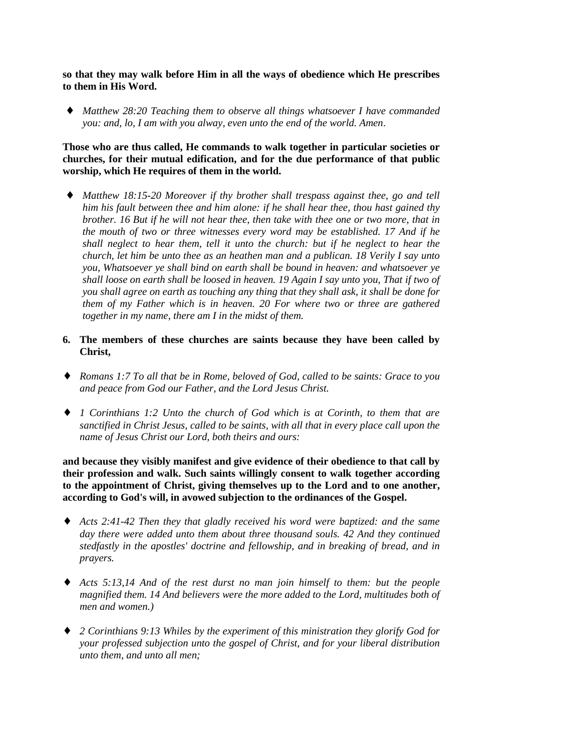**so that they may walk before Him in all the ways of obedience which He prescribes to them in His Word.**

♦ *Matthew 28:20 Teaching them to observe all things whatsoever I have commanded you: and, lo, I am with you alway, even unto the end of the world. Amen*.

## **Those who are thus called, He commands to walk together in particular societies or churches, for their mutual edification, and for the due performance of that public worship, which He requires of them in the world.**

- ♦ *Matthew 18:15-20 Moreover if thy brother shall trespass against thee, go and tell him his fault between thee and him alone: if he shall hear thee, thou hast gained thy brother. 16 But if he will not hear thee, then take with thee one or two more, that in the mouth of two or three witnesses every word may be established. 17 And if he shall neglect to hear them, tell it unto the church: but if he neglect to hear the church, let him be unto thee as an heathen man and a publican. 18 Verily I say unto you, Whatsoever ye shall bind on earth shall be bound in heaven: and whatsoever ye shall loose on earth shall be loosed in heaven. 19 Again I say unto you, That if two of you shall agree on earth as touching any thing that they shall ask, it shall be done for them of my Father which is in heaven. 20 For where two or three are gathered together in my name, there am I in the midst of them.*
- **6. The members of these churches are saints because they have been called by Christ,**
- ♦ *Romans 1:7 To all that be in Rome, beloved of God, called to be saints: Grace to you and peace from God our Father, and the Lord Jesus Christ.*
- ♦ *1 Corinthians 1:2 Unto the church of God which is at Corinth, to them that are sanctified in Christ Jesus, called to be saints, with all that in every place call upon the name of Jesus Christ our Lord, both theirs and ours:*

**and because they visibly manifest and give evidence of their obedience to that call by their profession and walk. Such saints willingly consent to walk together according to the appointment of Christ, giving themselves up to the Lord and to one another, according to God's will, in avowed subjection to the ordinances of the Gospel.**

- ♦ *Acts 2:41-42 Then they that gladly received his word were baptized: and the same day there were added unto them about three thousand souls. 42 And they continued stedfastly in the apostles' doctrine and fellowship, and in breaking of bread, and in prayers.*
- ♦ *Acts 5:13,14 And of the rest durst no man join himself to them: but the people magnified them. 14 And believers were the more added to the Lord, multitudes both of men and women.)*
- ♦ *2 Corinthians 9:13 Whiles by the experiment of this ministration they glorify God for your professed subjection unto the gospel of Christ, and for your liberal distribution unto them, and unto all men;*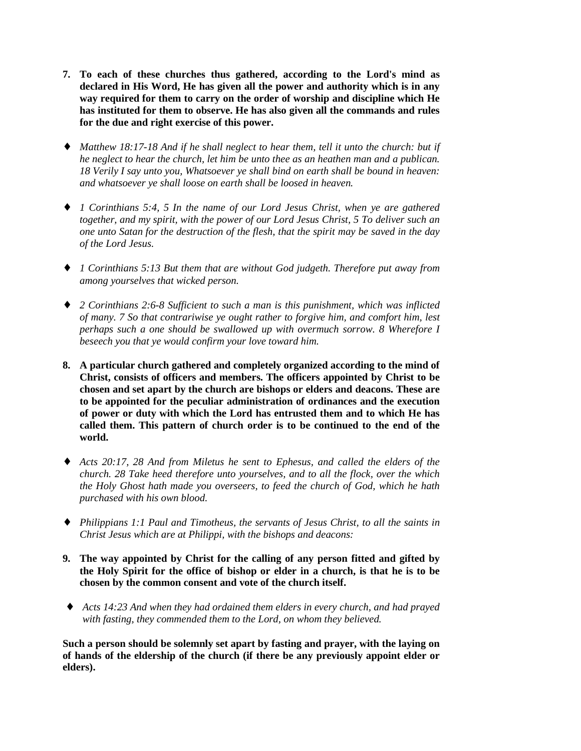- **7. To each of these churches thus gathered, according to the Lord's mind as declared in His Word, He has given all the power and authority which is in any way required for them to carry on the order of worship and discipline which He has instituted for them to observe. He has also given all the commands and rules for the due and right exercise of this power.**
- ♦ *Matthew 18:17-18 And if he shall neglect to hear them, tell it unto the church: but if he neglect to hear the church, let him be unto thee as an heathen man and a publican. 18 Verily I say unto you, Whatsoever ye shall bind on earth shall be bound in heaven: and whatsoever ye shall loose on earth shall be loosed in heaven.*
- ♦ *1 Corinthians 5:4, 5 In the name of our Lord Jesus Christ, when ye are gathered together, and my spirit, with the power of our Lord Jesus Christ, 5 To deliver such an one unto Satan for the destruction of the flesh, that the spirit may be saved in the day of the Lord Jesus.*
- ♦ *1 Corinthians 5:13 But them that are without God judgeth. Therefore put away from among yourselves that wicked person.*
- ♦ *2 Corinthians 2:6-8 Sufficient to such a man is this punishment, which was inflicted of many. 7 So that contrariwise ye ought rather to forgive him, and comfort him, lest perhaps such a one should be swallowed up with overmuch sorrow. 8 Wherefore I beseech you that ye would confirm your love toward him.*
- **8. A particular church gathered and completely organized according to the mind of Christ, consists of officers and members. The officers appointed by Christ to be chosen and set apart by the church are bishops or elders and deacons. These are to be appointed for the peculiar administration of ordinances and the execution of power or duty with which the Lord has entrusted them and to which He has called them. This pattern of church order is to be continued to the end of the world.**
- ♦ *Acts 20:17, 28 And from Miletus he sent to Ephesus, and called the elders of the church. 28 Take heed therefore unto yourselves, and to all the flock, over the which the Holy Ghost hath made you overseers, to feed the church of God, which he hath purchased with his own blood.*
- ♦ *Philippians 1:1 Paul and Timotheus, the servants of Jesus Christ, to all the saints in Christ Jesus which are at Philippi, with the bishops and deacons:*
- **9. The way appointed by Christ for the calling of any person fitted and gifted by the Holy Spirit for the office of bishop or elder in a church, is that he is to be chosen by the common consent and vote of the church itself.**
- ♦ *Acts 14:23 And when they had ordained them elders in every church, and had prayed with fasting, they commended them to the Lord, on whom they believed.*

**Such a person should be solemnly set apart by fasting and prayer, with the laying on of hands of the eldership of the church (if there be any previously appoint elder or elders).**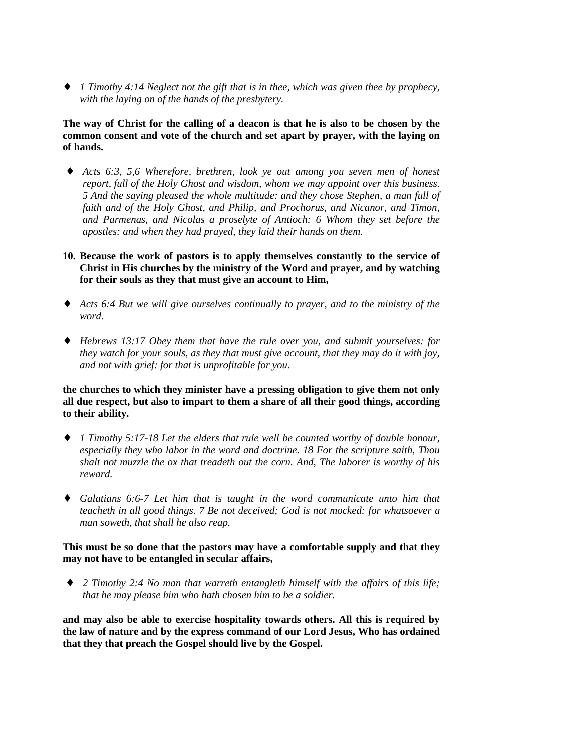♦ *1 Timothy 4:14 Neglect not the gift that is in thee, which was given thee by prophecy, with the laying on of the hands of the presbytery.*

**The way of Christ for the calling of a deacon is that he is also to be chosen by the common consent and vote of the church and set apart by prayer, with the laying on of hands.**

- Acts 6:3, 5,6 Wherefore, brethren, look ye out among you seven men of honest *report, full of the Holy Ghost and wisdom, whom we may appoint over this business. 5 And the saying pleased the whole multitude: and they chose Stephen, a man full of faith and of the Holy Ghost, and Philip, and Prochorus, and Nicanor, and Timon, and Parmenas, and Nicolas a proselyte of Antioch: 6 Whom they set before the apostles: and when they had prayed, they laid their hands on them.*
- **10. Because the work of pastors is to apply themselves constantly to the service of Christ in His churches by the ministry of the Word and prayer, and by watching for their souls as they that must give an account to Him,**
- ♦ *Acts 6:4 But we will give ourselves continually to prayer, and to the ministry of the word.*
- ♦ *Hebrews 13:17 Obey them that have the rule over you, and submit yourselves: for they watch for your souls, as they that must give account, that they may do it with joy, and not with grief: for that is unprofitable for you.*

**the churches to which they minister have a pressing obligation to give them not only all due respect, but also to impart to them a share of all their good things, according to their ability.**

- ♦ *1 Timothy 5:17-18 Let the elders that rule well be counted worthy of double honour, especially they who labor in the word and doctrine. 18 For the scripture saith, Thou shalt not muzzle the ox that treadeth out the corn. And, The laborer is worthy of his reward.*
- ♦ *Galatians 6:6-7 Let him that is taught in the word communicate unto him that teacheth in all good things. 7 Be not deceived; God is not mocked: for whatsoever a man soweth, that shall he also reap.*

#### **This must be so done that the pastors may have a comfortable supply and that they may not have to be entangled in secular affairs,**

♦ *2 Timothy 2:4 No man that warreth entangleth himself with the affairs of this life; that he may please him who hath chosen him to be a soldier.*

**and may also be able to exercise hospitality towards others. All this is required by the law of nature and by the express command of our Lord Jesus, Who has ordained that they that preach the Gospel should live by the Gospel.**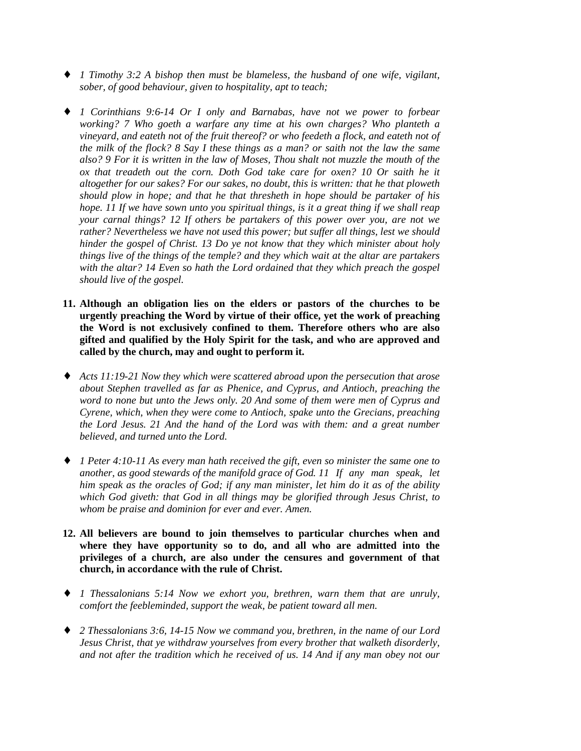- ♦ *1 Timothy 3:2 A bishop then must be blameless, the husband of one wife, vigilant, sober, of good behaviour, given to hospitality, apt to teach;*
- ♦ *1 Corinthians 9:6-14 Or I only and Barnabas, have not we power to forbear working? 7 Who goeth a warfare any time at his own charges? Who planteth a vineyard, and eateth not of the fruit thereof? or who feedeth a flock, and eateth not of the milk of the flock? 8 Say I these things as a man? or saith not the law the same also? 9 For it is written in the law of Moses, Thou shalt not muzzle the mouth of the ox that treadeth out the corn. Doth God take care for oxen? 10 Or saith he it altogether for our sakes? For our sakes, no doubt, this is written: that he that ploweth should plow in hope; and that he that thresheth in hope should be partaker of his hope. 11 If we have sown unto you spiritual things, is it a great thing if we shall reap your carnal things? 12 If others be partakers of this power over you, are not we rather? Nevertheless we have not used this power; but suffer all things, lest we should hinder the gospel of Christ. 13 Do ye not know that they which minister about holy things live of the things of the temple? and they which wait at the altar are partakers with the altar? 14 Even so hath the Lord ordained that they which preach the gospel should live of the gospel.*
- **11. Although an obligation lies on the elders or pastors of the churches to be urgently preaching the Word by virtue of their office, yet the work of preaching the Word is not exclusively confined to them. Therefore others who are also gifted and qualified by the Holy Spirit for the task, and who are approved and called by the church, may and ought to perform it.**
- ♦ *Acts 11:19-21 Now they which were scattered abroad upon the persecution that arose about Stephen travelled as far as Phenice, and Cyprus, and Antioch, preaching the word to none but unto the Jews only. 20 And some of them were men of Cyprus and Cyrene, which, when they were come to Antioch, spake unto the Grecians, preaching the Lord Jesus. 21 And the hand of the Lord was with them: and a great number believed, and turned unto the Lord.*
- ♦ *1 Peter 4:10-11 As every man hath received the gift, even so minister the same one to another, as good stewards of the manifold grace of God. 11 If any man speak, let him speak as the oracles of God; if any man minister, let him do it as of the ability which God giveth: that God in all things may be glorified through Jesus Christ, to whom be praise and dominion for ever and ever. Amen.*
- **12. All believers are bound to join themselves to particular churches when and where they have opportunity so to do, and all who are admitted into the privileges of a church, are also under the censures and government of that church, in accordance with the rule of Christ.**
- ♦ *1 Thessalonians 5:14 Now we exhort you, brethren, warn them that are unruly, comfort the feebleminded, support the weak, be patient toward all men.*
- ♦ *2 Thessalonians 3:6, 14-15 Now we command you, brethren, in the name of our Lord Jesus Christ, that ye withdraw yourselves from every brother that walketh disorderly, and not after the tradition which he received of us. 14 And if any man obey not our*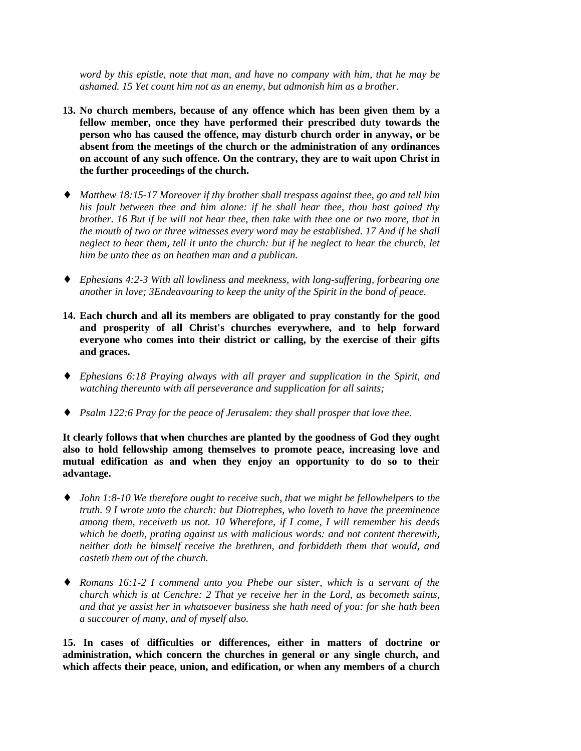*word by this epistle, note that man, and have no company with him, that he may be ashamed. 15 Yet count him not as an enemy, but admonish him as a brother.*

- **13. No church members, because of any offence which has been given them by a fellow member, once they have performed their prescribed duty towards the person who has caused the offence, may disturb church order in anyway, or be absent from the meetings of the church or the administration of any ordinances on account of any such offence. On the contrary, they are to wait upon Christ in the further proceedings of the church.**
- ♦ *Matthew 18:15-17 Moreover if thy brother shall trespass against thee, go and tell him his fault between thee and him alone: if he shall hear thee, thou hast gained thy brother. 16 But if he will not hear thee, then take with thee one or two more, that in the mouth of two or three witnesses every word may be established. 17 And if he shall neglect to hear them, tell it unto the church: but if he neglect to hear the church, let him be unto thee as an heathen man and a publican.*
- ♦ *Ephesians 4:2-3 With all lowliness and meekness, with long-suffering, forbearing one another in love; 3Endeavouring to keep the unity of the Spirit in the bond of peace.*
- **14. Each church and all its members are obligated to pray constantly for the good and prosperity of all Christ's churches everywhere, and to help forward everyone who comes into their district or calling, by the exercise of their gifts and graces.**
- ♦ *Ephesians 6:18 Praying always with all prayer and supplication in the Spirit, and watching thereunto with all perseverance and supplication for all saints;*
- ♦ *Psalm 122:6 Pray for the peace of Jerusalem: they shall prosper that love thee.*

**It clearly follows that when churches are planted by the goodness of God they ought also to hold fellowship among themselves to promote peace, increasing love and mutual edification as and when they enjoy an opportunity to do so to their advantage.**

- ♦ *John 1:8-10 We therefore ought to receive such, that we might be fellowhelpers to the truth. 9 I wrote unto the church: but Diotrephes, who loveth to have the preeminence among them, receiveth us not. 10 Wherefore, if I come, I will remember his deeds which he doeth, prating against us with malicious words: and not content therewith, neither doth he himself receive the brethren, and forbiddeth them that would, and casteth them out of the church.*
- ♦ *Romans 16:1-2 I commend unto you Phebe our sister, which is a servant of the church which is at Cenchre: 2 That ye receive her in the Lord, as becometh saints, and that ye assist her in whatsoever business she hath need of you: for she hath been a succourer of many, and of myself also.*

**15. In cases of difficulties or differences, either in matters of doctrine or administration, which concern the churches in general or any single church, and which affects their peace, union, and edification, or when any members of a church**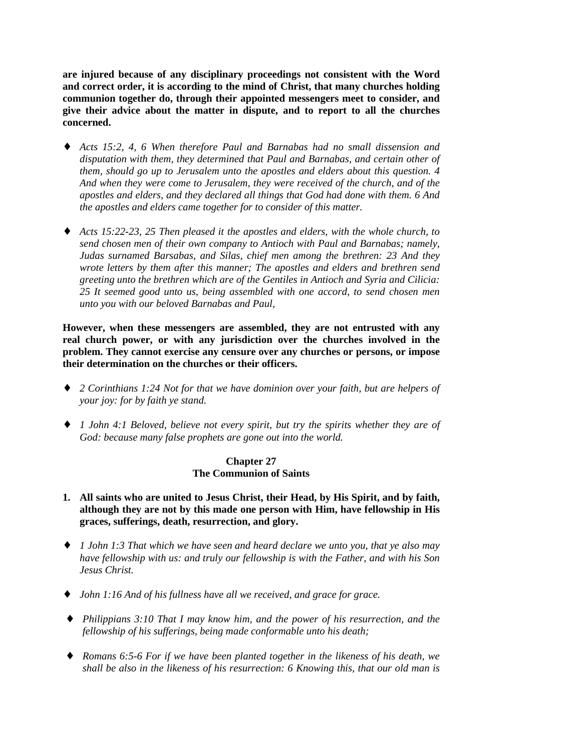**are injured because of any disciplinary proceedings not consistent with the Word and correct order, it is according to the mind of Christ, that many churches holding communion together do, through their appointed messengers meet to consider, and give their advice about the matter in dispute, and to report to all the churches concerned.**

- ♦ *Acts 15:2, 4, 6 When therefore Paul and Barnabas had no small dissension and disputation with them, they determined that Paul and Barnabas, and certain other of them, should go up to Jerusalem unto the apostles and elders about this question. 4 And when they were come to Jerusalem, they were received of the church, and of the apostles and elders, and they declared all things that God had done with them. 6 And the apostles and elders came together for to consider of this matter.*
- ♦ *Acts 15:22-23, 25 Then pleased it the apostles and elders, with the whole church, to send chosen men of their own company to Antioch with Paul and Barnabas; namely, Judas surnamed Barsabas, and Silas, chief men among the brethren: 23 And they wrote letters by them after this manner; The apostles and elders and brethren send greeting unto the brethren which are of the Gentiles in Antioch and Syria and Cilicia: 25 It seemed good unto us, being assembled with one accord, to send chosen men unto you with our beloved Barnabas and Paul,*

**However, when these messengers are assembled, they are not entrusted with any real church power, or with any jurisdiction over the churches involved in the problem. They cannot exercise any censure over any churches or persons, or impose their determination on the churches or their officers.**

- ♦ *2 Corinthians 1:24 Not for that we have dominion over your faith, but are helpers of your joy: for by faith ye stand.*
- ♦ *1 John 4:1 Beloved, believe not every spirit, but try the spirits whether they are of God: because many false prophets are gone out into the world.*

#### **Chapter 27 The Communion of Saints**

- **1. All saints who are united to Jesus Christ, their Head, by His Spirit, and by faith, although they are not by this made one person with Him, have fellowship in His graces, sufferings, death, resurrection, and glory.**
- ♦ *1 John 1:3 That which we have seen and heard declare we unto you, that ye also may have fellowship with us: and truly our fellowship is with the Father, and with his Son Jesus Christ.*
- ♦ *John 1:16 And of his fullness have all we received, and grace for grace.*
- ♦ *Philippians 3:10 That I may know him, and the power of his resurrection, and the fellowship of his sufferings, being made conformable unto his death;*
- ♦ *Romans 6:5-6 For if we have been planted together in the likeness of his death, we shall be also in the likeness of his resurrection: 6 Knowing this, that our old man is*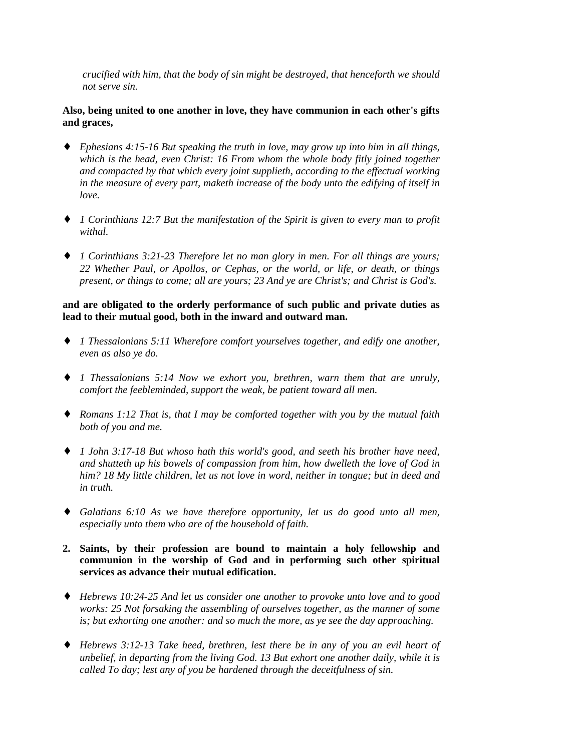*crucified with him, that the body of sin might be destroyed, that henceforth we should not serve sin.*

**Also, being united to one another in love, they have communion in each other's gifts and graces,**

- ♦ *Ephesians 4:15-16 But speaking the truth in love, may grow up into him in all things, which is the head, even Christ: 16 From whom the whole body fitly joined together and compacted by that which every joint supplieth, according to the effectual working in the measure of every part, maketh increase of the body unto the edifying of itself in love.*
- ♦ *1 Corinthians 12:7 But the manifestation of the Spirit is given to every man to profit withal.*
- ♦ *1 Corinthians 3:21-23 Therefore let no man glory in men. For all things are yours; 22 Whether Paul, or Apollos, or Cephas, or the world, or life, or death, or things present, or things to come; all are yours; 23 And ye are Christ's; and Christ is God's.*

## **and are obligated to the orderly performance of such public and private duties as lead to their mutual good, both in the inward and outward man.**

- ♦ *1 Thessalonians 5:11 Wherefore comfort yourselves together, and edify one another, even as also ye do.*
- ♦ *1 Thessalonians 5:14 Now we exhort you, brethren, warn them that are unruly, comfort the feebleminded, support the weak, be patient toward all men.*
- ♦ *Romans 1:12 That is, that I may be comforted together with you by the mutual faith both of you and me.*
- ♦ *1 John 3:17-18 But whoso hath this world's good, and seeth his brother have need, and shutteth up his bowels of compassion from him, how dwelleth the love of God in him? 18 My little children, let us not love in word, neither in tongue; but in deed and in truth.*
- ♦ *Galatians 6:10 As we have therefore opportunity, let us do good unto all men, especially unto them who are of the household of faith.*
- **2. Saints, by their profession are bound to maintain a holy fellowship and communion in the worship of God and in performing such other spiritual services as advance their mutual edification.**
- ♦ *Hebrews 10:24-25 And let us consider one another to provoke unto love and to good works: 25 Not forsaking the assembling of ourselves together, as the manner of some is; but exhorting one another: and so much the more, as ye see the day approaching.*
- ♦ *Hebrews 3:12-13 Take heed, brethren, lest there be in any of you an evil heart of unbelief, in departing from the living God. 13 But exhort one another daily, while it is called To day; lest any of you be hardened through the deceitfulness of sin.*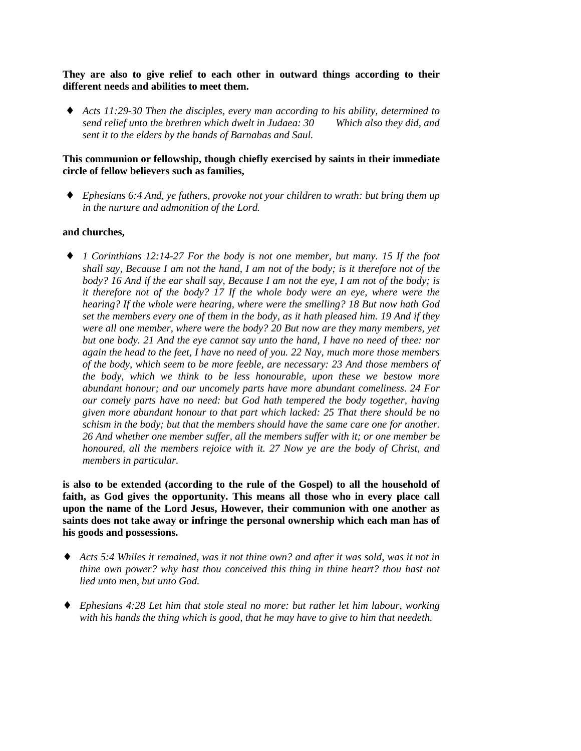## **They are also to give relief to each other in outward things according to their different needs and abilities to meet them.**

♦ *Acts 11:29-30 Then the disciples, every man according to his ability, determined to send relief unto the brethren which dwelt in Judaea: 30 Which also they did, and sent it to the elders by the hands of Barnabas and Saul.*

## **This communion or fellowship, though chiefly exercised by saints in their immediate circle of fellow believers such as families,**

♦ *Ephesians 6:4 And, ye fathers, provoke not your children to wrath: but bring them up in the nurture and admonition of the Lord.*

## **and churches,**

♦ *1 Corinthians 12:14-27 For the body is not one member, but many. 15 If the foot shall say, Because I am not the hand, I am not of the body; is it therefore not of the body? 16 And if the ear shall say, Because I am not the eye, I am not of the body; is it therefore not of the body? 17 If the whole body were an eye, where were the hearing? If the whole were hearing, where were the smelling? 18 But now hath God set the members every one of them in the body, as it hath pleased him. 19 And if they were all one member, where were the body? 20 But now are they many members, yet but one body. 21 And the eye cannot say unto the hand, I have no need of thee: nor again the head to the feet, I have no need of you. 22 Nay, much more those members of the body, which seem to be more feeble, are necessary: 23 And those members of the body, which we think to be less honourable, upon these we bestow more abundant honour; and our uncomely parts have more abundant comeliness. 24 For our comely parts have no need: but God hath tempered the body together, having given more abundant honour to that part which lacked: 25 That there should be no schism in the body; but that the members should have the same care one for another. 26 And whether one member suffer, all the members suffer with it; or one member be honoured, all the members rejoice with it. 27 Now ye are the body of Christ, and members in particular.*

**is also to be extended (according to the rule of the Gospel) to all the household of faith, as God gives the opportunity. This means all those who in every place call upon the name of the Lord Jesus, However, their communion with one another as saints does not take away or infringe the personal ownership which each man has of his goods and possessions.**

- ♦ *Acts 5:4 Whiles it remained, was it not thine own? and after it was sold, was it not in thine own power? why hast thou conceived this thing in thine heart? thou hast not lied unto men, but unto God.*
- ♦ *Ephesians 4:28 Let him that stole steal no more: but rather let him labour, working with his hands the thing which is good, that he may have to give to him that needeth.*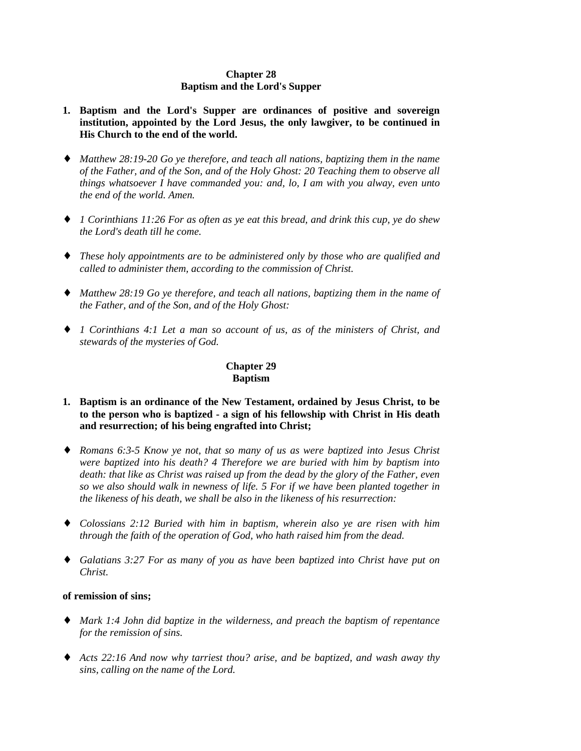## **Chapter 28 Baptism and the Lord's Supper**

- **1. Baptism and the Lord's Supper are ordinances of positive and sovereign institution, appointed by the Lord Jesus, the only lawgiver, to be continued in His Church to the end of the world.**
- ♦ *Matthew 28:19-20 Go ye therefore, and teach all nations, baptizing them in the name of the Father, and of the Son, and of the Holy Ghost: 20 Teaching them to observe all things whatsoever I have commanded you: and, lo, I am with you alway, even unto the end of the world. Amen.*
- ♦ *1 Corinthians 11:26 For as often as ye eat this bread, and drink this cup, ye do shew the Lord's death till he come.*
- ♦ *These holy appointments are to be administered only by those who are qualified and called to administer them, according to the commission of Christ.*
- ♦ *Matthew 28:19 Go ye therefore, and teach all nations, baptizing them in the name of the Father, and of the Son, and of the Holy Ghost:*
- ♦ *1 Corinthians 4:1 Let a man so account of us, as of the ministers of Christ, and stewards of the mysteries of God.*

# **Chapter 29 Baptism**

- **1. Baptism is an ordinance of the New Testament, ordained by Jesus Christ, to be to the person who is baptized - a sign of his fellowship with Christ in His death and resurrection; of his being engrafted into Christ;**
- ♦ *Romans 6:3-5 Know ye not, that so many of us as were baptized into Jesus Christ were baptized into his death? 4 Therefore we are buried with him by baptism into death: that like as Christ was raised up from the dead by the glory of the Father, even so we also should walk in newness of life. 5 For if we have been planted together in the likeness of his death, we shall be also in the likeness of his resurrection:*
- ♦ *Colossians 2:12 Buried with him in baptism, wherein also ye are risen with him through the faith of the operation of God, who hath raised him from the dead.*
- ♦ *Galatians 3:27 For as many of you as have been baptized into Christ have put on Christ.*

## **of remission of sins;**

- ♦ *Mark 1:4 John did baptize in the wilderness, and preach the baptism of repentance for the remission of sins.*
- ♦ *Acts 22:16 And now why tarriest thou? arise, and be baptized, and wash away thy sins, calling on the name of the Lord.*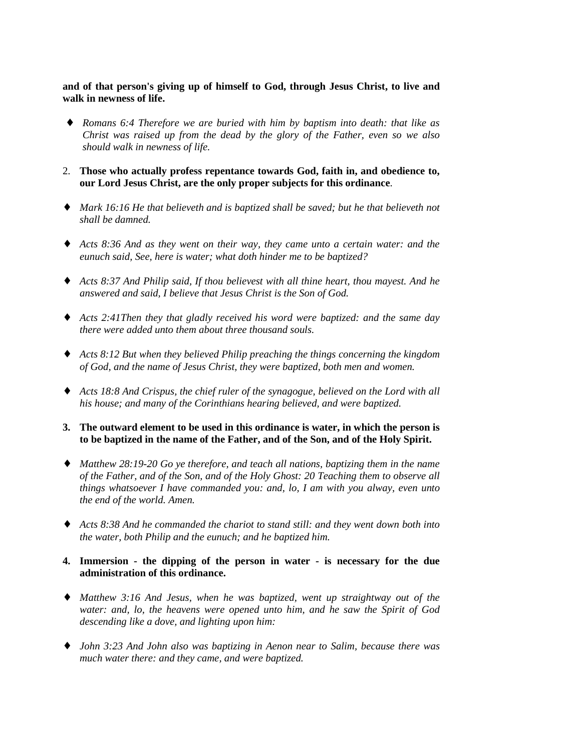**and of that person's giving up of himself to God, through Jesus Christ, to live and walk in newness of life.**

- ♦ *Romans 6:4 Therefore we are buried with him by baptism into death: that like as Christ was raised up from the dead by the glory of the Father, even so we also should walk in newness of life.*
- 2. **Those who actually profess repentance towards God, faith in, and obedience to, our Lord Jesus Christ, are the only proper subjects for this ordinance**.
- ♦ *Mark 16:16 He that believeth and is baptized shall be saved; but he that believeth not shall be damned.*
- ♦ *Acts 8:36 And as they went on their way, they came unto a certain water: and the eunuch said, See, here is water; what doth hinder me to be baptized?*
- ♦ *Acts 8:37 And Philip said, If thou believest with all thine heart, thou mayest. And he answered and said, I believe that Jesus Christ is the Son of God.*
- ♦ *Acts 2:41Then they that gladly received his word were baptized: and the same day there were added unto them about three thousand souls.*
- ♦ *Acts 8:12 But when they believed Philip preaching the things concerning the kingdom of God, and the name of Jesus Christ, they were baptized, both men and women.*
- ♦ *Acts 18:8 And Crispus, the chief ruler of the synagogue, believed on the Lord with all his house; and many of the Corinthians hearing believed, and were baptized.*
- **3. The outward element to be used in this ordinance is water, in which the person is to be baptized in the name of the Father, and of the Son, and of the Holy Spirit.**
- ♦ *Matthew 28:19-20 Go ye therefore, and teach all nations, baptizing them in the name of the Father, and of the Son, and of the Holy Ghost: 20 Teaching them to observe all things whatsoever I have commanded you: and, lo, I am with you alway, even unto the end of the world. Amen.*
- ♦ *Acts 8:38 And he commanded the chariot to stand still: and they went down both into the water, both Philip and the eunuch; and he baptized him.*

### **4. Immersion - the dipping of the person in water - is necessary for the due administration of this ordinance.**

- ♦ *Matthew 3:16 And Jesus, when he was baptized, went up straightway out of the water: and, lo, the heavens were opened unto him, and he saw the Spirit of God descending like a dove, and lighting upon him:*
- ♦ *John 3:23 And John also was baptizing in Aenon near to Salim, because there was much water there: and they came, and were baptized.*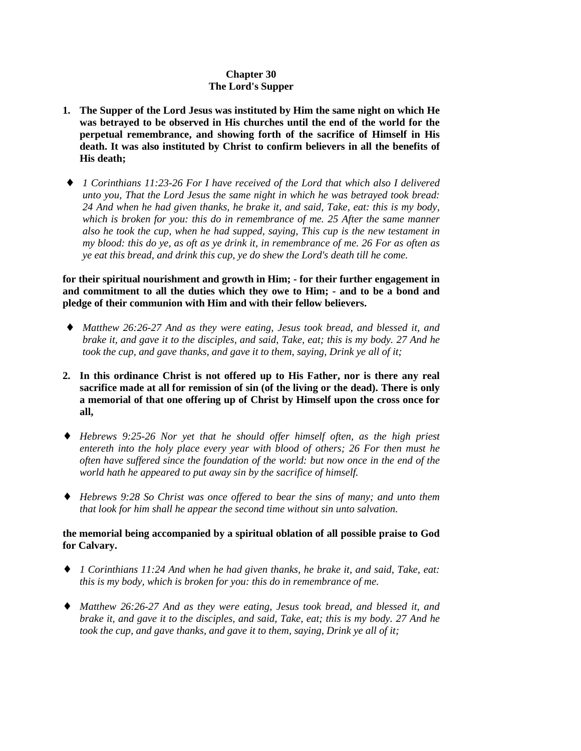# **Chapter 30 The Lord's Supper**

- **1. The Supper of the Lord Jesus was instituted by Him the same night on which He was betrayed to be observed in His churches until the end of the world for the perpetual remembrance, and showing forth of the sacrifice of Himself in His death. It was also instituted by Christ to confirm believers in all the benefits of His death;**
- ♦ *1 Corinthians 11:23-26 For I have received of the Lord that which also I delivered unto you, That the Lord Jesus the same night in which he was betrayed took bread: 24 And when he had given thanks, he brake it, and said, Take, eat: this is my body, which is broken for you: this do in remembrance of me. 25 After the same manner also he took the cup, when he had supped, saying, This cup is the new testament in my blood: this do ye, as oft as ye drink it, in remembrance of me. 26 For as often as ye eat this bread, and drink this cup, ye do shew the Lord's death till he come.*

**for their spiritual nourishment and growth in Him; - for their further engagement in and commitment to all the duties which they owe to Him; - and to be a bond and pledge of their communion with Him and with their fellow believers.**

- ♦ *Matthew 26:26-27 And as they were eating, Jesus took bread, and blessed it, and brake it, and gave it to the disciples, and said, Take, eat; this is my body. 27 And he took the cup, and gave thanks, and gave it to them, saying, Drink ye all of it;*
- **2. In this ordinance Christ is not offered up to His Father, nor is there any real sacrifice made at all for remission of sin (of the living or the dead). There is only a memorial of that one offering up of Christ by Himself upon the cross once for all,**
- ♦ *Hebrews 9:25-26 Nor yet that he should offer himself often, as the high priest entereth into the holy place every year with blood of others; 26 For then must he often have suffered since the foundation of the world: but now once in the end of the world hath he appeared to put away sin by the sacrifice of himself.*
- ♦ *Hebrews 9:28 So Christ was once offered to bear the sins of many; and unto them that look for him shall he appear the second time without sin unto salvation.*

# **the memorial being accompanied by a spiritual oblation of all possible praise to God for Calvary.**

- ♦ *1 Corinthians 11:24 And when he had given thanks, he brake it, and said, Take, eat: this is my body, which is broken for you: this do in remembrance of me.*
- ♦ *Matthew 26:26-27 And as they were eating, Jesus took bread, and blessed it, and brake it, and gave it to the disciples, and said, Take, eat; this is my body. 27 And he took the cup, and gave thanks, and gave it to them, saying, Drink ye all of it;*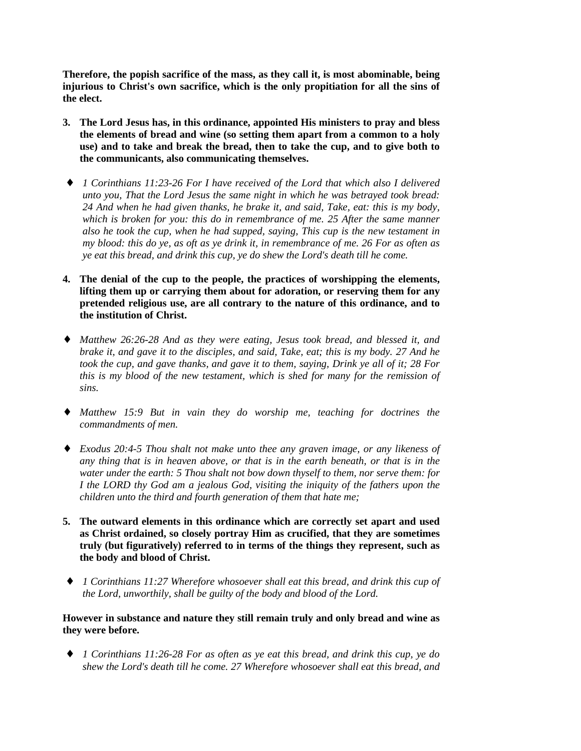**Therefore, the popish sacrifice of the mass, as they call it, is most abominable, being injurious to Christ's own sacrifice, which is the only propitiation for all the sins of the elect.**

- **3. The Lord Jesus has, in this ordinance, appointed His ministers to pray and bless the elements of bread and wine (so setting them apart from a common to a holy use) and to take and break the bread, then to take the cup, and to give both to the communicants, also communicating themselves.**
- ♦ *1 Corinthians 11:23-26 For I have received of the Lord that which also I delivered unto you, That the Lord Jesus the same night in which he was betrayed took bread: 24 And when he had given thanks, he brake it, and said, Take, eat: this is my body, which is broken for you: this do in remembrance of me. 25 After the same manner also he took the cup, when he had supped, saying, This cup is the new testament in my blood: this do ye, as oft as ye drink it, in remembrance of me. 26 For as often as ye eat this bread, and drink this cup, ye do shew the Lord's death till he come.*
- **4. The denial of the cup to the people, the practices of worshipping the elements, lifting them up or carrying them about for adoration, or reserving them for any pretended religious use, are all contrary to the nature of this ordinance, and to the institution of Christ.**
- ♦ *Matthew 26:26-28 And as they were eating, Jesus took bread, and blessed it, and brake it, and gave it to the disciples, and said, Take, eat; this is my body. 27 And he took the cup, and gave thanks, and gave it to them, saying, Drink ye all of it; 28 For this is my blood of the new testament, which is shed for many for the remission of sins.*
- ♦ *Matthew 15:9 But in vain they do worship me, teaching for doctrines the commandments of men.*
- ♦ *Exodus 20:4-5 Thou shalt not make unto thee any graven image, or any likeness of any thing that is in heaven above, or that is in the earth beneath, or that is in the water under the earth: 5 Thou shalt not bow down thyself to them, nor serve them: for I the LORD thy God am a jealous God, visiting the iniquity of the fathers upon the children unto the third and fourth generation of them that hate me;*
- **5. The outward elements in this ordinance which are correctly set apart and used as Christ ordained, so closely portray Him as crucified, that they are sometimes truly (but figuratively) referred to in terms of the things they represent, such as the body and blood of Christ.**
- ♦ *1 Corinthians 11:27 Wherefore whosoever shall eat this bread, and drink this cup of the Lord, unworthily, shall be guilty of the body and blood of the Lord.*

# **However in substance and nature they still remain truly and only bread and wine as they were before.**

♦ *1 Corinthians 11:26-28 For as often as ye eat this bread, and drink this cup, ye do shew the Lord's death till he come. 27 Wherefore whosoever shall eat this bread, and*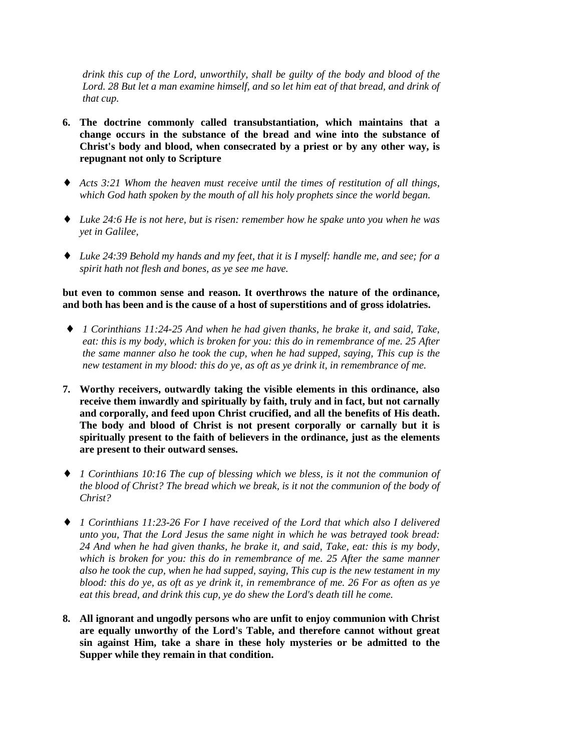*drink this cup of the Lord, unworthily, shall be guilty of the body and blood of the Lord. 28 But let a man examine himself, and so let him eat of that bread, and drink of that cup.*

- **6. The doctrine commonly called transubstantiation, which maintains that a change occurs in the substance of the bread and wine into the substance of Christ's body and blood, when consecrated by a priest or by any other way, is repugnant not only to Scripture**
- ♦ *Acts 3:21 Whom the heaven must receive until the times of restitution of all things, which God hath spoken by the mouth of all his holy prophets since the world began.*
- ♦ *Luke 24:6 He is not here, but is risen: remember how he spake unto you when he was yet in Galilee,*
- ♦ *Luke 24:39 Behold my hands and my feet, that it is I myself: handle me, and see; for a spirit hath not flesh and bones, as ye see me have.*

## **but even to common sense and reason. It overthrows the nature of the ordinance, and both has been and is the cause of a host of superstitions and of gross idolatries.**

- ♦ *1 Corinthians 11:24-25 And when he had given thanks, he brake it, and said, Take, eat: this is my body, which is broken for you: this do in remembrance of me. 25 After the same manner also he took the cup, when he had supped, saying, This cup is the new testament in my blood: this do ye, as oft as ye drink it, in remembrance of me.*
- **7. Worthy receivers, outwardly taking the visible elements in this ordinance, also receive them inwardly and spiritually by faith, truly and in fact, but not carnally and corporally, and feed upon Christ crucified, and all the benefits of His death. The body and blood of Christ is not present corporally or carnally but it is spiritually present to the faith of believers in the ordinance, just as the elements are present to their outward senses.**
- ♦ *1 Corinthians 10:16 The cup of blessing which we bless, is it not the communion of the blood of Christ? The bread which we break, is it not the communion of the body of Christ?*
- ♦ *1 Corinthians 11:23-26 For I have received of the Lord that which also I delivered unto you, That the Lord Jesus the same night in which he was betrayed took bread: 24 And when he had given thanks, he brake it, and said, Take, eat: this is my body, which is broken for you: this do in remembrance of me. 25 After the same manner also he took the cup, when he had supped, saying, This cup is the new testament in my blood: this do ye, as oft as ye drink it, in remembrance of me. 26 For as often as ye eat this bread, and drink this cup, ye do shew the Lord's death till he come.*
- **8. All ignorant and ungodly persons who are unfit to enjoy communion with Christ are equally unworthy of the Lord's Table, and therefore cannot without great sin against Him, take a share in these holy mysteries or be admitted to the Supper while they remain in that condition.**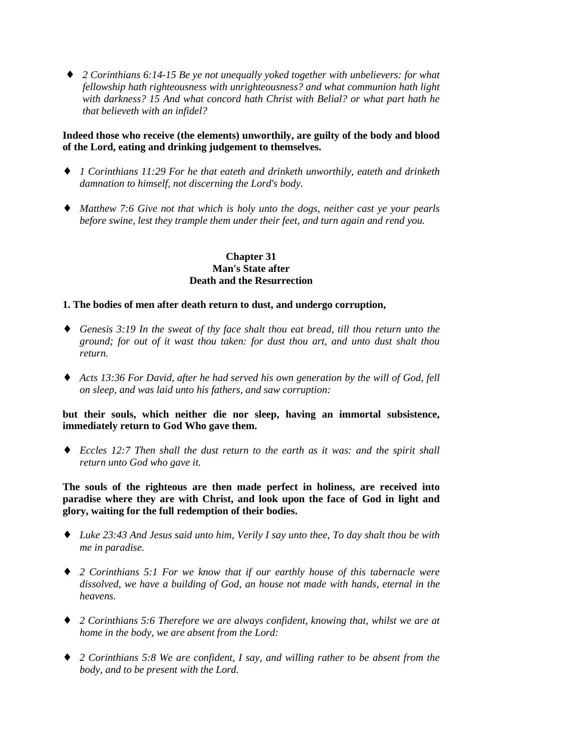♦ *2 Corinthians 6:14-15 Be ye not unequally yoked together with unbelievers: for what fellowship hath righteousness with unrighteousness? and what communion hath light with darkness? 15 And what concord hath Christ with Belial? or what part hath he that believeth with an infidel?*

## **Indeed those who receive (the elements) unworthily, are guilty of the body and blood of the Lord, eating and drinking judgement to themselves.**

- ♦ *1 Corinthians 11:29 For he that eateth and drinketh unworthily, eateth and drinketh damnation to himself, not discerning the Lord's body.*
- ♦ *Matthew 7:6 Give not that which is holy unto the dogs, neither cast ye your pearls before swine, lest they trample them under their feet, and turn again and rend you.*

#### **Chapter 31 Man's State after Death and the Resurrection**

#### **1. The bodies of men after death return to dust, and undergo corruption,**

- ♦ *Genesis 3:19 In the sweat of thy face shalt thou eat bread, till thou return unto the ground; for out of it wast thou taken: for dust thou art, and unto dust shalt thou return.*
- ♦ *Acts 13:36 For David, after he had served his own generation by the will of God, fell on sleep, and was laid unto his fathers, and saw corruption:*

**but their souls, which neither die nor sleep, having an immortal subsistence, immediately return to God Who gave them.**

♦ *Eccles 12:7 Then shall the dust return to the earth as it was: and the spirit shall return unto God who gave it.*

**The souls of the righteous are then made perfect in holiness, are received into paradise where they are with Christ, and look upon the face of God in light and glory, waiting for the full redemption of their bodies.**

- ♦ *Luke 23:43 And Jesus said unto him, Verily I say unto thee, To day shalt thou be with me in paradise.*
- ♦ *2 Corinthians 5:1 For we know that if our earthly house of this tabernacle were dissolved, we have a building of God, an house not made with hands, eternal in the heavens.*
- ♦ *2 Corinthians 5:6 Therefore we are always confident, knowing that, whilst we are at home in the body, we are absent from the Lord:*
- ♦ *2 Corinthians 5:8 We are confident, I say, and willing rather to be absent from the body, and to be present with the Lord.*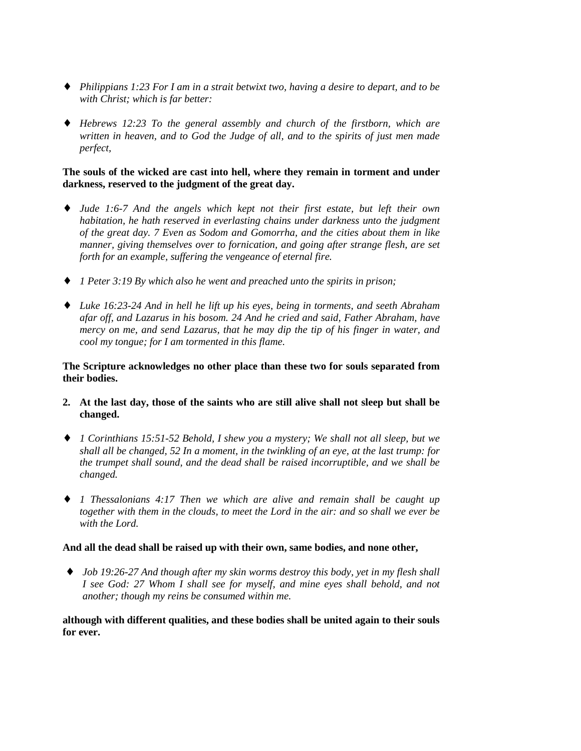- ♦ *Philippians 1:23 For I am in a strait betwixt two, having a desire to depart, and to be with Christ; which is far better:*
- ♦ *Hebrews 12:23 To the general assembly and church of the firstborn, which are written in heaven, and to God the Judge of all, and to the spirits of just men made perfect,*

## **The souls of the wicked are cast into hell, where they remain in torment and under darkness, reserved to the judgment of the great day.**

- ♦ *Jude 1:6-7 And the angels which kept not their first estate, but left their own habitation, he hath reserved in everlasting chains under darkness unto the judgment of the great day. 7 Even as Sodom and Gomorrha, and the cities about them in like manner, giving themselves over to fornication, and going after strange flesh, are set forth for an example, suffering the vengeance of eternal fire.*
- ♦ *1 Peter 3:19 By which also he went and preached unto the spirits in prison;*
- ♦ *Luke 16:23-24 And in hell he lift up his eyes, being in torments, and seeth Abraham afar off, and Lazarus in his bosom. 24 And he cried and said, Father Abraham, have mercy on me, and send Lazarus, that he may dip the tip of his finger in water, and cool my tongue; for I am tormented in this flame.*

### **The Scripture acknowledges no other place than these two for souls separated from their bodies.**

- **2. At the last day, those of the saints who are still alive shall not sleep but shall be changed.**
- ♦ *1 Corinthians 15:51-52 Behold, I shew you a mystery; We shall not all sleep, but we shall all be changed, 52 In a moment, in the twinkling of an eye, at the last trump: for the trumpet shall sound, and the dead shall be raised incorruptible, and we shall be changed.*
- ♦ *1 Thessalonians 4:17 Then we which are alive and remain shall be caught up together with them in the clouds, to meet the Lord in the air: and so shall we ever be with the Lord.*

## **And all the dead shall be raised up with their own, same bodies, and none other,**

♦ *Job 19:26-27 And though after my skin worms destroy this body, yet in my flesh shall I see God: 27 Whom I shall see for myself, and mine eyes shall behold, and not another; though my reins be consumed within me.*

**although with different qualities, and these bodies shall be united again to their souls for ever.**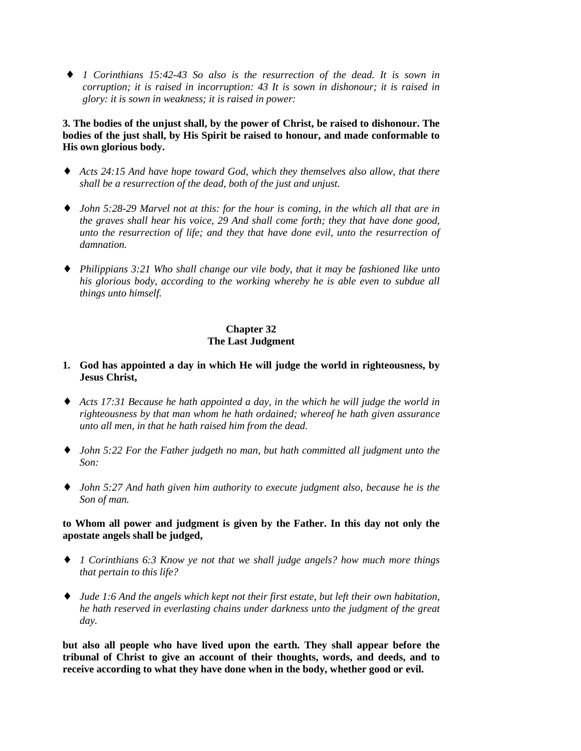♦ *1 Corinthians 15:42-43 So also is the resurrection of the dead. It is sown in corruption; it is raised in incorruption: 43 It is sown in dishonour; it is raised in glory: it is sown in weakness; it is raised in power:*

**3. The bodies of the unjust shall, by the power of Christ, be raised to dishonour. The bodies of the just shall, by His Spirit be raised to honour, and made conformable to His own glorious body.**

- ♦ *Acts 24:15 And have hope toward God, which they themselves also allow, that there shall be a resurrection of the dead, both of the just and unjust.*
- ♦ *John 5:28-29 Marvel not at this: for the hour is coming, in the which all that are in the graves shall hear his voice, 29 And shall come forth; they that have done good, unto the resurrection of life; and they that have done evil, unto the resurrection of damnation.*
- ♦ *Philippians 3:21 Who shall change our vile body, that it may be fashioned like unto his glorious body, according to the working whereby he is able even to subdue all things unto himself.*

## **Chapter 32 The Last Judgment**

## **1. God has appointed a day in which He will judge the world in righteousness, by Jesus Christ,**

- ♦ *Acts 17:31 Because he hath appointed a day, in the which he will judge the world in righteousness by that man whom he hath ordained; whereof he hath given assurance unto all men, in that he hath raised him from the dead.*
- ♦ *John 5:22 For the Father judgeth no man, but hath committed all judgment unto the Son:*
- ♦ *John 5:27 And hath given him authority to execute judgment also, because he is the Son of man.*

## **to Whom all power and judgment is given by the Father. In this day not only the apostate angels shall be judged,**

- ♦ *1 Corinthians 6:3 Know ye not that we shall judge angels? how much more things that pertain to this life?*
- ♦ *Jude 1:6 And the angels which kept not their first estate, but left their own habitation, he hath reserved in everlasting chains under darkness unto the judgment of the great day.*

**but also all people who have lived upon the earth. They shall appear before the tribunal of Christ to give an account of their thoughts, words, and deeds, and to receive according to what they have done when in the body, whether good or evil.**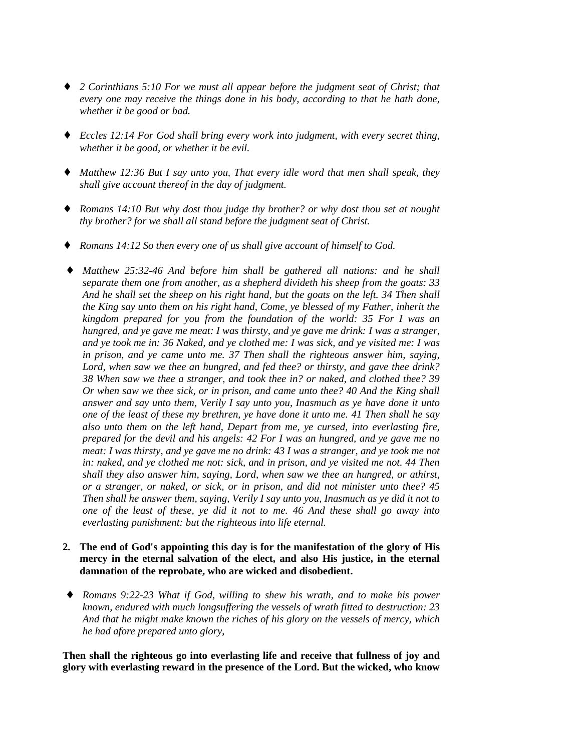- ♦ *2 Corinthians 5:10 For we must all appear before the judgment seat of Christ; that every one may receive the things done in his body, according to that he hath done, whether it be good or bad.*
- ♦ *Eccles 12:14 For God shall bring every work into judgment, with every secret thing, whether it be good, or whether it be evil.*
- ♦ *Matthew 12:36 But I say unto you, That every idle word that men shall speak, they shall give account thereof in the day of judgment.*
- ♦ *Romans 14:10 But why dost thou judge thy brother? or why dost thou set at nought thy brother? for we shall all stand before the judgment seat of Christ.*
- ♦ *Romans 14:12 So then every one of us shall give account of himself to God.*
- ♦ *Matthew 25:32-46 And before him shall be gathered all nations: and he shall separate them one from another, as a shepherd divideth his sheep from the goats: 33 And he shall set the sheep on his right hand, but the goats on the left. 34 Then shall the King say unto them on his right hand, Come, ye blessed of my Father, inherit the kingdom prepared for you from the foundation of the world: 35 For I was an hungred, and ye gave me meat: I was thirsty, and ye gave me drink: I was a stranger, and ye took me in: 36 Naked, and ye clothed me: I was sick, and ye visited me: I was in prison, and ye came unto me. 37 Then shall the righteous answer him, saying, Lord, when saw we thee an hungred, and fed thee? or thirsty, and gave thee drink? 38 When saw we thee a stranger, and took thee in? or naked, and clothed thee? 39 Or when saw we thee sick, or in prison, and came unto thee? 40 And the King shall answer and say unto them, Verily I say unto you, Inasmuch as ye have done it unto one of the least of these my brethren, ye have done it unto me. 41 Then shall he say also unto them on the left hand, Depart from me, ye cursed, into everlasting fire, prepared for the devil and his angels: 42 For I was an hungred, and ye gave me no meat: I was thirsty, and ye gave me no drink: 43 I was a stranger, and ye took me not in: naked, and ye clothed me not: sick, and in prison, and ye visited me not. 44 Then shall they also answer him, saying, Lord, when saw we thee an hungred, or athirst, or a stranger, or naked, or sick, or in prison, and did not minister unto thee? 45 Then shall he answer them, saying, Verily I say unto you, Inasmuch as ye did it not to one of the least of these, ye did it not to me. 46 And these shall go away into everlasting punishment: but the righteous into life eternal.*
- **2. The end of God's appointing this day is for the manifestation of the glory of His mercy in the eternal salvation of the elect, and also His justice, in the eternal damnation of the reprobate, who are wicked and disobedient.**
- ♦ *Romans 9:22-23 What if God, willing to shew his wrath, and to make his power known, endured with much longsuffering the vessels of wrath fitted to destruction: 23 And that he might make known the riches of his glory on the vessels of mercy, which he had afore prepared unto glory*,

**Then shall the righteous go into everlasting life and receive that fullness of joy and glory with everlasting reward in the presence of the Lord. But the wicked, who know**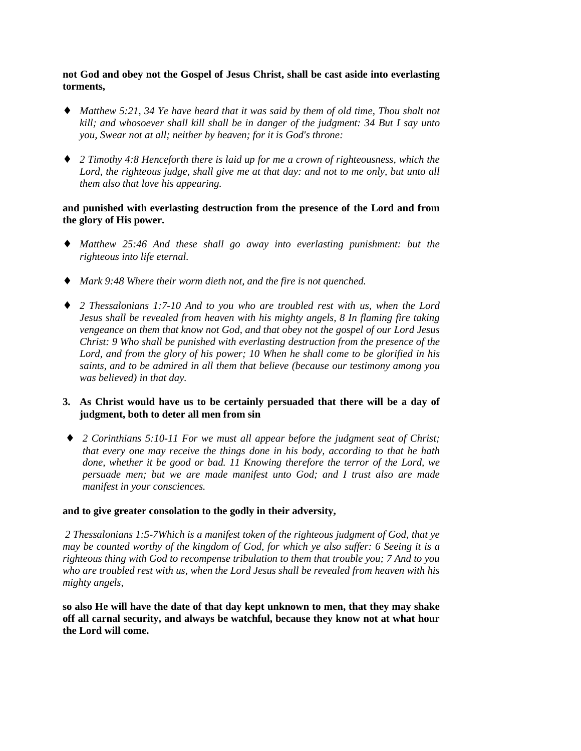**not God and obey not the Gospel of Jesus Christ, shall be cast aside into everlasting torments,**

- ♦ *Matthew 5:21, 34 Ye have heard that it was said by them of old time, Thou shalt not kill; and whosoever shall kill shall be in danger of the judgment: 34 But I say unto you, Swear not at all; neither by heaven; for it is God's throne:*
- ♦ *2 Timothy 4:8 Henceforth there is laid up for me a crown of righteousness, which the Lord, the righteous judge, shall give me at that day: and not to me only, but unto all them also that love his appearing.*

#### **and punished with everlasting destruction from the presence of the Lord and from the glory of His power.**

- ♦ *Matthew 25:46 And these shall go away into everlasting punishment: but the righteous into life eternal.*
- ♦ *Mark 9:48 Where their worm dieth not, and the fire is not quenched.*
- ♦ *2 Thessalonians 1:7-10 And to you who are troubled rest with us, when the Lord Jesus shall be revealed from heaven with his mighty angels, 8 In flaming fire taking vengeance on them that know not God, and that obey not the gospel of our Lord Jesus Christ: 9 Who shall be punished with everlasting destruction from the presence of the Lord, and from the glory of his power; 10 When he shall come to be glorified in his saints, and to be admired in all them that believe (because our testimony among you was believed) in that day.*

## **3. As Christ would have us to be certainly persuaded that there will be a day of judgment, both to deter all men from sin**

♦ *2 Corinthians 5:10-11 For we must all appear before the judgment seat of Christ; that every one may receive the things done in his body, according to that he hath done, whether it be good or bad. 11 Knowing therefore the terror of the Lord, we persuade men; but we are made manifest unto God; and I trust also are made manifest in your consciences.*

#### **and to give greater consolation to the godly in their adversity,**

*2 Thessalonians 1:5-7Which is a manifest token of the righteous judgment of God, that ye may be counted worthy of the kingdom of God, for which ye also suffer: 6 Seeing it is a righteous thing with God to recompense tribulation to them that trouble you; 7 And to you who are troubled rest with us, when the Lord Jesus shall be revealed from heaven with his mighty angels,*

**so also He will have the date of that day kept unknown to men, that they may shake off all carnal security, and always be watchful, because they know not at what hour the Lord will come.**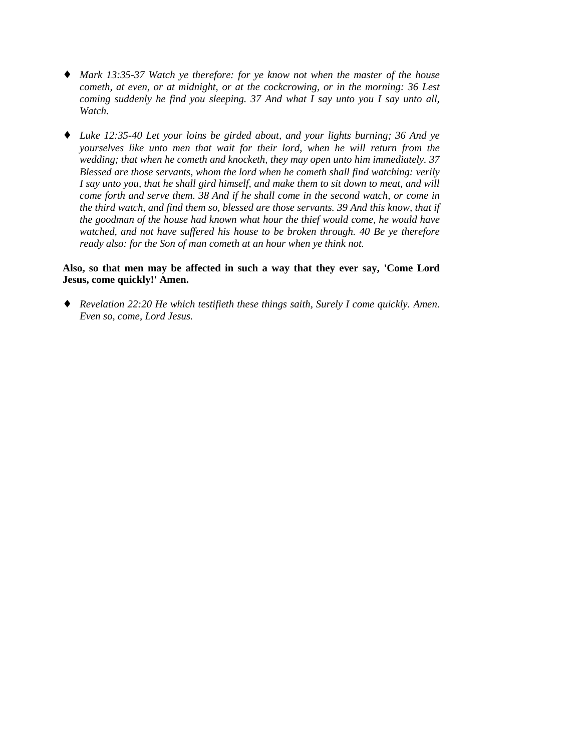- ♦ *Mark 13:35-37 Watch ye therefore: for ye know not when the master of the house cometh, at even, or at midnight, or at the cockcrowing, or in the morning: 36 Lest coming suddenly he find you sleeping. 37 And what I say unto you I say unto all, Watch.*
- ♦ *Luke 12:35-40 Let your loins be girded about, and your lights burning; 36 And ye yourselves like unto men that wait for their lord, when he will return from the wedding; that when he cometh and knocketh, they may open unto him immediately. 37 Blessed are those servants, whom the lord when he cometh shall find watching: verily I say unto you, that he shall gird himself, and make them to sit down to meat, and will come forth and serve them. 38 And if he shall come in the second watch, or come in the third watch, and find them so, blessed are those servants. 39 And this know, that if the goodman of the house had known what hour the thief would come, he would have watched, and not have suffered his house to be broken through. 40 Be ye therefore ready also: for the Son of man cometh at an hour when ye think not.*

#### **Also, so that men may be affected in such a way that they ever say, 'Come Lord Jesus, come quickly!' Amen.**

♦ *Revelation 22:20 He which testifieth these things saith, Surely I come quickly. Amen. Even so, come, Lord Jesus.*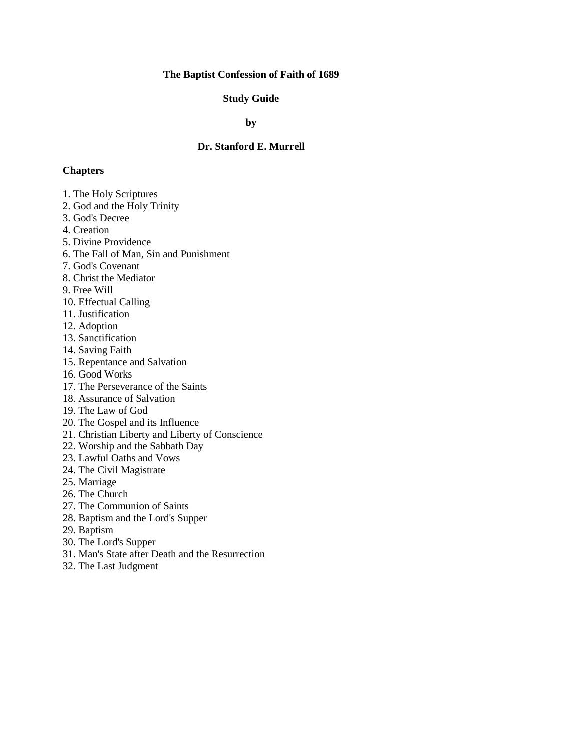## **The Baptist Confession of Faith of 1689**

## **Study Guide**

**by**

# **Dr. Stanford E. Murrell**

#### **Chapters**

- 1. The Holy Scriptures
- 2. God and the Holy Trinity
- 3. God's Decree
- 4. Creation
- 5. Divine Providence
- 6. The Fall of Man, Sin and Punishment
- 7. God's Covenant
- 8. Christ the Mediator
- 9. Free Will
- 10. Effectual Calling
- 11. Justification
- 12. Adoption
- 13. Sanctification
- 14. Saving Faith
- 15. Repentance and Salvation
- 16. Good Works
- 17. The Perseverance of the Saints
- 18. Assurance of Salvation
- 19. The Law of God
- 20. The Gospel and its Influence
- 21. Christian Liberty and Liberty of Conscience
- 22. Worship and the Sabbath Day
- 23. Lawful Oaths and Vows
- 24. The Civil Magistrate
- 25. Marriage
- 26. The Church
- 27. The Communion of Saints
- 28. Baptism and the Lord's Supper
- 29. Baptism
- 30. The Lord's Supper
- 31. Man's State after Death and the Resurrection
- 32. The Last Judgment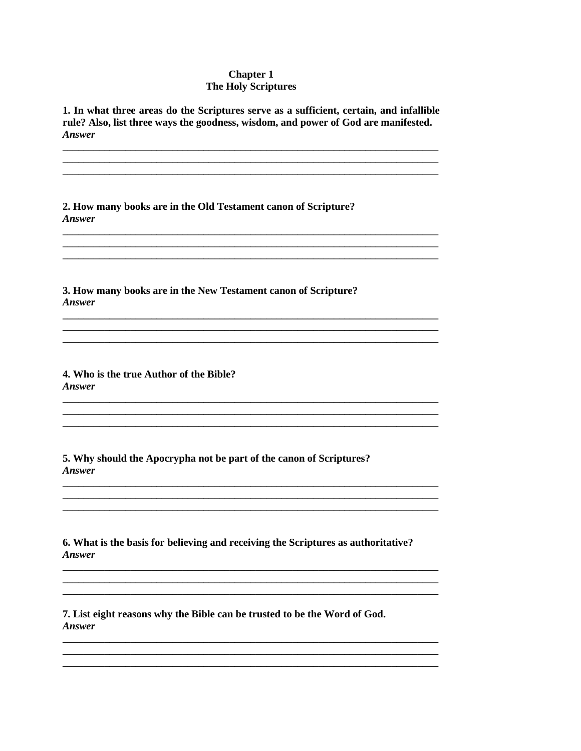## **Chapter 1 The Holy Scriptures**

1. In what three areas do the Scriptures serve as a sufficient, certain, and infallible rule? Also, list three ways the goodness, wisdom, and power of God are manifested. **Answer** 

2. How many books are in the Old Testament canon of Scripture? **Answer** 

3. How many books are in the New Testament canon of Scripture? **Answer** 

4. Who is the true Author of the Bible? **Answer** 

5. Why should the Apocrypha not be part of the canon of Scriptures? **Answer** 

6. What is the basis for believing and receiving the Scriptures as authoritative? **Answer** 

7. List eight reasons why the Bible can be trusted to be the Word of God. **Answer**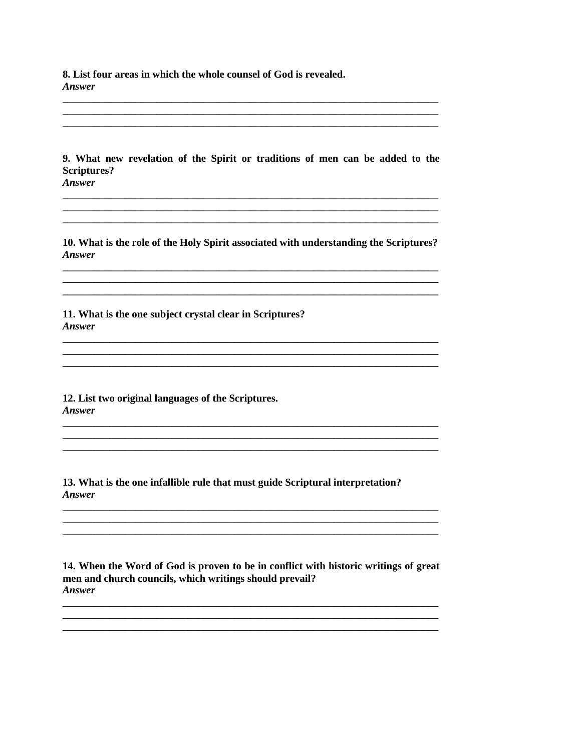8. List four areas in which the whole counsel of God is revealed. **Answer** 

9. What new revelation of the Spirit or traditions of men can be added to the **Scriptures?** Answer

10. What is the role of the Holy Spirit associated with understanding the Scriptures? Answer

11. What is the one subject crystal clear in Scriptures? **Answer** 

12. List two original languages of the Scriptures. Answer

13. What is the one infallible rule that must guide Scriptural interpretation? **Answer** 

14. When the Word of God is proven to be in conflict with historic writings of great men and church councils, which writings should prevail? Answer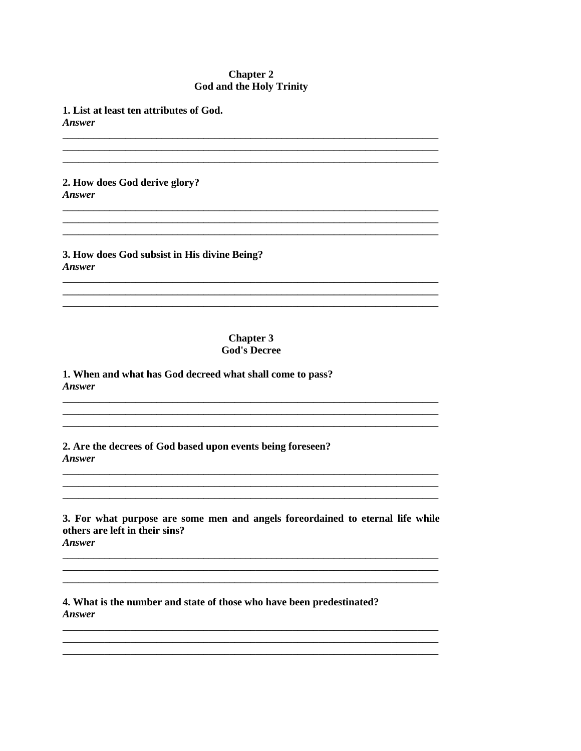## **Chapter 2 God and the Holy Trinity**

1. List at least ten attributes of God.

**Answer** 

2. How does God derive glory? **Answer** 

3. How does God subsist in His divine Being? Answer

# **Chapter 3 God's Decree**

1. When and what has God decreed what shall come to pass? Answer

2. Are the decrees of God based upon events being foreseen? Answer

3. For what purpose are some men and angels foreordained to eternal life while others are left in their sins? Answer

4. What is the number and state of those who have been predestinated? Answer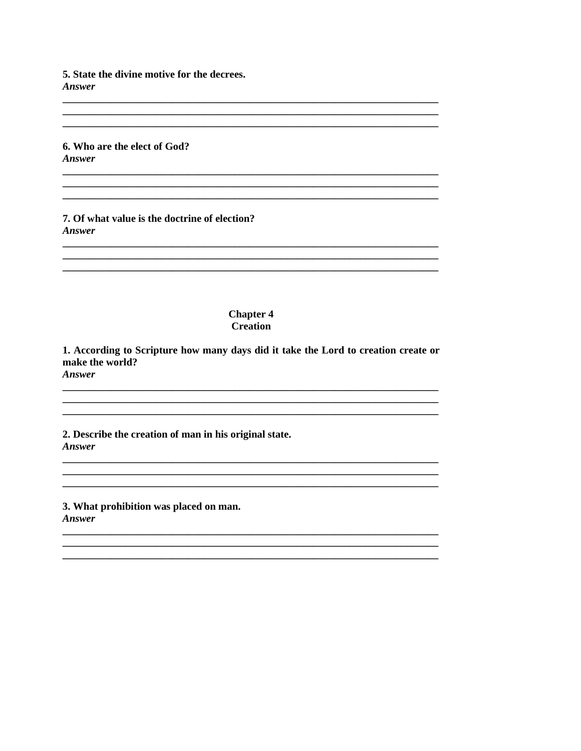5. State the divine motive for the decrees. Answer

6. Who are the elect of God? Answer

7. Of what value is the doctrine of election? **Answer** 

#### **Chapter 4 Creation**

1. According to Scripture how many days did it take the Lord to creation create or make the world? **Answer** 

2. Describe the creation of man in his original state. **Answer** 

3. What prohibition was placed on man. Answer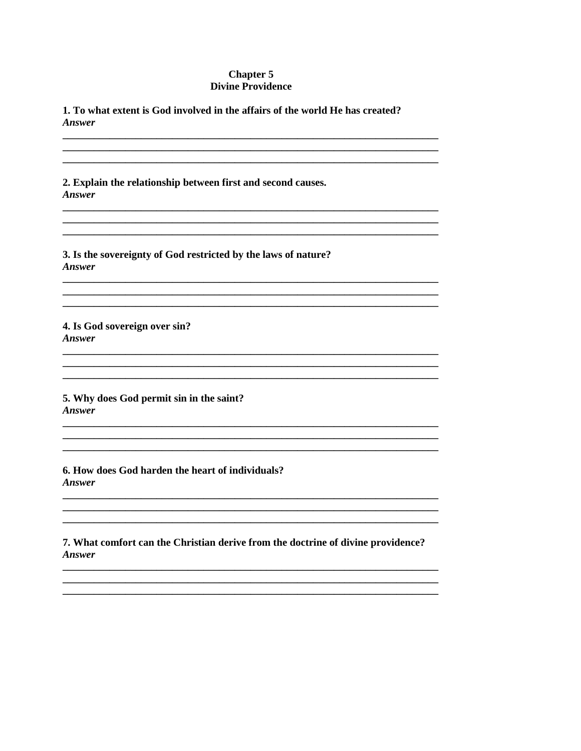## **Chapter 5 Divine Providence**

1. To what extent is God involved in the affairs of the world He has created? Answer

2. Explain the relationship between first and second causes. **Answer** 

3. Is the sovereignty of God restricted by the laws of nature? Answer

4. Is God sovereign over sin? **Answer** 

5. Why does God permit sin in the saint? Answer

6. How does God harden the heart of individuals? **Answer** 

7. What comfort can the Christian derive from the doctrine of divine providence? Answer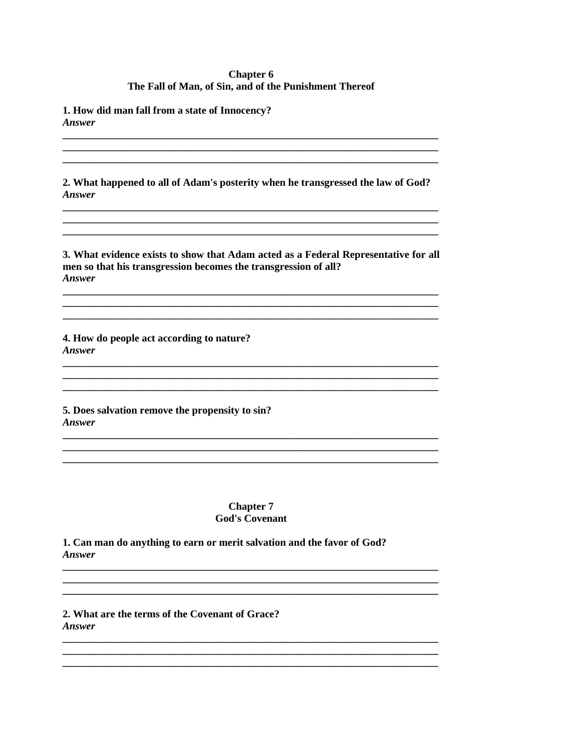# **Chapter 6** The Fall of Man, of Sin, and of the Punishment Thereof

1. How did man fall from a state of Innocency? **Answer** 

2. What happened to all of Adam's posterity when he transgressed the law of God? **Answer** 

3. What evidence exists to show that Adam acted as a Federal Representative for all men so that his transgression becomes the transgression of all? Answer

4. How do people act according to nature? Answer

5. Does salvation remove the propensity to sin? Answer

> **Chapter 7 God's Covenant**

1. Can man do anything to earn or merit salvation and the favor of God? **Answer** 

2. What are the terms of the Covenant of Grace? **Answer**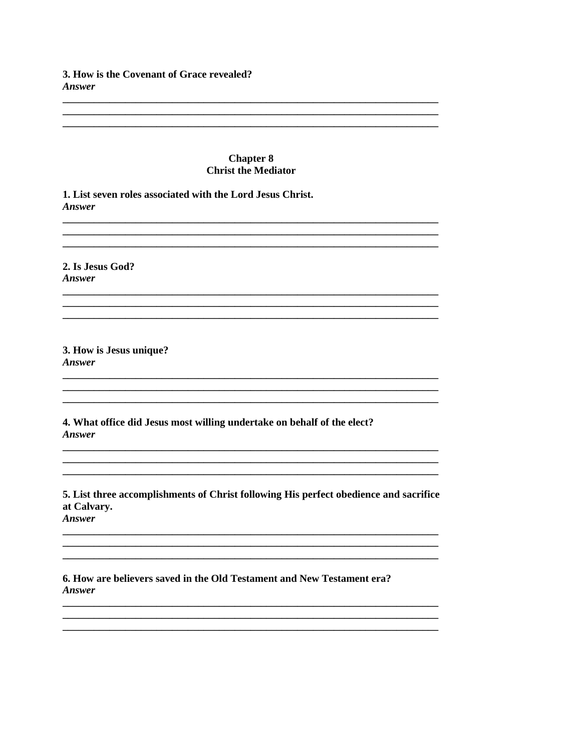# 3. How is the Covenant of Grace revealed? Answer

#### **Chapter 8 Christ the Mediator**

1. List seven roles associated with the Lord Jesus Christ. Answer

2. Is Jesus God? **Answer** 

3. How is Jesus unique? **Answer** 

4. What office did Jesus most willing undertake on behalf of the elect? Answer

5. List three accomplishments of Christ following His perfect obedience and sacrifice at Calvary.

Answer

6. How are believers saved in the Old Testament and New Testament era? Answer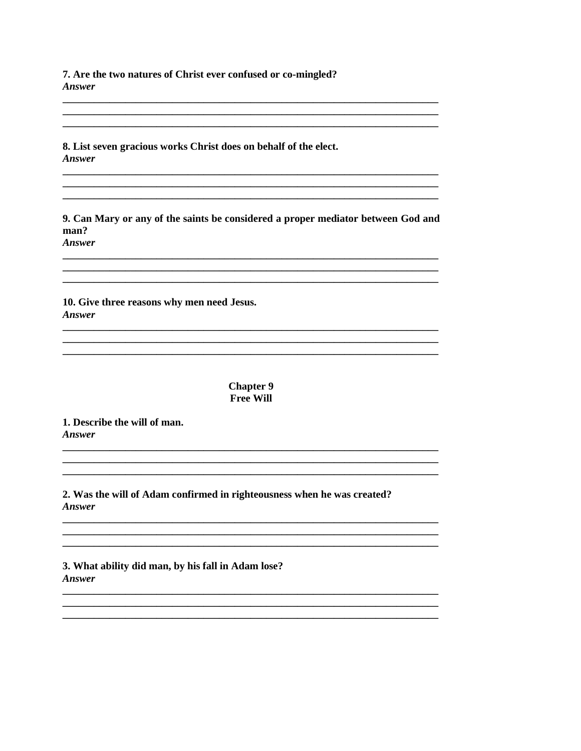7. Are the two natures of Christ ever confused or co-mingled? Answer

8. List seven gracious works Christ does on behalf of the elect. Answer

9. Can Mary or any of the saints be considered a proper mediator between God and man? **Answer** 

10. Give three reasons why men need Jesus. Answer

> **Chapter 9 Free Will**

1. Describe the will of man. Answer

2. Was the will of Adam confirmed in righteousness when he was created? **Answer** 

3. What ability did man, by his fall in Adam lose? **Answer**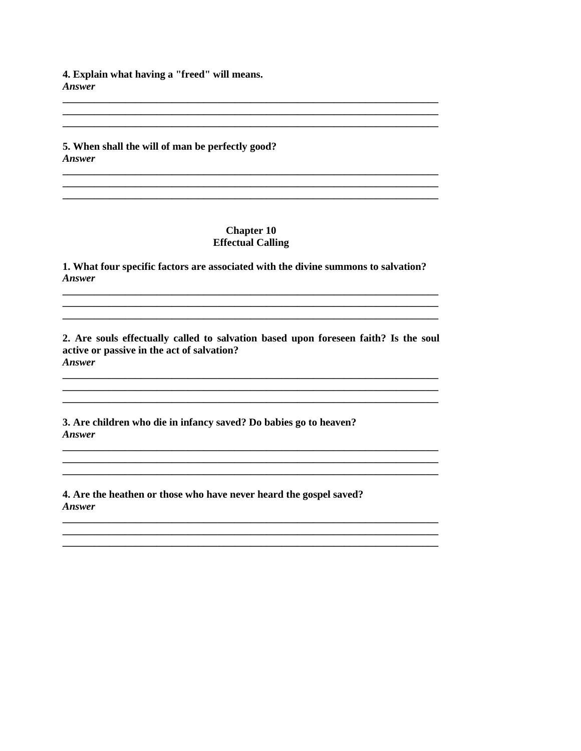4. Explain what having a "freed" will means. Answer

5. When shall the will of man be perfectly good? **Answer** 

### **Chapter 10 Effectual Calling**

1. What four specific factors are associated with the divine summons to salvation? **Answer** 

2. Are souls effectually called to salvation based upon foreseen faith? Is the soul active or passive in the act of salvation? **Answer** 

3. Are children who die in infancy saved? Do babies go to heaven? Answer

4. Are the heathen or those who have never heard the gospel saved? **Answer**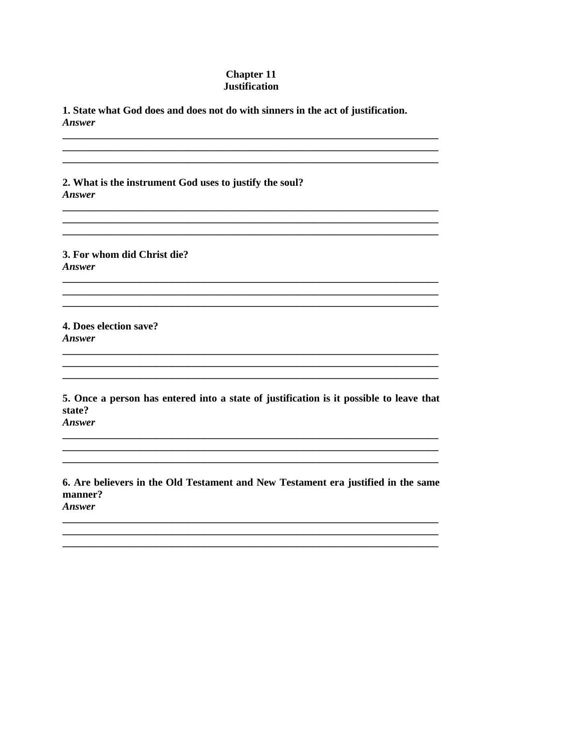## **Chapter 11 Justification**

1. State what God does and does not do with sinners in the act of justification. Answer

2. What is the instrument God uses to justify the soul? Answer

3. For whom did Christ die? Answer

4. Does election save? **Answer** 

5. Once a person has entered into a state of justification is it possible to leave that state?

<u> 1980 - John Stone, Amerikaansk politiker († 1980)</u>

Answer

6. Are believers in the Old Testament and New Testament era justified in the same manner? Answer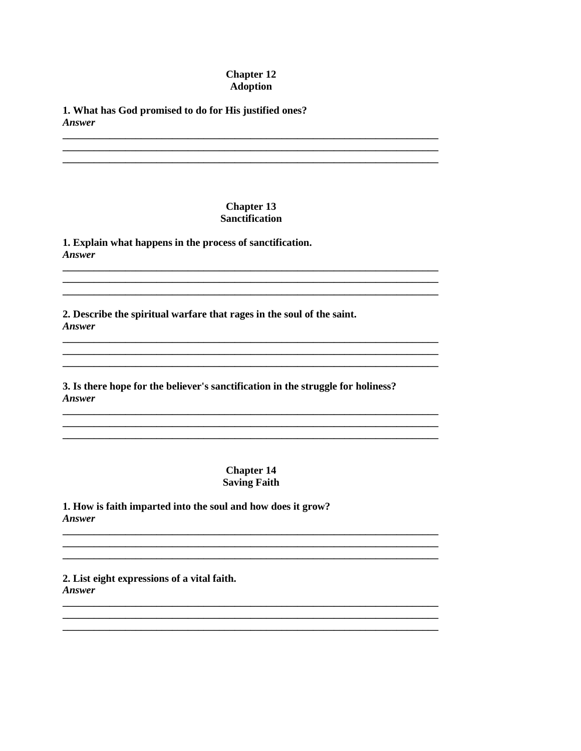## **Chapter 12 Adoption**

1. What has God promised to do for His justified ones? **Answer** 

## **Chapter 13 Sanctification**

1. Explain what happens in the process of sanctification. **Answer** 

2. Describe the spiritual warfare that rages in the soul of the saint. **Answer** 

3. Is there hope for the believer's sanctification in the struggle for holiness? Answer

> **Chapter 14 Saving Faith**

1. How is faith imparted into the soul and how does it grow? Answer

2. List eight expressions of a vital faith. Answer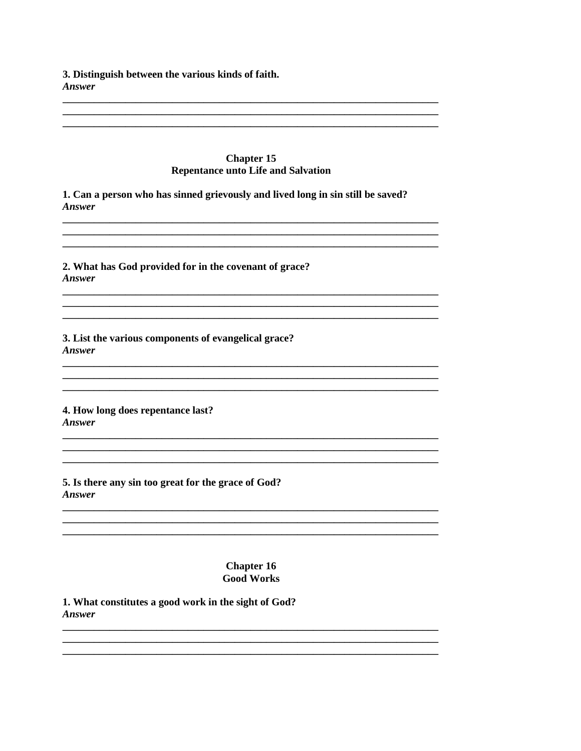3. Distinguish between the various kinds of faith. Answer

#### **Chapter 15 Repentance unto Life and Salvation**

1. Can a person who has sinned grievously and lived long in sin still be saved? **Answer** 

2. What has God provided for in the covenant of grace? **Answer** 

3. List the various components of evangelical grace? Answer

4. How long does repentance last? Answer

5. Is there any sin too great for the grace of God? **Answer** 

> **Chapter 16 Good Works**

1. What constitutes a good work in the sight of God? Answer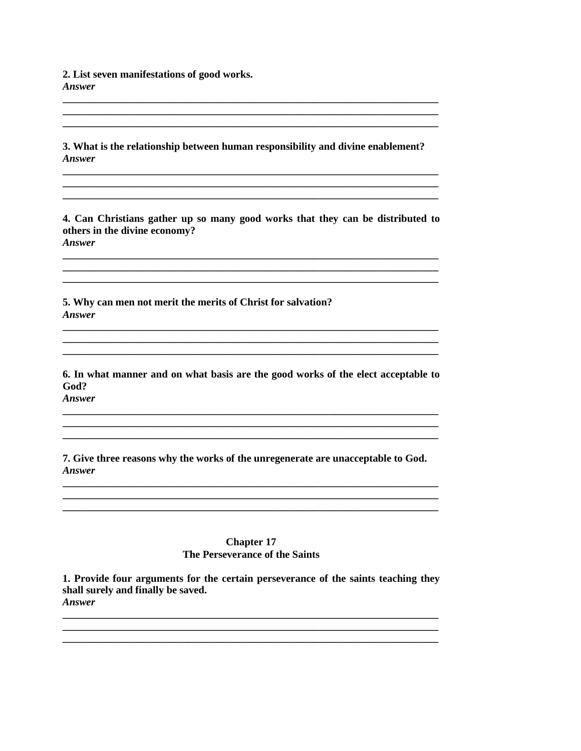2. List seven manifestations of good works. **Answer** 

3. What is the relationship between human responsibility and divine enablement? Answer

4. Can Christians gather up so many good works that they can be distributed to others in the divine economy? **Answer** 

5. Why can men not merit the merits of Christ for salvation? Answer

6. In what manner and on what basis are the good works of the elect acceptable to God? Answer

7. Give three reasons why the works of the unregenerate are unacceptable to God. Answer

#### **Chapter 17** The Perseverance of the Saints

1. Provide four arguments for the certain perseverance of the saints teaching they shall surely and finally be saved. **Answer**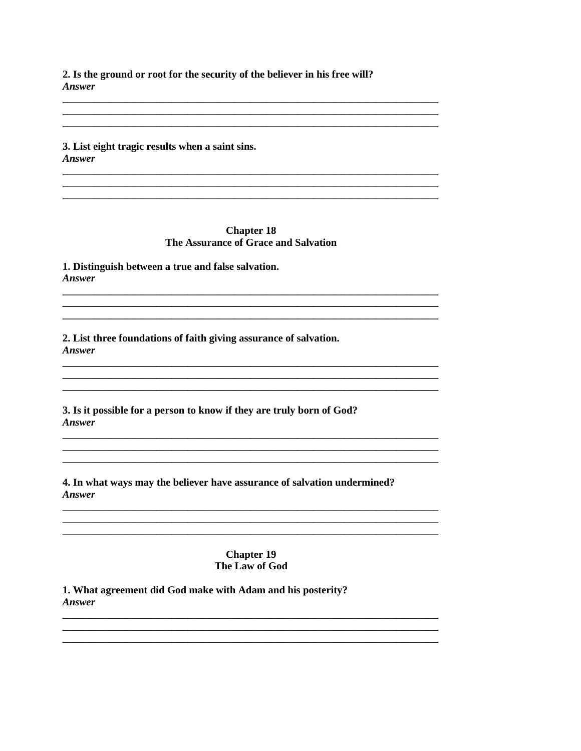2. Is the ground or root for the security of the believer in his free will? **Answer** 

3. List eight tragic results when a saint sins. Answer

### **Chapter 18** The Assurance of Grace and Salvation

1. Distinguish between a true and false salvation. **Answer** 

2. List three foundations of faith giving assurance of salvation. Answer

3. Is it possible for a person to know if they are truly born of God? Answer

4. In what ways may the believer have assurance of salvation undermined? **Answer** 

> **Chapter 19** The Law of God

1. What agreement did God make with Adam and his posterity? **Answer**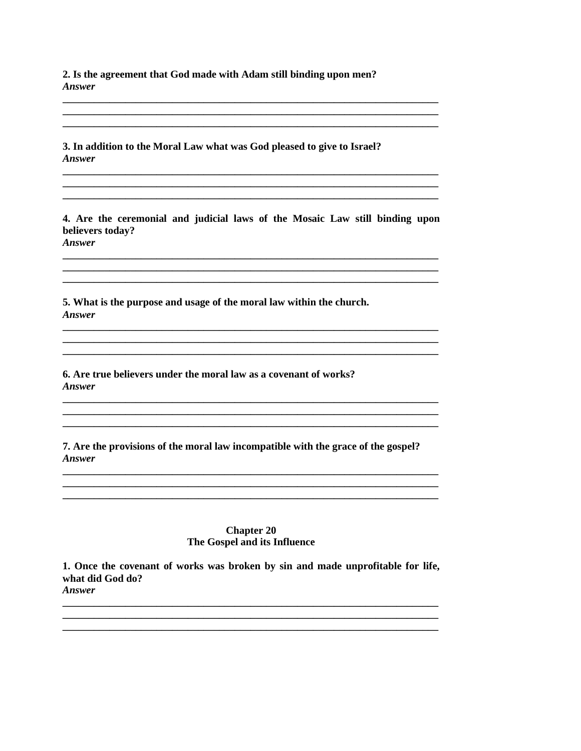2. Is the agreement that God made with Adam still binding upon men? **Answer** 

3. In addition to the Moral Law what was God pleased to give to Israel? Answer

4. Are the ceremonial and judicial laws of the Mosaic Law still binding upon believers today? **Answer** 

5. What is the purpose and usage of the moral law within the church. Answer

6. Are true believers under the moral law as a covenant of works? **Answer** 

7. Are the provisions of the moral law incompatible with the grace of the gospel? Answer

> **Chapter 20** The Gospel and its Influence

1. Once the covenant of works was broken by sin and made unprofitable for life, what did God do? Answer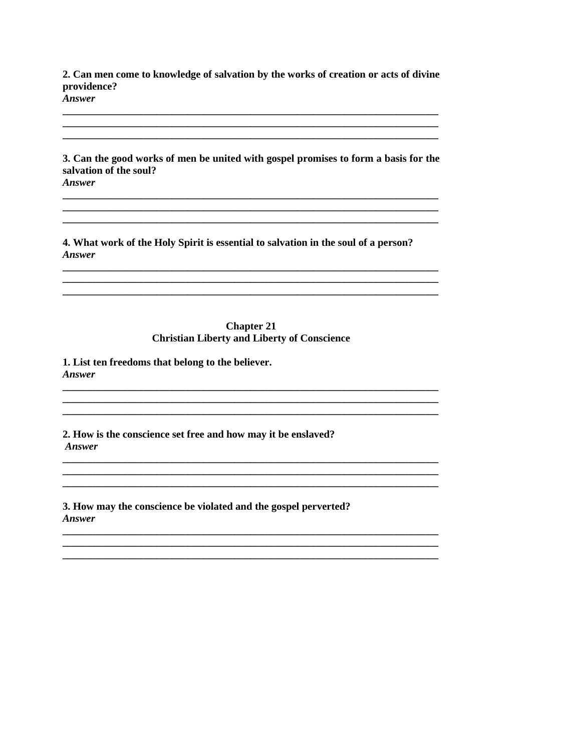2. Can men come to knowledge of salvation by the works of creation or acts of divine providence?

**Answer** 

3. Can the good works of men be united with gospel promises to form a basis for the salvation of the soul? Answer

4. What work of the Holy Spirit is essential to salvation in the soul of a person? Answer

#### **Chapter 21 Christian Liberty and Liberty of Conscience**

1. List ten freedoms that belong to the believer. **Answer** 

2. How is the conscience set free and how may it be enslaved? Answer

3. How may the conscience be violated and the gospel perverted? Answer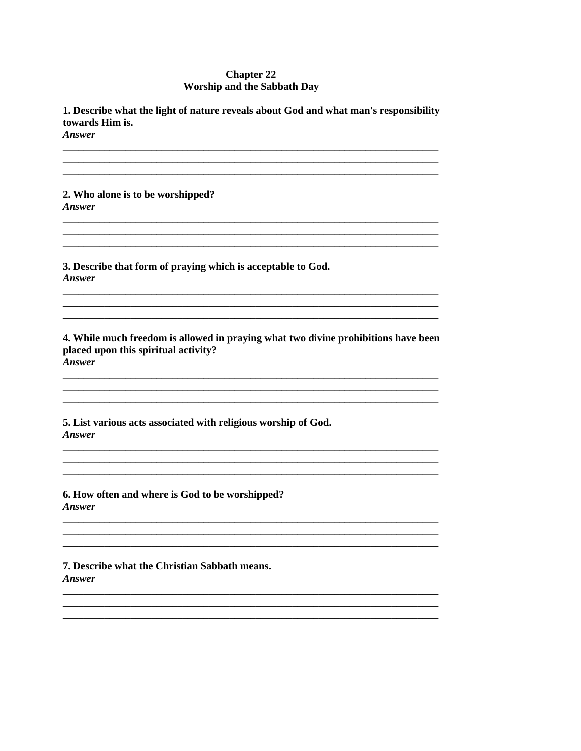## **Chapter 22 Worship and the Sabbath Day**

1. Describe what the light of nature reveals about God and what man's responsibility towards Him is.

**Answer** 

2. Who alone is to be worshipped? **Answer** 

3. Describe that form of praying which is acceptable to God. Answer

4. While much freedom is allowed in praying what two divine prohibitions have been placed upon this spiritual activity? **Answer** 

5. List various acts associated with religious worship of God. Answer

6. How often and where is God to be worshipped? **Answer** 

7. Describe what the Christian Sabbath means. **Answer**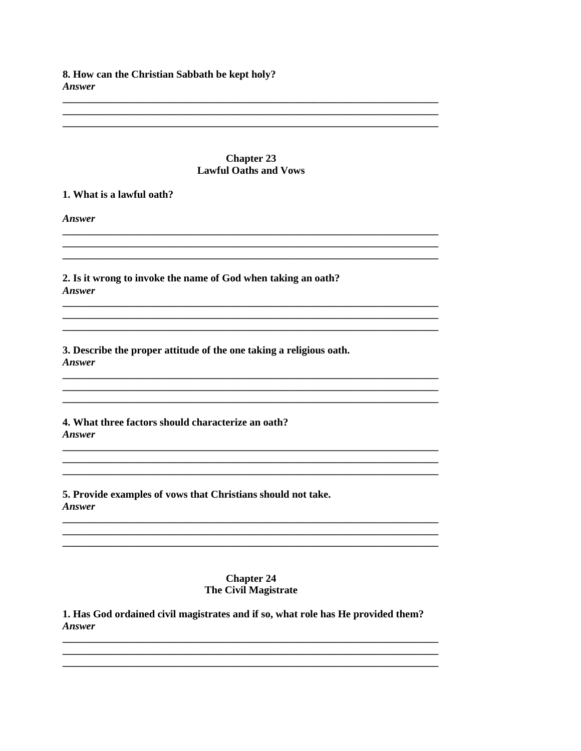8. How can the Christian Sabbath be kept holy? Answer

#### **Chapter 23 Lawful Oaths and Vows**

#### 1. What is a lawful oath?

**Answer** 

2. Is it wrong to invoke the name of God when taking an oath? Answer

3. Describe the proper attitude of the one taking a religious oath. **Answer** 

4. What three factors should characterize an oath? Answer

5. Provide examples of vows that Christians should not take. Answer

## **Chapter 24 The Civil Magistrate**

1. Has God ordained civil magistrates and if so, what role has He provided them? **Answer**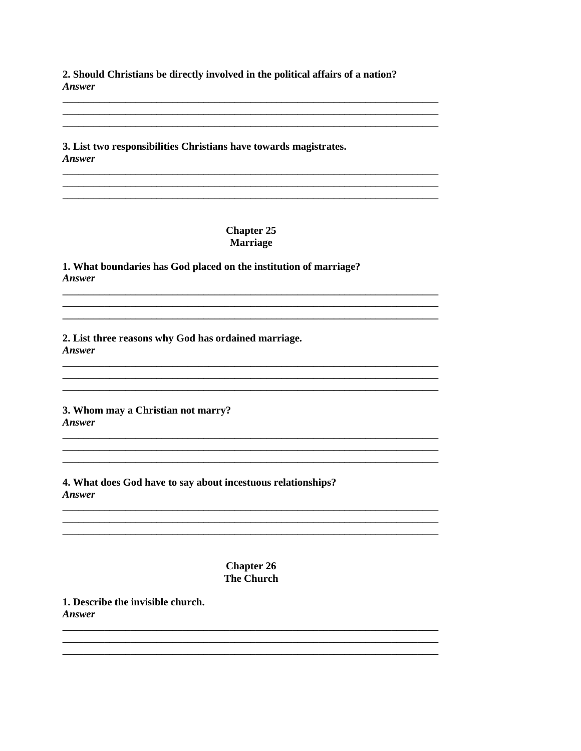2. Should Christians be directly involved in the political affairs of a nation? Answer

3. List two responsibilities Christians have towards magistrates. Answer

# **Chapter 25 Marriage**

1. What boundaries has God placed on the institution of marriage? **Answer** 

2. List three reasons why God has ordained marriage. Answer

3. Whom may a Christian not marry? Answer

4. What does God have to say about incestuous relationships? **Answer** 

> **Chapter 26 The Church**

1. Describe the invisible church. Answer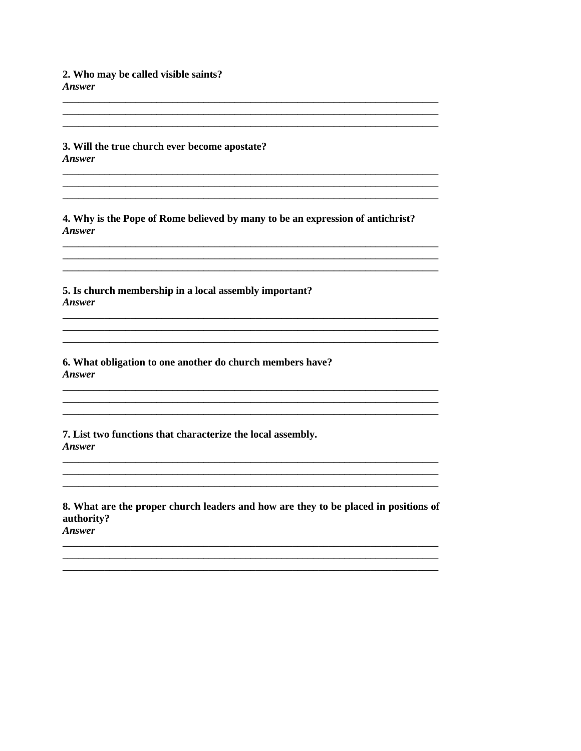2. Who may be called visible saints? Answer

3. Will the true church ever become apostate? **Answer** 

4. Why is the Pope of Rome believed by many to be an expression of antichrist? **Answer** 

5. Is church membership in a local assembly important? Answer

6. What obligation to one another do church members have? **Answer** 

7. List two functions that characterize the local assembly. Answer

8. What are the proper church leaders and how are they to be placed in positions of authority?

Answer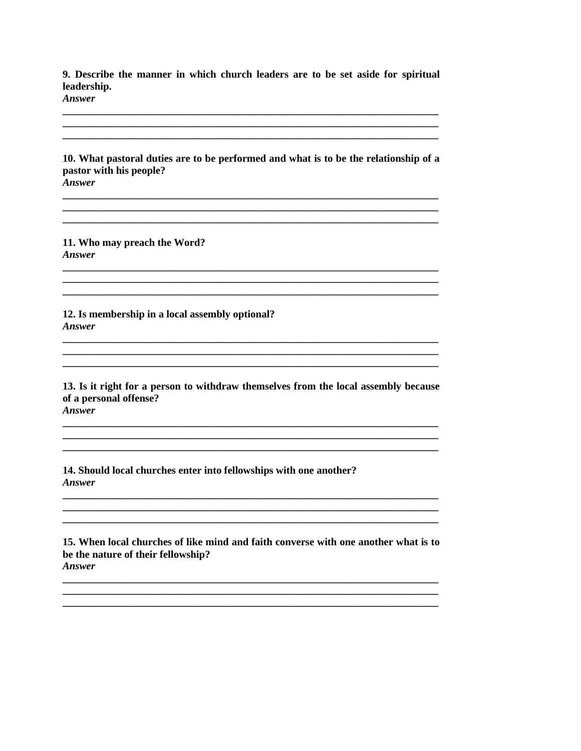9. Describe the manner in which church leaders are to be set aside for spiritual leadership.

**Answer** 

10. What pastoral duties are to be performed and what is to be the relationship of a pastor with his people? **Answer** 

11. Who may preach the Word? **Answer** 

12. Is membership in a local assembly optional? **Answer** 

13. Is it right for a person to withdraw themselves from the local assembly because of a personal offense?

**Answer** 

14. Should local churches enter into fellowships with one another? **Answer** 

15. When local churches of like mind and faith converse with one another what is to be the nature of their fellowship? **Answer**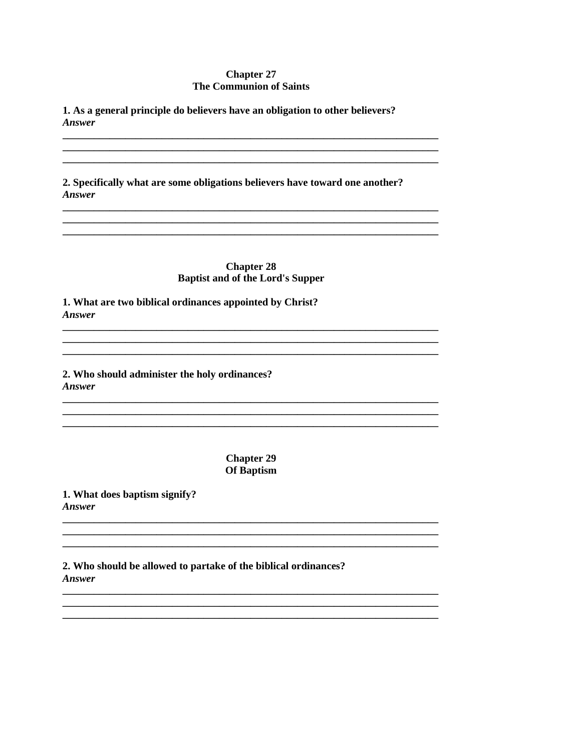## **Chapter 27 The Communion of Saints**

1. As a general principle do believers have an obligation to other believers? **Answer** 

2. Specifically what are some obligations believers have toward one another? **Answer** 

> **Chapter 28 Baptist and of the Lord's Supper**

1. What are two biblical ordinances appointed by Christ? **Answer** 

2. Who should administer the holy ordinances? **Answer** 

> **Chapter 29** Of Baptism

1. What does baptism signify? Answer

2. Who should be allowed to partake of the biblical ordinances? **Answer**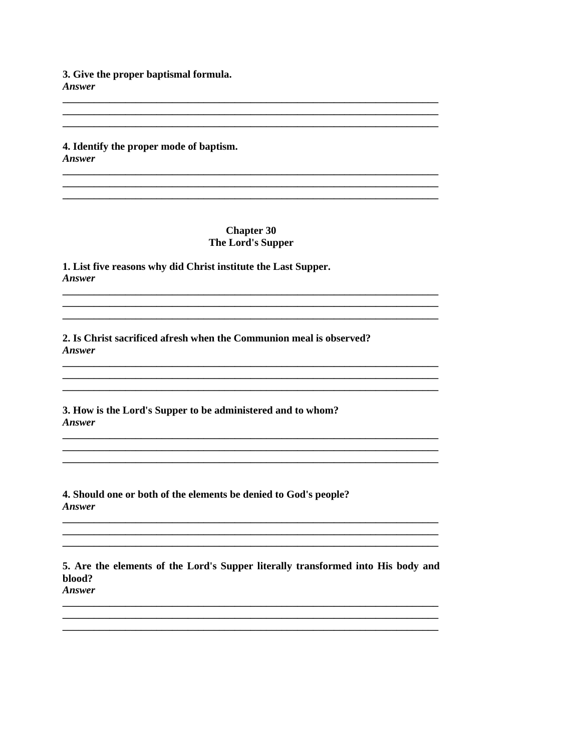3. Give the proper baptismal formula. **Answer** 

4. Identify the proper mode of baptism. **Answer** 

> **Chapter 30** The Lord's Supper

1. List five reasons why did Christ institute the Last Supper. **Answer** 

2. Is Christ sacrificed afresh when the Communion meal is observed? **Answer** 

3. How is the Lord's Supper to be administered and to whom? Answer

4. Should one or both of the elements be denied to God's people? **Answer** 

5. Are the elements of the Lord's Supper literally transformed into His body and blood? Answer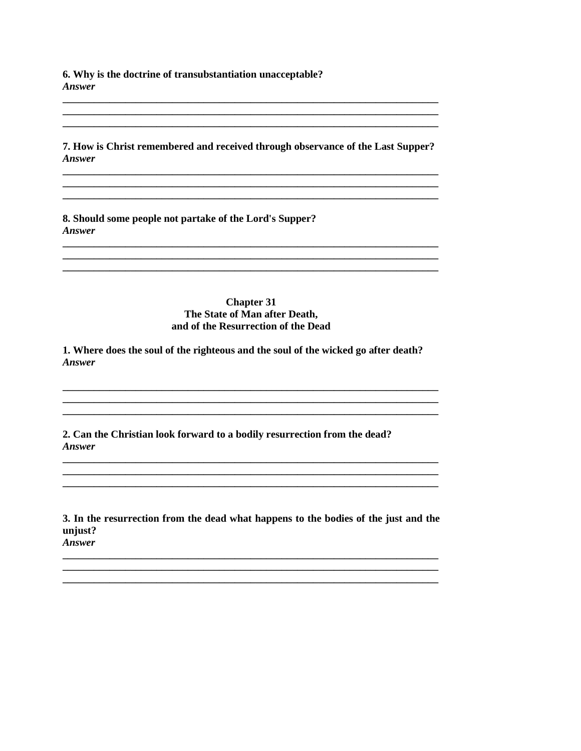6. Why is the doctrine of transubstantiation unacceptable? Answer

7. How is Christ remembered and received through observance of the Last Supper? Answer

8. Should some people not partake of the Lord's Supper? Answer

## **Chapter 31** The State of Man after Death, and of the Resurrection of the Dead

1. Where does the soul of the righteous and the soul of the wicked go after death? Answer

2. Can the Christian look forward to a bodily resurrection from the dead? Answer

3. In the resurrection from the dead what happens to the bodies of the just and the unjust? Answer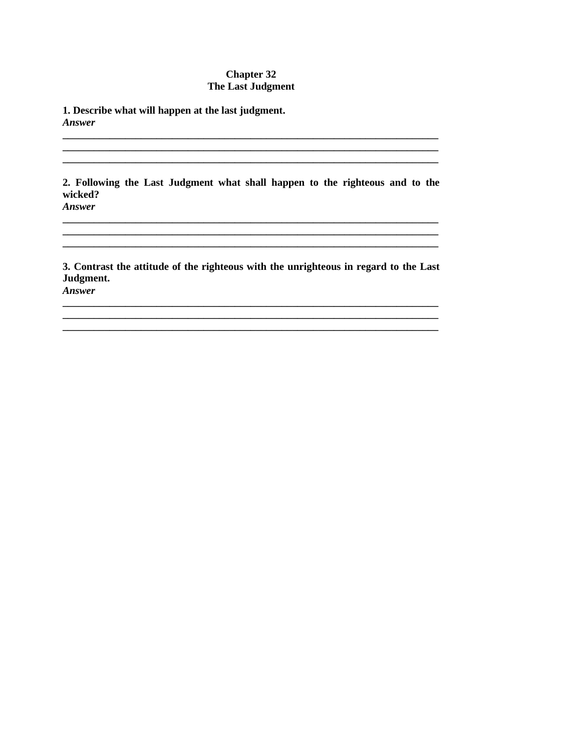## **Chapter 32** The Last Judgment

1. Describe what will happen at the last judgment. **Answer** 

2. Following the Last Judgment what shall happen to the righteous and to the wicked? Answer

3. Contrast the attitude of the righteous with the unrighteous in regard to the Last Judgment.

<u> 1989 - Jan Stein Stein, syn y Sammer ar y de gweledydd a gan y ganrif yn y ganrif y ganrif y ganrif y ganrif</u>

Answer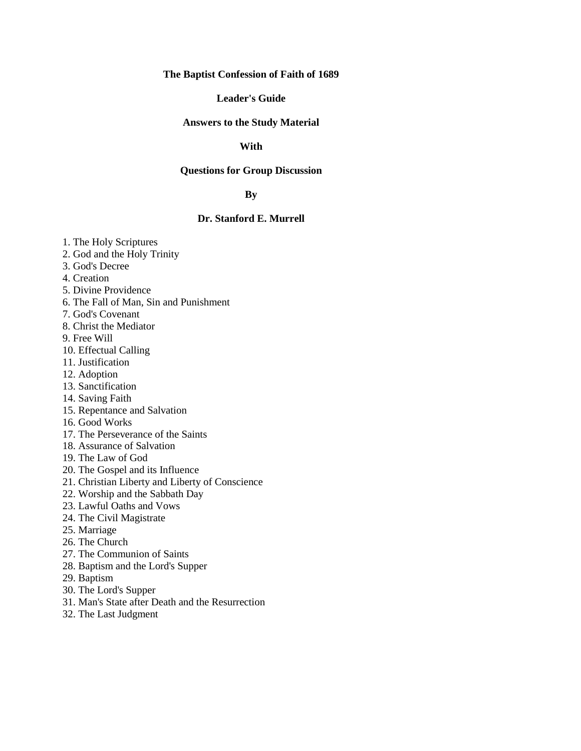## **The Baptist Confession of Faith of 1689**

#### **Leader's Guide**

#### **Answers to the Study Material**

## **With**

### **Questions for Group Discussion**

## **By**

## **Dr. Stanford E. Murrell**

- 1. The Holy Scriptures
- 2. God and the Holy Trinity
- 3. God's Decree
- 4. Creation
- 5. Divine Providence
- 6. The Fall of Man, Sin and Punishment
- 7. God's Covenant
- 8. Christ the Mediator
- 9. Free Will
- 10. Effectual Calling
- 11. Justification
- 12. Adoption
- 13. Sanctification
- 14. Saving Faith
- 15. Repentance and Salvation
- 16. Good Works
- 17. The Perseverance of the Saints
- 18. Assurance of Salvation
- 19. The Law of God
- 20. The Gospel and its Influence
- 21. Christian Liberty and Liberty of Conscience
- 22. Worship and the Sabbath Day
- 23. Lawful Oaths and Vows
- 24. The Civil Magistrate
- 25. Marriage
- 26. The Church
- 27. The Communion of Saints
- 28. Baptism and the Lord's Supper
- 29. Baptism
- 30. The Lord's Supper
- 31. Man's State after Death and the Resurrection
- 32. The Last Judgment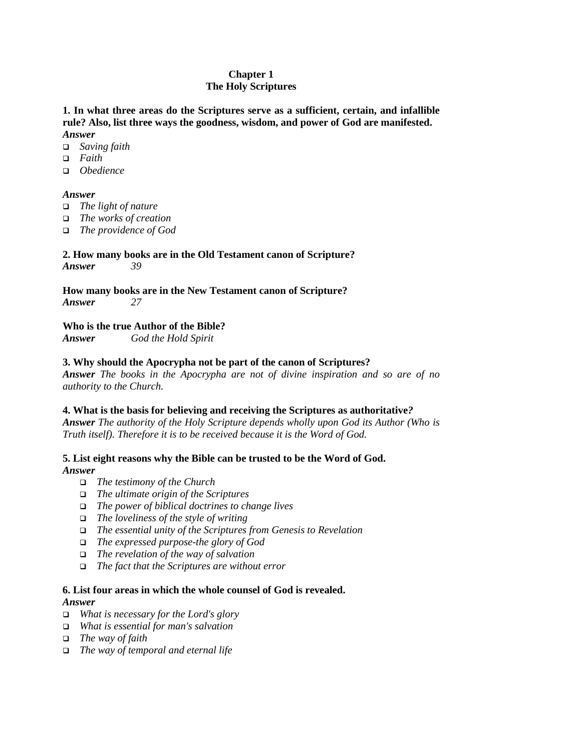## **Chapter 1 The Holy Scriptures**

**1. In what three areas do the Scriptures serve as a sufficient, certain, and infallible rule? Also, list three ways the goodness, wisdom, and power of God are manifested.** *Answer*

- ! *Saving faith*
- ! *Faith*
- ! *Obedience*

## *Answer*

- ! *The light of nature*
- ! *The works of creation*
- ! *The providence of God*

#### **2. How many books are in the Old Testament canon of Scripture?** *Answer 39*

**How many books are in the New Testament canon of Scripture?** *Answer 27*

## **Who is the true Author of the Bible?**

*Answer God the Hold Spirit*

## **3. Why should the Apocrypha not be part of the canon of Scriptures?**

*Answer The books in the Apocrypha are not of divine inspiration and so are of no authority to the Church.*

## **4. What is the basis for believing and receiving the Scriptures as authoritative***?*

*Answer The authority of the Holy Scripture depends wholly upon God its Author (Who is Truth itself). Therefore it is to be received because it is the Word of God.*

#### **5. List eight reasons why the Bible can be trusted to be the Word of God.** *Answer*

- ! *The testimony of the Church*
- ! *The ultimate origin of the Scriptures*
- ! *The power of biblical doctrines to change lives*
- ! *The loveliness of the style of writing*
- ! *The essential unity of the Scriptures from Genesis to Revelation*
- ! *The expressed purpose-the glory of God*
- ! *The revelation of the way of salvation*
- ! *The fact that the Scriptures are without error*

## **6. List four areas in which the whole counsel of God is revealed.**

## *Answer*

- ! *What is necessary for the Lord's glory*
- ! *What is essential for man's salvation*
- ! *The way of faith*
- ! *The way of temporal and eternal life*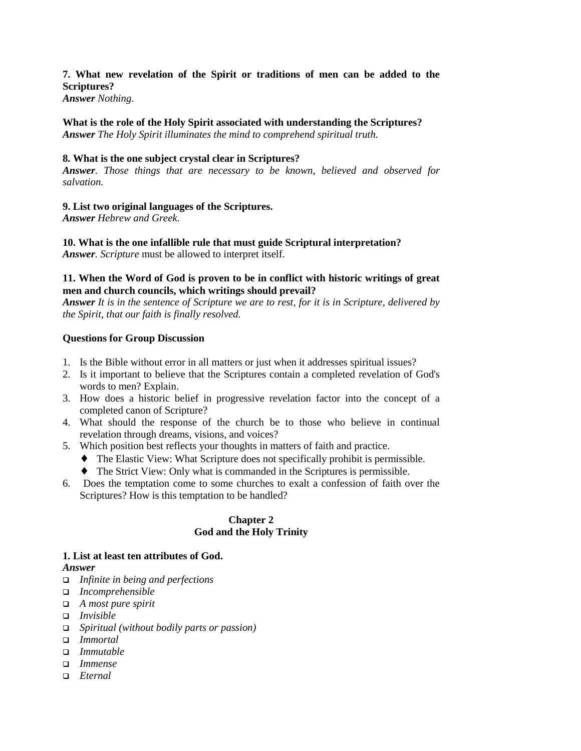## **7. What new revelation of the Spirit or traditions of men can be added to the Scriptures?**

*Answer Nothing.*

## **What is the role of the Holy Spirit associated with understanding the Scriptures?** *Answer The Holy Spirit illuminates the mind to comprehend spiritual truth.*

## **8. What is the one subject crystal clear in Scriptures?**

*Answer. Those things that are necessary to be known, believed and observed for salvation.*

## **9. List two original languages of the Scriptures.**

*Answer Hebrew and Greek.*

**10. What is the one infallible rule that must guide Scriptural interpretation?** *Answer. Scripture* must be allowed to interpret itself.

## **11. When the Word of God is proven to be in conflict with historic writings of great men and church councils, which writings should prevail?**

*Answer It is in the sentence of Scripture we are to rest, for it is in Scripture, delivered by the Spirit, that our faith is finally resolved.*

## **Questions for Group Discussion**

- 1. Is the Bible without error in all matters or just when it addresses spiritual issues?
- 2. Is it important to believe that the Scriptures contain a completed revelation of God's words to men? Explain.
- 3. How does a historic belief in progressive revelation factor into the concept of a completed canon of Scripture?
- 4. What should the response of the church be to those who believe in continual revelation through dreams, visions, and voices?
- 5. Which position best reflects your thoughts in matters of faith and practice.
	- ♦ The Elastic View: What Scripture does not specifically prohibit is permissible.
	- ♦ The Strict View: Only what is commanded in the Scriptures is permissible.
- 6. Does the temptation come to some churches to exalt a confession of faith over the Scriptures? How is this temptation to be handled?

## **Chapter 2 God and the Holy Trinity**

#### **1. List at least ten attributes of God.** *Answer*

- ! *Infinite in being and perfections*
- ! *Incomprehensible*
- ! *A most pure spirit*
- ! *Invisible*
- ! *Spiritual (without bodily parts or passion)*
- ! *Immortal*
- ! *Immutable*
- ! *Immense*
- ! *Eternal*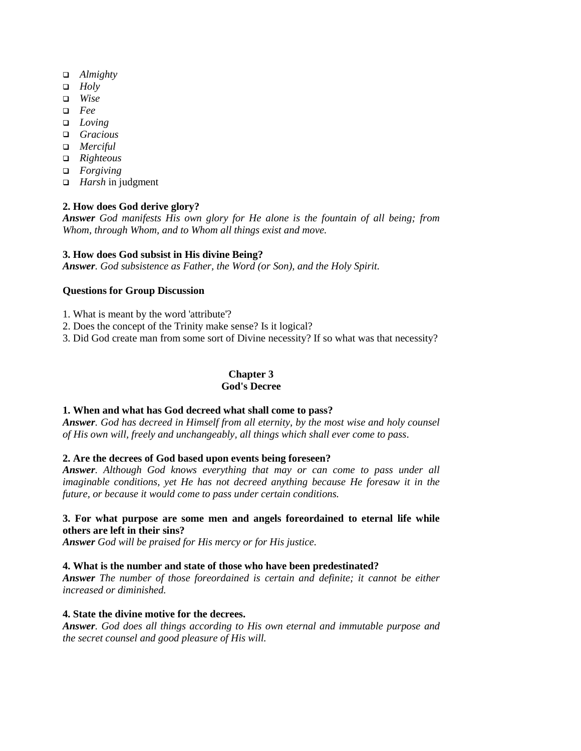- ! *Almighty*
- ! *Holy*
- ! *Wise*
- ! *Fee*
- ! *Loving*
- ! *Gracious*
- □ *Merciful*
- ! *Righteous*
- ! *Forgiving*
- ! *Harsh* in judgment

## **2. How does God derive glory?**

*Answer God manifests His own glory for He alone is the fountain of all being; from Whom, through Whom, and to Whom all things exist and move.*

## **3. How does God subsist in His divine Being?**

*Answer. God subsistence as Father, the Word (or Son), and the Holy Spirit.*

### **Questions for Group Discussion**

1. What is meant by the word 'attribute'?

2. Does the concept of the Trinity make sense? Is it logical?

3. Did God create man from some sort of Divine necessity? If so what was that necessity?

#### **Chapter 3 God's Decree**

## **1. When and what has God decreed what shall come to pass?**

*Answer. God has decreed in Himself from all eternity, by the most wise and holy counsel of His own will, freely and unchangeably, all things which shall ever come to pass*.

## **2. Are the decrees of God based upon events being foreseen?**

*Answer. Although God knows everything that may or can come to pass under all imaginable conditions, yet He has not decreed anything because He foresaw it in the future, or because it would come to pass under certain conditions.*

## **3. For what purpose are some men and angels foreordained to eternal life while others are left in their sins?**

*Answer God will be praised for His mercy or for His justice.*

#### **4. What is the number and state of those who have been predestinated?**

*Answer The number of those foreordained is certain and definite; it cannot be either increased or diminished.*

#### **4. State the divine motive for the decrees.**

*Answer. God does all things according to His own eternal and immutable purpose and the secret counsel and good pleasure of His will.*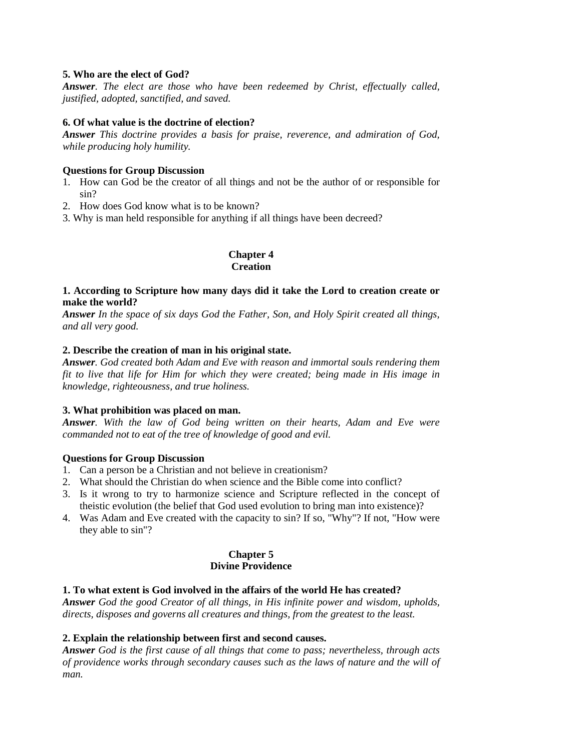## **5. Who are the elect of God?**

*Answer. The elect are those who have been redeemed by Christ, effectually called, justified, adopted, sanctified, and saved.*

#### **6. Of what value is the doctrine of election?**

*Answer This doctrine provides a basis for praise, reverence, and admiration of God, while producing holy humility.*

#### **Questions for Group Discussion**

- 1. How can God be the creator of all things and not be the author of or responsible for sin?
- 2. How does God know what is to be known?
- 3. Why is man held responsible for anything if all things have been decreed?

#### **Chapter 4 Creation**

## **1. According to Scripture how many days did it take the Lord to creation create or make the world?**

*Answer In the space of six days God the Father, Son, and Holy Spirit created all things, and all very good.*

### **2. Describe the creation of man in his original state.**

*Answer. God created both Adam and Eve with reason and immortal souls rendering them fit to live that life for Him for which they were created; being made in His image in knowledge, righteousness, and true holiness.*

#### **3. What prohibition was placed on man.**

*Answer. With the law of God being written on their hearts, Adam and Eve were commanded not to eat of the tree of knowledge of good and evil.*

#### **Questions for Group Discussion**

- 1. Can a person be a Christian and not believe in creationism?
- 2. What should the Christian do when science and the Bible come into conflict?
- 3. Is it wrong to try to harmonize science and Scripture reflected in the concept of theistic evolution (the belief that God used evolution to bring man into existence)?
- 4. Was Adam and Eve created with the capacity to sin? If so, "Why"? If not, "How were they able to sin"?

### **Chapter 5 Divine Providence**

## **1. To what extent is God involved in the affairs of the world He has created?**

*Answer God the good Creator of all things, in His infinite power and wisdom, upholds, directs, disposes and governs all creatures and things, from the greatest to the least.*

#### **2. Explain the relationship between first and second causes.**

*Answer God is the first cause of all things that come to pass; nevertheless, through acts of providence works through secondary causes such as the laws of nature and the will of man.*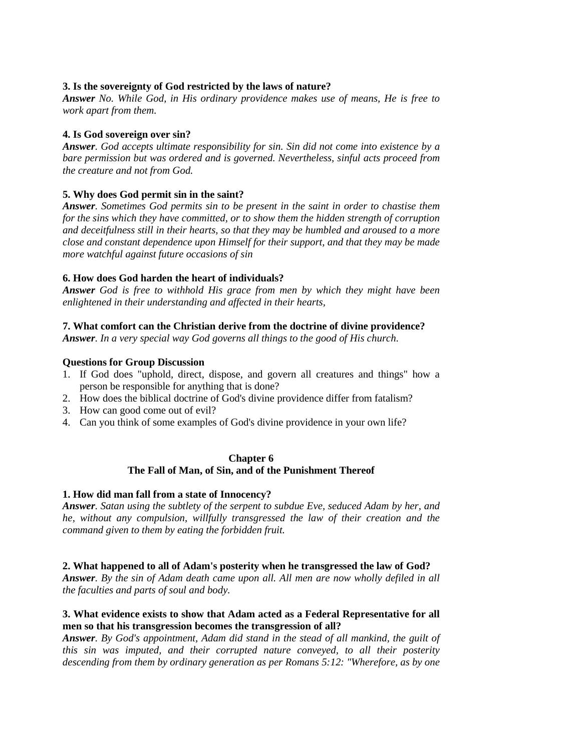## **3. Is the sovereignty of God restricted by the laws of nature?**

*Answer No. While God, in His ordinary providence makes use of means, He is free to work apart from them.*

## **4. Is God sovereign over sin?**

*Answer. God accepts ultimate responsibility for sin. Sin did not come into existence by a bare permission but was ordered and is governed. Nevertheless, sinful acts proceed from the creature and not from God.*

## **5. Why does God permit sin in the saint?**

*Answer. Sometimes God permits sin to be present in the saint in order to chastise them for the sins which they have committed, or to show them the hidden strength of corruption and deceitfulness still in their hearts, so that they may be humbled and aroused to a more close and constant dependence upon Himself for their support, and that they may be made more watchful against future occasions of sin*

### **6. How does God harden the heart of individuals?**

*Answer God is free to withhold His grace from men by which they might have been enlightened in their understanding and affected in their hearts,*

### **7. What comfort can the Christian derive from the doctrine of divine providence?**

*Answer. In a very special way God governs all things to the good of His church*.

### **Questions for Group Discussion**

- 1. If God does "uphold, direct, dispose, and govern all creatures and things" how a person be responsible for anything that is done?
- 2. How does the biblical doctrine of God's divine providence differ from fatalism?
- 3. How can good come out of evil?
- 4. Can you think of some examples of God's divine providence in your own life?

#### **Chapter 6 The Fall of Man, of Sin, and of the Punishment Thereof**

#### **1. How did man fall from a state of Innocency?**

*Answer. Satan using the subtlety of the serpent to subdue Eve, seduced Adam by her, and he, without any compulsion, willfully transgressed the law of their creation and the command given to them by eating the forbidden fruit.*

#### **2. What happened to all of Adam's posterity when he transgressed the law of God?**

*Answer. By the sin of Adam death came upon all. All men are now wholly defiled in all the faculties and parts of soul and body.*

### **3. What evidence exists to show that Adam acted as a Federal Representative for all men so that his transgression becomes the transgression of all?**

*Answer. By God's appointment, Adam did stand in the stead of all mankind, the guilt of this sin was imputed, and their corrupted nature conveyed, to all their posterity descending from them by ordinary generation as per Romans 5:12: "Wherefore, as by one*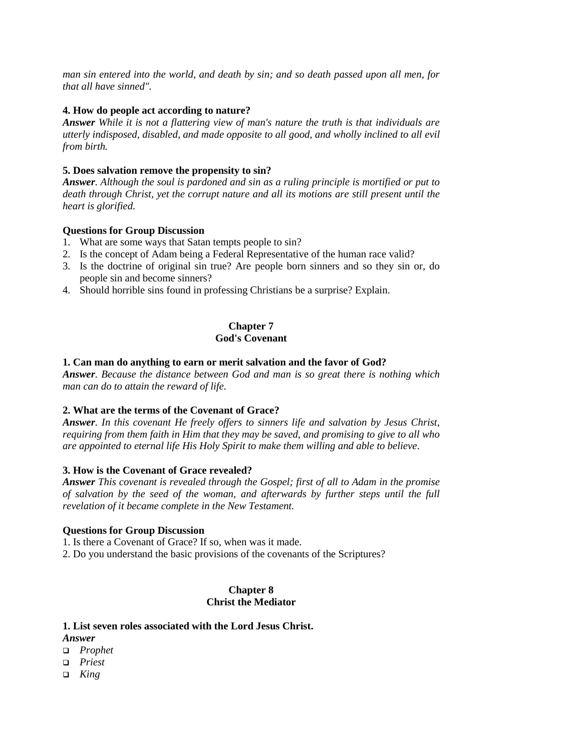*man sin entered into the world, and death by sin; and so death passed upon all men, for that all have sinned".*

## **4. How do people act according to nature?**

*Answer While it is not a flattering view of man's nature the truth is that individuals are utterly indisposed, disabled, and made opposite to all good, and wholly inclined to all evil from birth.*

## **5. Does salvation remove the propensity to sin?**

*Answer. Although the soul is pardoned and sin as a ruling principle is mortified or put to death through Christ, yet the corrupt nature and all its motions are still present until the heart is glorified.*

## **Questions for Group Discussion**

- 1. What are some ways that Satan tempts people to sin?
- 2. Is the concept of Adam being a Federal Representative of the human race valid?
- 3. Is the doctrine of original sin true? Are people born sinners and so they sin or, do people sin and become sinners?
- 4. Should horrible sins found in professing Christians be a surprise? Explain.

## **Chapter 7 God's Covenant**

## **1. Can man do anything to earn or merit salvation and the favor of God?**

*Answer. Because the distance between God and man is so great there is nothing which man can do to attain the reward of life.*

## **2. What are the terms of the Covenant of Grace?**

*Answer. In this covenant He freely offers to sinners life and salvation by Jesus Christ, requiring from them faith in Him that they may be saved, and promising to give to all who are appointed to eternal life His Holy Spirit to make them willing and able to believe*.

## **3. How is the Covenant of Grace revealed?**

*Answer This covenant is revealed through the Gospel; first of all to Adam in the promise of salvation by the seed of the woman, and afterwards by further steps until the full revelation of it became complete in the New Testament.*

## **Questions for Group Discussion**

1. Is there a Covenant of Grace? If so, when was it made.

2. Do you understand the basic provisions of the covenants of the Scriptures?

## **Chapter 8 Christ the Mediator**

## **1. List seven roles associated with the Lord Jesus Christ.**

- *Answer*
- ! *Prophet*
- ! *Priest*
- ! *King*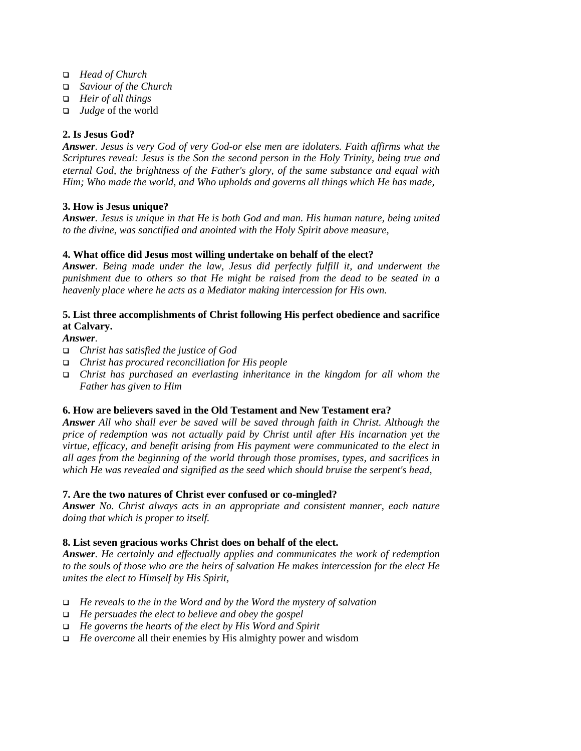- ! *Head of Church*
- ! *Saviour of the Church*
- ! *Heir of all things*
- □ *Judge* of the world

## **2. Is Jesus God?**

*Answer. Jesus is very God of very God-or else men are idolaters. Faith affirms what the Scriptures reveal: Jesus is the Son the second person in the Holy Trinity, being true and eternal God, the brightness of the Father's glory, of the same substance and equal with Him; Who made the world, and Who upholds and governs all things which He has made,*

## **3. How is Jesus unique?**

*Answer. Jesus is unique in that He is both God and man. His human nature, being united to the divine, was sanctified and anointed with the Holy Spirit above measure,*

## **4. What office did Jesus most willing undertake on behalf of the elect?**

*Answer. Being made under the law, Jesus did perfectly fulfill it, and underwent the punishment due to others so that He might be raised from the dead to be seated in a heavenly place where he acts as a Mediator making intercession for His own.*

## **5. List three accomplishments of Christ following His perfect obedience and sacrifice at Calvary.**

## *Answer.*

- ! *Christ has satisfied the justice of God*
- ! *Christ has procured reconciliation for His people*
- ! *Christ has purchased an everlasting inheritance in the kingdom for all whom the Father has given to Him*

## **6. How are believers saved in the Old Testament and New Testament era?**

*Answer All who shall ever be saved will be saved through faith in Christ. Although the price of redemption was not actually paid by Christ until after His incarnation yet the virtue, efficacy, and benefit arising from His payment were communicated to the elect in all ages from the beginning of the world through those promises, types, and sacrifices in which He was revealed and signified as the seed which should bruise the serpent's head,*

## **7. Are the two natures of Christ ever confused or co-mingled?**

*Answer No. Christ always acts in an appropriate and consistent manner, each nature doing that which is proper to itself.*

## **8. List seven gracious works Christ does on behalf of the elect.**

*Answer. He certainly and effectually applies and communicates the work of redemption to the souls of those who are the heirs of salvation He makes intercession for the elect He unites the elect to Himself by His Spirit,*

- ! *He reveals to the in the Word and by the Word the mystery of salvation*
- ! *He persuades the elect to believe and obey the gospel*
- ! *He governs the hearts of the elect by His Word and Spirit*
- ! *He overcome* all their enemies by His almighty power and wisdom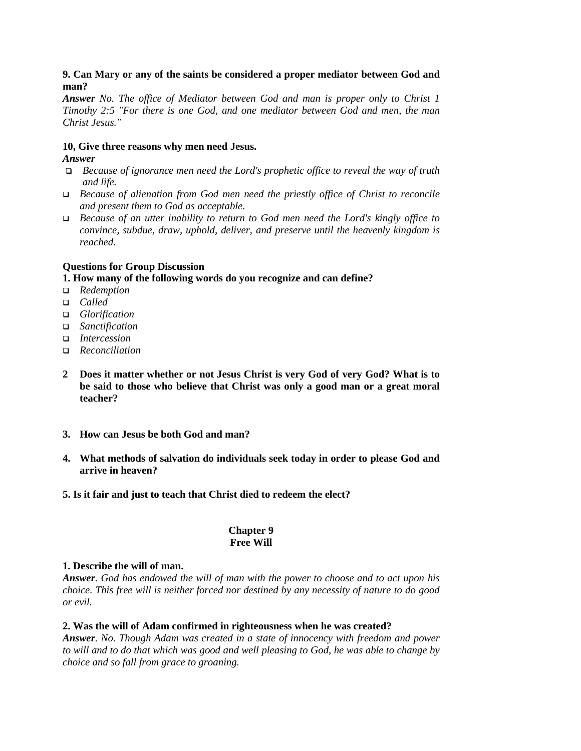## **9. Can Mary or any of the saints be considered a proper mediator between God and man?**

*Answer No. The office of Mediator between God and man is proper only to Christ 1 Timothy 2:5 "For there is one God, and one mediator between God and men, the man Christ Jesus."*

## **10, Give three reasons why men need Jesus.**

## *Answer*

- ! *Because of ignorance men need the Lord's prophetic office to reveal the way of truth and life.*
- ! *Because of alienation from God men need the priestly office of Christ to reconcile and present them to God as acceptable.*
- ! *Because of an utter inability to return to God men need the Lord's kingly office to convince, subdue, draw, uphold, deliver, and preserve until the heavenly kingdom is reached.*

## **Questions for Group Discussion**

## **1. How many of the following words do you recognize and can define?**

- ! *Redemption*
- ! *Called*
- □ *Glorification*
- □ *Sanctification*
- □ *Intercession*
- ! *Reconciliation*
- **2 Does it matter whether or not Jesus Christ is very God of very God? What is to be said to those who believe that Christ was only a good man or a great moral teacher?**
- **3. How can Jesus be both God and man?**
- **4. What methods of salvation do individuals seek today in order to please God and arrive in heaven?**
- **5. Is it fair and just to teach that Christ died to redeem the elect?**

## **Chapter 9 Free Will**

## **1. Describe the will of man.**

*Answer. God has endowed the will of man with the power to choose and to act upon his choice. This free will is neither forced nor destined by any necessity of nature to do good or evil.*

## **2. Was the will of Adam confirmed in righteousness when he was created?**

*Answer. No. Though Adam was created in a state of innocency with freedom and power to will and to do that which was good and well pleasing to God, he was able to change by choice and so fall from grace to groaning.*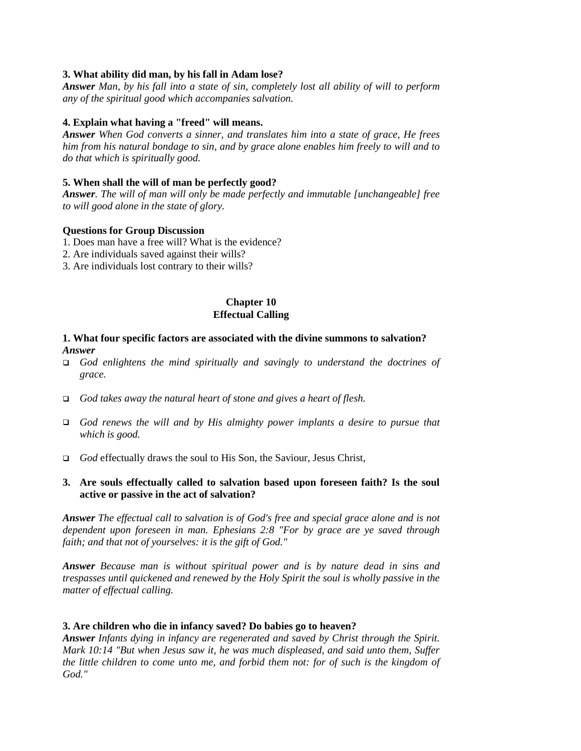## **3. What ability did man, by his fall in Adam lose?**

*Answer Man, by his fall into a state of sin, completely lost all ability of will to perform any of the spiritual good which accompanies salvation.*

#### **4. Explain what having a "freed" will means.**

*Answer When God converts a sinner, and translates him into a state of grace, He frees him from his natural bondage to sin, and by grace alone enables him freely to will and to do that which is spiritually good.*

### **5. When shall the will of man be perfectly good?**

*Answer. The will of man will only be made perfectly and immutable [unchangeable] free to will good alone in the state of glory.*

#### **Questions for Group Discussion**

- 1. Does man have a free will? What is the evidence?
- 2. Are individuals saved against their wills?
- 3. Are individuals lost contrary to their wills?

#### **Chapter 10 Effectual Calling**

### **1. What four specific factors are associated with the divine summons to salvation?** *Answer*

- ! *God enlightens the mind spiritually and savingly to understand the doctrines of grace.*
- ! *God takes away the natural heart of stone and gives a heart of flesh.*
- ! *God renews the will and by His almighty power implants a desire to pursue that which is good.*
- □ *God* effectually draws the soul to His Son, the Saviour, Jesus Christ,

## **3. Are souls effectually called to salvation based upon foreseen faith? Is the soul active or passive in the act of salvation?**

*Answer The effectual call to salvation is of God's free and special grace alone and is not dependent upon foreseen in man. Ephesians 2:8 "For by grace are ye saved through faith; and that not of yourselves: it is the gift of God."*

*Answer Because man is without spiritual power and is by nature dead in sins and trespasses until quickened and renewed by the Holy Spirit the soul is wholly passive in the matter of effectual calling.*

#### **3. Are children who die in infancy saved? Do babies go to heaven?**

*Answer Infants dying in infancy are regenerated and saved by Christ through the Spirit. Mark 10:14 "But when Jesus saw it, he was much displeased, and said unto them, Suffer the little children to come unto me, and forbid them not: for of such is the kingdom of God."*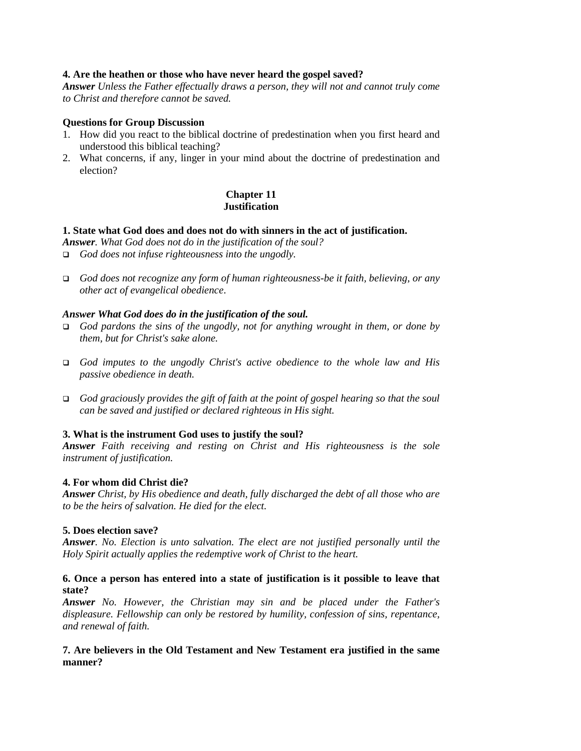### **4. Are the heathen or those who have never heard the gospel saved?**

*Answer Unless the Father effectually draws a person, they will not and cannot truly come to Christ and therefore cannot be saved.*

### **Questions for Group Discussion**

- 1. How did you react to the biblical doctrine of predestination when you first heard and understood this biblical teaching?
- 2. What concerns, if any, linger in your mind about the doctrine of predestination and election?

## **Chapter 11 Justification**

### **1. State what God does and does not do with sinners in the act of justification.**

*Answer. What God does not do in the justification of the soul?*

- ! *God does not infuse righteousness into the ungodly.*
- ! *God does not recognize any form of human righteousness-be it faith, believing, or any other act of evangelical obedience*.

### *Answer What God does do in the justification of the soul.*

- ! *God pardons the sins of the ungodly, not for anything wrought in them, or done by them, but for Christ's sake alone.*
- ! *God imputes to the ungodly Christ's active obedience to the whole law and His passive obedience in death.*
- ! *God graciously provides the gift of faith at the point of gospel hearing so that the soul can be saved and justified or declared righteous in His sight.*

## **3. What is the instrument God uses to justify the soul?**

*Answer Faith receiving and resting on Christ and His righteousness is the sole instrument of justification.*

## **4. For whom did Christ die?**

*Answer Christ, by His obedience and death, fully discharged the debt of all those who are to be the heirs of salvation. He died for the elect.*

## **5. Does election save?**

*Answer. No. Election is unto salvation. The elect are not justified personally until the Holy Spirit actually applies the redemptive work of Christ to the heart.*

## **6. Once a person has entered into a state of justification is it possible to leave that state?**

*Answer No. However, the Christian may sin and be placed under the Father's displeasure. Fellowship can only be restored by humility, confession of sins, repentance, and renewal of faith.*

## **7. Are believers in the Old Testament and New Testament era justified in the same manner?**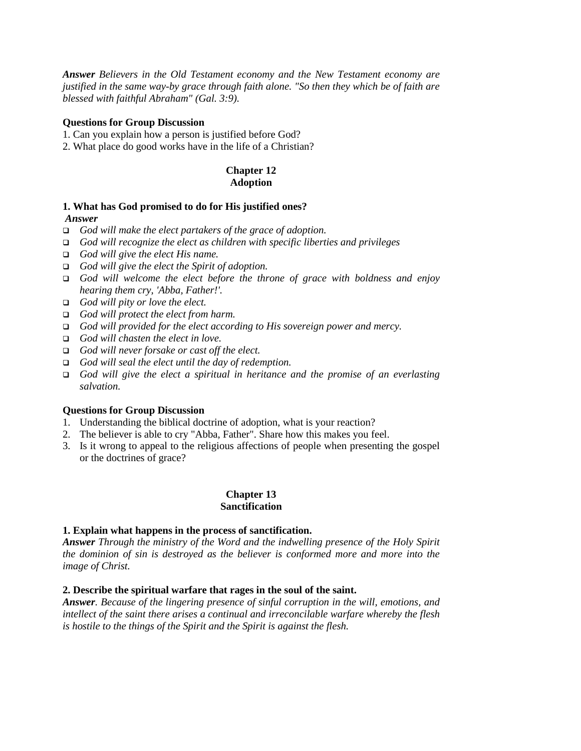*Answer Believers in the Old Testament economy and the New Testament economy are justified in the same way-by grace through faith alone. "So then they which be of faith are blessed with faithful Abraham" (Gal. 3:9).*

## **Questions for Group Discussion**

- 1. Can you explain how a person is justified before God?
- 2. What place do good works have in the life of a Christian?

## **Chapter 12 Adoption**

## **1. What has God promised to do for His justified ones?**

### *Answer*

- ! *God will make the elect partakers of the grace of adoption.*
- ! *God will recognize the elect as children with specific liberties and privileges*
- ! *God will give the elect His name.*
- ! *God will give the elect the Spirit of adoption.*
- ! *God will welcome the elect before the throne of grace with boldness and enjoy hearing them cry, 'Abba, Father!'.*
- ! *God will pity or love the elect.*
- ! *God will protect the elect from harm.*
- ! *God will provided for the elect according to His sovereign power and mercy.*
- ! *God will chasten the elect in love.*
- ! *God will never forsake or cast off the elect.*
- ! *God will seal the elect until the day of redemption.*
- ! *God will give the elect a spiritual in heritance and the promise of an everlasting salvation.*

#### **Questions for Group Discussion**

- 1. Understanding the biblical doctrine of adoption, what is your reaction?
- 2. The believer is able to cry "Abba, Father". Share how this makes you feel.
- 3. Is it wrong to appeal to the religious affections of people when presenting the gospel or the doctrines of grace?

#### **Chapter 13 Sanctification**

#### **1. Explain what happens in the process of sanctification.**

*Answer Through the ministry of the Word and the indwelling presence of the Holy Spirit the dominion of sin is destroyed as the believer is conformed more and more into the image of Christ.*

#### **2. Describe the spiritual warfare that rages in the soul of the saint.**

*Answer. Because of the lingering presence of sinful corruption in the will, emotions, and intellect of the saint there arises a continual and irreconcilable warfare whereby the flesh is hostile to the things of the Spirit and the Spirit is against the flesh.*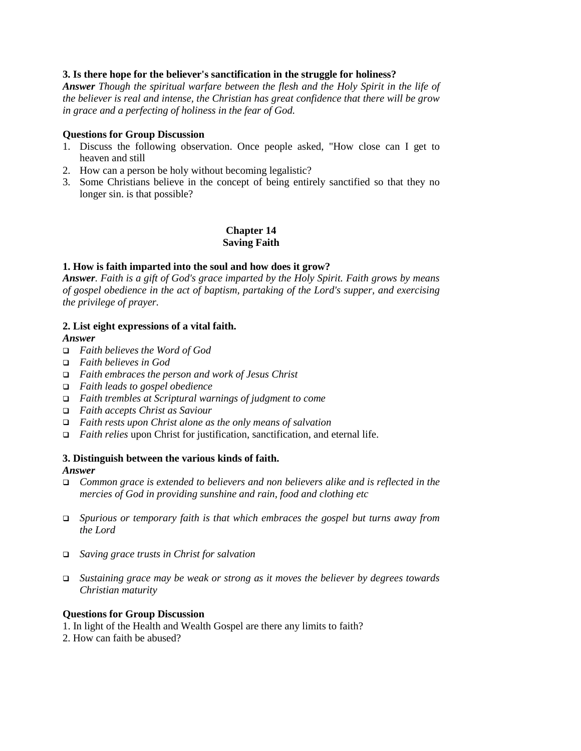## **3. Is there hope for the believer's sanctification in the struggle for holiness?**

*Answer Though the spiritual warfare between the flesh and the Holy Spirit in the life of the believer is real and intense, the Christian has great confidence that there will be grow in grace and a perfecting of holiness in the fear of God.*

#### **Questions for Group Discussion**

- 1. Discuss the following observation. Once people asked, "How close can I get to heaven and still
- 2. How can a person be holy without becoming legalistic?
- 3. Some Christians believe in the concept of being entirely sanctified so that they no longer sin. is that possible?

**Chapter 14 Saving Faith**

## **1. How is faith imparted into the soul and how does it grow?**

*Answer. Faith is a gift of God's grace imparted by the Holy Spirit. Faith grows by means of gospel obedience in the act of baptism, partaking of the Lord's supper, and exercising the privilege of prayer.*

## **2. List eight expressions of a vital faith.**

*Answer*

- ! *Faith believes the Word of God*
- ! *Faith believes in God*
- ! *Faith embraces the person and work of Jesus Christ*
- ! *Faith leads to gospel obedience*
- ! *Faith trembles at Scriptural warnings of judgment to come*
- ! *Faith accepts Christ as Saviour*
- ! *Faith rests upon Christ alone as the only means of salvation*
- □ *Faith relies* upon Christ for justification, sanctification, and eternal life.

#### **3. Distinguish between the various kinds of faith.**

#### *Answer*

- ! *Common grace is extended to believers and non believers alike and is reflected in the mercies of God in providing sunshine and rain, food and clothing etc*
- ! *Spurious or temporary faith is that which embraces the gospel but turns away from the Lord*
- ! *Saving grace trusts in Christ for salvation*
- ! *Sustaining grace may be weak or strong as it moves the believer by degrees towards Christian maturity*

#### **Questions for Group Discussion**

1. In light of the Health and Wealth Gospel are there any limits to faith?

2. How can faith be abused?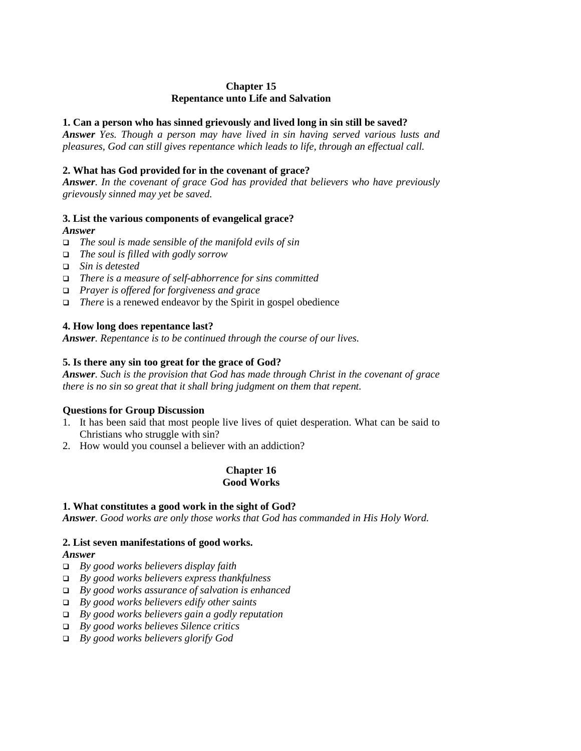## **Chapter 15 Repentance unto Life and Salvation**

## **1. Can a person who has sinned grievously and lived long in sin still be saved?**

*Answer Yes. Though a person may have lived in sin having served various lusts and pleasures, God can still gives repentance which leads to life, through an effectual call.*

## **2. What has God provided for in the covenant of grace?**

*Answer. In the covenant of grace God has provided that believers who have previously grievously sinned may yet be saved.*

## **3. List the various components of evangelical grace?**

## *Answer*

- ! *The soul is made sensible of the manifold evils of sin*
- ! *The soul is filled with godly sorrow*
- ! *Sin is detested*
- ! *There is a measure of self-abhorrence for sins committed*
- ! *Prayer is offered for forgiveness and grace*
- ! *There* is a renewed endeavor by the Spirit in gospel obedience

## **4. How long does repentance last?**

*Answer. Repentance is to be continued through the course of our lives.*

## **5. Is there any sin too great for the grace of God?**

*Answer. Such is the provision that God has made through Christ in the covenant of grace there is no sin so great that it shall bring judgment on them that repent.*

## **Questions for Group Discussion**

- 1. It has been said that most people live lives of quiet desperation. What can be said to Christians who struggle with sin?
- 2. How would you counsel a believer with an addiction?

## **Chapter 16 Good Works**

## **1. What constitutes a good work in the sight of God?**

*Answer. Good works are only those works that God has commanded in His Holy Word.*

## **2. List seven manifestations of good works.**

## *Answer*

- ! *By good works believers display faith*
- ! *By good works believers express thankfulness*
- ! *By good works assurance of salvation is enhanced*
- ! *By good works believers edify other saints*
- ! *By good works believers gain a godly reputation*
- ! *By good works believes Silence critics*
- ! *By good works believers glorify God*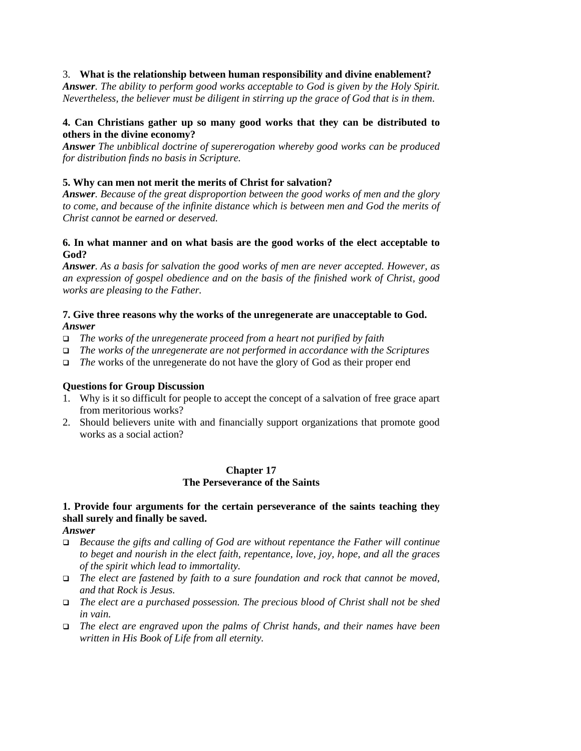## 3. **What is the relationship between human responsibility and divine enablement?**

*Answer. The ability to perform good works acceptable to God is given by the Holy Spirit. Nevertheless, the believer must be diligent in stirring up the grace of God that is in them*.

## **4. Can Christians gather up so many good works that they can be distributed to others in the divine economy?**

*Answer The unbiblical doctrine of supererogation whereby good works can be produced for distribution finds no basis in Scripture.*

### **5. Why can men not merit the merits of Christ for salvation?**

*Answer. Because of the great disproportion between the good works of men and the glory to come, and because of the infinite distance which is between men and God the merits of Christ cannot be earned or deserved.*

## **6. In what manner and on what basis are the good works of the elect acceptable to God?**

*Answer. As a basis for salvation the good works of men are never accepted. However, as an expression of gospel obedience and on the basis of the finished work of Christ, good works are pleasing to the Father.*

### **7. Give three reasons why the works of the unregenerate are unacceptable to God.** *Answer*

- ! *The works of the unregenerate proceed from a heart not purified by faith*
- ! *The works of the unregenerate are not performed in accordance with the Scriptures*
- ! *The* works of the unregenerate do not have the glory of God as their proper end

#### **Questions for Group Discussion**

- 1. Why is it so difficult for people to accept the concept of a salvation of free grace apart from meritorious works?
- 2. Should believers unite with and financially support organizations that promote good works as a social action?

### **Chapter 17 The Perseverance of the Saints**

## **1. Provide four arguments for the certain perseverance of the saints teaching they shall surely and finally be saved.**

*Answer*

- ! *Because the gifts and calling of God are without repentance the Father will continue to beget and nourish in the elect faith, repentance, love, joy, hope, and all the graces of the spirit which lead to immortality.*
- ! *The elect are fastened by faith to a sure foundation and rock that cannot be moved, and that Rock is Jesus.*
- ! *The elect are a purchased possession. The precious blood of Christ shall not be shed in vain.*
- ! *The elect are engraved upon the palms of Christ hands, and their names have been written in His Book of Life from all eternity.*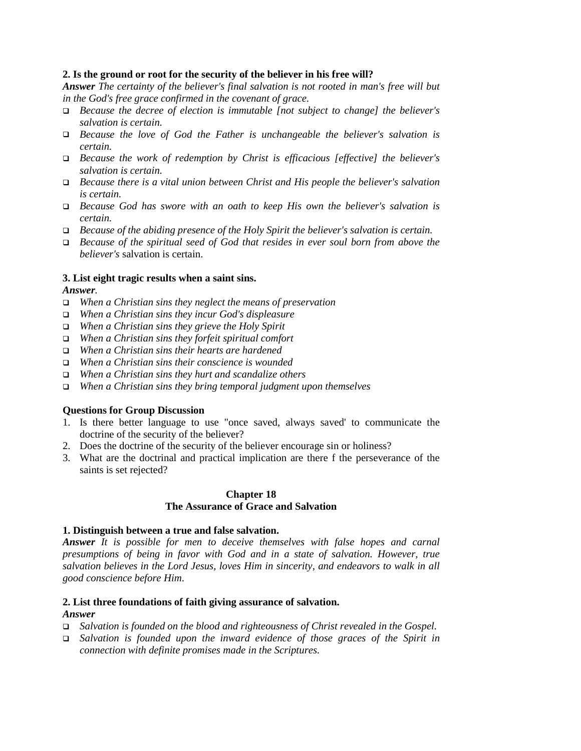### **2. Is the ground or root for the security of the believer in his free will?**

*Answer The certainty of the believer's final salvation is not rooted in man's free will but in the God's free grace confirmed in the covenant of grace.*

- ! *Because the decree of election is immutable [not subject to change] the believer's salvation is certain.*
- ! *Because the love of God the Father is unchangeable the believer's salvation is certain.*
- ! *Because the work of redemption by Christ is efficacious [effective] the believer's salvation is certain.*
- ! *Because there is a vital union between Christ and His people the believer's salvation is certain.*
- ! *Because God has swore with an oath to keep His own the believer's salvation is certain.*
- ! *Because of the abiding presence of the Holy Spirit the believer's salvation is certain.*
- ! *Because of the spiritual seed of God that resides in ever soul born from above the believer's* salvation is certain.

### **3. List eight tragic results when a saint sins.**

### *Answer.*

- ! *When a Christian sins they neglect the means of preservation*
- ! *When a Christian sins they incur God's displeasure*
- ! *When a Christian sins they grieve the Holy Spirit*
- ! *When a Christian sins they forfeit spiritual comfort*
- ! *When a Christian sins their hearts are hardened*
- ! *When a Christian sins their conscience is wounded*
- ! *When a Christian sins they hurt and scandalize others*
- ! *When a Christian sins they bring temporal judgment upon themselves*

#### **Questions for Group Discussion**

- 1. Is there better language to use "once saved, always saved' to communicate the doctrine of the security of the believer?
- 2. Does the doctrine of the security of the believer encourage sin or holiness?
- 3. What are the doctrinal and practical implication are there f the perseverance of the saints is set rejected?

#### **Chapter 18**

## **The Assurance of Grace and Salvation**

#### **1. Distinguish between a true and false salvation.**

*Answer It is possible for men to deceive themselves with false hopes and carnal presumptions of being in favor with God and in a state of salvation. However, true salvation believes in the Lord Jesus, loves Him in sincerity, and endeavors to walk in all good conscience before Him*.

### **2. List three foundations of faith giving assurance of salvation.** *Answer*

- ! *Salvation is founded on the blood and righteousness of Christ revealed in the Gospel.*
- ! *Salvation is founded upon the inward evidence of those graces of the Spirit in connection with definite promises made in the Scriptures.*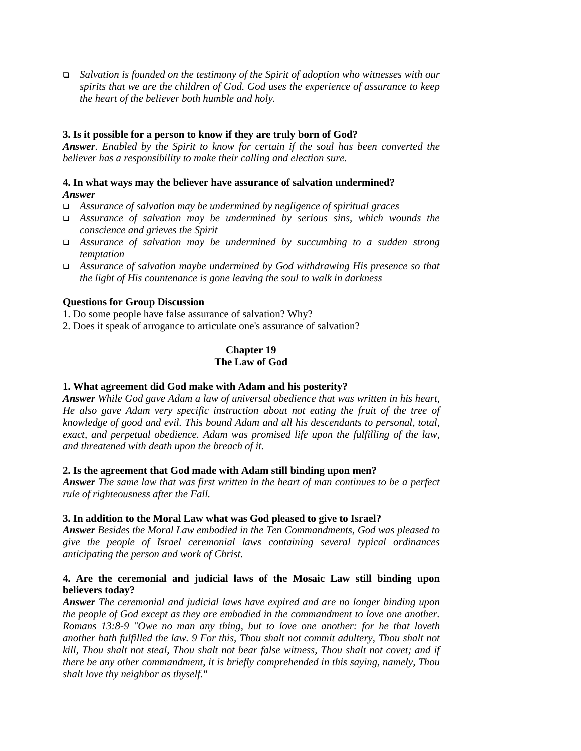! *Salvation is founded on the testimony of the Spirit of adoption who witnesses with our spirits that we are the children of God. God uses the experience of assurance to keep the heart of the believer both humble and holy.*

## **3. Is it possible for a person to know if they are truly born of God?**

*Answer. Enabled by the Spirit to know for certain if the soul has been converted the believer has a responsibility to make their calling and election sure.*

## **4. In what ways may the believer have assurance of salvation undermined?** *Answer*

- ! *Assurance of salvation may be undermined by negligence of spiritual graces*
- ! *Assurance of salvation may be undermined by serious sins, which wounds the conscience and grieves the Spirit*
- ! *Assurance of salvation may be undermined by succumbing to a sudden strong temptation*
- ! *Assurance of salvation maybe undermined by God withdrawing His presence so that the light of His countenance is gone leaving the soul to walk in darkness*

### **Questions for Group Discussion**

1. Do some people have false assurance of salvation? Why?

2. Does it speak of arrogance to articulate one's assurance of salvation?

## **Chapter 19 The Law of God**

#### **1. What agreement did God make with Adam and his posterity?**

*Answer While God gave Adam a law of universal obedience that was written in his heart, He also gave Adam very specific instruction about not eating the fruit of the tree of knowledge of good and evil. This bound Adam and all his descendants to personal, total, exact, and perpetual obedience. Adam was promised life upon the fulfilling of the law, and threatened with death upon the breach of it.*

#### **2. Is the agreement that God made with Adam still binding upon men?**

*Answer The same law that was first written in the heart of man continues to be a perfect rule of righteousness after the Fall.*

#### **3. In addition to the Moral Law what was God pleased to give to Israel?**

*Answer Besides the Moral Law embodied in the Ten Commandments, God was pleased to give the people of Israel ceremonial laws containing several typical ordinances anticipating the person and work of Christ.*

### **4. Are the ceremonial and judicial laws of the Mosaic Law still binding upon believers today?**

*Answer The ceremonial and judicial laws have expired and are no longer binding upon the people of God except as they are embodied in the commandment to love one another. Romans 13:8-9 "Owe no man any thing, but to love one another: for he that loveth another hath fulfilled the law. 9 For this, Thou shalt not commit adultery, Thou shalt not kill, Thou shalt not steal, Thou shalt not bear false witness, Thou shalt not covet; and if there be any other commandment, it is briefly comprehended in this saying, namely, Thou shalt love thy neighbor as thyself."*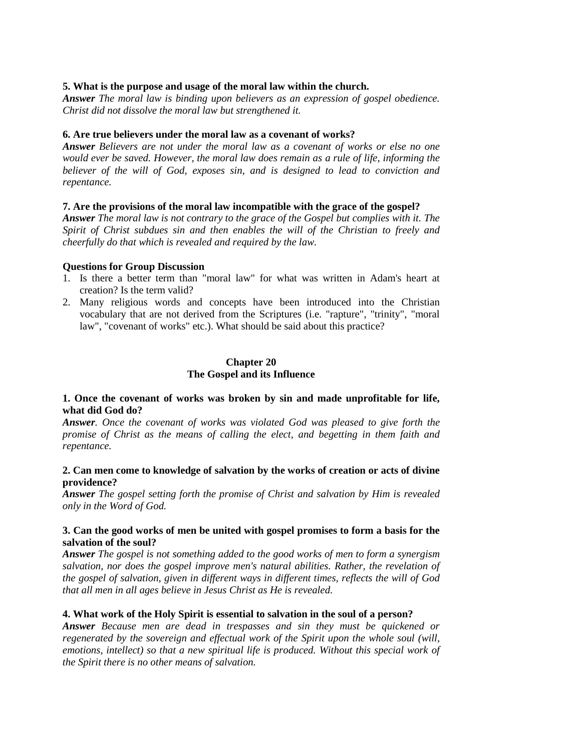### **5. What is the purpose and usage of the moral law within the church.**

*Answer The moral law is binding upon believers as an expression of gospel obedience. Christ did not dissolve the moral law but strengthened it.*

#### **6. Are true believers under the moral law as a covenant of works?**

*Answer Believers are not under the moral law as a covenant of works or else no one would ever be saved. However, the moral law does remain as a rule of life, informing the believer of the will of God, exposes sin, and is designed to lead to conviction and repentance.*

### **7. Are the provisions of the moral law incompatible with the grace of the gospel?**

*Answer The moral law is not contrary to the grace of the Gospel but complies with it. The Spirit of Christ subdues sin and then enables the will of the Christian to freely and cheerfully do that which is revealed and required by the law.*

### **Questions for Group Discussion**

- 1. Is there a better term than "moral law" for what was written in Adam's heart at creation? Is the term valid?
- 2. Many religious words and concepts have been introduced into the Christian vocabulary that are not derived from the Scriptures (i.e. "rapture", "trinity", "moral law", "covenant of works" etc.). What should be said about this practice?

## **Chapter 20 The Gospel and its Influence**

### **1. Once the covenant of works was broken by sin and made unprofitable for life, what did God do?**

*Answer. Once the covenant of works was violated God was pleased to give forth the promise of Christ as the means of calling the elect, and begetting in them faith and repentance.*

### **2. Can men come to knowledge of salvation by the works of creation or acts of divine providence?**

*Answer The gospel setting forth the promise of Christ and salvation by Him is revealed only in the Word of God.*

### **3. Can the good works of men be united with gospel promises to form a basis for the salvation of the soul?**

*Answer The gospel is not something added to the good works of men to form a synergism salvation, nor does the gospel improve men's natural abilities. Rather, the revelation of the gospel of salvation, given in different ways in different times, reflects the will of God that all men in all ages believe in Jesus Christ as He is revealed.*

## **4. What work of the Holy Spirit is essential to salvation in the soul of a person?**

*Answer Because men are dead in trespasses and sin they must be quickened or regenerated by the sovereign and effectual work of the Spirit upon the whole soul (will, emotions, intellect) so that a new spiritual life is produced. Without this special work of the Spirit there is no other means of salvation.*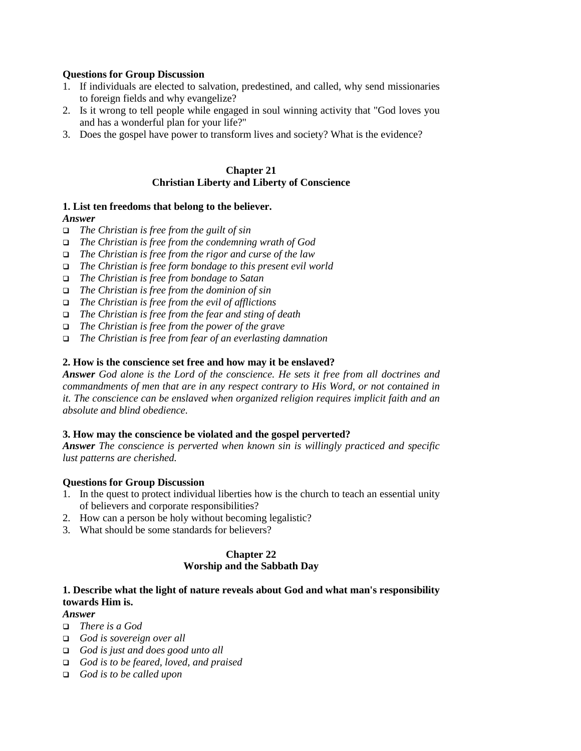## **Questions for Group Discussion**

- 1. If individuals are elected to salvation, predestined, and called, why send missionaries to foreign fields and why evangelize?
- 2. Is it wrong to tell people while engaged in soul winning activity that "God loves you and has a wonderful plan for your life?"
- 3. Does the gospel have power to transform lives and society? What is the evidence?

## **Chapter 21 Christian Liberty and Liberty of Conscience**

## **1. List ten freedoms that belong to the believer.**

## *Answer*

- ! *The Christian is free from the guilt of sin*
- ! *The Christian is free from the condemning wrath of God*
- ! *The Christian is free from the rigor and curse of the law*
- ! *The Christian is free form bondage to this present evil world*
- ! *The Christian is free from bondage to Satan*
- ! *The Christian is free from the dominion of sin*
- ! *The Christian is free from the evil of afflictions*
- ! *The Christian is free from the fear and sting of death*
- ! *The Christian is free from the power of the grave*
- ! *The Christian is free from fear of an everlasting damnation*

### **2. How is the conscience set free and how may it be enslaved?**

*Answer God alone is the Lord of the conscience. He sets it free from all doctrines and commandments of men that are in any respect contrary to His Word, or not contained in it. The conscience can be enslaved when organized religion requires implicit faith and an absolute and blind obedience.*

#### **3. How may the conscience be violated and the gospel perverted?**

*Answer The conscience is perverted when known sin is willingly practiced and specific lust patterns are cherished.*

## **Questions for Group Discussion**

- 1. In the quest to protect individual liberties how is the church to teach an essential unity of believers and corporate responsibilities?
- 2. How can a person be holy without becoming legalistic?
- 3. What should be some standards for believers?

#### **Chapter 22 Worship and the Sabbath Day**

## **1. Describe what the light of nature reveals about God and what man's responsibility towards Him is.**

### *Answer*

- ! *There is a God*
- ! *God is sovereign over all*
- ! *God is just and does good unto all*
- ! *God is to be feared, loved, and praised*
- ! *God is to be called upon*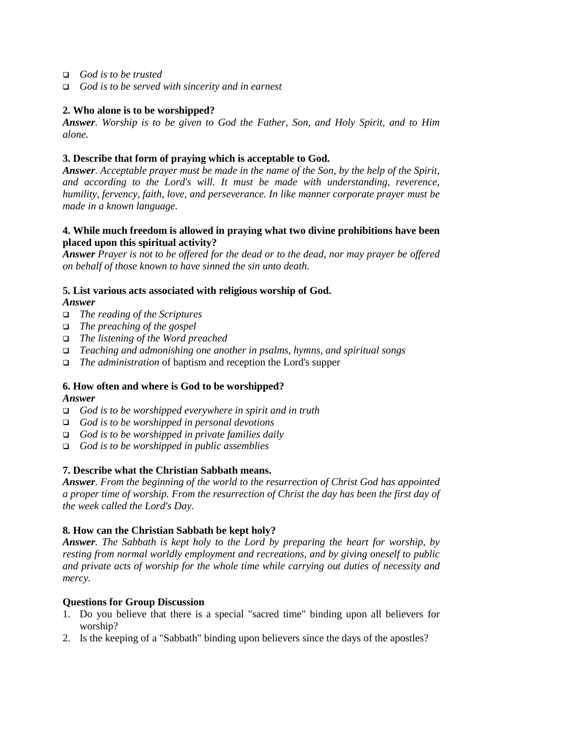- ! *God is to be trusted*
- ! *God is to be served with sincerity and in earnest*

## **2. Who alone is to be worshipped?**

*Answer. Worship is to be given to God the Father, Son, and Holy Spirit, and to Him alone.*

## **3. Describe that form of praying which is acceptable to God.**

*Answer. Acceptable prayer must be made in the name of the Son, by the help of the Spirit, and according to the Lord's will. It must be made with understanding, reverence, humility, fervency, faith, love, and perseverance. In like manner corporate prayer must be made in a known language.*

## **4. While much freedom is allowed in praying what two divine prohibitions have been placed upon this spiritual activity?**

*Answer Prayer is not to be offered for the dead or to the dead, nor may prayer be offered on behalf of those known to have sinned the sin unto death.*

## **5. List various acts associated with religious worship of God.**

## *Answer*

- ! *The reading of the Scriptures*
- ! *The preaching of the gospel*
- ! *The listening of the Word preached*
- ! *Teaching and admonishing one another in psalms, hymns, and spiritual songs*
- ! *The administration* of baptism and reception the Lord's supper

## **6. How often and where is God to be worshipped?**

## *Answer*

- ! *God is to be worshipped everywhere in spirit and in truth*
- ! *God is to be worshipped in personal devotions*
- ! *God is to be worshipped in private families daily*
- ! *God is to be worshipped in public assemblies*

## **7. Describe what the Christian Sabbath means.**

*Answer. From the beginning of the world to the resurrection of Christ God has appointed a proper time of worship. From the resurrection of Christ the day has been the first day of the week called the Lord's Day.*

## **8. How can the Christian Sabbath be kept holy?**

*Answer. The Sabbath is kept holy to the Lord by preparing the heart for worship, by resting from normal worldly employment and recreations, and by giving oneself to public and private acts of worship for the whole time while carrying out duties of necessity and mercy.*

## **Questions for Group Discussion**

- 1. Do you believe that there is a special "sacred time" binding upon all believers for worship?
- 2. Is the keeping of a "Sabbath" binding upon believers since the days of the apostles?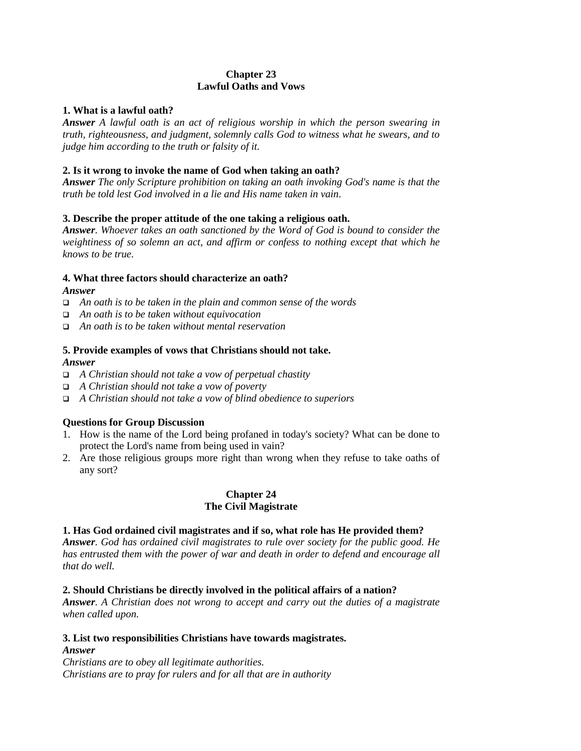## **Chapter 23 Lawful Oaths and Vows**

## **1. What is a lawful oath?**

*Answer A lawful oath is an act of religious worship in which the person swearing in truth, righteousness, and judgment, solemnly calls God to witness what he swears, and to judge him according to the truth or falsity of it.*

## **2. Is it wrong to invoke the name of God when taking an oath?**

*Answer The only Scripture prohibition on taking an oath invoking God's name is that the truth be told lest God involved in a lie and His name taken in vain*.

## **3. Describe the proper attitude of the one taking a religious oath.**

*Answer. Whoever takes an oath sanctioned by the Word of God is bound to consider the weightiness of so solemn an act, and affirm or confess to nothing except that which he knows to be true.*

### **4. What three factors should characterize an oath?**

### *Answer*

- ! *An oath is to be taken in the plain and common sense of the words*
- ! *An oath is to be taken without equivocation*
- ! *An oath is to be taken without mental reservation*

#### **5. Provide examples of vows that Christians should not take.** *Answer*

- ! *A Christian should not take a vow of perpetual chastity*
- ! *A Christian should not take a vow of poverty*
- ! *A Christian should not take a vow of blind obedience to superiors*

## **Questions for Group Discussion**

- 1. How is the name of the Lord being profaned in today's society? What can be done to protect the Lord's name from being used in vain?
- 2. Are those religious groups more right than wrong when they refuse to take oaths of any sort?

## **Chapter 24 The Civil Magistrate**

#### **1. Has God ordained civil magistrates and if so, what role has He provided them?**

*Answer. God has ordained civil magistrates to rule over society for the public good. He has entrusted them with the power of war and death in order to defend and encourage all that do well.*

#### **2. Should Christians be directly involved in the political affairs of a nation?**

*Answer. A Christian does not wrong to accept and carry out the duties of a magistrate when called upon.*

# **3. List two responsibilities Christians have towards magistrates.**

### *Answer*

*Christians are to obey all legitimate authorities. Christians are to pray for rulers and for all that are in authority*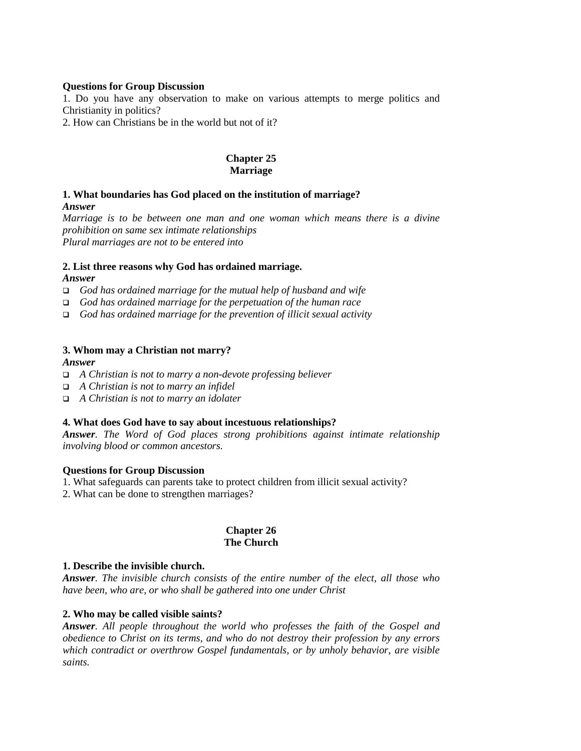### **Questions for Group Discussion**

1. Do you have any observation to make on various attempts to merge politics and Christianity in politics?

2. How can Christians be in the world but not of it?

## **Chapter 25 Marriage**

## **1. What boundaries has God placed on the institution of marriage?** *Answer*

*Marriage is to be between one man and one woman which means there is a divine prohibition on same sex intimate relationships Plural marriages are not to be entered into*

## **2. List three reasons why God has ordained marriage.**

### *Answer*

- ! *God has ordained marriage for the mutual help of husband and wife*
- ! *God has ordained marriage for the perpetuation of the human race*
- ! *God has ordained marriage for the prevention of illicit sexual activity*

### **3. Whom may a Christian not marry?**

#### *Answer*

- ! *A Christian is not to marry a non-devote professing believer*
- ! *A Christian is not to marry an infidel*
- ! *A Christian is not to marry an idolater*

## **4. What does God have to say about incestuous relationships?**

*Answer. The Word of God places strong prohibitions against intimate relationship involving blood or common ancestors.*

#### **Questions for Group Discussion**

- 1. What safeguards can parents take to protect children from illicit sexual activity?
- 2. What can be done to strengthen marriages?

### **Chapter 26 The Church**

#### **1. Describe the invisible church.**

*Answer. The invisible church consists of the entire number of the elect, all those who have been, who are, or who shall be gathered into one under Christ*

## **2. Who may be called visible saints?**

*Answer. All people throughout the world who professes the faith of the Gospel and obedience to Christ on its terms, and who do not destroy their profession by any errors which contradict or overthrow Gospel fundamentals, or by unholy behavior, are visible saints.*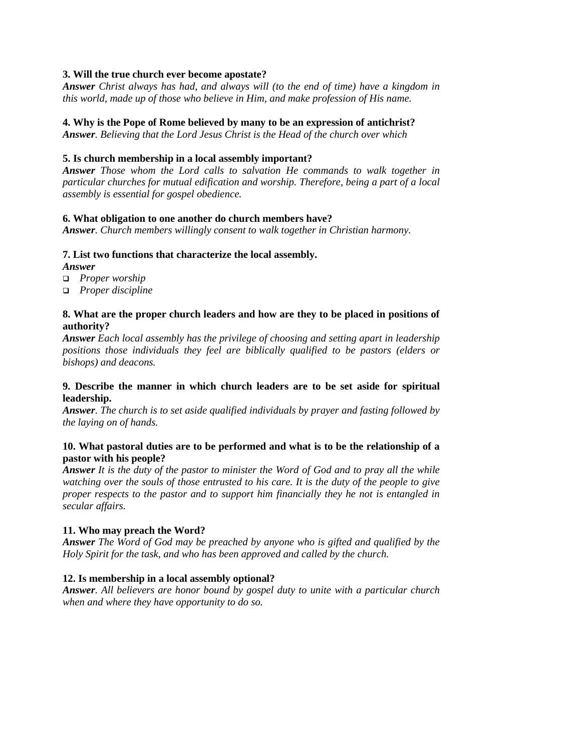## **3. Will the true church ever become apostate?**

*Answer Christ always has had, and always will (to the end of time) have a kingdom in this world, made up of those who believe in Him, and make profession of His name.*

#### **4. Why is the Pope of Rome believed by many to be an expression of antichrist?**

*Answer. Believing that the Lord Jesus Christ is the Head of the church over which*

### **5. Is church membership in a local assembly important?**

*Answer Those whom the Lord calls to salvation He commands to walk together in particular churches for mutual edification and worship. Therefore, being a part of a local assembly is essential for gospel obedience.*

#### **6. What obligation to one another do church members have?**

*Answer. Church members willingly consent to walk together in Christian harmony.*

### **7. List two functions that characterize the local assembly.**

*Answer*

- ! *Proper worship*
- ! *Proper discipline*

### **8. What are the proper church leaders and how are they to be placed in positions of authority?**

*Answer Each local assembly has the privilege of choosing and setting apart in leadership positions those individuals they feel are biblically qualified to be pastors (elders or bishops) and deacons.*

### **9. Describe the manner in which church leaders are to be set aside for spiritual leadership.**

*Answer. The church is to set aside qualified individuals by prayer and fasting followed by the laying on of hands.*

## **10. What pastoral duties are to be performed and what is to be the relationship of a pastor with his people?**

*Answer It is the duty of the pastor to minister the Word of God and to pray all the while watching over the souls of those entrusted to his care. It is the duty of the people to give proper respects to the pastor and to support him financially they he not is entangled in secular affairs.*

#### **11. Who may preach the Word?**

*Answer The Word of God may be preached by anyone who is gifted and qualified by the Holy Spirit for the task, and who has been approved and called by the church.*

#### **12. Is membership in a local assembly optional?**

*Answer. All believers are honor bound by gospel duty to unite with a particular church when and where they have opportunity to do so.*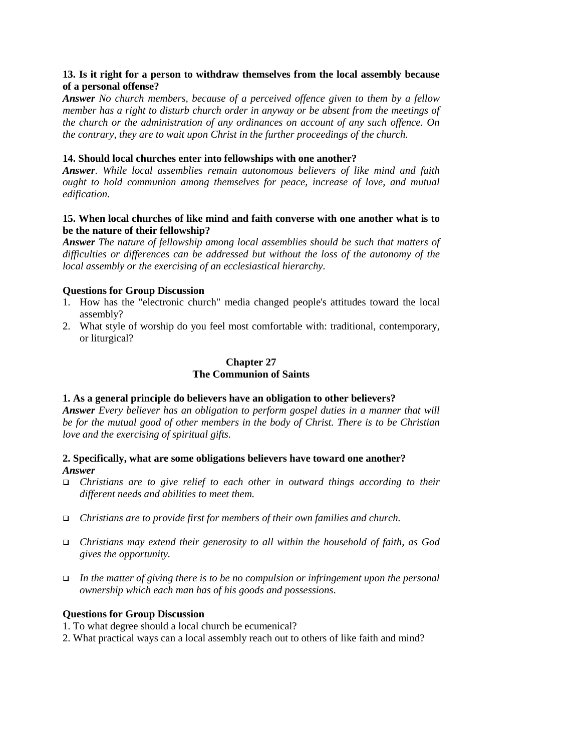## **13. Is it right for a person to withdraw themselves from the local assembly because of a personal offense?**

*Answer No church members, because of a perceived offence given to them by a fellow member has a right to disturb church order in anyway or be absent from the meetings of the church or the administration of any ordinances on account of any such offence. On the contrary, they are to wait upon Christ in the further proceedings of the church.*

## **14. Should local churches enter into fellowships with one another?**

*Answer. While local assemblies remain autonomous believers of like mind and faith ought to hold communion among themselves for peace, increase of love, and mutual edification.*

## **15. When local churches of like mind and faith converse with one another what is to be the nature of their fellowship?**

*Answer The nature of fellowship among local assemblies should be such that matters of difficulties or differences can be addressed but without the loss of the autonomy of the local assembly or the exercising of an ecclesiastical hierarchy.*

## **Questions for Group Discussion**

- 1. How has the "electronic church" media changed people's attitudes toward the local assembly?
- 2. What style of worship do you feel most comfortable with: traditional, contemporary, or liturgical?

## **Chapter 27 The Communion of Saints**

## **1. As a general principle do believers have an obligation to other believers?**

*Answer Every believer has an obligation to perform gospel duties in a manner that will be for the mutual good of other members in the body of Christ. There is to be Christian love and the exercising of spiritual gifts.*

## **2. Specifically, what are some obligations believers have toward one another?** *Answer*

- ! *Christians are to give relief to each other in outward things according to their different needs and abilities to meet them.*
- ! *Christians are to provide first for members of their own families and church.*
- ! *Christians may extend their generosity to all within the household of faith, as God gives the opportunity.*
- ! *In the matter of giving there is to be no compulsion or infringement upon the personal ownership which each man has of his goods and possessions*.

#### **Questions for Group Discussion**

1. To what degree should a local church be ecumenical?

2. What practical ways can a local assembly reach out to others of like faith and mind?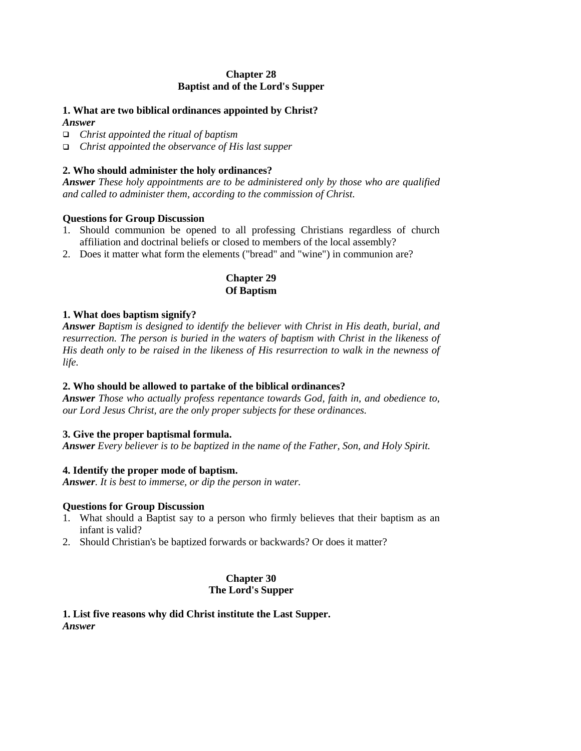## **Chapter 28 Baptist and of the Lord's Supper**

## **1. What are two biblical ordinances appointed by Christ?**

*Answer*

! *Christ appointed the ritual of baptism*

! *Christ appointed the observance of His last supper*

## **2. Who should administer the holy ordinances?**

*Answer These holy appointments are to be administered only by those who are qualified and called to administer them, according to the commission of Christ*.

## **Questions for Group Discussion**

- 1. Should communion be opened to all professing Christians regardless of church affiliation and doctrinal beliefs or closed to members of the local assembly?
- 2. Does it matter what form the elements ("bread" and "wine") in communion are?

## **Chapter 29 Of Baptism**

## **1. What does baptism signify?**

*Answer Baptism is designed to identify the believer with Christ in His death, burial, and resurrection. The person is buried in the waters of baptism with Christ in the likeness of His death only to be raised in the likeness of His resurrection to walk in the newness of life.*

## **2. Who should be allowed to partake of the biblical ordinances?**

*Answer Those who actually profess repentance towards God, faith in, and obedience to, our Lord Jesus Christ, are the only proper subjects for these ordinances.*

## **3. Give the proper baptismal formula.**

*Answer Every believer is to be baptized in the name of the Father, Son, and Holy Spirit.*

## **4. Identify the proper mode of baptism.**

*Answer. It is best to immerse, or dip the person in water.*

## **Questions for Group Discussion**

- 1. What should a Baptist say to a person who firmly believes that their baptism as an infant is valid?
- 2. Should Christian's be baptized forwards or backwards? Or does it matter?

## **Chapter 30 The Lord's Supper**

**1. List five reasons why did Christ institute the Last Supper.** *Answer*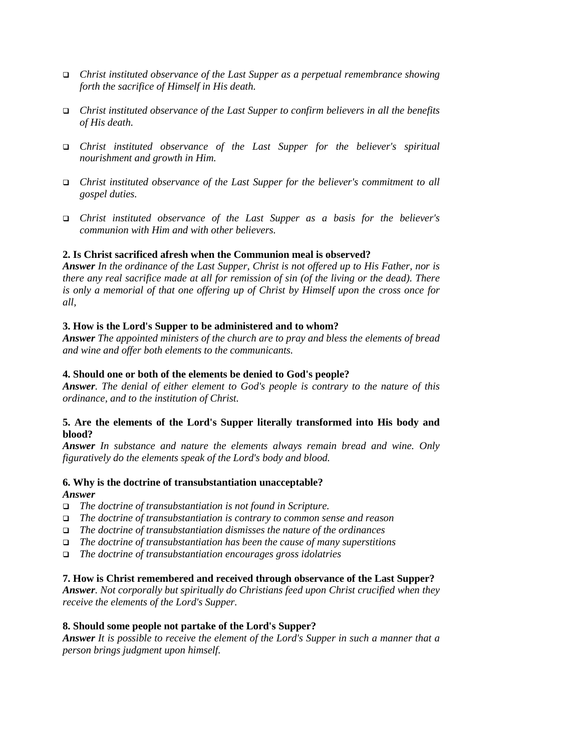- ! *Christ instituted observance of the Last Supper as a perpetual remembrance showing forth the sacrifice of Himself in His death.*
- ! *Christ instituted observance of the Last Supper to confirm believers in all the benefits of His death.*
- ! *Christ instituted observance of the Last Supper for the believer's spiritual nourishment and growth in Him.*
- ! *Christ instituted observance of the Last Supper for the believer's commitment to all gospel duties.*
- ! *Christ instituted observance of the Last Supper as a basis for the believer's communion with Him and with other believers.*

## **2. Is Christ sacrificed afresh when the Communion meal is observed?**

*Answer In the ordinance of the Last Supper, Christ is not offered up to His Father, nor is there any real sacrifice made at all for remission of sin (of the living or the dead). There is only a memorial of that one offering up of Christ by Himself upon the cross once for all,*

#### **3. How is the Lord's Supper to be administered and to whom?**

*Answer The appointed ministers of the church are to pray and bless the elements of bread and wine and offer both elements to the communicants.*

#### **4. Should one or both of the elements be denied to God's people?**

*Answer. The denial of either element to God's people is contrary to the nature of this ordinance, and to the institution of Christ.*

### **5. Are the elements of the Lord's Supper literally transformed into His body and blood?**

*Answer In substance and nature the elements always remain bread and wine. Only figuratively do the elements speak of the Lord's body and blood.*

## **6. Why is the doctrine of transubstantiation unacceptable?** *Answer*

- ! *The doctrine of transubstantiation is not found in Scripture.*
- ! *The doctrine of transubstantiation is contrary to common sense and reason*
- ! *The doctrine of transubstantiation dismisses the nature of the ordinances*
- ! *The doctrine of transubstantiation has been the cause of many superstitions*
- ! *The doctrine of transubstantiation encourages gross idolatries*

#### **7. How is Christ remembered and received through observance of the Last Supper?**

*Answer. Not corporally but spiritually do Christians feed upon Christ crucified when they receive the elements of the Lord's Supper.*

#### **8. Should some people not partake of the Lord's Supper?**

*Answer It is possible to receive the element of the Lord's Supper in such a manner that a person brings judgment upon himself.*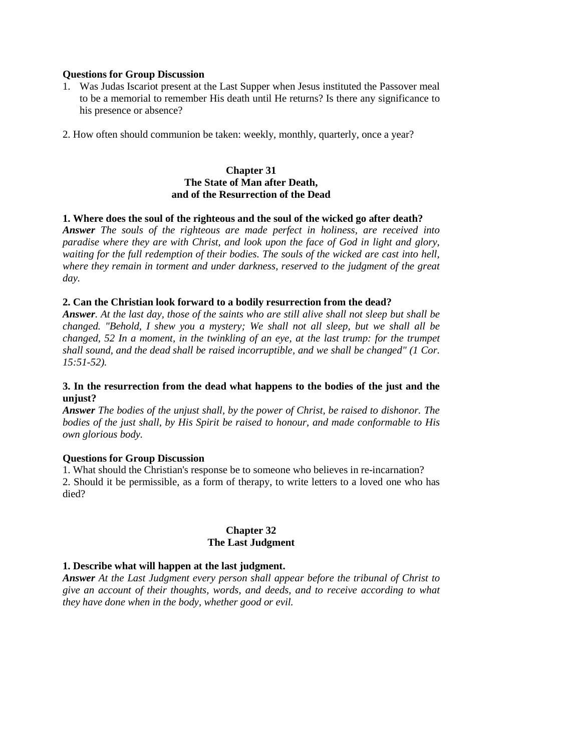#### **Questions for Group Discussion**

- 1. Was Judas Iscariot present at the Last Supper when Jesus instituted the Passover meal to be a memorial to remember His death until He returns? Is there any significance to his presence or absence?
- 2. How often should communion be taken: weekly, monthly, quarterly, once a year?

#### **Chapter 31 The State of Man after Death, and of the Resurrection of the Dead**

## **1. Where does the soul of the righteous and the soul of the wicked go after death?**

*Answer The souls of the righteous are made perfect in holiness, are received into paradise where they are with Christ, and look upon the face of God in light and glory, waiting for the full redemption of their bodies. The souls of the wicked are cast into hell, where they remain in torment and under darkness, reserved to the judgment of the great day.*

## **2. Can the Christian look forward to a bodily resurrection from the dead?**

*Answer. At the last day, those of the saints who are still alive shall not sleep but shall be changed. "Behold, I shew you a mystery; We shall not all sleep, but we shall all be changed, 52 In a moment, in the twinkling of an eye, at the last trump: for the trumpet shall sound, and the dead shall be raised incorruptible, and we shall be changed" (1 Cor. 15:51-52).*

### **3. In the resurrection from the dead what happens to the bodies of the just and the unjust?**

*Answer The bodies of the unjust shall, by the power of Christ, be raised to dishonor. The bodies of the just shall, by His Spirit be raised to honour, and made conformable to His own glorious body.*

#### **Questions for Group Discussion**

1. What should the Christian's response be to someone who believes in re-incarnation? 2. Should it be permissible, as a form of therapy, to write letters to a loved one who has died?

## **Chapter 32 The Last Judgment**

#### **1. Describe what will happen at the last judgment.**

*Answer At the Last Judgment every person shall appear before the tribunal of Christ to give an account of their thoughts, words, and deeds, and to receive according to what they have done when in the body, whether good or evil.*